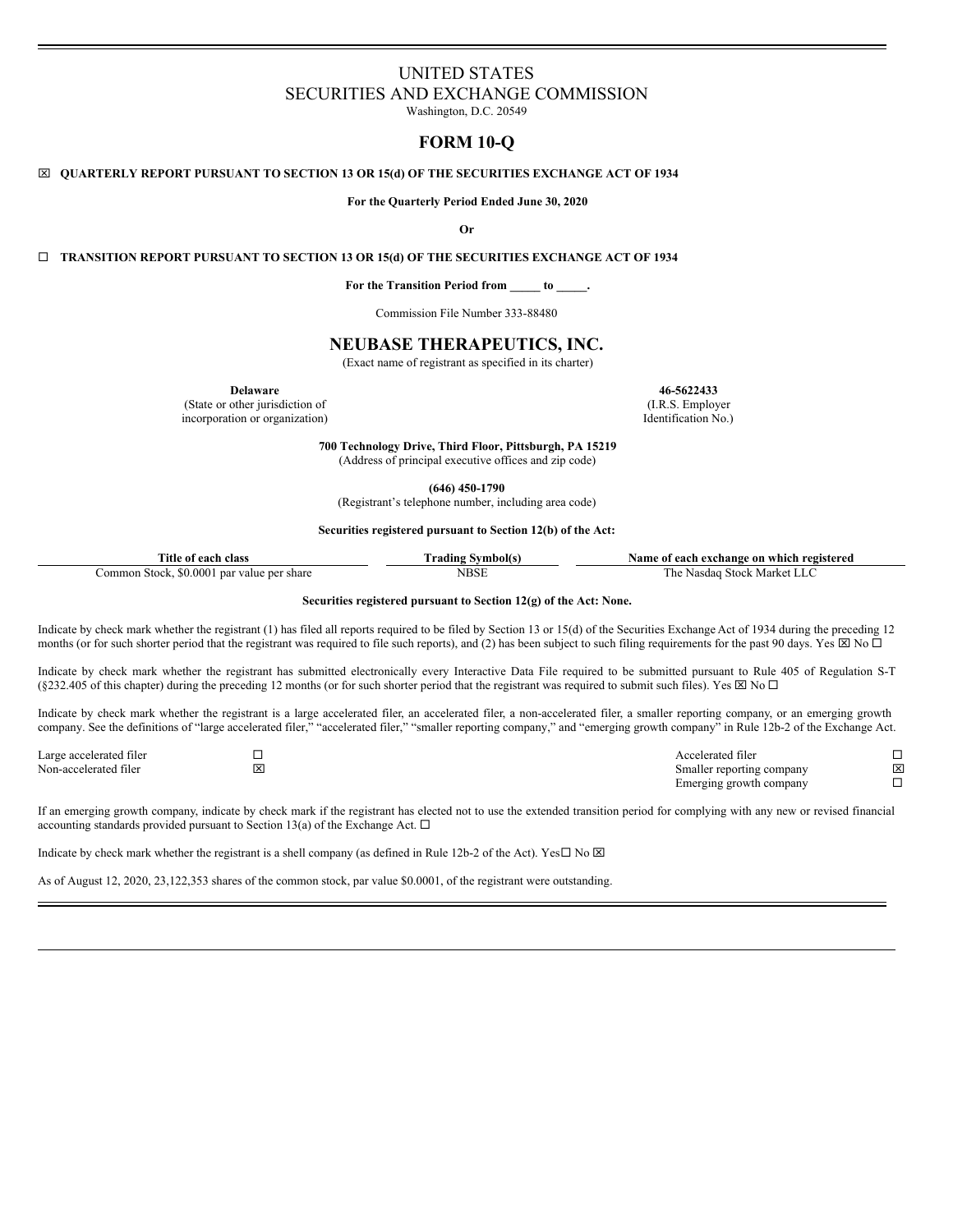# UNITED STATES SECURITIES AND EXCHANGE COMMISSION

Washington, D.C. 20549

# **FORM 10-Q**

x **QUARTERLY REPORT PURSUANT TO SECTION 13 OR 15(d) OF THE SECURITIES EXCHANGE ACT OF 1934**

**For the Quarterly Period Ended June 30, 2020**

**Or**

¨ **TRANSITION REPORT PURSUANT TO SECTION 13 OR 15(d) OF THE SECURITIES EXCHANGE ACT OF 1934**

**For the Transition Period from \_\_\_\_\_ to \_\_\_\_\_.**

Commission File Number 333-88480

## **NEUBASE THERAPEUTICS, INC.**

(Exact name of registrant as specified in its charter)

**Delaware 46-5622433**

(State or other jurisdiction of incorporation or organization)

**700 Technology Drive, Third Floor, Pittsburgh, PA 15219**

(Address of principal executive offices and zip code)

**(646) 450-1790**

(Registrant's telephone number, including area code)

**Securities registered pursuant to Section 12(b) of the Act:**

| clas:<br>utic<br>^^^*<br>◠<br>74 L J                     | registerea<br>-on<br>evchange<br>which<br>eacl         |
|----------------------------------------------------------|--------------------------------------------------------|
| იიი<br>$\cdot$ too'<br>ำm.<br>nai<br>snare<br>value<br>. | <br>. ne<br>∴ Mar <sup>t</sup><br>stock<br>$\sim$<br>м |

#### **Securities registered pursuant to Section 12(g) of the Act: None.**

Indicate by check mark whether the registrant (1) has filed all reports required to be filed by Section 13 or 15(d) of the Securities Exchange Act of 1934 during the preceding 12 months (or for such shorter period that the registrant was required to file such reports), and (2) has been subject to such filing requirements for the past 90 days. Yes  $\boxtimes$  No  $\Box$ 

Indicate by check mark whether the registrant has submitted electronically every Interactive Data File required to be submitted pursuant to Rule 405 of Regulation S-T (§232.405 of this chapter) during the preceding 12 months (or for such shorter period that the registrant was required to submit such files). Yes  $\boxtimes$  No  $\Box$ 

Indicate by check mark whether the registrant is a large accelerated filer, an accelerated filer, a non-accelerated filer, a smaller reporting company, or an emerging growth company. See the definitions of "large accelerated filer," "accelerated filer," "smaller reporting company," and "emerging growth company" in Rule 12b-2 of the Exchange Act.

| Large accelerated filer |                          | Accelerated filer                                  |   |
|-------------------------|--------------------------|----------------------------------------------------|---|
| Non-accelerated filer   | $\overline{v}$<br>$\sim$ | Smaller reporting company                          | X |
|                         |                          | imerging growth company<br>$\sim$<br>$\rightarrow$ |   |

If an emerging growth company, indicate by check mark if the registrant has elected not to use the extended transition period for complying with any new or revised financial accounting standards provided pursuant to Section 13(a) of the Exchange Act.  $\Box$ 

Indicate by check mark whether the registrant is a shell company (as defined in Rule 12b-2 of the Act). Yes $\Box$  No  $\boxtimes$ 

As of August 12, 2020, 23,122,353 shares of the common stock, par value \$0.0001, of the registrant were outstanding.

(I.R.S. Employer Identification No.)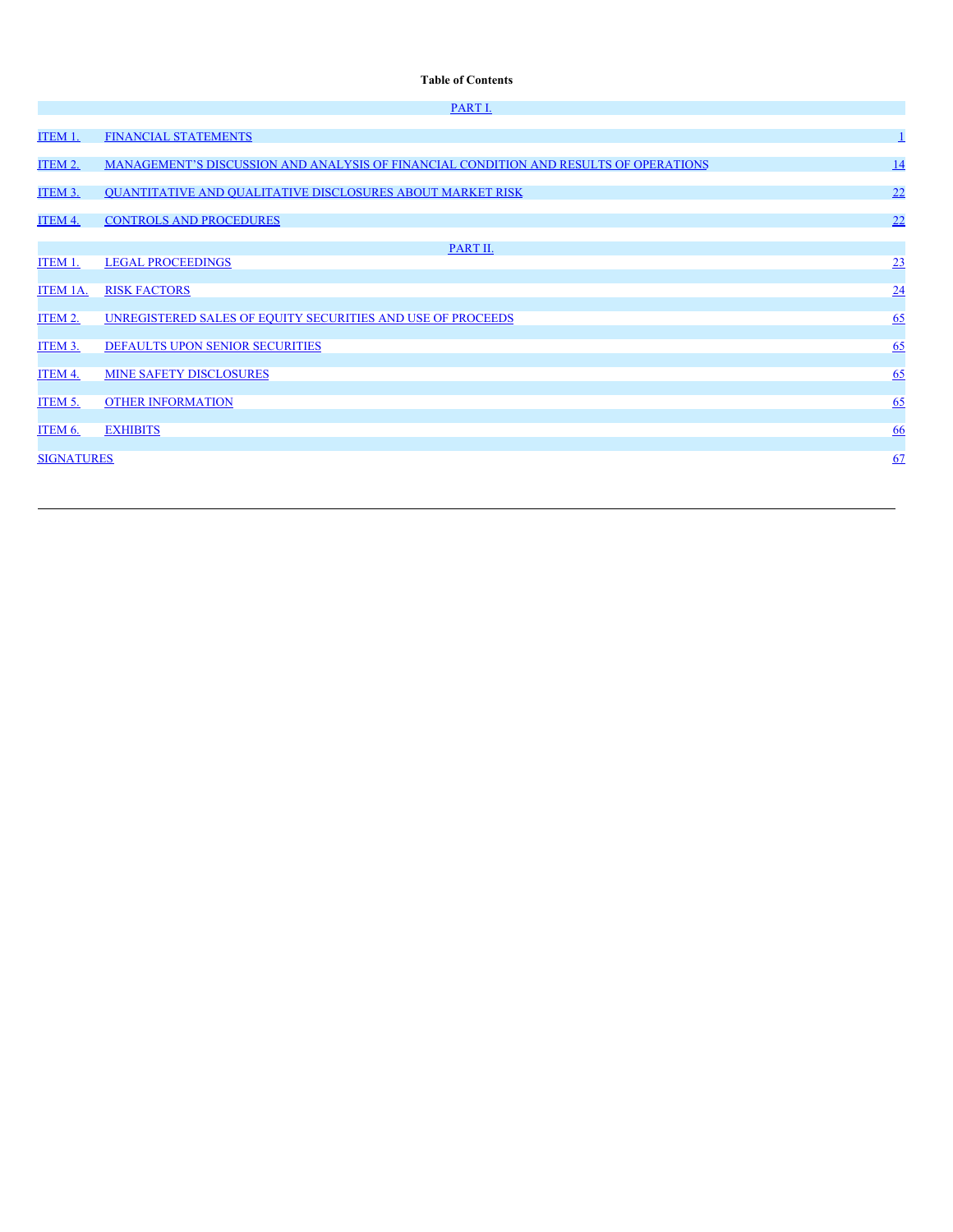# **Table of Contents**

|                   | PART I.                                                                               |         |
|-------------------|---------------------------------------------------------------------------------------|---------|
| ITEM 1.           | <b>FINANCIAL STATEMENTS</b>                                                           | $\perp$ |
| ITEM 2.           | MANAGEMENT'S DISCUSSION AND ANALYSIS OF FINANCIAL CONDITION AND RESULTS OF OPERATIONS | 14      |
| ITEM 3.           | <b>QUANTITATIVE AND QUALITATIVE DISCLOSURES ABOUT MARKET RISK</b>                     | 22      |
| ITEM 4.           | <b>CONTROLS AND PROCEDURES</b>                                                        | 22      |
|                   | PART II.                                                                              |         |
| ITEM 1.           | <b>LEGAL PROCEEDINGS</b>                                                              | 23      |
| ITEM 1A.          | <b>RISK FACTORS</b>                                                                   | 24      |
| ITEM 2.           | UNREGISTERED SALES OF EQUITY SECURITIES AND USE OF PROCEEDS                           | 65      |
| ITEM 3.           | DEFAULTS UPON SENIOR SECURITIES                                                       | 65      |
| ITEM 4.           | <b>MINE SAFETY DISCLOSURES</b>                                                        | 65      |
| ITEM 5.           | <b>OTHER INFORMATION</b>                                                              | 65      |
| ITEM 6.           | <b>EXHIBITS</b>                                                                       | 66      |
| <b>SIGNATURES</b> |                                                                                       | 67      |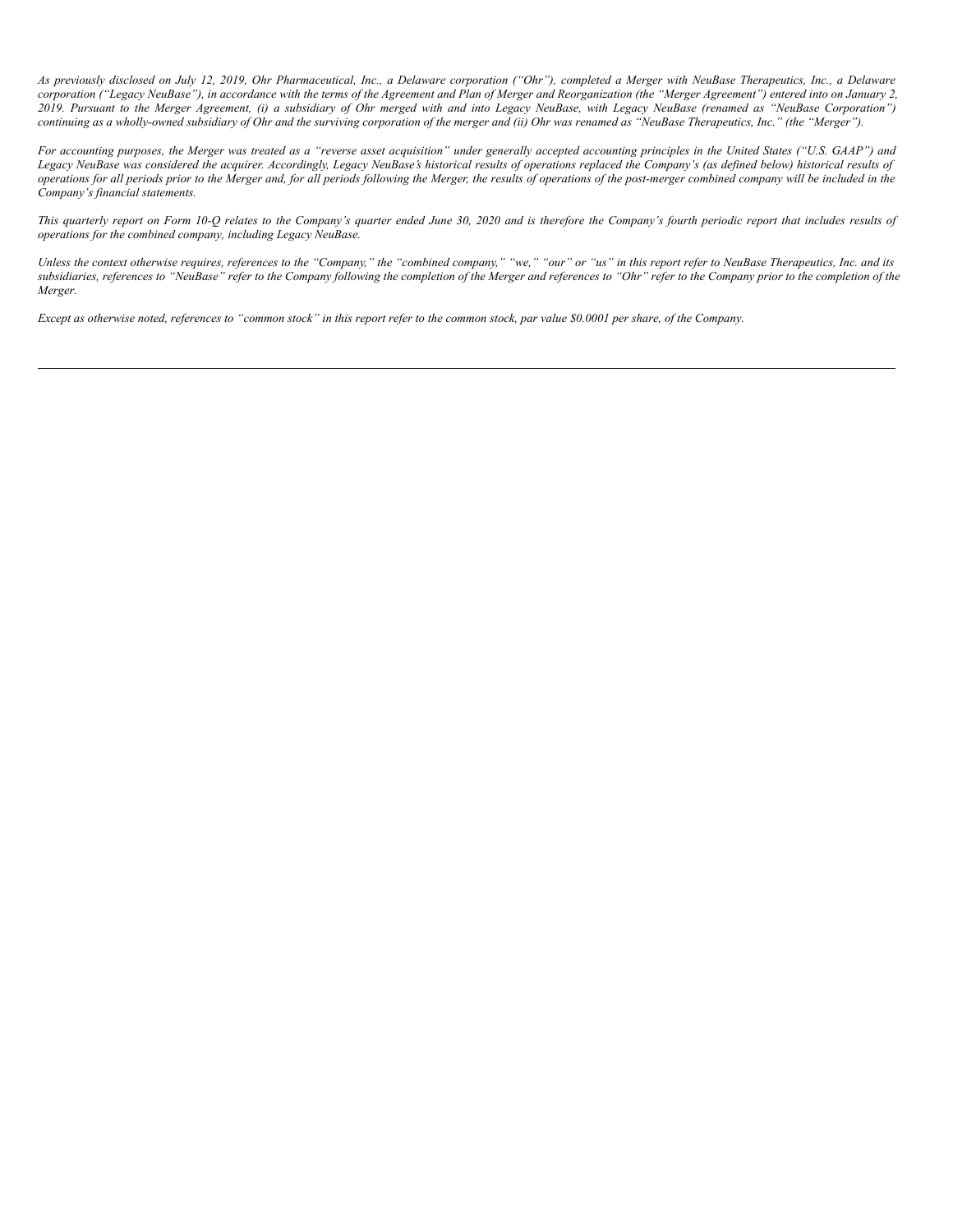As previously disclosed on July 12, 2019, Ohr Pharmaceutical, Inc., a Delaware corporation ("Ohr"), completed a Merger with NeuBase Therapeutics, Inc., a Delaware corporation ("Legacy NeuBase"), in accordance with the terms of the Agreement and Plan of Merger and Reorganization (the "Merger Agreement") entered into on January 2, 2019. Pursuant to the Merger Agreement, (i) a subsidiary of Ohr merged with and into Legacy NeuBase, with Legacy NeuBase (renamed as "NeuBase Corporation") continuing as a wholly-owned subsidiary of Ohr and the surviving corporation of the merger and (ii) Ohr was renamed as "NeuBase Therapeutics, Inc." (the "Merger").

For accounting purposes, the Merger was treated as a "reverse asset acquisition" under generally accepted accounting principles in the United States ("U.S. GAAP") and Legacy NeuBase was considered the acquirer. Accordingly, Legacy NeuBase's historical results of operations replaced the Company's (as defined below) historical results of operations for all periods prior to the Merger and, for all periods following the Merger, the results of operations of the post-merger combined company will be included in the *Company's financial statements.*

This quarterly report on Form 10-Q relates to the Company's quarter ended June 30, 2020 and is therefore the Company's fourth periodic report that includes results of *operations for the combined company, including Legacy NeuBase.*

Unless the context otherwise requires, references to the "Company," the "combined company," "we," "our" or "us" in this report refer to NeuBase Therapeutics, Inc. and its subsidiaries, references to "NeuBase" refer to the Company following the completion of the Merger and references to "Ohr" refer to the Company prior to the completion of the *Merger.*

Except as otherwise noted, references to "common stock" in this report refer to the common stock, par value \$0.0001 per share, of the Company.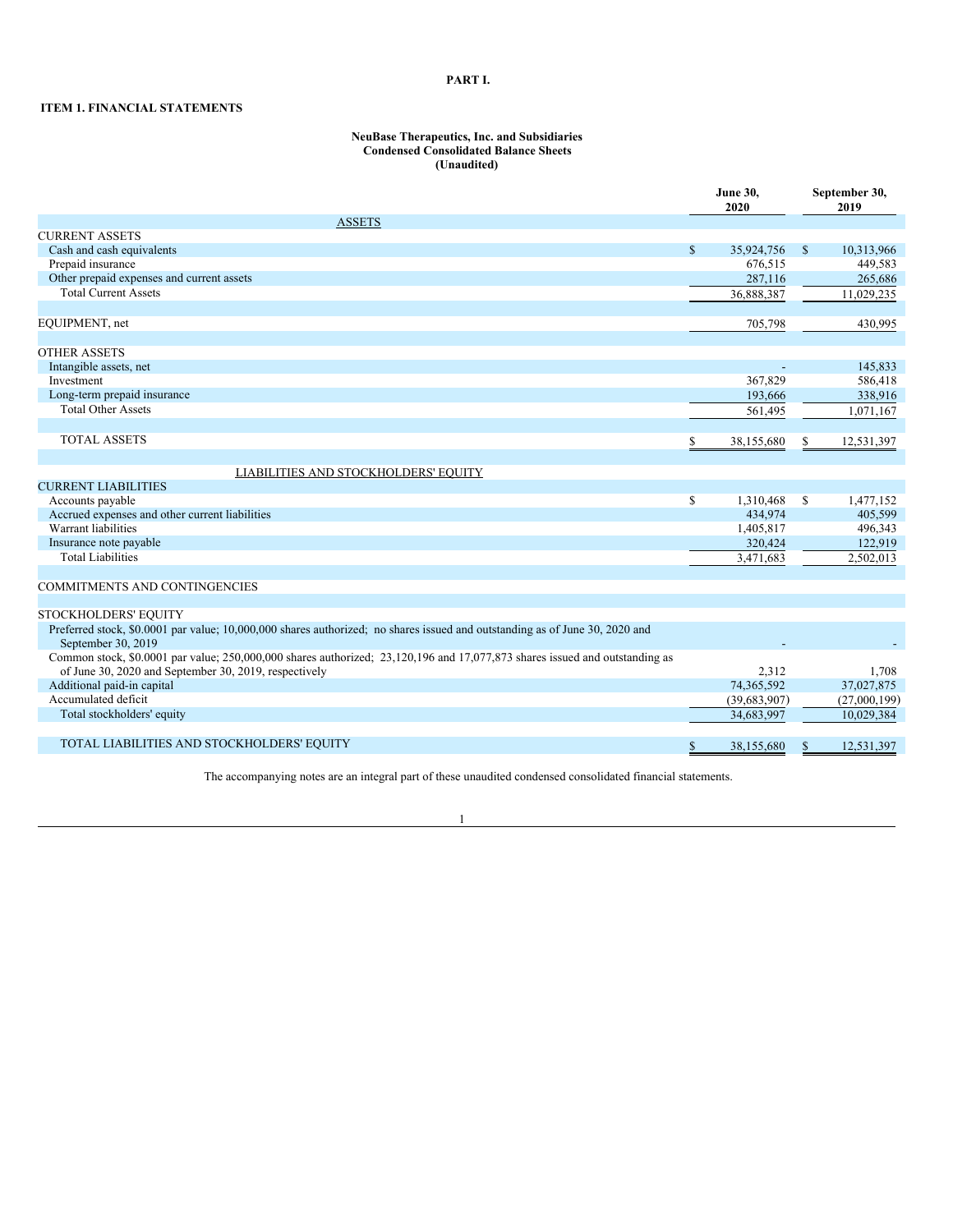## <span id="page-3-0"></span>**PART I.**

## <span id="page-3-1"></span>**ITEM 1. FINANCIAL STATEMENTS**

#### **NeuBase Therapeutics, Inc. and Subsidiaries Condensed Consolidated Balance Sheets (Unaudited)**

| <b>ASSETS</b><br><b>CURRENT ASSETS</b><br>Cash and cash equivalents<br>\$<br>35,924,756<br>$\mathbb{S}$<br>Prepaid insurance<br>676,515           | 10,313,966<br>449,583<br>265,686<br>11,029,235<br>430,995 |
|---------------------------------------------------------------------------------------------------------------------------------------------------|-----------------------------------------------------------|
|                                                                                                                                                   |                                                           |
|                                                                                                                                                   |                                                           |
|                                                                                                                                                   |                                                           |
|                                                                                                                                                   |                                                           |
| Other prepaid expenses and current assets<br>287,116                                                                                              |                                                           |
| <b>Total Current Assets</b><br>36,888,387                                                                                                         |                                                           |
| EQUIPMENT, net<br>705,798                                                                                                                         |                                                           |
| <b>OTHER ASSETS</b>                                                                                                                               |                                                           |
| Intangible assets, net                                                                                                                            | 145,833                                                   |
| 367.829<br>Investment                                                                                                                             | 586,418                                                   |
| Long-term prepaid insurance<br>193,666                                                                                                            | 338,916                                                   |
| <b>Total Other Assets</b><br>561,495                                                                                                              | 1.071.167                                                 |
| <b>TOTAL ASSETS</b><br>\$<br>38,155,680<br>\$                                                                                                     | 12,531,397                                                |
| LIABILITIES AND STOCKHOLDERS' EQUITY                                                                                                              |                                                           |
| <b>CURRENT LIABILITIES</b>                                                                                                                        |                                                           |
| \$<br>Accounts payable<br>1,310,468<br>S.                                                                                                         | 1,477,152                                                 |
| Accrued expenses and other current liabilities<br>434,974                                                                                         | 405,599                                                   |
| Warrant liabilities<br>1,405,817                                                                                                                  | 496,343                                                   |
| Insurance note payable<br>320,424                                                                                                                 | 122,919                                                   |
| <b>Total Liabilities</b><br>3,471,683                                                                                                             | 2,502,013                                                 |
| <b>COMMITMENTS AND CONTINGENCIES</b>                                                                                                              |                                                           |
|                                                                                                                                                   |                                                           |
| STOCKHOLDERS' EQUITY                                                                                                                              |                                                           |
| Preferred stock, \$0.0001 par value; 10,000,000 shares authorized; no shares issued and outstanding as of June 30, 2020 and<br>September 30, 2019 |                                                           |
| Common stock, \$0.0001 par value; 250,000,000 shares authorized; 23,120,196 and 17,077,873 shares issued and outstanding as                       |                                                           |
| of June 30, 2020 and September 30, 2019, respectively<br>2,312                                                                                    | 1,708                                                     |
| Additional paid-in capital<br>74,365,592                                                                                                          | 37,027,875                                                |
| Accumulated deficit<br>(39,683,907)                                                                                                               | (27,000,199)                                              |
| Total stockholders' equity<br>34,683,997                                                                                                          | 10,029,384                                                |
| TOTAL LIABILITIES AND STOCKHOLDERS' EQUITY<br>\$<br>38,155,680<br>S                                                                               | 12,531,397                                                |

The accompanying notes are an integral part of these unaudited condensed consolidated financial statements.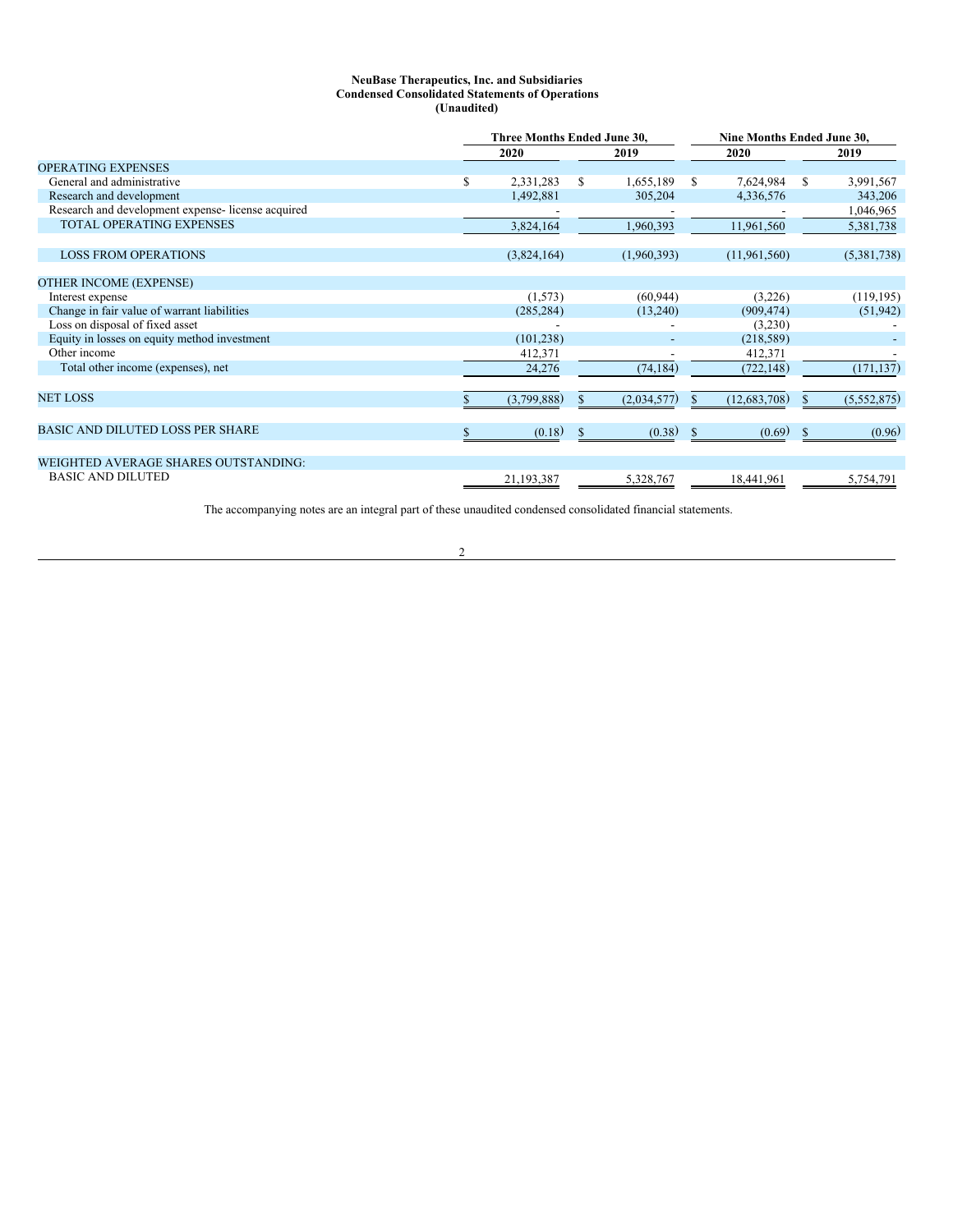#### **NeuBase Therapeutics, Inc. and Subsidiaries Condensed Consolidated Statements of Operations (Unaudited)**

|                                                   | Three Months Ended June 30, |    |             | Nine Months Ended June 30, |                |   |             |  |
|---------------------------------------------------|-----------------------------|----|-------------|----------------------------|----------------|---|-------------|--|
|                                                   | 2020                        |    | 2019        |                            | 2020           |   | 2019        |  |
| <b>OPERATING EXPENSES</b>                         |                             |    |             |                            |                |   |             |  |
| General and administrative                        | \$<br>2,331,283             | S  | 1,655,189   | -S                         | 7,624,984      | S | 3,991,567   |  |
| Research and development                          | 1,492,881                   |    | 305,204     |                            | 4,336,576      |   | 343,206     |  |
| Research and development expense-license acquired |                             |    |             |                            |                |   | 1,046,965   |  |
| <b>TOTAL OPERATING EXPENSES</b>                   | 3,824,164                   |    | 1,960,393   |                            | 11,961,560     |   | 5,381,738   |  |
| <b>LOSS FROM OPERATIONS</b>                       | (3,824,164)                 |    | (1,960,393) |                            | (11, 961, 560) |   | (5,381,738) |  |
| <b>OTHER INCOME (EXPENSE)</b>                     |                             |    |             |                            |                |   |             |  |
| Interest expense                                  | (1,573)                     |    | (60, 944)   |                            | (3,226)        |   | (119, 195)  |  |
| Change in fair value of warrant liabilities       | (285, 284)                  |    | (13,240)    |                            | (909, 474)     |   | (51, 942)   |  |
| Loss on disposal of fixed asset                   |                             |    |             |                            | (3,230)        |   |             |  |
| Equity in losses on equity method investment      | (101, 238)                  |    |             |                            | (218,589)      |   |             |  |
| Other income                                      | 412,371                     |    |             |                            | 412,371        |   |             |  |
| Total other income (expenses), net                | 24,276                      |    | (74, 184)   |                            | (722, 148)     |   | (171, 137)  |  |
| <b>NET LOSS</b>                                   | (3,799,888)                 |    | (2,034,577) | <b>S</b>                   | (12, 683, 708) |   | (5,552,875) |  |
| <b>BASIC AND DILUTED LOSS PER SHARE</b>           | (0.18)                      | \$ | (0.38)      | <sup>\$</sup>              | (0.69)         | S | (0.96)      |  |
| WEIGHTED AVERAGE SHARES OUTSTANDING:              |                             |    |             |                            |                |   |             |  |
| <b>BASIC AND DILUTED</b>                          | 21,193,387                  |    | 5,328,767   |                            | 18,441,961     |   | 5,754,791   |  |

The accompanying notes are an integral part of these unaudited condensed consolidated financial statements.

2

<u> 1989 - Johann Barn, mars eta bainar eta idazlea (</u>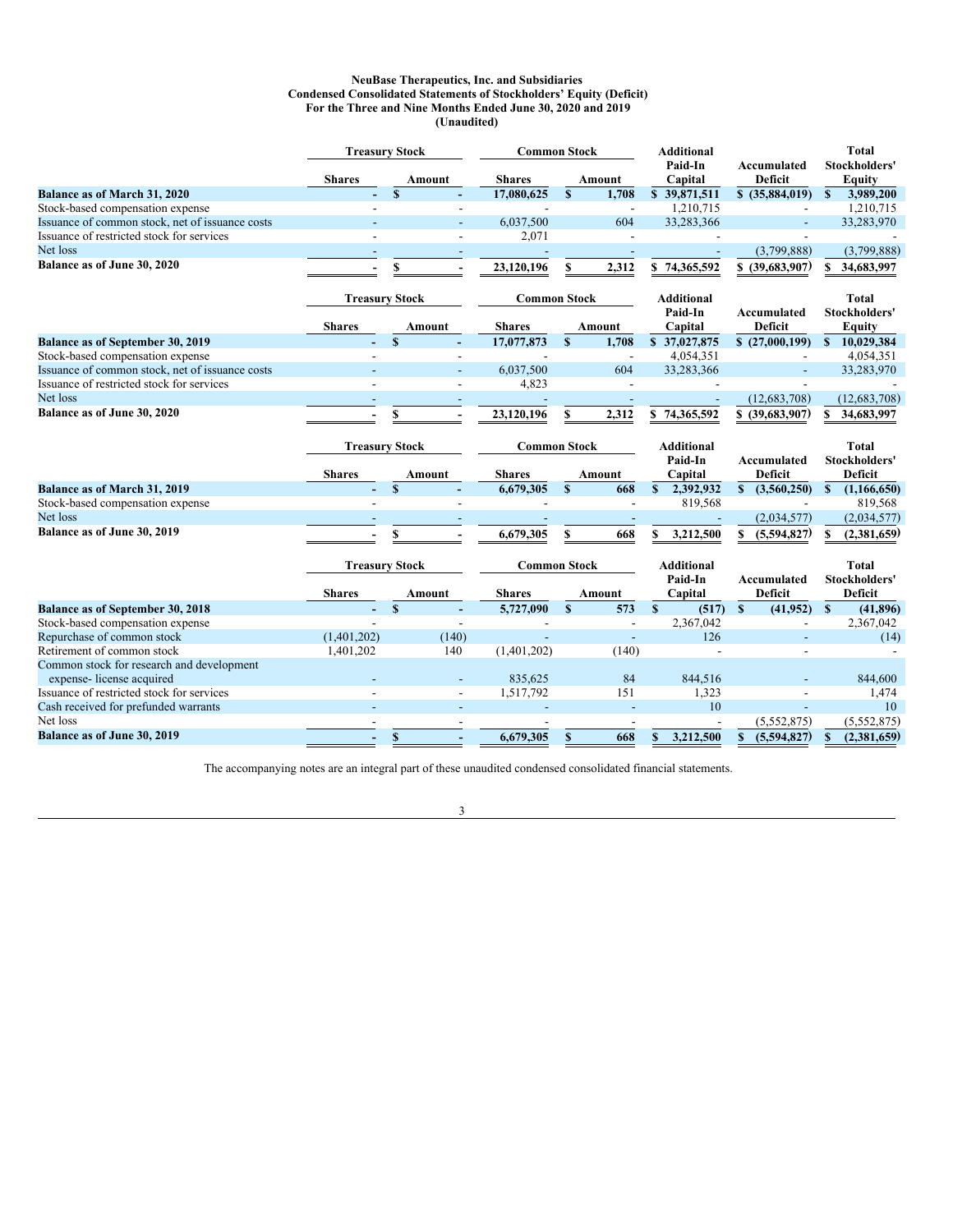#### **NeuBase Therapeutics, Inc. and Subsidiaries Condensed Consolidated Statements of Stockholders' Equity (Deficit) For the Three and Nine Months Ended June 30, 2020 and 2019 (Unaudited)**

|                                                 |                | <b>Treasury Stock</b> |                          | <b>Common Stock</b> |              |                          | <b>Additional</b> |           |                 |                          |              | <b>Total</b>         |
|-------------------------------------------------|----------------|-----------------------|--------------------------|---------------------|--------------|--------------------------|-------------------|-----------|-----------------|--------------------------|--------------|----------------------|
|                                                 |                |                       |                          |                     |              |                          | Paid-In           |           | Accumulated     |                          |              | <b>Stockholders'</b> |
|                                                 | <b>Shares</b>  |                       | Amount                   | <b>Shares</b>       |              | Amount                   | Capital           |           | <b>Deficit</b>  |                          |              | Equity               |
| Balance as of March 31, 2020                    | $\blacksquare$ | $\mathbf{s}$          | $\blacksquare$           | 17,080,625          | S            | 1,708                    | \$39,871,511      |           | \$(35,884,019)  |                          | $\mathbf{s}$ | 3,989,200            |
| Stock-based compensation expense                |                |                       | $\overline{\phantom{a}}$ |                     |              | $\overline{a}$           |                   | 1,210,715 |                 | L,                       |              | 1,210,715            |
| Issuance of common stock, net of issuance costs |                |                       | $\blacksquare$           | 6,037,500           |              | 604                      | 33,283,366        |           |                 | $\blacksquare$           |              | 33,283,970           |
| Issuance of restricted stock for services       |                |                       | $\overline{a}$           | 2,071               |              |                          |                   |           |                 |                          |              |                      |
| Net loss                                        |                |                       | $\overline{a}$           |                     |              |                          |                   |           |                 | (3.799.888)              |              | (3,799,888)          |
| Balance as of June 30, 2020                     |                | \$                    | $\overline{\phantom{a}}$ | 23,120,196          | \$           | 2,312                    | 74,365,592<br>\$  |           | \$ (39,683,907) |                          | \$           | 34,683,997           |
|                                                 |                | <b>Treasury Stock</b> |                          | <b>Common Stock</b> |              |                          | <b>Additional</b> |           |                 |                          |              | <b>Total</b>         |
|                                                 |                |                       |                          |                     |              |                          | Paid-In           |           | Accumulated     |                          |              | <b>Stockholders'</b> |
|                                                 | <b>Shares</b>  |                       | Amount                   | <b>Shares</b>       |              | Amount                   | Capital           |           | <b>Deficit</b>  |                          |              | <b>Equity</b>        |
| Balance as of September 30, 2019                | ÷.             | $\mathbf{s}$          | $\omega$                 | 17,077,873          | $\mathbf{s}$ | 1,708                    | \$37,027,875      |           | \$(27,000,199)  |                          | $\mathbf{s}$ | 10,029,384           |
| Stock-based compensation expense                |                |                       | $\overline{a}$           |                     |              | $\overline{\phantom{a}}$ | 4,054,351         |           |                 | $\blacksquare$           |              | 4,054,351            |
| Issuance of common stock, net of issuance costs |                |                       | L,                       | 6,037,500           |              | 604                      | 33,283,366        |           |                 | $\blacksquare$           |              | 33,283,970           |
| Issuance of restricted stock for services       |                |                       | $\overline{a}$           | 4,823               |              | $\blacksquare$           |                   |           |                 | $\overline{a}$           |              |                      |
| Net loss                                        |                |                       | $\overline{a}$           |                     |              |                          |                   |           |                 | (12,683,708)             |              | (12,683,708)         |
| Balance as of June 30, 2020                     |                | S                     |                          | 23,120,196          | \$           | 2,312                    | 74,365,592<br>S   |           | \$ (39,683,907) |                          | \$           | 34,683,997           |
|                                                 |                |                       |                          |                     |              |                          |                   |           |                 |                          |              |                      |
|                                                 |                | <b>Treasury Stock</b> |                          | <b>Common Stock</b> |              |                          | <b>Additional</b> |           |                 |                          |              | Total                |
|                                                 |                |                       |                          |                     |              |                          | Paid-In           |           | Accumulated     |                          |              | <b>Stockholders'</b> |
|                                                 | <b>Shares</b>  |                       | Amount                   | <b>Shares</b>       |              | Amount                   | Capital           |           | <b>Deficit</b>  |                          |              | Deficit              |
| Balance as of March 31, 2019                    | ÷.             | $\mathbf{s}$          | ÷.                       | 6,679,305           | $\mathbf{s}$ | 668                      | $\mathbf{s}$      | 2,392,932 | \$(3,560,250)   |                          | $\mathbf{s}$ | (1,166,650)          |
| Stock-based compensation expense                |                |                       |                          |                     |              | $\blacksquare$           |                   | 819,568   |                 |                          |              | 819,568              |
| Net loss                                        |                |                       |                          |                     |              |                          |                   |           |                 | (2,034,577)              |              | (2,034,577)          |
| Balance as of June 30, 2019                     |                | S                     |                          | 6,679,305           | \$           | 668                      | \$                | 3,212,500 |                 | (5,594,827)              |              | (2,381,659)          |
|                                                 |                | <b>Treasury Stock</b> |                          | <b>Common Stock</b> |              |                          | <b>Additional</b> |           |                 |                          |              | <b>Total</b>         |
|                                                 |                |                       |                          |                     |              |                          | Paid-In           |           | Accumulated     |                          |              | <b>Stockholders'</b> |
|                                                 | <b>Shares</b>  |                       | Amount                   | <b>Shares</b>       |              | Amount                   | Capital           |           | <b>Deficit</b>  |                          |              | <b>Deficit</b>       |
| Balance as of September 30, 2018                | $\blacksquare$ | $\mathbf S$           | $\blacksquare$           | 5,727,090           | $\mathbf{s}$ | 573                      | $\mathbf{s}$      | (517)     | $\mathbf{s}$    | (41,952)                 | $\mathbf{s}$ | (41, 896)            |
| Stock-based compensation expense                |                |                       |                          |                     |              | $\overline{a}$           |                   | 2,367,042 |                 |                          |              | 2,367,042            |
| Repurchase of common stock                      | (1,401,202)    |                       | (140)                    |                     |              | ÷.                       |                   | 126       |                 | $\overline{\phantom{a}}$ |              | (14)                 |
| Retirement of common stock                      | 1,401,202      |                       | 140                      | (1,401,202)         |              | (140)                    |                   |           |                 |                          |              |                      |
| Common stock for research and development       |                |                       |                          |                     |              |                          |                   |           |                 |                          |              |                      |
| expense-license acquired                        |                |                       |                          | 835,625             |              | 84                       |                   | 844,516   |                 |                          |              | 844,600              |
| Issuance of restricted stock for services       |                |                       | $\overline{\phantom{a}}$ | 1,517,792           |              | 151                      |                   | 1,323     |                 |                          |              | 1,474                |
| Cash received for prefunded warrants            |                |                       |                          |                     |              | ÷,                       |                   | 10        |                 |                          |              | 10                   |
| Net loss                                        |                |                       |                          |                     |              |                          |                   |           |                 | (5, 552, 875)            |              | (5,552,875)          |
| Balance as of June 30, 2019                     |                | \$                    |                          | 6,679,305           | S            | 668                      | \$                | 3,212,500 | S               | (5.594.827)              | \$.          | (2,381,659)          |

The accompanying notes are an integral part of these unaudited condensed consolidated financial statements.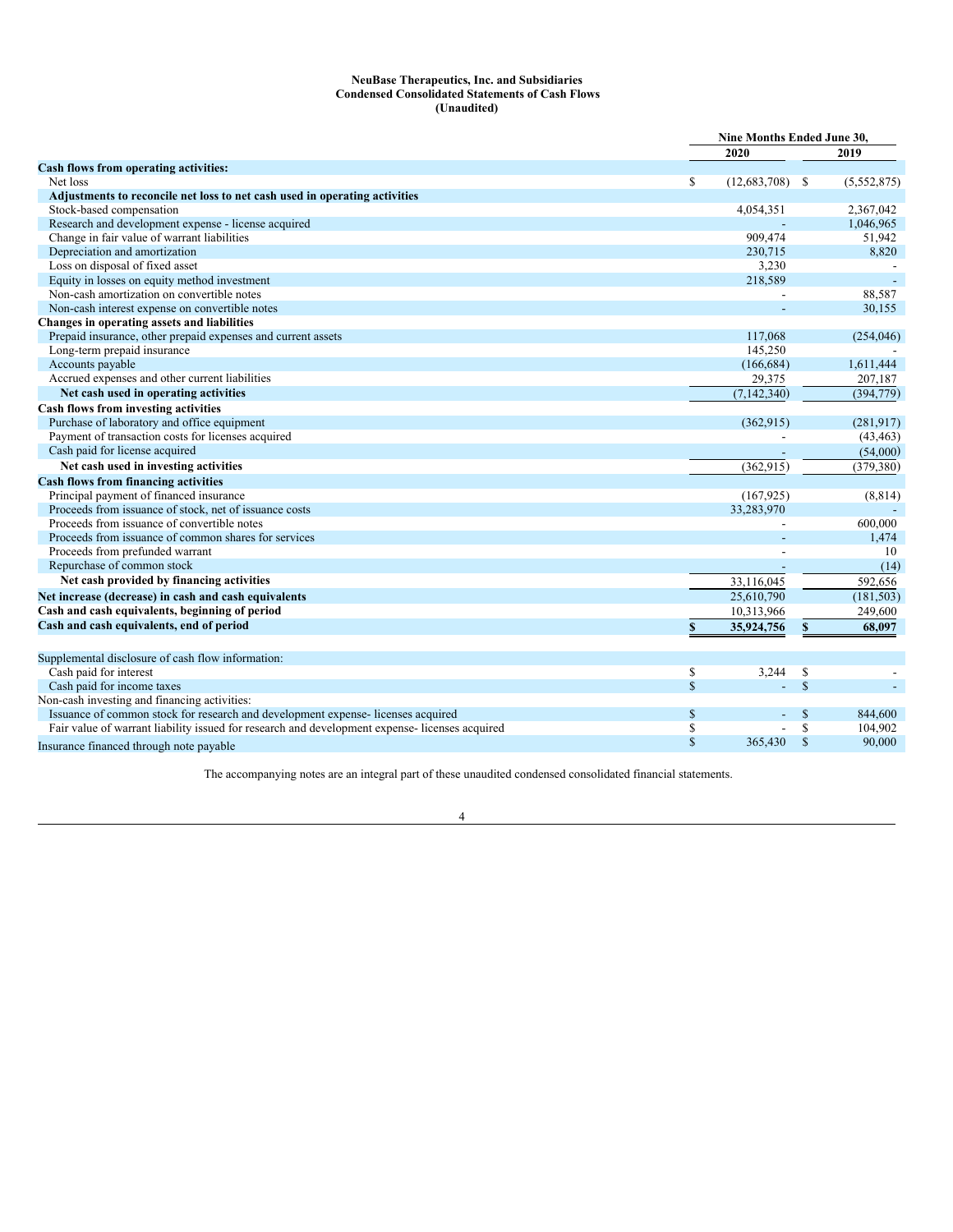#### **NeuBase Therapeutics, Inc. and Subsidiaries Condensed Consolidated Statements of Cash Flows (Unaudited)**

|                                                                                               |             | Nine Months Ended June 30. |              |             |
|-----------------------------------------------------------------------------------------------|-------------|----------------------------|--------------|-------------|
|                                                                                               |             | 2020                       |              | 2019        |
| Cash flows from operating activities:                                                         |             |                            |              |             |
| Net loss                                                                                      | \$          | (12,683,708)               | S            | (5,552,875) |
| Adjustments to reconcile net loss to net cash used in operating activities                    |             |                            |              |             |
| Stock-based compensation                                                                      |             | 4,054,351                  |              | 2,367,042   |
| Research and development expense - license acquired                                           |             |                            |              | 1,046,965   |
| Change in fair value of warrant liabilities                                                   |             | 909,474                    |              | 51,942      |
| Depreciation and amortization                                                                 |             | 230,715                    |              | 8,820       |
| Loss on disposal of fixed asset                                                               |             | 3,230                      |              |             |
| Equity in losses on equity method investment                                                  |             | 218,589                    |              |             |
| Non-cash amortization on convertible notes                                                    |             |                            |              | 88,587      |
| Non-cash interest expense on convertible notes                                                |             |                            |              | 30,155      |
| Changes in operating assets and liabilities                                                   |             |                            |              |             |
| Prepaid insurance, other prepaid expenses and current assets                                  |             | 117,068                    |              | (254,046)   |
| Long-term prepaid insurance                                                                   |             | 145,250                    |              |             |
| Accounts payable                                                                              |             | (166, 684)                 |              | 1,611,444   |
| Accrued expenses and other current liabilities                                                |             | 29,375                     |              | 207,187     |
| Net cash used in operating activities                                                         |             | (7, 142, 340)              |              | (394,779)   |
| Cash flows from investing activities                                                          |             |                            |              |             |
| Purchase of laboratory and office equipment                                                   |             | (362, 915)                 |              | (281, 917)  |
| Payment of transaction costs for licenses acquired                                            |             |                            |              | (43, 463)   |
| Cash paid for license acquired                                                                |             |                            |              | (54,000)    |
| Net cash used in investing activities                                                         |             | (362, 915)                 |              | (379, 380)  |
| <b>Cash flows from financing activities</b>                                                   |             |                            |              |             |
| Principal payment of financed insurance                                                       |             | (167, 925)                 |              | (8, 814)    |
| Proceeds from issuance of stock, net of issuance costs                                        |             | 33,283,970                 |              |             |
| Proceeds from issuance of convertible notes                                                   |             |                            |              | 600,000     |
| Proceeds from issuance of common shares for services                                          |             |                            |              | 1,474       |
| Proceeds from prefunded warrant                                                               |             |                            |              | 10          |
| Repurchase of common stock                                                                    |             |                            |              | (14)        |
| Net cash provided by financing activities                                                     |             | 33,116,045                 |              | 592,656     |
| Net increase (decrease) in cash and cash equivalents                                          |             | 25,610,790                 |              | (181, 503)  |
| Cash and cash equivalents, beginning of period                                                |             | 10,313,966                 |              | 249,600     |
| Cash and cash equivalents, end of period                                                      |             |                            |              |             |
|                                                                                               | \$          | 35,924,756                 | $\mathbf S$  | 68,097      |
| Supplemental disclosure of cash flow information:                                             |             |                            |              |             |
| Cash paid for interest                                                                        | \$          | 3,244                      | S            |             |
| Cash paid for income taxes                                                                    | $\mathbf S$ |                            | \$           |             |
| Non-cash investing and financing activities:                                                  |             |                            |              |             |
| Issuance of common stock for research and development expense-licenses acquired               | \$          | $\blacksquare$             | $\mathbf{s}$ | 844,600     |
| Fair value of warrant liability issued for research and development expense-licenses acquired | \$          |                            | S            | 104,902     |
|                                                                                               | $\mathbf S$ | 365,430                    | <sup>S</sup> | 90,000      |
| Insurance financed through note payable                                                       |             |                            |              |             |

The accompanying notes are an integral part of these unaudited condensed consolidated financial statements.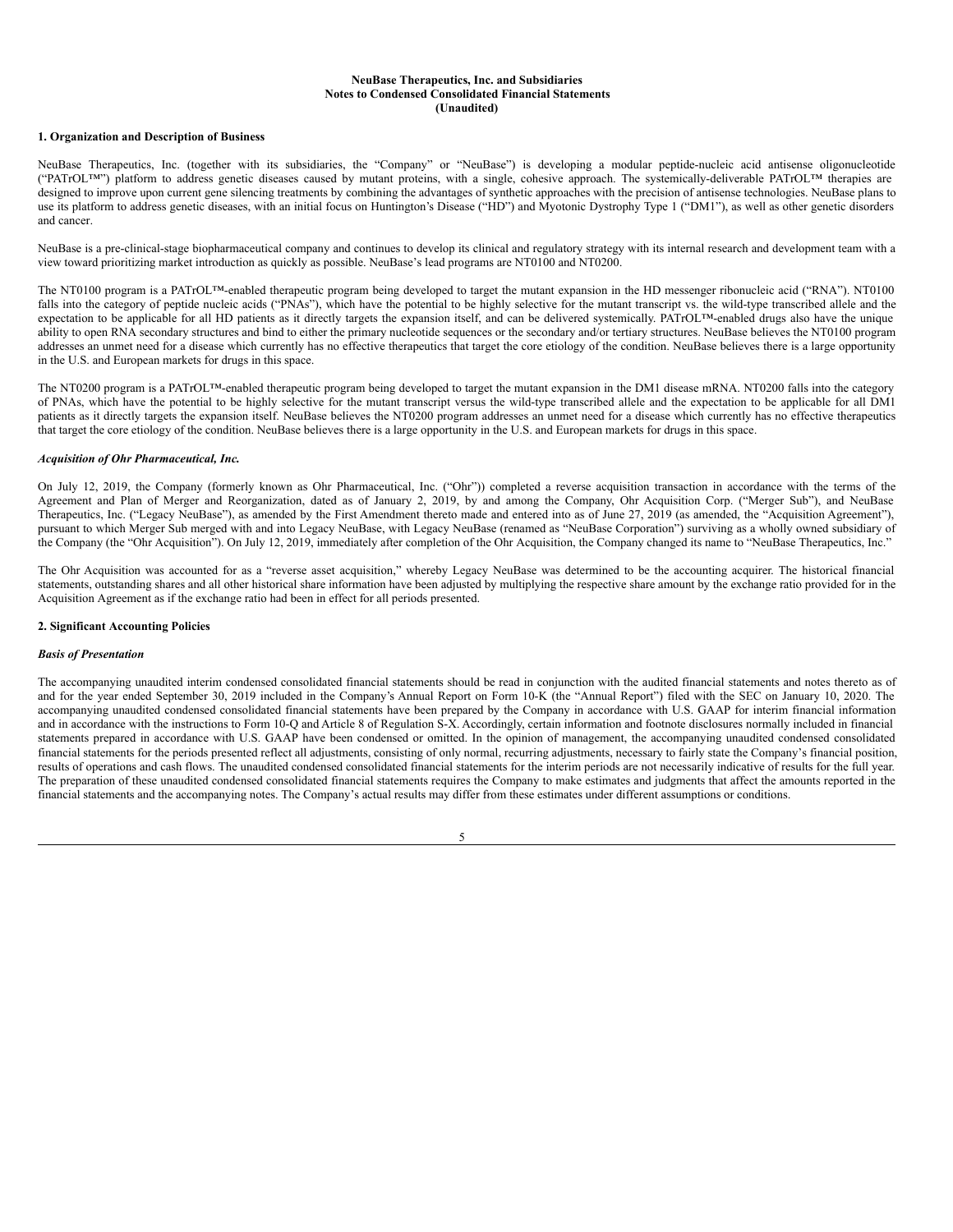## **1. Organization and Description of Business**

NeuBase Therapeutics, Inc. (together with its subsidiaries, the "Company" or "NeuBase") is developing a modular peptide-nucleic acid antisense oligonucleotide ("PATrOL™") platform to address genetic diseases caused by mutant proteins, with a single, cohesive approach. The systemically-deliverable PATrOL™ therapies are designed to improve upon current gene silencing treatments by combining the advantages of synthetic approaches with the precision of antisense technologies. NeuBase plans to use its platform to address genetic diseases, with an initial focus on Huntington's Disease ("HD") and Myotonic Dystrophy Type 1 ("DM1"), as well as other genetic disorders and cancer.

NeuBase is a pre-clinical-stage biopharmaceutical company and continues to develop its clinical and regulatory strategy with its internal research and development team with a view toward prioritizing market introduction as quickly as possible. NeuBase's lead programs are NT0100 and NT0200.

The NT0100 program is a PATrOL™-enabled therapeutic program being developed to target the mutant expansion in the HD messenger ribonucleic acid ("RNA"). NT0100 falls into the category of peptide nucleic acids ("PNAs"), which have the potential to be highly selective for the mutant transcript vs. the wild-type transcribed allele and the expectation to be applicable for all HD patients as it directly targets the expansion itself, and can be delivered systemically. PATrOL™-enabled drugs also have the unique ability to open RNA secondary structures and bind to either the primary nucleotide sequences or the secondary and/or tertiary structures. NeuBase believes the NT0100 program addresses an unmet need for a disease which currently has no effective therapeutics that target the core etiology of the condition. NeuBase believes there is a large opportunity in the U.S. and European markets for drugs in this space.

The NT0200 program is a PATrOL™-enabled therapeutic program being developed to target the mutant expansion in the DM1 disease mRNA. NT0200 falls into the category of PNAs, which have the potential to be highly selective for the mutant transcript versus the wild-type transcribed allele and the expectation to be applicable for all DM1 patients as it directly targets the expansion itself. NeuBase believes the NT0200 program addresses an unmet need for a disease which currently has no effective therapeutics that target the core etiology of the condition. NeuBase believes there is a large opportunity in the U.S. and European markets for drugs in this space.

#### *Acquisition of Ohr Pharmaceutical, Inc.*

On July 12, 2019, the Company (formerly known as Ohr Pharmaceutical, Inc. ("Ohr")) completed a reverse acquisition transaction in accordance with the terms of the Agreement and Plan of Merger and Reorganization, dated as of January 2, 2019, by and among the Company, Ohr Acquisition Corp. ("Merger Sub"), and NeuBase Therapeutics, Inc. ("Legacy NeuBase"), as amended by the First Amendment thereto made and entered into as of June 27, 2019 (as amended, the "Acquisition Agreement"), pursuant to which Merger Sub merged with and into Legacy NeuBase, with Legacy NeuBase (renamed as "NeuBase Corporation") surviving as a wholly owned subsidiary of the Company (the "Ohr Acquisition"). On July 12, 2019, immediately after completion of the Ohr Acquisition, the Company changed its name to "NeuBase Therapeutics, Inc."

The Ohr Acquisition was accounted for as a "reverse asset acquisition," whereby Legacy NeuBase was determined to be the accounting acquirer. The historical financial statements, outstanding shares and all other historical share information have been adjusted by multiplying the respective share amount by the exchange ratio provided for in the Acquisition Agreement as if the exchange ratio had been in effect for all periods presented.

#### **2. Significant Accounting Policies**

#### *Basis of Presentation*

The accompanying unaudited interim condensed consolidated financial statements should be read in conjunction with the audited financial statements and notes thereto as of and for the year ended September 30, 2019 included in the Company's Annual Report on Form 10-K (the "Annual Report") filed with the SEC on January 10, 2020. The accompanying unaudited condensed consolidated financial statements have been prepared by the Company in accordance with U.S. GAAP for interim financial information and in accordance with the instructions to Form 10-Q and Article 8 of Regulation S-X. Accordingly, certain information and footnote disclosures normally included in financial statements prepared in accordance with U.S. GAAP have been condensed or omitted. In the opinion of management, the accompanying unaudited condensed consolidated financial statements for the periods presented reflect all adjustments, consisting of only normal, recurring adjustments, necessary to fairly state the Company's financial position, results of operations and cash flows. The unaudited condensed consolidated financial statements for the interim periods are not necessarily indicative of results for the full year. The preparation of these unaudited condensed consolidated financial statements requires the Company to make estimates and judgments that affect the amounts reported in the financial statements and the accompanying notes. The Company's actual results may differ from these estimates under different assumptions or conditions.

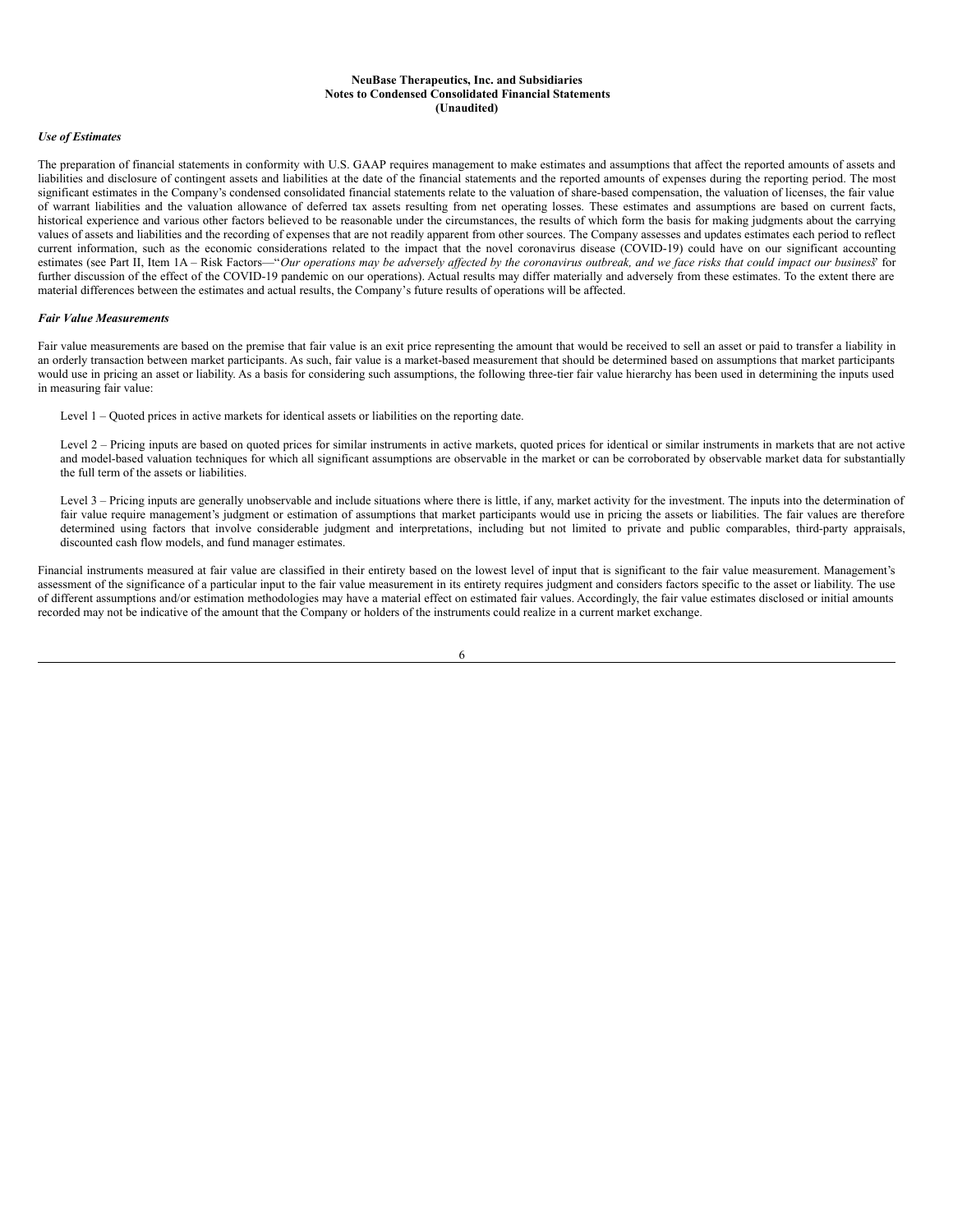## *Use of Estimates*

The preparation of financial statements in conformity with U.S. GAAP requires management to make estimates and assumptions that affect the reported amounts of assets and liabilities and disclosure of contingent assets and liabilities at the date of the financial statements and the reported amounts of expenses during the reporting period. The most significant estimates in the Company's condensed consolidated financial statements relate to the valuation of share-based compensation, the valuation of licenses, the fair value of warrant liabilities and the valuation allowance of deferred tax assets resulting from net operating losses. These estimates and assumptions are based on current facts, historical experience and various other factors believed to be reasonable under the circumstances, the results of which form the basis for making judgments about the carrying values of assets and liabilities and the recording of expenses that are not readily apparent from other sources. The Company assesses and updates estimates each period to reflect current information, such as the economic considerations related to the impact that the novel coronavirus disease (COVID-19) could have on our significant accounting estimates (see Part II, Item 1A - Risk Factors—"Our operations may be adversely affected by the coronavirus outbreak, and we face risks that could impact our business' for further discussion of the effect of the COVID-19 pandemic on our operations). Actual results may differ materially and adversely from these estimates. To the extent there are material differences between the estimates and actual results, the Company's future results of operations will be affected.

#### *Fair Value Measurements*

Fair value measurements are based on the premise that fair value is an exit price representing the amount that would be received to sell an asset or paid to transfer a liability in an orderly transaction between market participants. As such, fair value is a market-based measurement that should be determined based on assumptions that market participants would use in pricing an asset or liability. As a basis for considering such assumptions, the following three-tier fair value hierarchy has been used in determining the inputs used in measuring fair value:

Level 1 – Quoted prices in active markets for identical assets or liabilities on the reporting date.

Level 2 – Pricing inputs are based on quoted prices for similar instruments in active markets, quoted prices for identical or similar instruments in markets that are not active and model-based valuation techniques for which all significant assumptions are observable in the market or can be corroborated by observable market data for substantially the full term of the assets or liabilities.

Level 3 – Pricing inputs are generally unobservable and include situations where there is little, if any, market activity for the investment. The inputs into the determination of fair value require management's judgment or estimation of assumptions that market participants would use in pricing the assets or liabilities. The fair values are therefore determined using factors that involve considerable judgment and interpretations, including but not limited to private and public comparables, third-party appraisals, discounted cash flow models, and fund manager estimates.

Financial instruments measured at fair value are classified in their entirety based on the lowest level of input that is significant to the fair value measurement. Management's assessment of the significance of a particular input to the fair value measurement in its entirety requires judgment and considers factors specific to the asset or liability. The use of different assumptions and/or estimation methodologies may have a material effect on estimated fair values. Accordingly, the fair value estimates disclosed or initial amounts recorded may not be indicative of the amount that the Company or holders of the instruments could realize in a current market exchange.

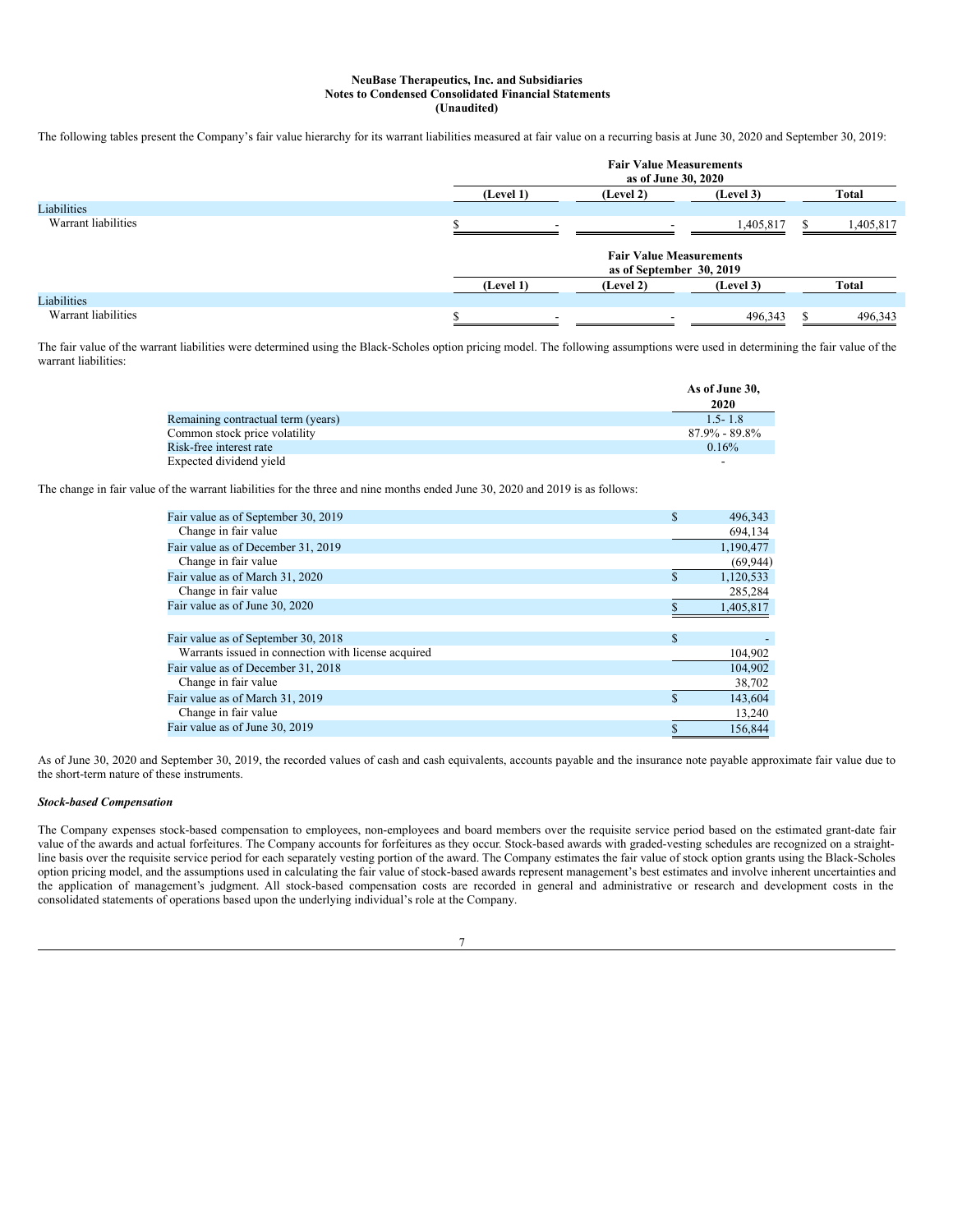The following tables present the Company's fair value hierarchy for its warrant liabilities measured at fair value on a recurring basis at June 30, 2020 and September 30, 2019:

|                     | <b>Fair Value Measurements</b><br>as of June 30, 2020 |                                                            |           |              |  |  |
|---------------------|-------------------------------------------------------|------------------------------------------------------------|-----------|--------------|--|--|
|                     | (Level 1)                                             | (Level 2)                                                  | (Level 3) | <b>Total</b> |  |  |
| Liabilities         |                                                       |                                                            |           |              |  |  |
| Warrant liabilities | -                                                     |                                                            | 1,405,817 | 405,817      |  |  |
|                     |                                                       | <b>Fair Value Measurements</b><br>as of September 30, 2019 |           |              |  |  |
|                     | (Level 1)                                             | (Level 2)                                                  | (Level 3) | <b>Total</b> |  |  |
| Liabilities         |                                                       |                                                            |           |              |  |  |
| Warrant liabilities |                                                       |                                                            | 496,343   | 496,343      |  |  |

The fair value of the warrant liabilities were determined using the Black-Scholes option pricing model. The following assumptions were used in determining the fair value of the warrant liabilities:

|                                    | As of June 30,           |
|------------------------------------|--------------------------|
|                                    | 2020                     |
| Remaining contractual term (years) | $1.5 - 1.8$              |
| Common stock price volatility      | $87.9\%$ - $89.8\%$      |
| Risk-free interest rate            | 0.16%                    |
| Expected dividend yield            | $\overline{\phantom{a}}$ |

The change in fair value of the warrant liabilities for the three and nine months ended June 30, 2020 and 2019 is as follows:

| Fair value as of September 30, 2019                 | S   | 496,343   |
|-----------------------------------------------------|-----|-----------|
| Change in fair value                                |     | 694,134   |
| Fair value as of December 31, 2019                  |     | 1,190,477 |
| Change in fair value                                |     | (69, 944) |
| Fair value as of March 31, 2020                     | S   | 1,120,533 |
| Change in fair value                                |     | 285,284   |
| Fair value as of June 30, 2020                      |     | 1,405,817 |
|                                                     |     |           |
| Fair value as of September 30, 2018                 | S   |           |
| Warrants issued in connection with license acquired |     | 104,902   |
| Fair value as of December 31, 2018                  |     | 104.902   |
| Change in fair value                                |     | 38,702    |
| Fair value as of March 31, 2019                     | \$. | 143,604   |
| Change in fair value                                |     | 13,240    |
| Fair value as of June 30, 2019                      | S   | 156,844   |

As of June 30, 2020 and September 30, 2019, the recorded values of cash and cash equivalents, accounts payable and the insurance note payable approximate fair value due to the short-term nature of these instruments.

## *Stock-based Compensation*

The Company expenses stock-based compensation to employees, non-employees and board members over the requisite service period based on the estimated grant-date fair value of the awards and actual forfeitures. The Company accounts for forfeitures as they occur. Stock-based awards with graded-vesting schedules are recognized on a straightline basis over the requisite service period for each separately vesting portion of the award. The Company estimates the fair value of stock option grants using the Black-Scholes option pricing model, and the assumptions used in calculating the fair value of stock-based awards represent management's best estimates and involve inherent uncertainties and the application of management's judgment. All stock-based compensation costs are recorded in general and administrative or research and development costs in the consolidated statements of operations based upon the underlying individual's role at the Company.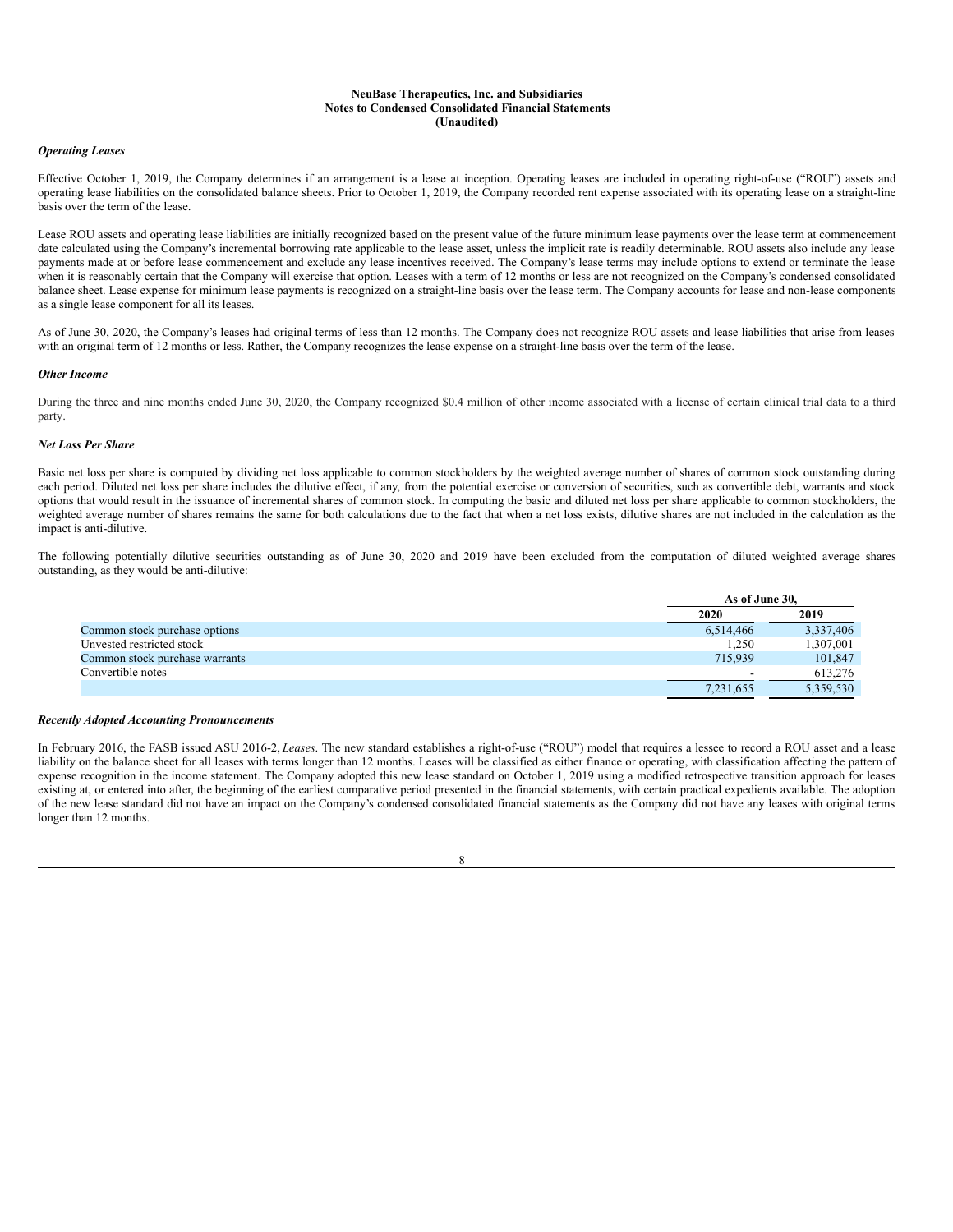#### *Operating Leases*

Effective October 1, 2019, the Company determines if an arrangement is a lease at inception. Operating leases are included in operating right-of-use ("ROU") assets and operating lease liabilities on the consolidated balance sheets. Prior to October 1, 2019, the Company recorded rent expense associated with its operating lease on a straight-line basis over the term of the lease.

Lease ROU assets and operating lease liabilities are initially recognized based on the present value of the future minimum lease payments over the lease term at commencement date calculated using the Company's incremental borrowing rate applicable to the lease asset, unless the implicit rate is readily determinable. ROU assets also include any lease payments made at or before lease commencement and exclude any lease incentives received. The Company's lease terms may include options to extend or terminate the lease when it is reasonably certain that the Company will exercise that option. Leases with a term of 12 months or less are not recognized on the Company's condensed consolidated balance sheet. Lease expense for minimum lease payments is recognized on a straight-line basis over the lease term. The Company accounts for lease and non-lease components as a single lease component for all its leases.

As of June 30, 2020, the Company's leases had original terms of less than 12 months. The Company does not recognize ROU assets and lease liabilities that arise from leases with an original term of 12 months or less. Rather, the Company recognizes the lease expense on a straight-line basis over the term of the lease.

#### *Other Income*

During the three and nine months ended June 30, 2020, the Company recognized \$0.4 million of other income associated with a license of certain clinical trial data to a third party.

## *Net Loss Per Share*

Basic net loss per share is computed by dividing net loss applicable to common stockholders by the weighted average number of shares of common stock outstanding during each period. Diluted net loss per share includes the dilutive effect, if any, from the potential exercise or conversion of securities, such as convertible debt, warrants and stock options that would result in the issuance of incremental shares of common stock. In computing the basic and diluted net loss per share applicable to common stockholders, the weighted average number of shares remains the same for both calculations due to the fact that when a net loss exists, dilutive shares are not included in the calculation as the impact is anti-dilutive.

The following potentially dilutive securities outstanding as of June 30, 2020 and 2019 have been excluded from the computation of diluted weighted average shares outstanding, as they would be anti-dilutive:

|                                | As of June 30.           |           |
|--------------------------------|--------------------------|-----------|
|                                | 2020                     | 2019      |
| Common stock purchase options  | 6,514,466                | 3,337,406 |
| Unvested restricted stock      | 1,250                    | 1,307,001 |
| Common stock purchase warrants | 715.939                  | 101.847   |
| Convertible notes              | $\overline{\phantom{a}}$ | 613,276   |
|                                | 7,231,655                | 5,359,530 |

## *Recently Adopted Accounting Pronouncements*

In February 2016, the FASB issued ASU 2016-2, *Leases*. The new standard establishes a right-of-use ("ROU") model that requires a lessee to record a ROU asset and a lease liability on the balance sheet for all leases with terms longer than 12 months. Leases will be classified as either finance or operating, with classification affecting the pattern of expense recognition in the income statement. The Company adopted this new lease standard on October 1, 2019 using a modified retrospective transition approach for leases existing at, or entered into after, the beginning of the earliest comparative period presented in the financial statements, with certain practical expedients available. The adoption of the new lease standard did not have an impact on the Company's condensed consolidated financial statements as the Company did not have any leases with original terms longer than 12 months.

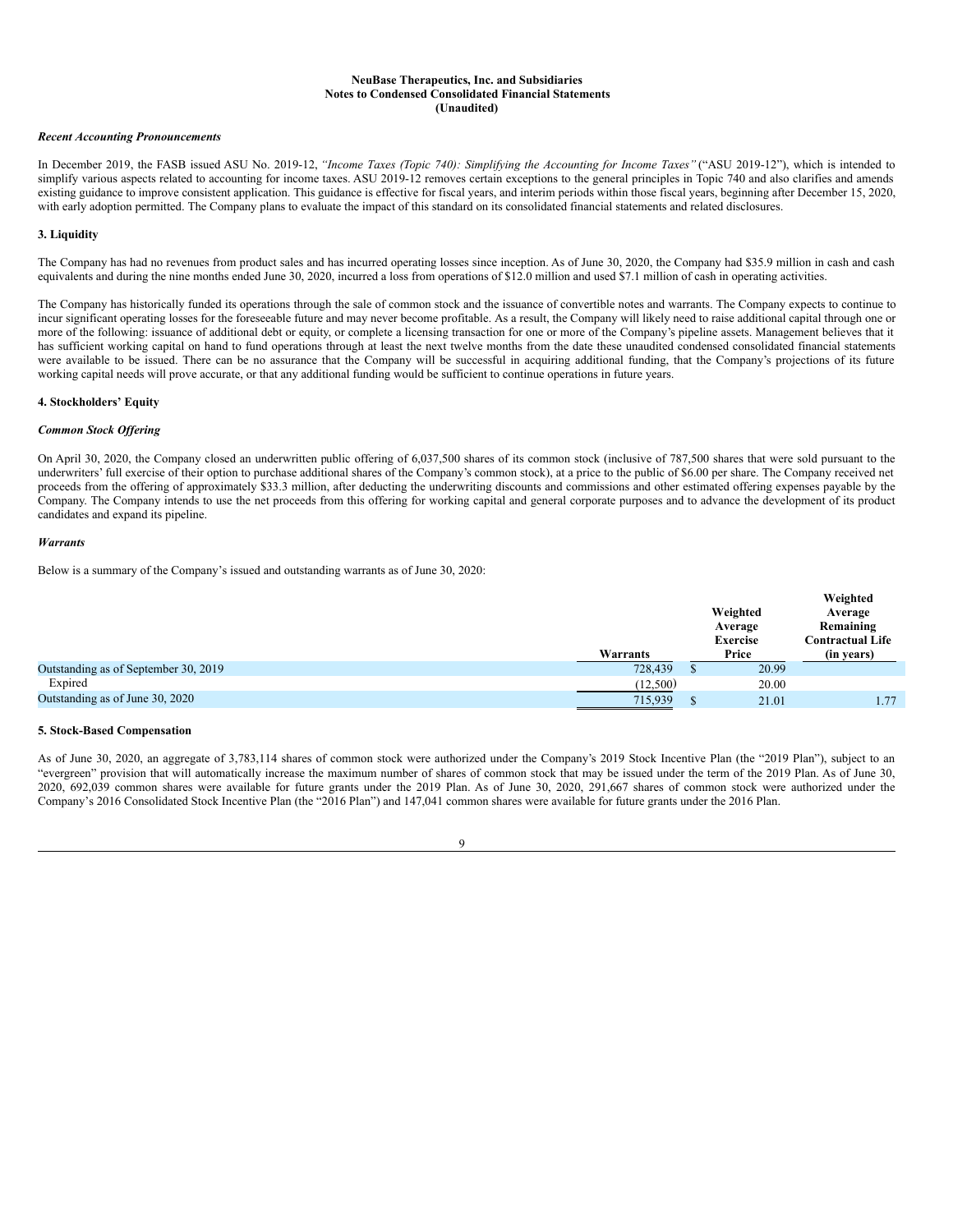#### *Recent Accounting Pronouncements*

In December 2019, the FASB issued ASU No. 2019-12, "Income Taxes (Topic 740): Simplifying the Accounting for Income Taxes" ("ASU 2019-12"), which is intended to simplify various aspects related to accounting for income taxes. ASU 2019-12 removes certain exceptions to the general principles in Topic 740 and also clarifies and amends existing guidance to improve consistent application. This guidance is effective for fiscal years, and interim periods within those fiscal years, beginning after December 15, 2020, with early adoption permitted. The Company plans to evaluate the impact of this standard on its consolidated financial statements and related disclosures.

#### **3. Liquidity**

The Company has had no revenues from product sales and has incurred operating losses since inception. As of June 30, 2020, the Company had \$35.9 million in cash and cash equivalents and during the nine months ended June 30, 2020, incurred a loss from operations of \$12.0 million and used \$7.1 million of cash in operating activities.

The Company has historically funded its operations through the sale of common stock and the issuance of convertible notes and warrants. The Company expects to continue to incur significant operating losses for the foreseeable future and may never become profitable. As a result, the Company will likely need to raise additional capital through one or more of the following: issuance of additional debt or equity, or complete a licensing transaction for one or more of the Company's pipeline assets. Management believes that it has sufficient working capital on hand to fund operations through at least the next twelve months from the date these unaudited condensed consolidated financial statements were available to be issued. There can be no assurance that the Company will be successful in acquiring additional funding, that the Company's projections of its future working capital needs will prove accurate, or that any additional funding would be sufficient to continue operations in future years.

## **4. Stockholders' Equity**

#### *Common Stock Of ering*

On April 30, 2020, the Company closed an underwritten public offering of 6,037,500 shares of its common stock (inclusive of 787,500 shares that were sold pursuant to the underwriters' full exercise of their option to purchase additional shares of the Company's common stock), at a price to the public of \$6.00 per share. The Company received net proceeds from the offering of approximately \$33.3 million, after deducting the underwriting discounts and commissions and other estimated offering expenses payable by the Company. The Company intends to use the net proceeds from this offering for working capital and general corporate purposes and to advance the development of its product candidates and expand its pipeline.

#### *Warrants*

Below is a summary of the Company's issued and outstanding warrants as of June 30, 2020:

|                                      | Warrants | Weighted<br>Average<br><b>Exercise</b><br>Price | Weighted<br>Average<br>Remaining<br><b>Contractual Life</b><br>(in years) |
|--------------------------------------|----------|-------------------------------------------------|---------------------------------------------------------------------------|
| Outstanding as of September 30, 2019 | 728,439  | 20.99                                           |                                                                           |
| Expired                              | (12,500) | 20.00                                           |                                                                           |
| Outstanding as of June 30, 2020      | 715,939  | 21.01                                           | 1.77                                                                      |

#### **5. Stock-Based Compensation**

As of June 30, 2020, an aggregate of 3,783,114 shares of common stock were authorized under the Company's 2019 Stock Incentive Plan (the "2019 Plan"), subject to an "evergreen" provision that will automatically increase the maximum number of shares of common stock that may be issued under the term of the 2019 Plan. As of June 30, 2020, 692,039 common shares were available for future grants under the 2019 Plan. As of June 30, 2020, 291,667 shares of common stock were authorized under the Company's 2016 Consolidated Stock Incentive Plan (the "2016 Plan") and 147,041 common shares were available for future grants under the 2016 Plan.

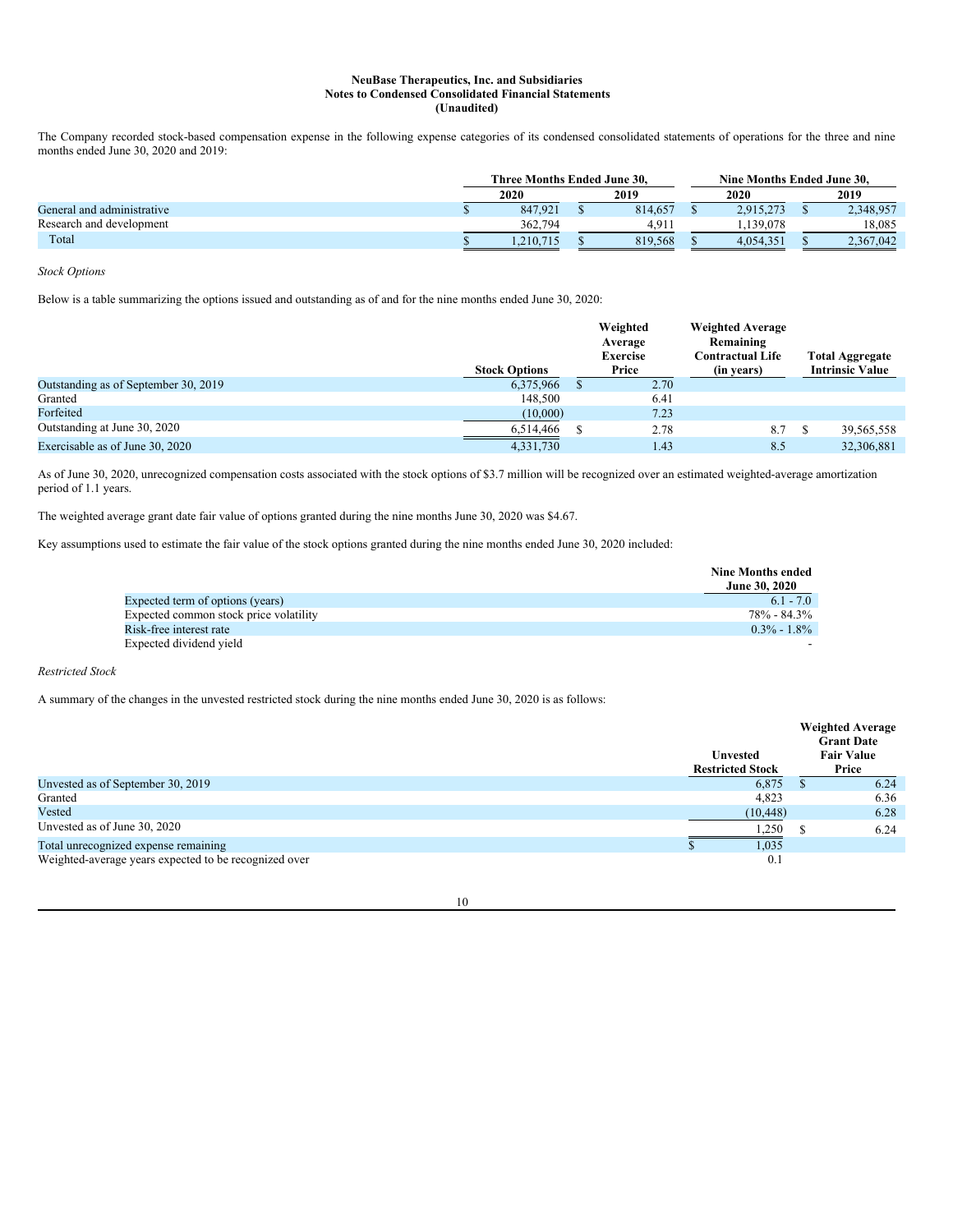The Company recorded stock-based compensation expense in the following expense categories of its condensed consolidated statements of operations for the three and nine months ended June 30, 2020 and 2019:

|                            | Three Months Ended June 30. |           |  | Nine Months Ended June 30. |           |  |           |
|----------------------------|-----------------------------|-----------|--|----------------------------|-----------|--|-----------|
|                            |                             | 2020      |  | 2019                       | 2020      |  | 2019      |
| General and administrative |                             | 847.921   |  | 814,657                    | 2,915,273 |  | 2,348,957 |
| Research and development   |                             | 362,794   |  | 4.911                      | .139.078  |  | 18.085    |
| Total                      |                             | 1.210.715 |  | 819.568                    | 4.054.351 |  | 2.367.042 |

*Stock Options*

Below is a table summarizing the options issued and outstanding as of and for the nine months ended June 30, 2020:

|                                      | <b>Stock Options</b> | Weighted<br>Average<br><b>Exercise</b><br>Price | <b>Weighted Average</b><br>Remaining<br><b>Contractual Life</b><br>(in years) | <b>Total Aggregate</b><br><b>Intrinsic Value</b> |
|--------------------------------------|----------------------|-------------------------------------------------|-------------------------------------------------------------------------------|--------------------------------------------------|
| Outstanding as of September 30, 2019 | 6,375,966            | 2.70                                            |                                                                               |                                                  |
| Granted                              | 148,500              | 6.41                                            |                                                                               |                                                  |
| Forfeited                            | (10,000)             | 7.23                                            |                                                                               |                                                  |
| Outstanding at June 30, 2020         | 6,514,466            | 2.78                                            | 8.7                                                                           | 39,565,558                                       |
| Exercisable as of June 30, 2020      | 4,331,730            | 1.43                                            | 8.5                                                                           | 32,306,881                                       |

As of June 30, 2020, unrecognized compensation costs associated with the stock options of \$3.7 million will be recognized over an estimated weighted-average amortization period of 1.1 years.

The weighted average grant date fair value of options granted during the nine months June 30, 2020 was \$4.67.

Key assumptions used to estimate the fair value of the stock options granted during the nine months ended June 30, 2020 included:

|                                        | <b>Nine Months ended</b><br><b>June 30, 2020</b> |
|----------------------------------------|--------------------------------------------------|
| Expected term of options (years)       | $6.1 - 7.0$                                      |
| Expected common stock price volatility | 78% - 84.3%                                      |
| Risk-free interest rate                | $0.3\% - 1.8\%$                                  |
| Expected dividend yield                |                                                  |

## *Restricted Stock*

A summary of the changes in the unvested restricted stock during the nine months ended June 30, 2020 is as follows:

|                                                       |                         | <b>Weighted Average</b><br><b>Grant Date</b> |
|-------------------------------------------------------|-------------------------|----------------------------------------------|
|                                                       | <b>Unvested</b>         | <b>Fair Value</b>                            |
|                                                       | <b>Restricted Stock</b> | Price                                        |
| Unvested as of September 30, 2019                     | 6,875                   | 6.24                                         |
| Granted                                               | 4,823                   | 6.36                                         |
| Vested                                                | (10, 448)               | 6.28                                         |
| Unvested as of June 30, 2020                          | 1,250                   | 6.24                                         |
| Total unrecognized expense remaining                  | 1,035                   |                                              |
| Weighted-average years expected to be recognized over | 0.1                     |                                              |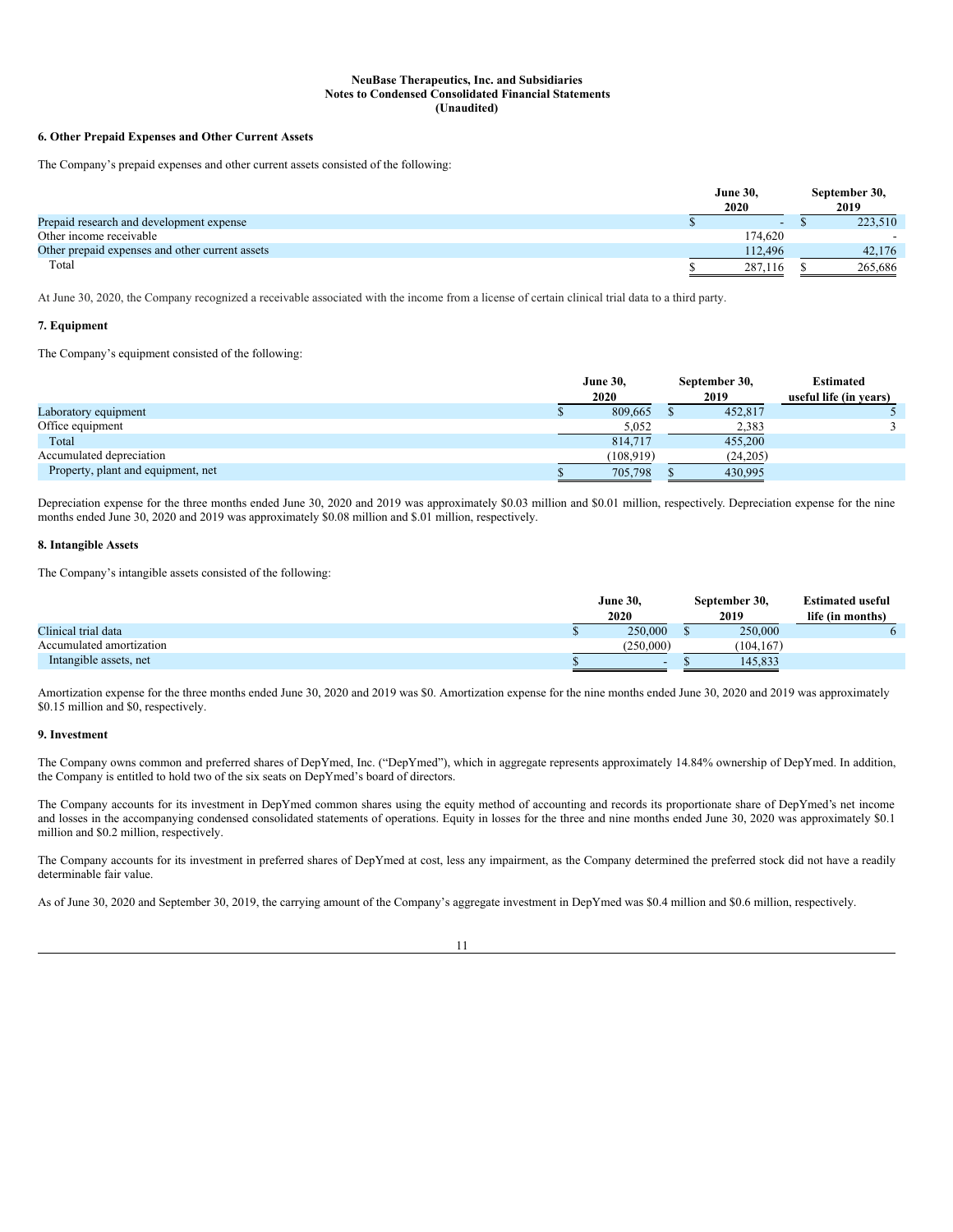## **6. Other Prepaid Expenses and Other Current Assets**

The Company's prepaid expenses and other current assets consisted of the following:

|                                                 | <b>June 30,</b><br>2020 |    | September 30,<br>2019 |
|-------------------------------------------------|-------------------------|----|-----------------------|
| Prepaid research and development expense        |                         | ۰. | 223,510               |
| Other income receivable                         | 174,620                 |    |                       |
| Other prepaid expenses and other current assets | 112,496                 |    | 42,176                |
| Total                                           | 287,116                 |    | 265,686               |

At June 30, 2020, the Company recognized a receivable associated with the income from a license of certain clinical trial data to a third party.

## **7. Equipment**

The Company's equipment consisted of the following:

|                                    | <b>June 30,</b><br>2020 | September 30,<br>2019 | <b>Estimated</b><br>useful life (in years) |  |  |
|------------------------------------|-------------------------|-----------------------|--------------------------------------------|--|--|
| Laboratory equipment               | 809,665                 | 452,817               |                                            |  |  |
| Office equipment                   | 5,052                   | 2,383                 |                                            |  |  |
| Total                              | 814,717                 | 455,200               |                                            |  |  |
| Accumulated depreciation           | (108, 919)              | (24,205)              |                                            |  |  |
| Property, plant and equipment, net | 705,798                 | 430,995               |                                            |  |  |

Depreciation expense for the three months ended June 30, 2020 and 2019 was approximately \$0.03 million and \$0.01 million, respectively. Depreciation expense for the nine months ended June 30, 2020 and 2019 was approximately \$0.08 million and \$.01 million, respectively.

## **8. Intangible Assets**

The Company's intangible assets consisted of the following:

|                          | <b>June 30.</b><br>2020 | September 30,<br>2019 | <b>Estimated useful</b><br>life (in months) |
|--------------------------|-------------------------|-----------------------|---------------------------------------------|
| Clinical trial data      | 250,000                 | 250,000               |                                             |
| Accumulated amortization | (250,000)               | (104, 167)            |                                             |
| Intangible assets, net   | $\sim$                  | 145,833               |                                             |

Amortization expense for the three months ended June 30, 2020 and 2019 was \$0. Amortization expense for the nine months ended June 30, 2020 and 2019 was approximately \$0.15 million and \$0, respectively.

### **9. Investment**

The Company owns common and preferred shares of DepYmed, Inc. ("DepYmed"), which in aggregate represents approximately 14.84% ownership of DepYmed. In addition, the Company is entitled to hold two of the six seats on DepYmed's board of directors.

The Company accounts for its investment in DepYmed common shares using the equity method of accounting and records its proportionate share of DepYmed's net income and losses in the accompanying condensed consolidated statements of operations. Equity in losses for the three and nine months ended June 30, 2020 was approximately \$0.1 million and \$0.2 million, respectively.

The Company accounts for its investment in preferred shares of DepYmed at cost, less any impairment, as the Company determined the preferred stock did not have a readily determinable fair value.

As of June 30, 2020 and September 30, 2019, the carrying amount of the Company's aggregate investment in DepYmed was \$0.4 million and \$0.6 million, respectively.

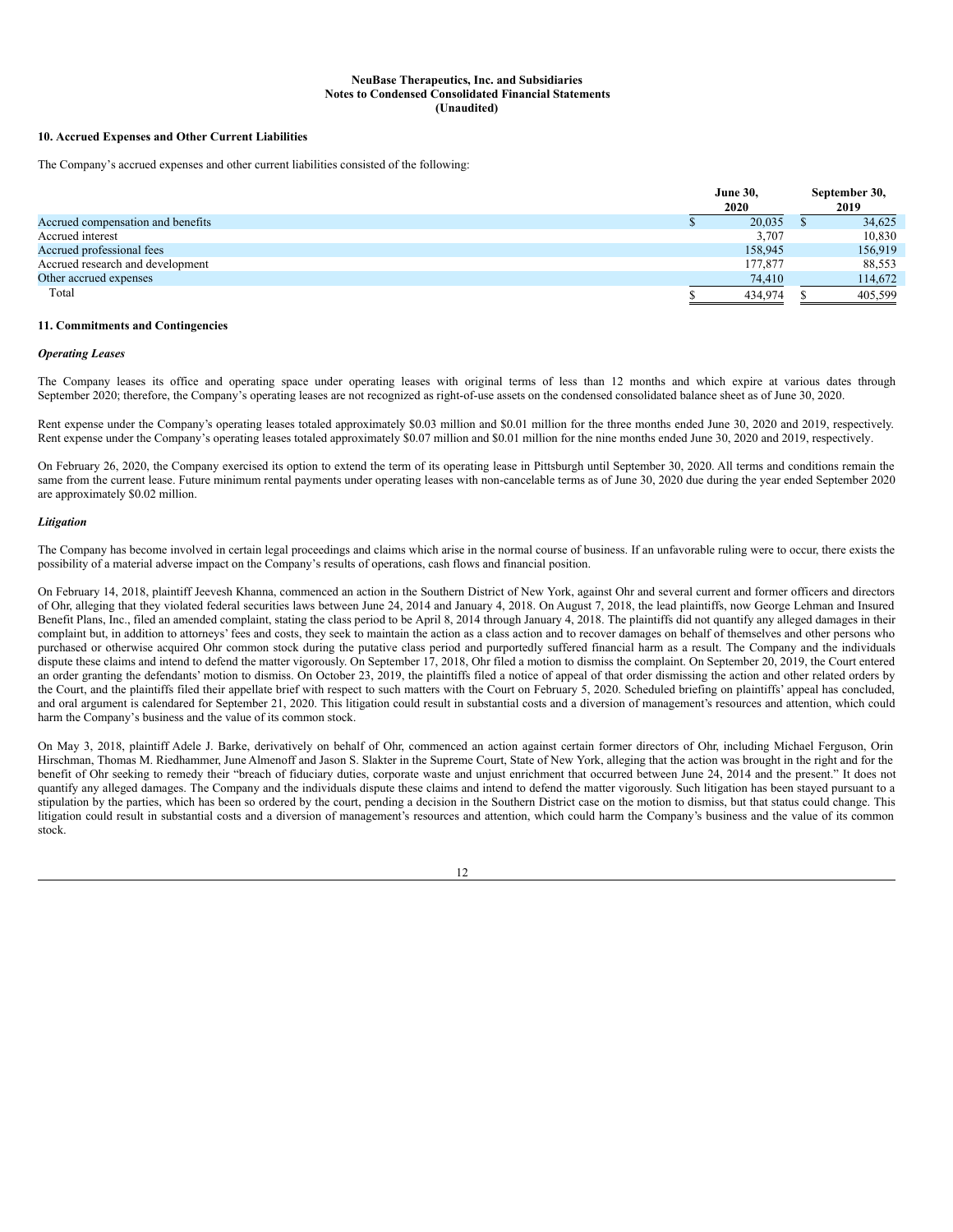## **10. Accrued Expenses and Other Current Liabilities**

The Company's accrued expenses and other current liabilities consisted of the following:

|                                   | <b>June 30,</b> |  | September 30, |  |  |
|-----------------------------------|-----------------|--|---------------|--|--|
|                                   | 2020            |  | 2019          |  |  |
| Accrued compensation and benefits | 20,035          |  | 34,625        |  |  |
| Accrued interest                  | 3.707           |  | 10,830        |  |  |
| Accrued professional fees         | 158.945         |  | 156,919       |  |  |
| Accrued research and development  | 177,877         |  | 88,553        |  |  |
| Other accrued expenses            | 74,410          |  | 114,672       |  |  |
| Total                             | 434.974         |  | 405,599       |  |  |

## **11. Commitments and Contingencies**

## *Operating Leases*

The Company leases its office and operating space under operating leases with original terms of less than 12 months and which expire at various dates through September 2020; therefore, the Company's operating leases are not recognized as right-of-use assets on the condensed consolidated balance sheet as of June 30, 2020.

Rent expense under the Company's operating leases totaled approximately \$0.03 million and \$0.01 million for the three months ended June 30, 2020 and 2019, respectively. Rent expense under the Company's operating leases totaled approximately \$0.07 million and \$0.01 million for the nine months ended June 30, 2020 and 2019, respectively.

On February 26, 2020, the Company exercised its option to extend the term of its operating lease in Pittsburgh until September 30, 2020. All terms and conditions remain the same from the current lease. Future minimum rental payments under operating leases with non-cancelable terms as of June 30, 2020 due during the year ended September 2020 are approximately \$0.02 million.

#### *Litigation*

The Company has become involved in certain legal proceedings and claims which arise in the normal course of business. If an unfavorable ruling were to occur, there exists the possibility of a material adverse impact on the Company's results of operations, cash flows and financial position.

On February 14, 2018, plaintiff Jeevesh Khanna, commenced an action in the Southern District of New York, against Ohr and several current and former officers and directors of Ohr, alleging that they violated federal securities laws between June 24, 2014 and January 4, 2018. On August 7, 2018, the lead plaintiffs, now George Lehman and Insured Benefit Plans, Inc., filed an amended complaint, stating the class period to be April 8, 2014 through January 4, 2018. The plaintiffs did not quantify any alleged damages in their complaint but, in addition to attorneys' fees and costs, they seek to maintain the action as a class action and to recover damages on behalf of themselves and other persons who purchased or otherwise acquired Ohr common stock during the putative class period and purportedly suffered financial harm as a result. The Company and the individuals dispute these claims and intend to defend the matter vigorously. On September 17, 2018, Ohr filed a motion to dismiss the complaint. On September 20, 2019, the Court entered an order granting the defendants' motion to dismiss. On October 23, 2019, the plaintiffs filed a notice of appeal of that order dismissing the action and other related orders by the Court, and the plaintiffs filed their appellate brief with respect to such matters with the Court on February 5, 2020. Scheduled briefing on plaintiffs' appeal has concluded, and oral argument is calendared for September 21, 2020. This litigation could result in substantial costs and a diversion of management's resources and attention, which could harm the Company's business and the value of its common stock.

On May 3, 2018, plaintiff Adele J. Barke, derivatively on behalf of Ohr, commenced an action against certain former directors of Ohr, including Michael Ferguson, Orin Hirschman, Thomas M. Riedhammer, June Almenoff and Jason S. Slakter in the Supreme Court, State of New York, alleging that the action was brought in the right and for the benefit of Ohr seeking to remedy their "breach of fiduciary duties, corporate waste and unjust enrichment that occurred between June 24, 2014 and the present." It does not quantify any alleged damages. The Company and the individuals dispute these claims and intend to defend the matter vigorously. Such litigation has been stayed pursuant to a stipulation by the parties, which has been so ordered by the court, pending a decision in the Southern District case on the motion to dismiss, but that status could change. This litigation could result in substantial costs and a diversion of management's resources and attention, which could harm the Company's business and the value of its common stock.

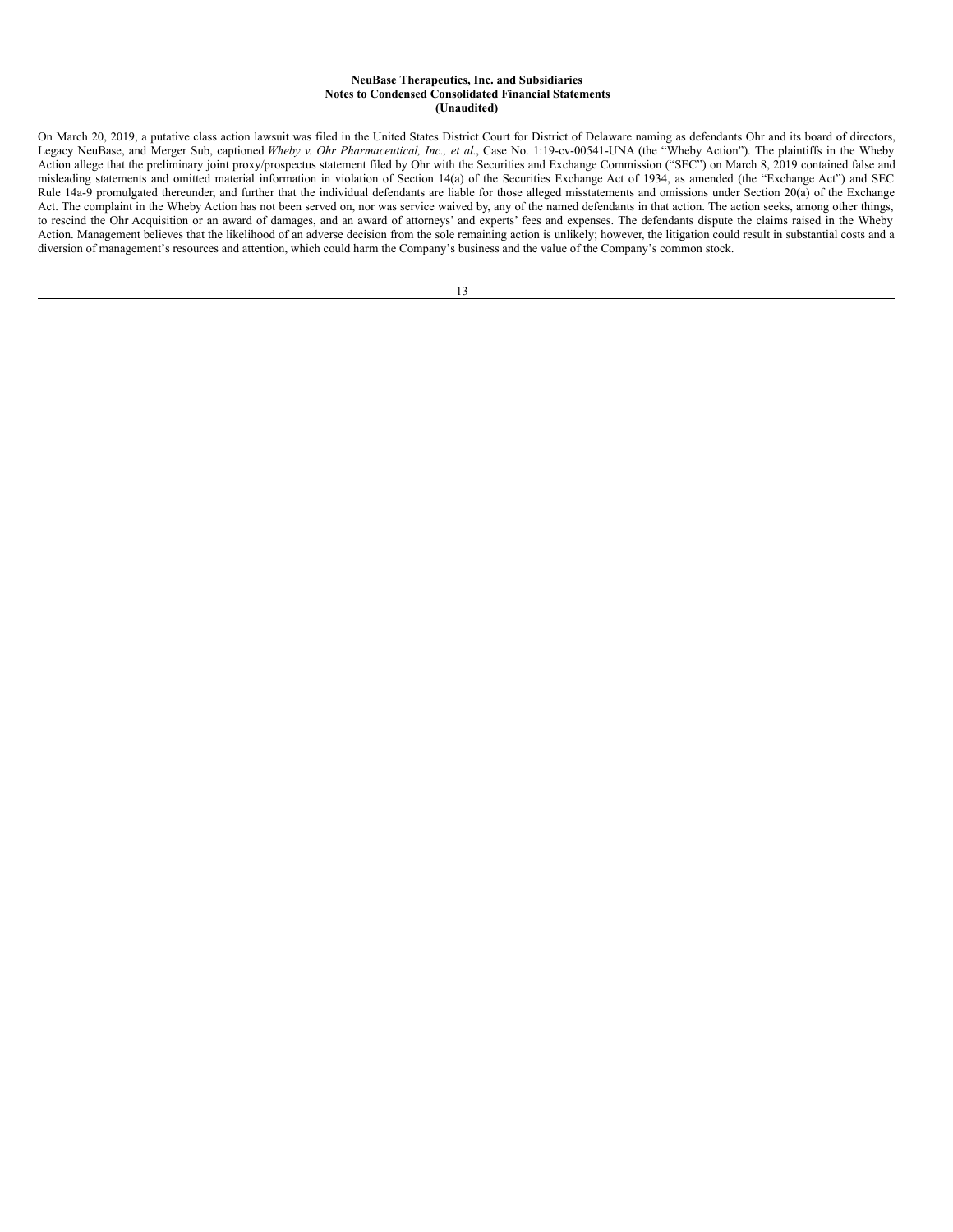On March 20, 2019, a putative class action lawsuit was filed in the United States District Court for District of Delaware naming as defendants Ohr and its board of directors, Legacy NeuBase, and Merger Sub, captioned *Wheby v. Ohr Pharmaceutical, Inc., et al*., Case No. 1:19-cv-00541-UNA (the "Wheby Action"). The plaintiffs in the Wheby Action allege that the preliminary joint proxy/prospectus statement filed by Ohr with the Securities and Exchange Commission ("SEC") on March 8, 2019 contained false and misleading statements and omitted material information in violation of Section 14(a) of the Securities Exchange Act of 1934, as amended (the "Exchange Act") and SEC Rule 14a-9 promulgated thereunder, and further that the individual defendants are liable for those alleged misstatements and omissions under Section 20(a) of the Exchange Act. The complaint in the Wheby Action has not been served on, nor was service waived by, any of the named defendants in that action. The action seeks, among other things, to rescind the Ohr Acquisition or an award of damages, and an award of attorneys' and experts' fees and expenses. The defendants dispute the claims raised in the Wheby Action. Management believes that the likelihood of an adverse decision from the sole remaining action is unlikely; however, the litigation could result in substantial costs and a diversion of management's resources and attention, which could harm the Company's business and the value of the Company's common stock.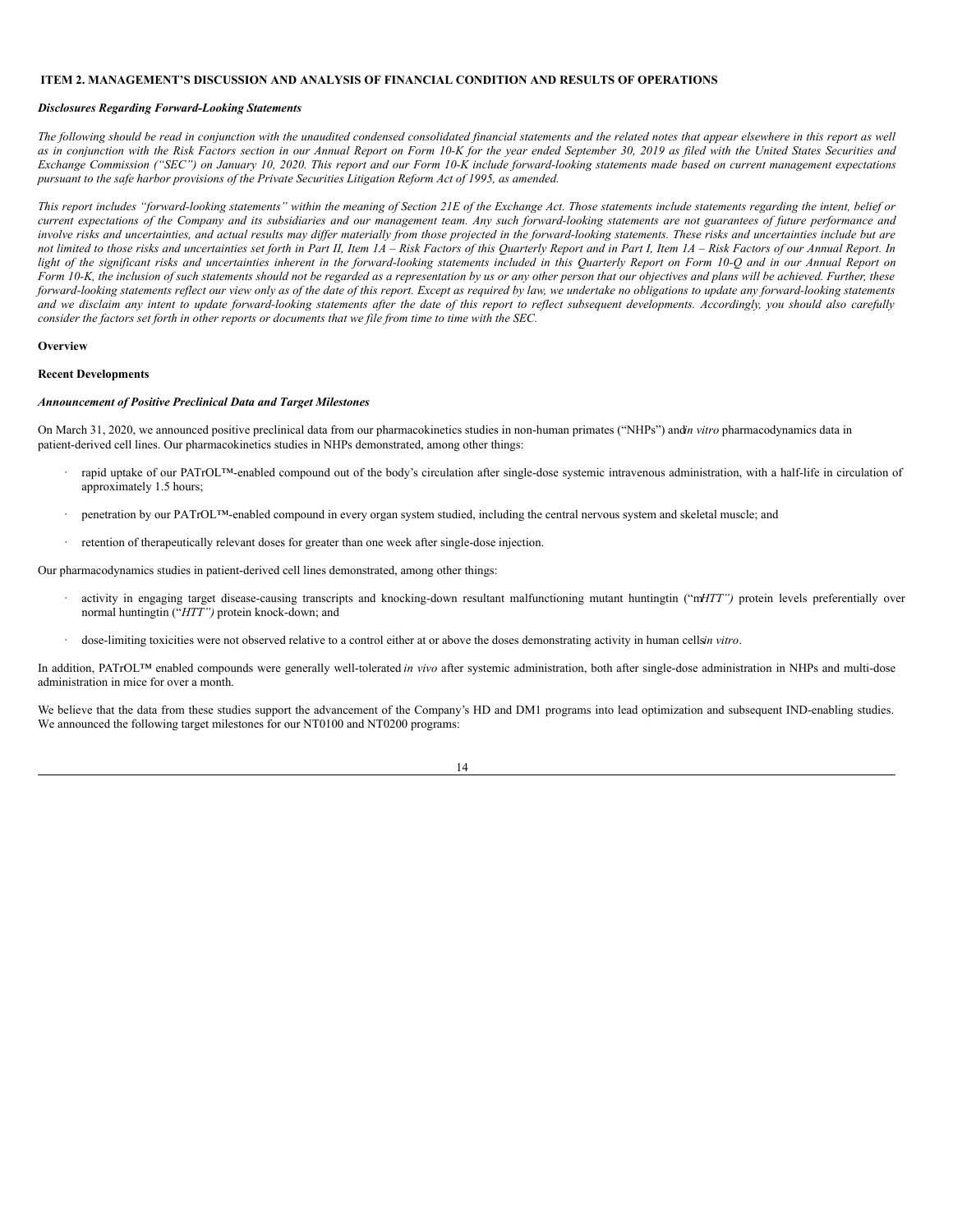#### <span id="page-16-0"></span>**ITEM 2. MANAGEMENT'S DISCUSSION AND ANALYSIS OF FINANCIAL CONDITION AND RESULTS OF OPERATIONS**

#### *Disclosures Regarding Forward-Looking Statements*

The following should be read in conjunction with the unaudited condensed consolidated financial statements and the related notes that appear elsewhere in this report as well as in conjunction with the Risk Factors section in our Annual Report on Form 10-K for the vear ended September 30, 2019 as filed with the United States Securities and Exchange Commission ("SEC") on January 10, 2020. This report and our Form 10-K include forward-looking statements made based on current management expectations pursuant to the safe harbor provisions of the Private Securities Litigation Reform Act of 1995, as amended.

This report includes "forward-looking statements" within the meaning of Section 21E of the Exchange Act. Those statements include statements regarding the intent, belief or current expectations of the Company and its subsidiaries and our management team. Any such forward-looking statements are not guarantees of future performance and involve risks and uncertainties, and actual results may differ materially from those projected in the forward-looking statements. These risks and uncertainties include but are not limited to those risks and uncertainties set forth in Part II, Item 1A - Risk Factors of this Quarterly Report and in Part I, Item 1A - Risk Factors of our Annual Report. In light of the significant risks and uncertainties inherent in the forward-looking statements included in this Quarterly Report on Form 10-Q and in our Annual Report on Form 10-K, the inclusion of such statements should not be regarded as a representation by us or any other person that our objectives and plans will be achieved. Further, these forward-looking statements reflect our view only as of the date of this report. Except as required by law, we undertake no obligations to update any forward-looking statements and we disclaim any intent to update forward-looking statements after the date of this report to reflect subsequent developments. Accordingly, you should also carefully consider the factors set forth in other reports or documents that we file from time to time with the SEC.

#### **Overview**

## **Recent Developments**

#### *Announcement of Positive Preclinical Data and Target Milestones*

On March 31, 2020, we announced positive preclinical data from our pharmacokinetics studies in non-human primates ("NHPs") and*in vitro* pharmacodynamics data in patient-derived cell lines. Our pharmacokinetics studies in NHPs demonstrated, among other things:

- rapid uptake of our PATrOL™-enabled compound out of the body's circulation after single-dose systemic intravenous administration, with a half-life in circulation of approximately 1.5 hours;
- · penetration by our PATrOL™-enabled compound in every organ system studied, including the central nervous system and skeletal muscle; and
- retention of therapeutically relevant doses for greater than one week after single-dose injection.

Our pharmacodynamics studies in patient-derived cell lines demonstrated, among other things:

- activity in engaging target disease-causing transcripts and knocking-down resultant malfunctioning mutant huntingtin ("mHTT") protein levels preferentially over normal huntingtin ("*HTT")* protein knock-down; and
- · dose-limiting toxicities were not observed relative to a control either at or above the doses demonstrating activity in human cells*in vitro*.

In addition, PATrOL™ enabled compounds were generally well-tolerated *in vivo* after systemic administration, both after single-dose administration in NHPs and multi-dose administration in mice for over a month.

We believe that the data from these studies support the advancement of the Company's HD and DM1 programs into lead optimization and subsequent IND-enabling studies. We announced the following target milestones for our NT0100 and NT0200 programs: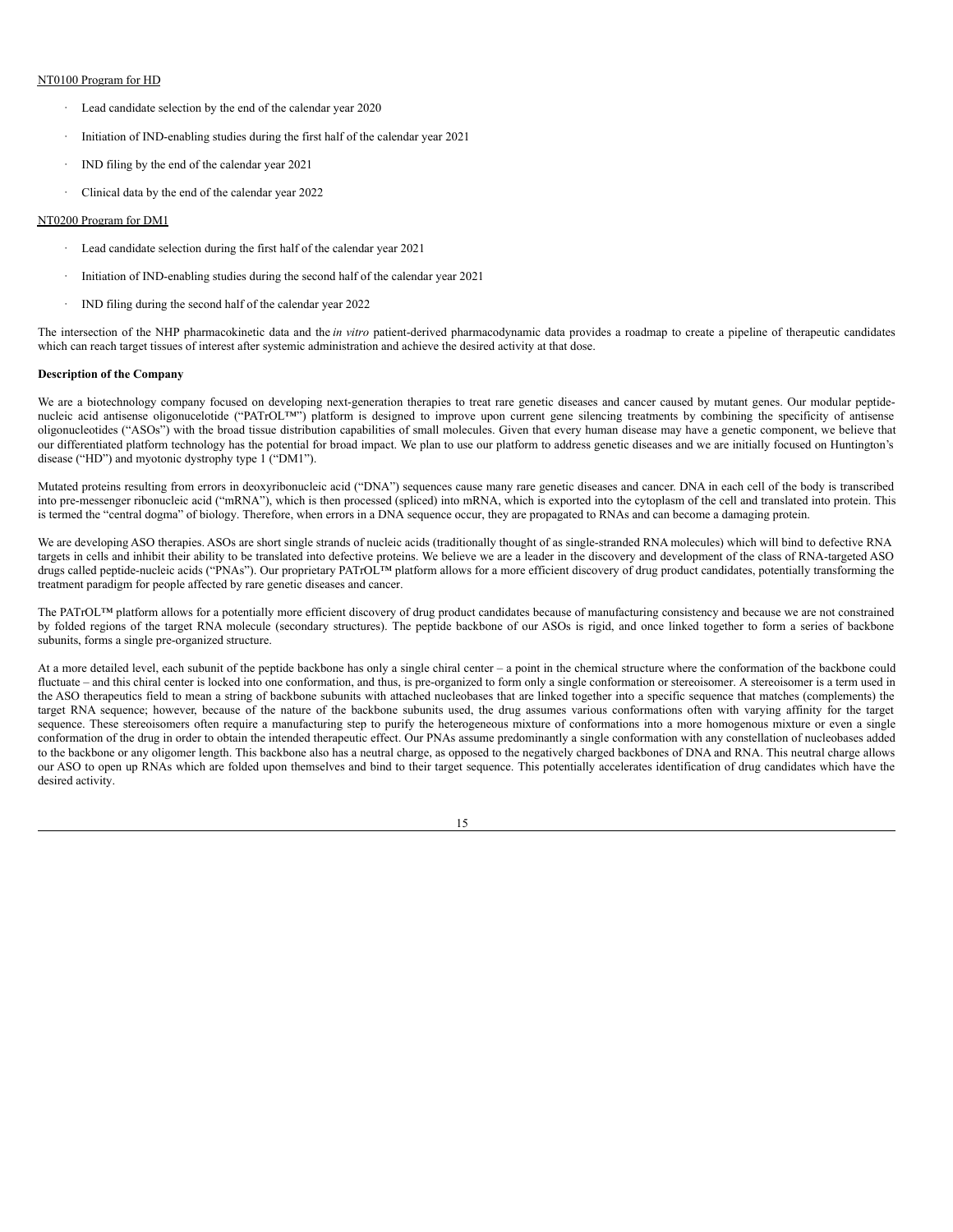## NT0100 Program for HD

- Lead candidate selection by the end of the calendar year 2020
- Initiation of IND-enabling studies during the first half of the calendar year 2021
- · IND filing by the end of the calendar year 2021
- Clinical data by the end of the calendar year 2022

## NT0200 Program for DM1

- Lead candidate selection during the first half of the calendar year 2021
- Initiation of IND-enabling studies during the second half of the calendar year 2021
- · IND filing during the second half of the calendar year 2022

The intersection of the NHP pharmacokinetic data and the *in vitro* patient-derived pharmacodynamic data provides a roadmap to create a pipeline of therapeutic candidates which can reach target tissues of interest after systemic administration and achieve the desired activity at that dose.

## **Description of the Company**

We are a biotechnology company focused on developing next-generation therapies to treat rare genetic diseases and cancer caused by mutant genes. Our modular peptidenucleic acid antisense oligonucelotide ("PATrOL™") platform is designed to improve upon current gene silencing treatments by combining the specificity of antisense oligonucleotides ("ASOs") with the broad tissue distribution capabilities of small molecules. Given that every human disease may have a genetic component, we believe that our differentiated platform technology has the potential for broad impact. We plan to use our platform to address genetic diseases and we are initially focused on Huntington's disease ("HD") and myotonic dystrophy type 1 ("DM1").

Mutated proteins resulting from errors in deoxyribonucleic acid ("DNA") sequences cause many rare genetic diseases and cancer. DNA in each cell of the body is transcribed into pre-messenger ribonucleic acid ("mRNA"), which is then processed (spliced) into mRNA, which is exported into the cytoplasm of the cell and translated into protein. This is termed the "central dogma" of biology. Therefore, when errors in a DNA sequence occur, they are propagated to RNAs and can become a damaging protein.

We are developing ASO therapies. ASOs are short single strands of nucleic acids (traditionally thought of as single-stranded RNA molecules) which will bind to defective RNA targets in cells and inhibit their ability to be translated into defective proteins. We believe we are a leader in the discovery and development of the class of RNA-targeted ASO drugs called peptide-nucleic acids ("PNAs"). Our proprietary PATrOL™ platform allows for a more efficient discovery of drug product candidates, potentially transforming the treatment paradigm for people affected by rare genetic diseases and cancer.

The PATrOL™ platform allows for a potentially more efficient discovery of drug product candidates because of manufacturing consistency and because we are not constrained by folded regions of the target RNA molecule (secondary structures). The peptide backbone of our ASOs is rigid, and once linked together to form a series of backbone subunits, forms a single pre-organized structure.

At a more detailed level, each subunit of the peptide backbone has only a single chiral center – a point in the chemical structure where the conformation of the backbone could fluctuate – and this chiral center is locked into one conformation, and thus, is pre-organized to form only a single conformation or stereoisomer. A stereoisomer is a term used in the ASO therapeutics field to mean a string of backbone subunits with attached nucleobases that are linked together into a specific sequence that matches (complements) the target RNA sequence; however, because of the nature of the backbone subunits used, the drug assumes various conformations often with varying affinity for the target sequence. These stereoisomers often require a manufacturing step to purify the heterogeneous mixture of conformations into a more homogenous mixture or even a single conformation of the drug in order to obtain the intended therapeutic effect. Our PNAs assume predominantly a single conformation with any constellation of nucleobases added to the backbone or any oligomer length. This backbone also has a neutral charge, as opposed to the negatively charged backbones of DNA and RNA. This neutral charge allows our ASO to open up RNAs which are folded upon themselves and bind to their target sequence. This potentially accelerates identification of drug candidates which have the desired activity.

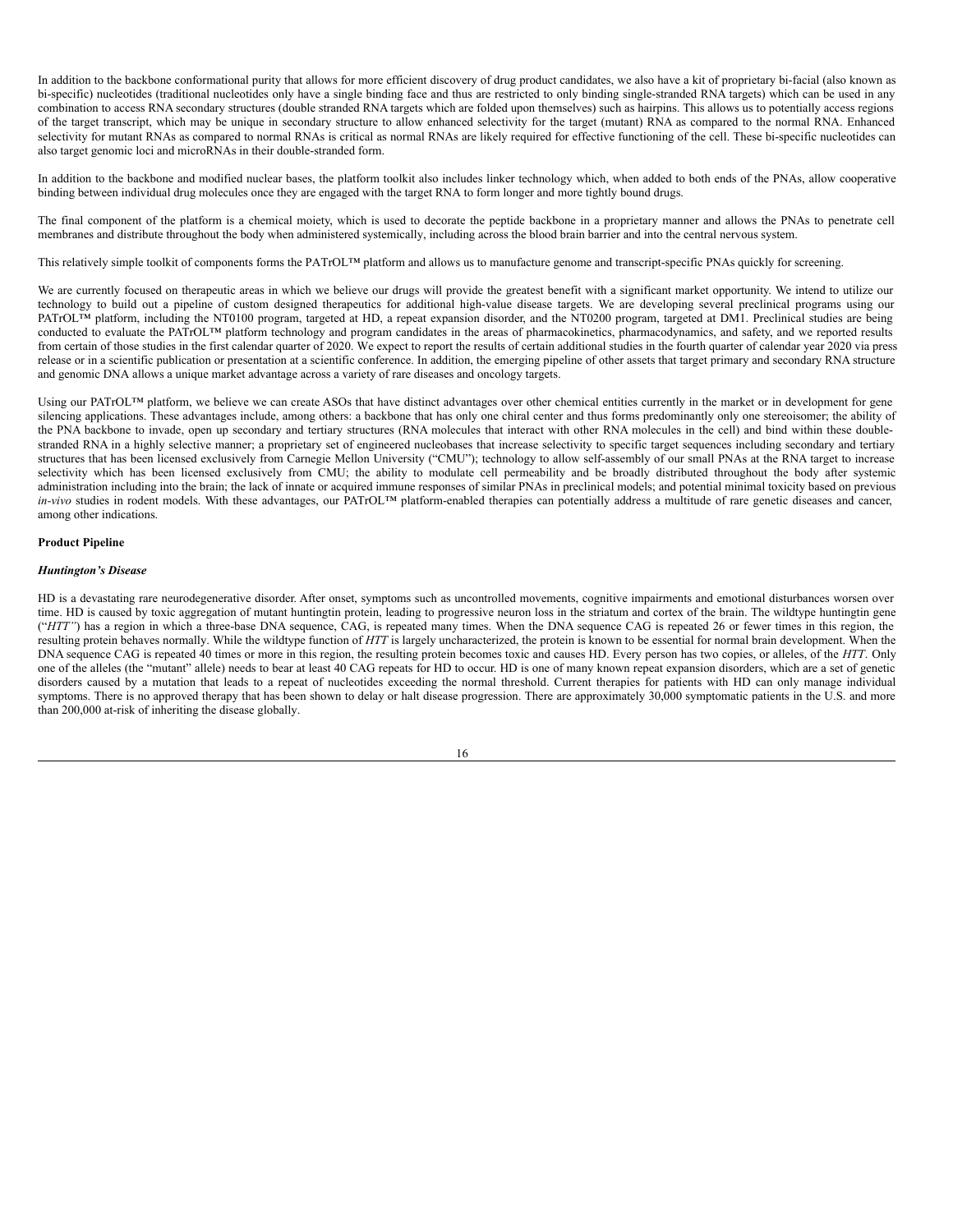In addition to the backbone conformational purity that allows for more efficient discovery of drug product candidates, we also have a kit of proprietary bi-facial (also known as bi-specific) nucleotides (traditional nucleotides only have a single binding face and thus are restricted to only binding single-stranded RNA targets) which can be used in any combination to access RNA secondary structures (double stranded RNA targets which are folded upon themselves) such as hairpins. This allows us to potentially access regions of the target transcript, which may be unique in secondary structure to allow enhanced selectivity for the target (mutant) RNA as compared to the normal RNA. Enhanced selectivity for mutant RNAs as compared to normal RNAs is critical as normal RNAs are likely required for effective functioning of the cell. These bi-specific nucleotides can also target genomic loci and microRNAs in their double-stranded form.

In addition to the backbone and modified nuclear bases, the platform toolkit also includes linker technology which, when added to both ends of the PNAs, allow cooperative binding between individual drug molecules once they are engaged with the target RNA to form longer and more tightly bound drugs.

The final component of the platform is a chemical moiety, which is used to decorate the peptide backbone in a proprietary manner and allows the PNAs to penetrate cell membranes and distribute throughout the body when administered systemically, including across the blood brain barrier and into the central nervous system.

This relatively simple toolkit of components forms the PATrOL™ platform and allows us to manufacture genome and transcript-specific PNAs quickly for screening.

We are currently focused on therapeutic areas in which we believe our drugs will provide the greatest benefit with a significant market opportunity. We intend to utilize our technology to build out a pipeline of custom designed therapeutics for additional high-value disease targets. We are developing several preclinical programs using our PATrOL<sup>TM</sup> platform, including the NT0100 program, targeted at HD, a repeat expansion disorder, and the NT0200 program, targeted at DM1. Preclinical studies are being conducted to evaluate the PATrOL<sup>™</sup> platform technology and program candidates in the areas of pharmacokinetics, pharmacodynamics, and safety, and we reported results from certain of those studies in the first calendar quarter of 2020. We expect to report the results of certain additional studies in the fourth quarter of calendar year 2020 via press release or in a scientific publication or presentation at a scientific conference. In addition, the emerging pipeline of other assets that target primary and secondary RNA structure and genomic DNA allows a unique market advantage across a variety of rare diseases and oncology targets.

Using our PATrOL™ platform, we believe we can create ASOs that have distinct advantages over other chemical entities currently in the market or in development for gene silencing applications. These advantages include, among others: a backbone that has only one chiral center and thus forms predominantly only one stereoisomer; the ability of the PNA backbone to invade, open up secondary and tertiary structures (RNA molecules that interact with other RNA molecules in the cell) and bind within these doublestranded RNA in a highly selective manner; a proprietary set of engineered nucleobases that increase selectivity to specific target sequences including secondary and tertiary structures that has been licensed exclusively from Carnegie Mellon University ("CMU"); technology to allow self-assembly of our small PNAs at the RNA target to increase selectivity which has been licensed exclusively from CMU; the ability to modulate cell permeability and be broadly distributed throughout the body after systemic administration including into the brain; the lack of innate or acquired immune responses of similar PNAs in preclinical models; and potential minimal toxicity based on previous *in-vivo* studies in rodent models. With these advantages, our PATrOL™ platform-enabled therapies can potentially address a multitude of rare genetic diseases and cancer, among other indications.

## **Product Pipeline**

#### *Huntington's Disease*

HD is a devastating rare neurodegenerative disorder. After onset, symptoms such as uncontrolled movements, cognitive impairments and emotional disturbances worsen over time. HD is caused by toxic aggregation of mutant huntingtin protein, leading to progressive neuron loss in the striatum and cortex of the brain. The wildtype huntingtin gene ("*HTT"*) has a region in which a three-base DNA sequence, CAG, is repeated many times. When the DNA sequence CAG is repeated 26 or fewer times in this region, the resulting protein behaves normally. While the wildtype function of *HTT* is largely uncharacterized, the protein is known to be essential for normal brain development. When the DNA sequence CAG is repeated 40 times or more in this region, the resulting protein becomes toxic and causes HD. Every person has two copies, or alleles, of the *HTT*. Only one of the alleles (the "mutant" allele) needs to bear at least 40 CAG repeats for HD to occur. HD is one of many known repeat expansion disorders, which are a set of genetic disorders caused by a mutation that leads to a repeat of nucleotides exceeding the normal threshold. Current therapies for patients with HD can only manage individual symptoms. There is no approved therapy that has been shown to delay or halt disease progression. There are approximately 30,000 symptomatic patients in the U.S. and more than 200,000 at-risk of inheriting the disease globally.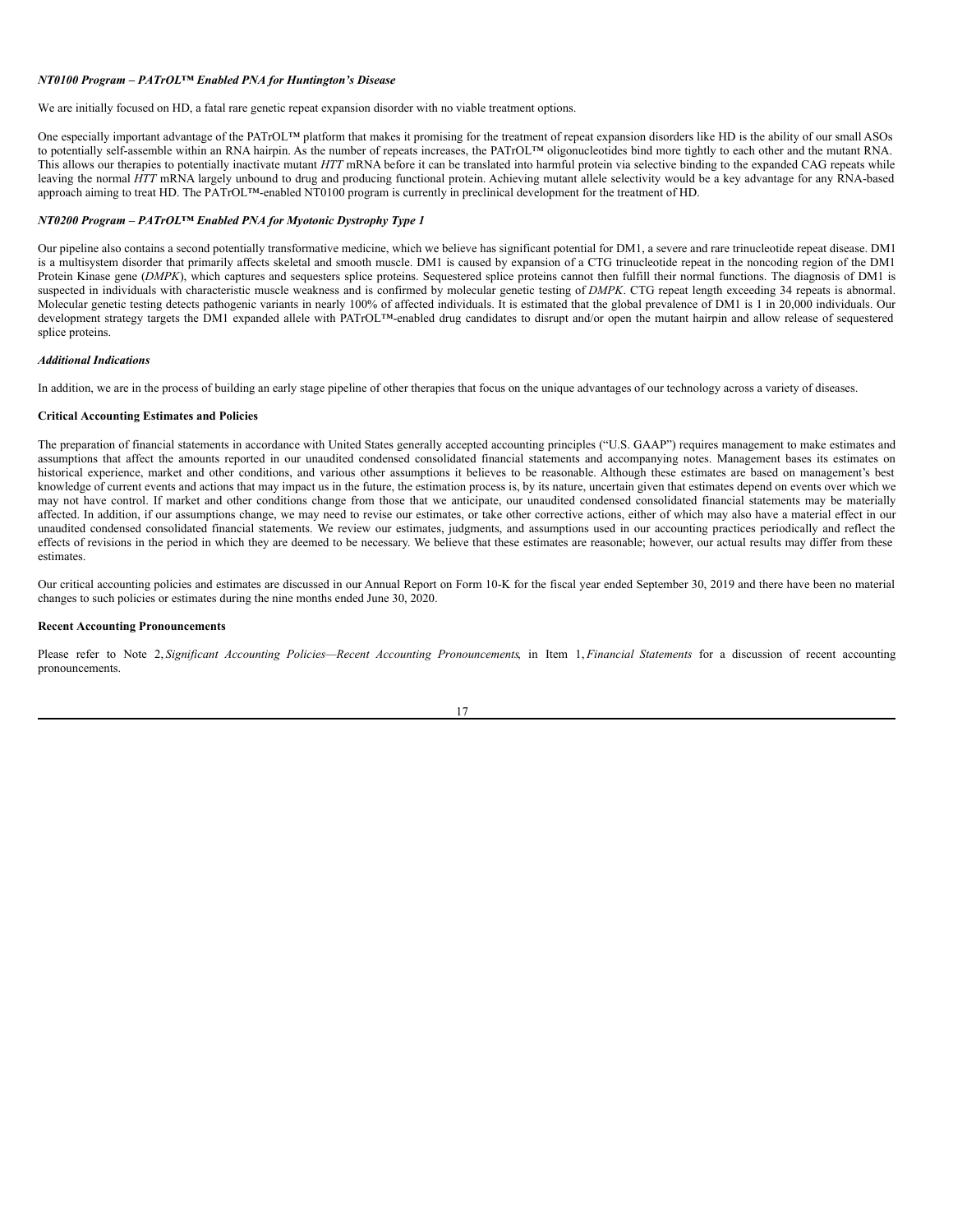## *NT0100 Program – PATrOL™ Enabled PNA for Huntington's Disease*

We are initially focused on HD, a fatal rare genetic repeat expansion disorder with no viable treatment options.

One especially important advantage of the PATrOL™ platform that makes it promising for the treatment of repeat expansion disorders like HD is the ability of our small ASOs to potentially self-assemble within an RNA hairpin. As the number of repeats increases, the PATrOL™ oligonucleotides bind more tightly to each other and the mutant RNA. This allows our therapies to potentially inactivate mutant *HTT* mRNA before it can be translated into harmful protein via selective binding to the expanded CAG repeats while leaving the normal *HTT* mRNA largely unbound to drug and producing functional protein. Achieving mutant allele selectivity would be a key advantage for any RNA-based approach aiming to treat HD. The PATrOL™-enabled NT0100 program is currently in preclinical development for the treatment of HD.

## *NT0200 Program – PATrOL™ Enabled PNA for Myotonic Dystrophy Type 1*

Our pipeline also contains a second potentially transformative medicine, which we believe has significant potential for DM1, a severe and rare trinucleotide repeat disease. DM1 is a multisystem disorder that primarily affects skeletal and smooth muscle. DM1 is caused by expansion of a CTG trinucleotide repeat in the noncoding region of the DM1 Protein Kinase gene (*DMPK*), which captures and sequesters splice proteins. Sequestered splice proteins cannot then fulfill their normal functions. The diagnosis of DM1 is suspected in individuals with characteristic muscle weakness and is confirmed by molecular genetic testing of *DMPK*. CTG repeat length exceeding 34 repeats is abnormal. Molecular genetic testing detects pathogenic variants in nearly 100% of affected individuals. It is estimated that the global prevalence of DM1 is 1 in 20,000 individuals. Our development strategy targets the DM1 expanded allele with PATrOL™-enabled drug candidates to disrupt and/or open the mutant hairpin and allow release of sequestered splice proteins.

## *Additional Indications*

In addition, we are in the process of building an early stage pipeline of other therapies that focus on the unique advantages of our technology across a variety of diseases.

## **Critical Accounting Estimates and Policies**

The preparation of financial statements in accordance with United States generally accepted accounting principles ("U.S. GAAP") requires management to make estimates and assumptions that affect the amounts reported in our unaudited condensed consolidated financial statements and accompanying notes. Management bases its estimates on historical experience, market and other conditions, and various other assumptions it believes to be reasonable. Although these estimates are based on management's best knowledge of current events and actions that may impact us in the future, the estimation process is, by its nature, uncertain given that estimates depend on events over which we may not have control. If market and other conditions change from those that we anticipate, our unaudited condensed consolidated financial statements may be materially affected. In addition, if our assumptions change, we may need to revise our estimates, or take other corrective actions, either of which may also have a material effect in our unaudited condensed consolidated financial statements. We review our estimates, judgments, and assumptions used in our accounting practices periodically and reflect the effects of revisions in the period in which they are deemed to be necessary. We believe that these estimates are reasonable; however, our actual results may differ from these estimates.

Our critical accounting policies and estimates are discussed in our Annual Report on Form 10-K for the fiscal year ended September 30, 2019 and there have been no material changes to such policies or estimates during the nine months ended June 30, 2020.

## **Recent Accounting Pronouncements**

Please refer to Note 2, *Significant Accounting Policies—Recent Accounting Pronouncements*, in Item 1, *Financial Statements* for a discussion of recent accounting pronouncements.

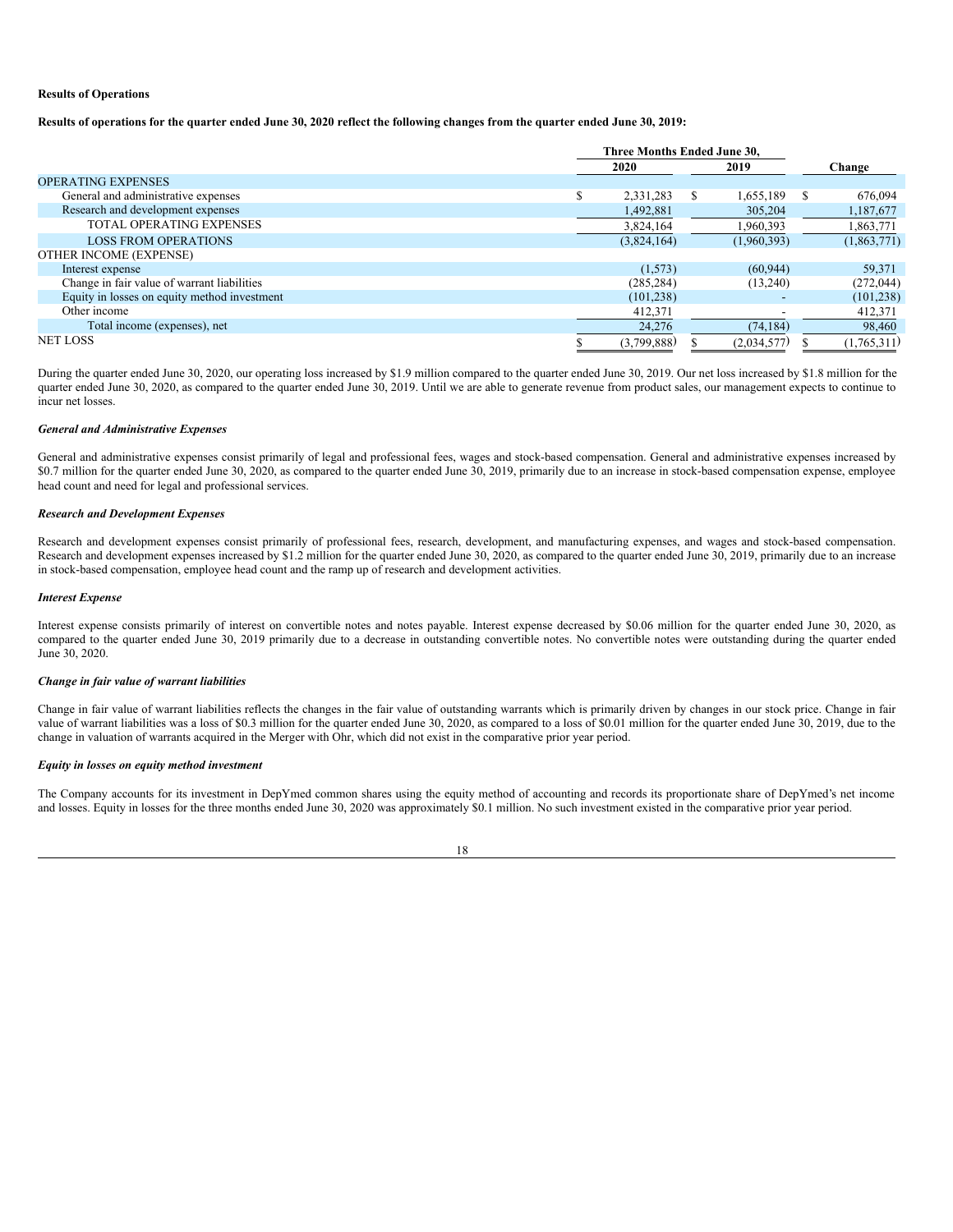## **Results of Operations**

## Results of operations for the quarter ended June 30, 2020 reflect the following changes from the quarter ended June 30, 2019:

|                                              | Three Months Ended June 30. |             |  |                          |    |               |
|----------------------------------------------|-----------------------------|-------------|--|--------------------------|----|---------------|
|                                              |                             | 2020        |  | 2019                     |    | Change        |
| <b>OPERATING EXPENSES</b>                    |                             |             |  |                          |    |               |
| General and administrative expenses          |                             | 2,331,283   |  | 1.655.189                | -S | 676,094       |
| Research and development expenses            |                             | 1,492,881   |  | 305,204                  |    | 1,187,677     |
| TOTAL OPERATING EXPENSES                     |                             | 3,824,164   |  | 1,960,393                |    | 1,863,771     |
| <b>LOSS FROM OPERATIONS</b>                  |                             | (3,824,164) |  | (1,960,393)              |    | (1, 863, 771) |
| OTHER INCOME (EXPENSE)                       |                             |             |  |                          |    |               |
| Interest expense                             |                             | (1,573)     |  | (60, 944)                |    | 59,371        |
| Change in fair value of warrant liabilities  |                             | (285, 284)  |  | (13,240)                 |    | (272, 044)    |
| Equity in losses on equity method investment |                             | (101, 238)  |  | $\overline{\phantom{a}}$ |    | (101, 238)    |
| Other income                                 |                             | 412,371     |  |                          |    | 412,371       |
| Total income (expenses), net                 |                             | 24,276      |  | (74, 184)                |    | 98,460        |
| <b>NET LOSS</b>                              |                             | (3,799,888) |  | (2,034,577)              |    | (1,765,311)   |

During the quarter ended June 30, 2020, our operating loss increased by \$1.9 million compared to the quarter ended June 30, 2019. Our net loss increased by \$1.8 million for the quarter ended June 30, 2020, as compared to the quarter ended June 30, 2019. Until we are able to generate revenue from product sales, our management expects to continue to incur net losses.

## *General and Administrative Expenses*

General and administrative expenses consist primarily of legal and professional fees, wages and stock-based compensation. General and administrative expenses increased by \$0.7 million for the quarter ended June 30, 2020, as compared to the quarter ended June 30, 2019, primarily due to an increase in stock-based compensation expense, employee head count and need for legal and professional services.

## *Research and Development Expenses*

Research and development expenses consist primarily of professional fees, research, development, and manufacturing expenses, and wages and stock-based compensation. Research and development expenses increased by \$1.2 million for the quarter ended June 30, 2020, as compared to the quarter ended June 30, 2019, primarily due to an increase in stock-based compensation, employee head count and the ramp up of research and development activities.

#### *Interest Expense*

Interest expense consists primarily of interest on convertible notes and notes payable. Interest expense decreased by \$0.06 million for the quarter ended June 30, 2020, as compared to the quarter ended June 30, 2019 primarily due to a decrease in outstanding convertible notes. No convertible notes were outstanding during the quarter ended June 30, 2020.

## *Change in fair value of warrant liabilities*

Change in fair value of warrant liabilities reflects the changes in the fair value of outstanding warrants which is primarily driven by changes in our stock price. Change in fair value of warrant liabilities was a loss of \$0.3 million for the quarter ended June 30, 2020, as compared to a loss of \$0.01 million for the quarter ended June 30, 2019, due to the change in valuation of warrants acquired in the Merger with Ohr, which did not exist in the comparative prior year period.

## *Equity in losses on equity method investment*

The Company accounts for its investment in DepYmed common shares using the equity method of accounting and records its proportionate share of DepYmed's net income and losses. Equity in losses for the three months ended June 30, 2020 was approximately \$0.1 million. No such investment existed in the comparative prior year period.

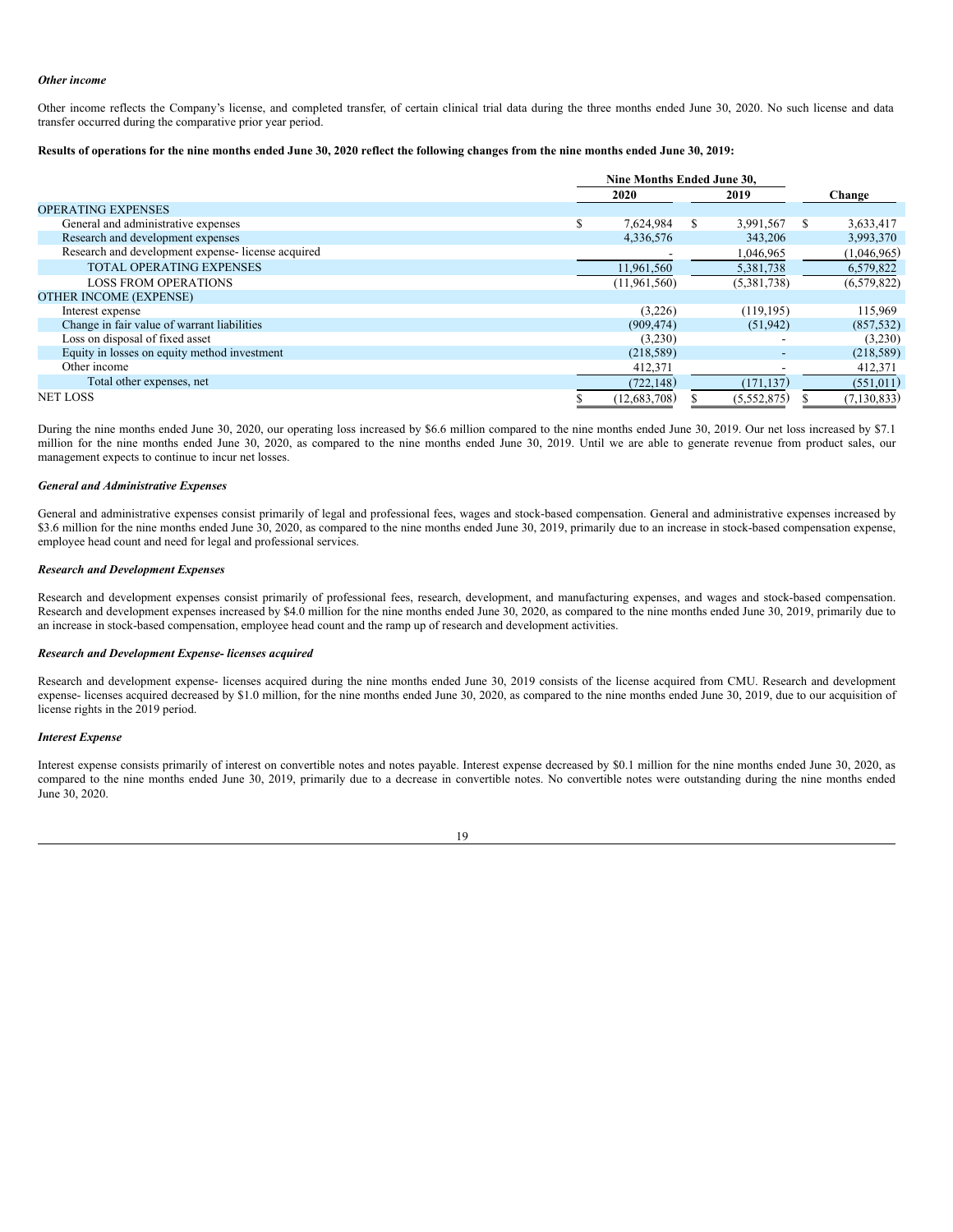#### *Other income*

Other income reflects the Company's license, and completed transfer, of certain clinical trial data during the three months ended June 30, 2020. No such license and data transfer occurred during the comparative prior year period.

## Results of operations for the nine months ended June 30, 2020 reflect the following changes from the nine months ended June 30, 2019:

|                                                   | Nine Months Ended June 30. |              |    |             |    |               |
|---------------------------------------------------|----------------------------|--------------|----|-------------|----|---------------|
|                                                   |                            | 2020         |    | 2019        |    | Change        |
| <b>OPERATING EXPENSES</b>                         |                            |              |    |             |    |               |
| General and administrative expenses               |                            | 7.624.984    | S. | 3,991,567   | S. | 3,633,417     |
| Research and development expenses                 |                            | 4,336,576    |    | 343,206     |    | 3,993,370     |
| Research and development expense-license acquired |                            |              |    | 1,046,965   |    | (1,046,965)   |
| <b>TOTAL OPERATING EXPENSES</b>                   |                            | 11,961,560   |    | 5,381,738   |    | 6,579,822     |
| <b>LOSS FROM OPERATIONS</b>                       |                            | (11,961,560) |    | (5,381,738) |    | (6,579,822)   |
| <b>OTHER INCOME (EXPENSE)</b>                     |                            |              |    |             |    |               |
| Interest expense                                  |                            | (3,226)      |    | (119, 195)  |    | 115,969       |
| Change in fair value of warrant liabilities       |                            | (909, 474)   |    | (51, 942)   |    | (857, 532)    |
| Loss on disposal of fixed asset                   |                            | (3,230)      |    |             |    | (3,230)       |
| Equity in losses on equity method investment      |                            | (218, 589)   |    |             |    | (218, 589)    |
| Other income                                      |                            | 412,371      |    |             |    | 412,371       |
| Total other expenses, net                         |                            | (722, 148)   |    | (171, 137)  |    | (551, 011)    |
| <b>NET LOSS</b>                                   |                            | (12,683,708) |    | (5,552,875) |    | (7, 130, 833) |

During the nine months ended June 30, 2020, our operating loss increased by \$6.6 million compared to the nine months ended June 30, 2019. Our net loss increased by \$7.1 million for the nine months ended June 30, 2020, as compared to the nine months ended June 30, 2019. Until we are able to generate revenue from product sales, our management expects to continue to incur net losses.

## *General and Administrative Expenses*

General and administrative expenses consist primarily of legal and professional fees, wages and stock-based compensation. General and administrative expenses increased by \$3.6 million for the nine months ended June 30, 2020, as compared to the nine months ended June 30, 2019, primarily due to an increase in stock-based compensation expense, employee head count and need for legal and professional services.

#### *Research and Development Expenses*

Research and development expenses consist primarily of professional fees, research, development, and manufacturing expenses, and wages and stock-based compensation. Research and development expenses increased by \$4.0 million for the nine months ended June 30, 2020, as compared to the nine months ended June 30, 2019, primarily due to an increase in stock-based compensation, employee head count and the ramp up of research and development activities.

## *Research and Development Expense- licenses acquired*

Research and development expense- licenses acquired during the nine months ended June 30, 2019 consists of the license acquired from CMU. Research and development expense- licenses acquired decreased by \$1.0 million, for the nine months ended June 30, 2020, as compared to the nine months ended June 30, 2019, due to our acquisition of license rights in the 2019 period.

## *Interest Expense*

Interest expense consists primarily of interest on convertible notes and notes payable. Interest expense decreased by \$0.1 million for the nine months ended June 30, 2020, as compared to the nine months ended June 30, 2019, primarily due to a decrease in convertible notes. No convertible notes were outstanding during the nine months ended June 30, 2020.

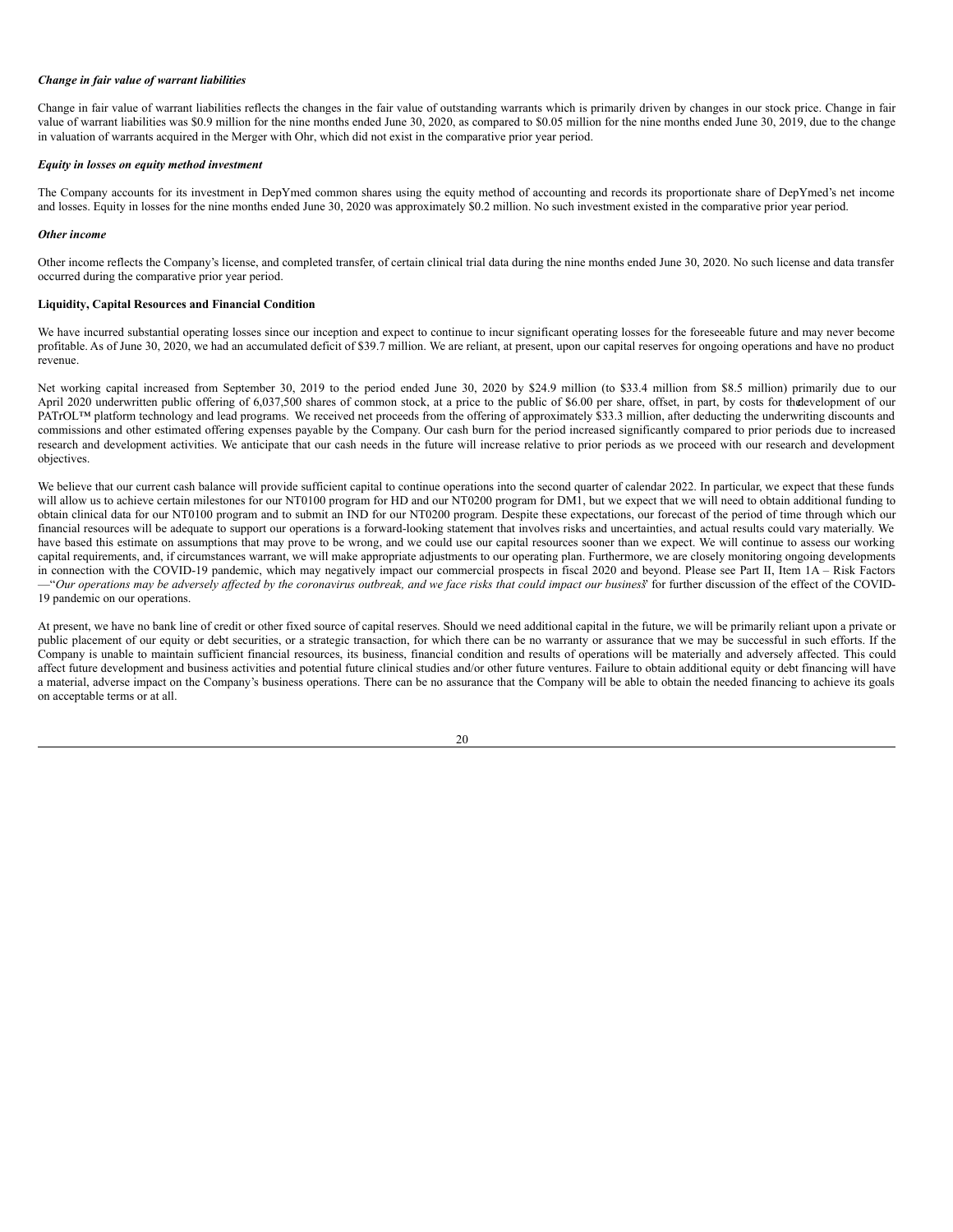#### *Change in fair value of warrant liabilities*

Change in fair value of warrant liabilities reflects the changes in the fair value of outstanding warrants which is primarily driven by changes in our stock price. Change in fair value of warrant liabilities was \$0.9 million for the nine months ended June 30, 2020, as compared to \$0.05 million for the nine months ended June 30, 2019, due to the change in valuation of warrants acquired in the Merger with Ohr, which did not exist in the comparative prior year period.

#### *Equity in losses on equity method investment*

The Company accounts for its investment in DepYmed common shares using the equity method of accounting and records its proportionate share of DepYmed's net income and losses. Equity in losses for the nine months ended June 30, 2020 was approximately \$0.2 million. No such investment existed in the comparative prior year period.

#### *Other income*

Other income reflects the Company's license, and completed transfer, of certain clinical trial data during the nine months ended June 30, 2020. No such license and data transfer occurred during the comparative prior year period.

#### **Liquidity, Capital Resources and Financial Condition**

We have incurred substantial operating losses since our inception and expect to continue to incur significant operating losses for the foreseeable future and may never become profitable. As of June 30, 2020, we had an accumulated deficit of \$39.7 million. We are reliant, at present, upon our capital reserves for ongoing operations and have no product revenue.

Net working capital increased from September 30, 2019 to the period ended June 30, 2020 by \$24.9 million (to \$33.4 million from \$8.5 million) primarily due to our April 2020 underwritten public offering of 6,037,500 shares of common stock, at a price to the public of \$6.00 per share, offset, in part, by costs for the evelopment of our PATrOL™ platform technology and lead programs. We received net proceeds from the offering of approximately \$33.3 million, after deducting the underwriting discounts and commissions and other estimated offering expenses payable by the Company. Our cash burn for the period increased significantly compared to prior periods due to increased research and development activities. We anticipate that our cash needs in the future will increase relative to prior periods as we proceed with our research and development objectives.

We believe that our current cash balance will provide sufficient capital to continue operations into the second quarter of calendar 2022. In particular, we expect that these funds will allow us to achieve certain milestones for our NT0100 program for HD and our NT0200 program for DM1, but we expect that we will need to obtain additional funding to obtain clinical data for our NT0100 program and to submit an IND for our NT0200 program. Despite these expectations, our forecast of the period of time through which our financial resources will be adequate to support our operations is a forward-looking statement that involves risks and uncertainties, and actual results could vary materially. We have based this estimate on assumptions that may prove to be wrong, and we could use our capital resources sooner than we expect. We will continue to assess our working capital requirements, and, if circumstances warrant, we will make appropriate adjustments to our operating plan. Furthermore, we are closely monitoring ongoing developments in connection with the COVID-19 pandemic, which may negatively impact our commercial prospects in fiscal 2020 and beyond. Please see Part II, Item 1A – Risk Factors -"Our operations may be adversely affected by the coronavirus outbreak, and we face risks that could impact our business' for further discussion of the effect of the COVID-19 pandemic on our operations.

At present, we have no bank line of credit or other fixed source of capital reserves. Should we need additional capital in the future, we will be primarily reliant upon a private or public placement of our equity or debt securities, or a strategic transaction, for which there can be no warranty or assurance that we may be successful in such efforts. If the Company is unable to maintain sufficient financial resources, its business, financial condition and results of operations will be materially and adversely affected. This could affect future development and business activities and potential future clinical studies and/or other future ventures. Failure to obtain additional equity or debt financing will have a material, adverse impact on the Company's business operations. There can be no assurance that the Company will be able to obtain the needed financing to achieve its goals on acceptable terms or at all.

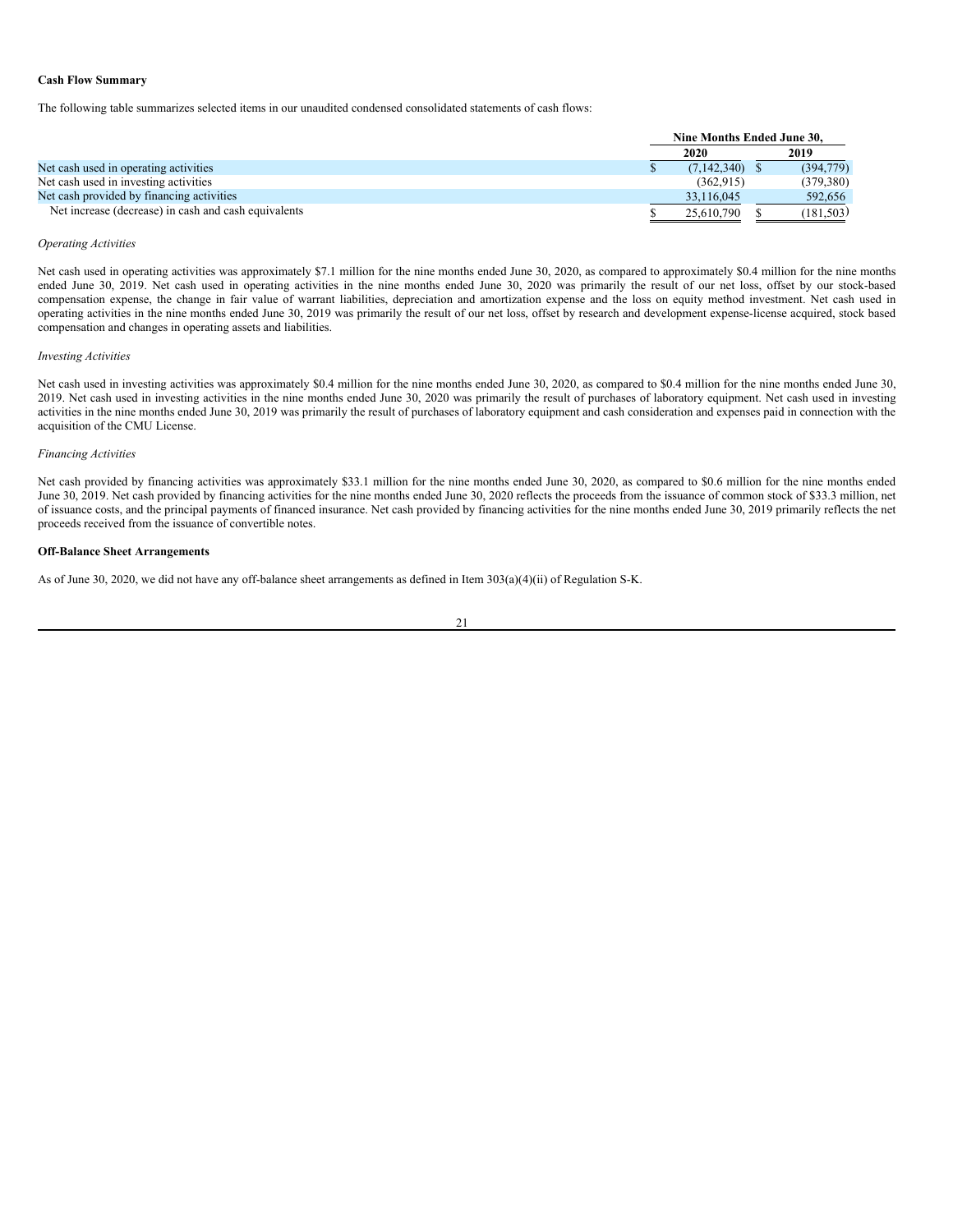#### **Cash Flow Summary**

The following table summarizes selected items in our unaudited condensed consolidated statements of cash flows:

|                                                      | Nine Months Ended June 30. |  |            |  |  |
|------------------------------------------------------|----------------------------|--|------------|--|--|
|                                                      | 2020                       |  | 2019       |  |  |
| Net cash used in operating activities                | (7.142.340)                |  | (394,779)  |  |  |
| Net cash used in investing activities                | (362.915)                  |  | (379, 380) |  |  |
| Net cash provided by financing activities            | 33.116.045                 |  | 592.656    |  |  |
| Net increase (decrease) in cash and cash equivalents | 25,610,790                 |  | (181.503)  |  |  |

## *Operating Activities*

Net cash used in operating activities was approximately \$7.1 million for the nine months ended June 30, 2020, as compared to approximately \$0.4 million for the nine months ended June 30, 2019. Net cash used in operating activities in the nine months ended June 30, 2020 was primarily the result of our net loss, offset by our stock-based compensation expense, the change in fair value of warrant liabilities, depreciation and amortization expense and the loss on equity method investment. Net cash used in operating activities in the nine months ended June 30, 2019 was primarily the result of our net loss, offset by research and development expense-license acquired, stock based compensation and changes in operating assets and liabilities.

#### *Investing Activities*

Net cash used in investing activities was approximately \$0.4 million for the nine months ended June 30, 2020, as compared to \$0.4 million for the nine months ended June 30, 2019. Net cash used in investing activities in the nine months ended June 30, 2020 was primarily the result of purchases of laboratory equipment. Net cash used in investing activities in the nine months ended June 30, 2019 was primarily the result of purchases of laboratory equipment and cash consideration and expenses paid in connection with the acquisition of the CMU License.

## *Financing Activities*

Net cash provided by financing activities was approximately \$33.1 million for the nine months ended June 30, 2020, as compared to \$0.6 million for the nine months ended June 30, 2019. Net cash provided by financing activities for the nine months ended June 30, 2020 reflects the proceeds from the issuance of common stock of \$33.3 million, net of issuance costs, and the principal payments of financed insurance. Net cash provided by financing activities for the nine months ended June 30, 2019 primarily reflects the net proceeds received from the issuance of convertible notes.

#### **Off-Balance Sheet Arrangements**

As of June 30, 2020, we did not have any off-balance sheet arrangements as defined in Item 303(a)(4)(ii) of Regulation S-K.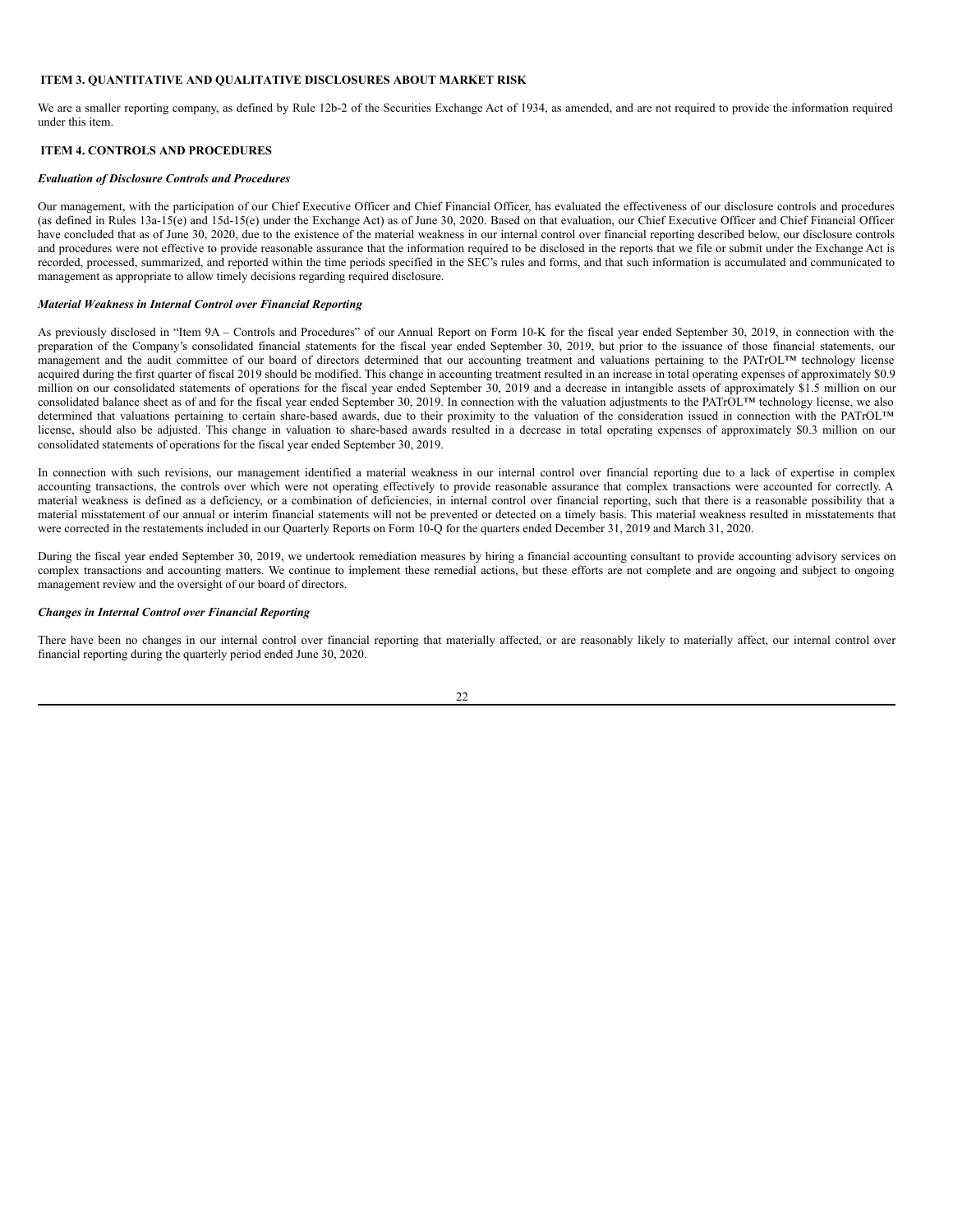# <span id="page-24-0"></span>**ITEM 3. QUANTITATIVE AND QUALITATIVE DISCLOSURES ABOUT MARKET RISK**

We are a smaller reporting company, as defined by Rule 12b-2 of the Securities Exchange Act of 1934, as amended, and are not required to provide the information required under this item.

## <span id="page-24-1"></span>**ITEM 4. CONTROLS AND PROCEDURES**

## *Evaluation of Disclosure Controls and Procedures*

Our management, with the participation of our Chief Executive Officer and Chief Financial Officer, has evaluated the effectiveness of our disclosure controls and procedures (as defined in Rules 13a-15(e) and 15d-15(e) under the Exchange Act) as of June 30, 2020. Based on that evaluation, our Chief Executive Officer and Chief Financial Officer have concluded that as of June 30, 2020, due to the existence of the material weakness in our internal control over financial reporting described below, our disclosure controls and procedures were not effective to provide reasonable assurance that the information required to be disclosed in the reports that we file or submit under the Exchange Act is recorded, processed, summarized, and reported within the time periods specified in the SEC's rules and forms, and that such information is accumulated and communicated to management as appropriate to allow timely decisions regarding required disclosure.

## *Material Weakness in Internal Control over Financial Reporting*

As previously disclosed in "Item 9A – Controls and Procedures" of our Annual Report on Form 10-K for the fiscal year ended September 30, 2019, in connection with the preparation of the Company's consolidated financial statements for the fiscal year ended September 30, 2019, but prior to the issuance of those financial statements, our management and the audit committee of our board of directors determined that our accounting treatment and valuations pertaining to the PATrOL™ technology license acquired during the first quarter of fiscal 2019 should be modified. This change in accounting treatment resulted in an increase in total operating expenses of approximately \$0.9 million on our consolidated statements of operations for the fiscal year ended September 30, 2019 and a decrease in intangible assets of approximately \$1.5 million on our consolidated balance sheet as of and for the fiscal year ended September 30, 2019. In connection with the valuation adjustments to the PATrOL™ technology license, we also determined that valuations pertaining to certain share-based awards, due to their proximity to the valuation of the consideration issued in connection with the PATrOL™ license, should also be adjusted. This change in valuation to share-based awards resulted in a decrease in total operating expenses of approximately \$0.3 million on our consolidated statements of operations for the fiscal year ended September 30, 2019.

In connection with such revisions, our management identified a material weakness in our internal control over financial reporting due to a lack of expertise in complex accounting transactions, the controls over which were not operating effectively to provide reasonable assurance that complex transactions were accounted for correctly. A material weakness is defined as a deficiency, or a combination of deficiencies, in internal control over financial reporting, such that there is a reasonable possibility that a material misstatement of our annual or interim financial statements will not be prevented or detected on a timely basis. This material weakness resulted in misstatements that were corrected in the restatements included in our Quarterly Reports on Form 10-Q for the quarters ended December 31, 2019 and March 31, 2020.

During the fiscal year ended September 30, 2019, we undertook remediation measures by hiring a financial accounting consultant to provide accounting advisory services on complex transactions and accounting matters. We continue to implement these remedial actions, but these efforts are not complete and are ongoing and subject to ongoing management review and the oversight of our board of directors.

## *Changes in Internal Control over Financial Reporting*

There have been no changes in our internal control over financial reporting that materially affected, or are reasonably likely to materially affect, our internal control over financial reporting during the quarterly period ended June 30, 2020.

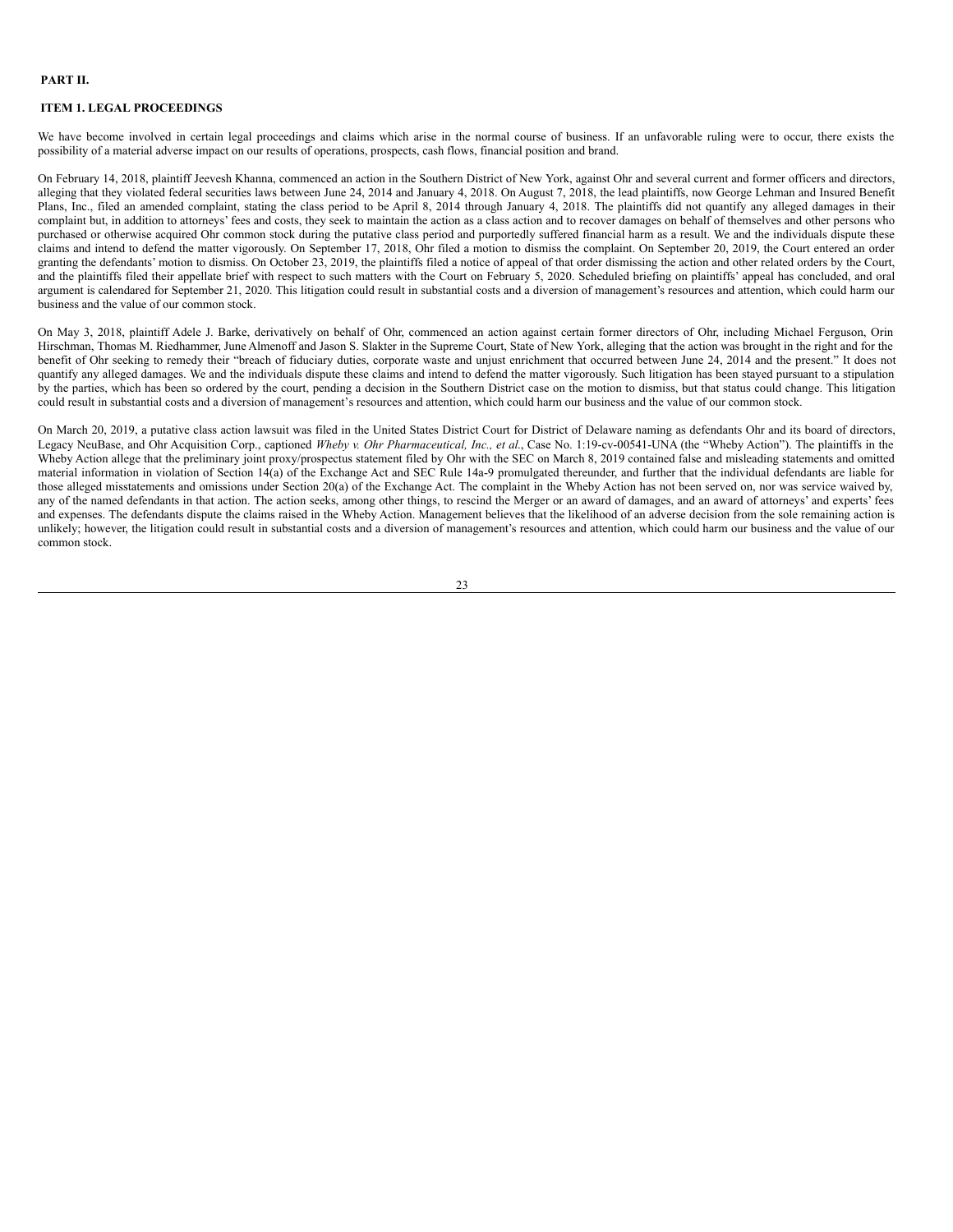## <span id="page-25-0"></span>**PART II.**

## <span id="page-25-1"></span>**ITEM 1. LEGAL PROCEEDINGS**

We have become involved in certain legal proceedings and claims which arise in the normal course of business. If an unfavorable ruling were to occur, there exists the possibility of a material adverse impact on our results of operations, prospects, cash flows, financial position and brand.

On February 14, 2018, plaintiff Jeevesh Khanna, commenced an action in the Southern District of New York, against Ohr and several current and former officers and directors, alleging that they violated federal securities laws between June 24, 2014 and January 4, 2018. On August 7, 2018, the lead plaintiffs, now George Lehman and Insured Benefit Plans, Inc., filed an amended complaint, stating the class period to be April 8, 2014 through January 4, 2018. The plaintiffs did not quantify any alleged damages in their complaint but, in addition to attorneys' fees and costs, they seek to maintain the action as a class action and to recover damages on behalf of themselves and other persons who purchased or otherwise acquired Ohr common stock during the putative class period and purportedly suffered financial harm as a result. We and the individuals dispute these claims and intend to defend the matter vigorously. On September 17, 2018, Ohr filed a motion to dismiss the complaint. On September 20, 2019, the Court entered an order granting the defendants' motion to dismiss. On October 23, 2019, the plaintiffs filed a notice of appeal of that order dismissing the action and other related orders by the Court, and the plaintiffs filed their appellate brief with respect to such matters with the Court on February 5, 2020. Scheduled briefing on plaintiffs' appeal has concluded, and oral argument is calendared for September 21, 2020. This litigation could result in substantial costs and a diversion of management's resources and attention, which could harm our business and the value of our common stock.

On May 3, 2018, plaintiff Adele J. Barke, derivatively on behalf of Ohr, commenced an action against certain former directors of Ohr, including Michael Ferguson, Orin Hirschman, Thomas M. Riedhammer, June Almenoff and Jason S. Slakter in the Supreme Court, State of New York, alleging that the action was brought in the right and for the benefit of Ohr seeking to remedy their "breach of fiduciary duties, corporate waste and unjust enrichment that occurred between June 24, 2014 and the present." It does not quantify any alleged damages. We and the individuals dispute these claims and intend to defend the matter vigorously. Such litigation has been stayed pursuant to a stipulation by the parties, which has been so ordered by the court, pending a decision in the Southern District case on the motion to dismiss, but that status could change. This litigation could result in substantial costs and a diversion of management's resources and attention, which could harm our business and the value of our common stock.

On March 20, 2019, a putative class action lawsuit was filed in the United States District Court for District of Delaware naming as defendants Ohr and its board of directors, Legacy NeuBase, and Ohr Acquisition Corp., captioned *Wheby v. Ohr Pharmaceutical, Inc., et al*., Case No. 1:19-cv-00541-UNA (the "Wheby Action"). The plaintiffs in the Wheby Action allege that the preliminary joint proxy/prospectus statement filed by Ohr with the SEC on March 8, 2019 contained false and misleading statements and omitted material information in violation of Section 14(a) of the Exchange Act and SEC Rule 14a-9 promulgated thereunder, and further that the individual defendants are liable for those alleged misstatements and omissions under Section 20(a) of the Exchange Act. The complaint in the Wheby Action has not been served on, nor was service waived by, any of the named defendants in that action. The action seeks, among other things, to rescind the Merger or an award of damages, and an award of attorneys' and experts' fees and expenses. The defendants dispute the claims raised in the Wheby Action. Management believes that the likelihood of an adverse decision from the sole remaining action is unlikely; however, the litigation could result in substantial costs and a diversion of management's resources and attention, which could harm our business and the value of our common stock.

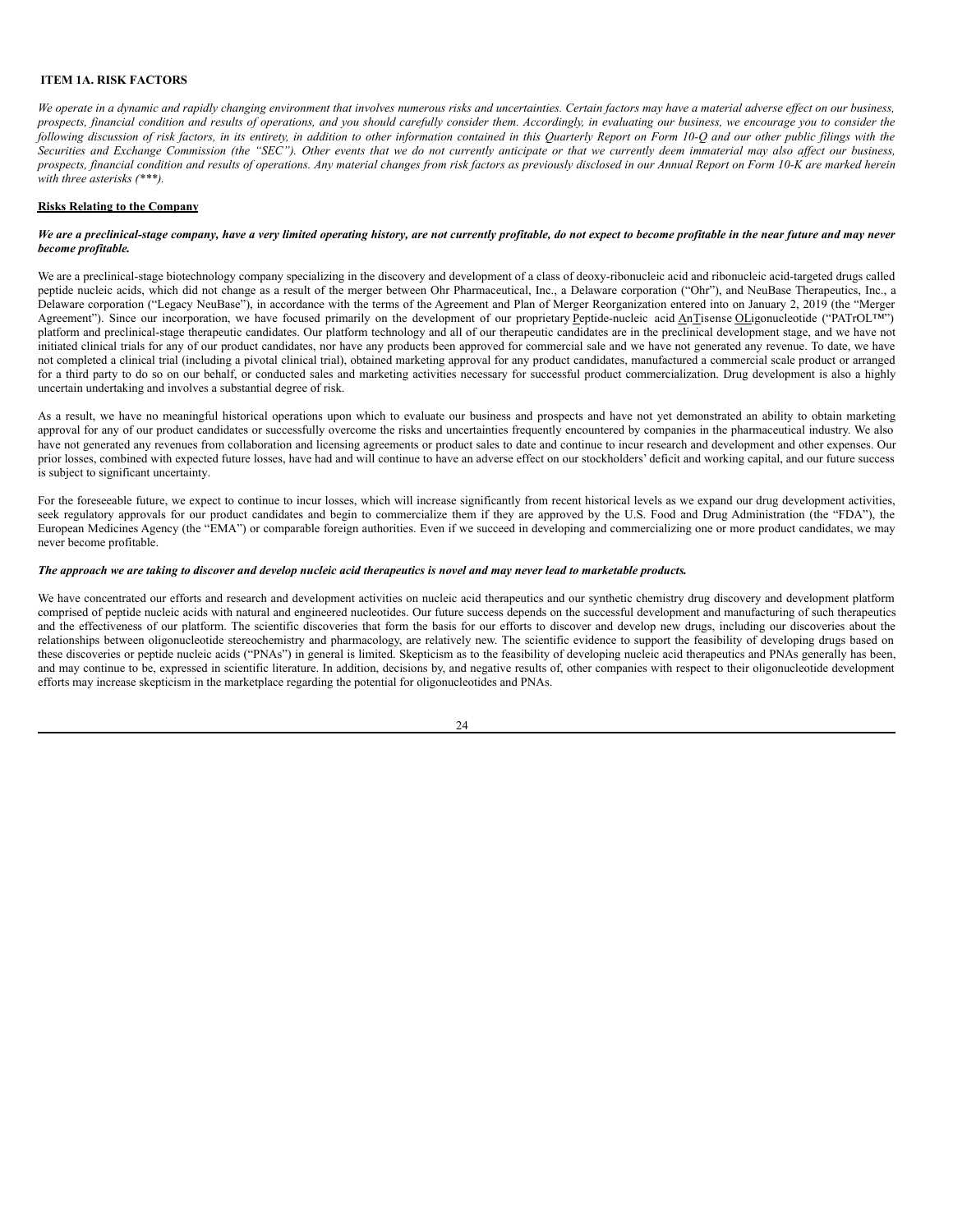## <span id="page-26-0"></span>**ITEM 1A. RISK FACTORS**

We operate in a dynamic and rapidly changing environment that involves numerous risks and uncertainties. Certain factors may have a material adverse effect on our business. prospects, financial condition and results of operations, and you should carefully consider them. Accordingly, in evaluating our business, we encourage you to consider the following discussion of risk factors, in its entirety, in addition to other information contained in this Ouarterly Report on Form 10-O and our other public filings with the Securities and Exchange Commission (the "SEC"). Other events that we do not currently anticipate or that we currently deem immaterial may also affect our business, prospects, financial condition and results of operations. Any material changes from risk factors as previously disclosed in our Annual Report on Form 10-K are marked herein *with three asterisks (\*\*\*).*

## **Risks Relating to the Company**

#### We are a preclinical-stage company, have a very limited operating history, are not currently profitable, do not expect to become profitable in the near future and may never *become profitable.*

We are a preclinical-stage biotechnology company specializing in the discovery and development of a class of deoxy-ribonucleic acid and ribonucleic acid-targeted drugs called peptide nucleic acids, which did not change as a result of the merger between Ohr Pharmaceutical, Inc., a Delaware corporation ("Ohr"), and NeuBase Therapeutics, Inc., a Delaware corporation ("Legacy NeuBase"), in accordance with the terms of the Agreement and Plan of Merger Reorganization entered into on January 2, 2019 (the "Merger Agreement"). Since our incorporation, we have focused primarily on the development of our proprietary Peptide-nucleic acid AnTisense OLigonucleotide ("PATrOL™") platform and preclinical-stage therapeutic candidates. Our platform technology and all of our therapeutic candidates are in the preclinical development stage, and we have not initiated clinical trials for any of our product candidates, nor have any products been approved for commercial sale and we have not generated any revenue. To date, we have not completed a clinical trial (including a pivotal clinical trial), obtained marketing approval for any product candidates, manufactured a commercial scale product or arranged for a third party to do so on our behalf, or conducted sales and marketing activities necessary for successful product commercialization. Drug development is also a highly uncertain undertaking and involves a substantial degree of risk.

As a result, we have no meaningful historical operations upon which to evaluate our business and prospects and have not yet demonstrated an ability to obtain marketing approval for any of our product candidates or successfully overcome the risks and uncertainties frequently encountered by companies in the pharmaceutical industry. We also have not generated any revenues from collaboration and licensing agreements or product sales to date and continue to incur research and development and other expenses. Our prior losses, combined with expected future losses, have had and will continue to have an adverse effect on our stockholders' deficit and working capital, and our future success is subject to significant uncertainty.

For the foreseeable future, we expect to continue to incur losses, which will increase significantly from recent historical levels as we expand our drug development activities, seek regulatory approvals for our product candidates and begin to commercialize them if they are approved by the U.S. Food and Drug Administration (the "FDA"), the European Medicines Agency (the "EMA") or comparable foreign authorities. Even if we succeed in developing and commercializing one or more product candidates, we may never become profitable.

## The approach we are taking to discover and develop nucleic acid therapeutics is novel and may never lead to marketable products.

We have concentrated our efforts and research and development activities on nucleic acid therapeutics and our synthetic chemistry drug discovery and development platform comprised of peptide nucleic acids with natural and engineered nucleotides. Our future success depends on the successful development and manufacturing of such therapeutics and the effectiveness of our platform. The scientific discoveries that form the basis for our efforts to discover and develop new drugs, including our discoveries about the relationships between oligonucleotide stereochemistry and pharmacology, are relatively new. The scientific evidence to support the feasibility of developing drugs based on these discoveries or peptide nucleic acids ("PNAs") in general is limited. Skepticism as to the feasibility of developing nucleic acid therapeutics and PNAs generally has been, and may continue to be, expressed in scientific literature. In addition, decisions by, and negative results of, other companies with respect to their oligonucleotide development efforts may increase skepticism in the marketplace regarding the potential for oligonucleotides and PNAs.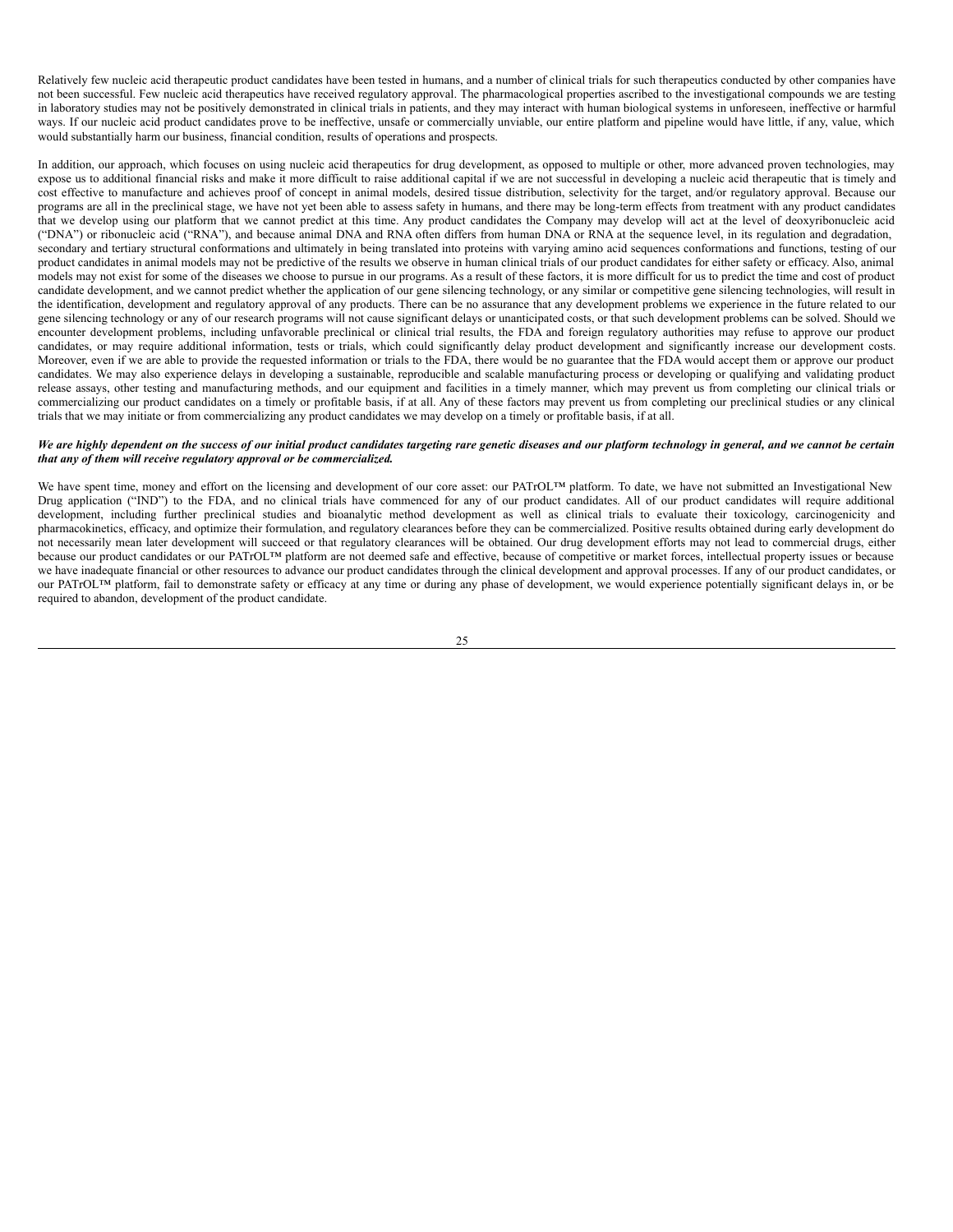Relatively few nucleic acid therapeutic product candidates have been tested in humans, and a number of clinical trials for such therapeutics conducted by other companies have not been successful. Few nucleic acid therapeutics have received regulatory approval. The pharmacological properties ascribed to the investigational compounds we are testing in laboratory studies may not be positively demonstrated in clinical trials in patients, and they may interact with human biological systems in unforeseen, ineffective or harmful ways. If our nucleic acid product candidates prove to be ineffective, unsafe or commercially unviable, our entire platform and pipeline would have little, if any, value, which would substantially harm our business, financial condition, results of operations and prospects.

In addition, our approach, which focuses on using nucleic acid therapeutics for drug development, as opposed to multiple or other, more advanced proven technologies, may expose us to additional financial risks and make it more difficult to raise additional capital if we are not successful in developing a nucleic acid therapeutic that is timely and cost effective to manufacture and achieves proof of concept in animal models, desired tissue distribution, selectivity for the target, and/or regulatory approval. Because our programs are all in the preclinical stage, we have not yet been able to assess safety in humans, and there may be long-term effects from treatment with any product candidates that we develop using our platform that we cannot predict at this time. Any product candidates the Company may develop will act at the level of deoxyribonucleic acid ("DNA") or ribonucleic acid ("RNA"), and because animal DNA and RNA often differs from human DNA or RNA at the sequence level, in its regulation and degradation, secondary and tertiary structural conformations and ultimately in being translated into proteins with varying amino acid sequences conformations and functions, testing of our product candidates in animal models may not be predictive of the results we observe in human clinical trials of our product candidates for either safety or efficacy. Also, animal models may not exist for some of the diseases we choose to pursue in our programs. As a result of these factors, it is more difficult for us to predict the time and cost of product candidate development, and we cannot predict whether the application of our gene silencing technology, or any similar or competitive gene silencing technologies, will result in the identification, development and regulatory approval of any products. There can be no assurance that any development problems we experience in the future related to our gene silencing technology or any of our research programs will not cause significant delays or unanticipated costs, or that such development problems can be solved. Should we encounter development problems, including unfavorable preclinical or clinical trial results, the FDA and foreign regulatory authorities may refuse to approve our product candidates, or may require additional information, tests or trials, which could significantly delay product development and significantly increase our development costs. Moreover, even if we are able to provide the requested information or trials to the FDA, there would be no guarantee that the FDA would accept them or approve our product candidates. We may also experience delays in developing a sustainable, reproducible and scalable manufacturing process or developing or qualifying and validating product release assays, other testing and manufacturing methods, and our equipment and facilities in a timely manner, which may prevent us from completing our clinical trials or commercializing our product candidates on a timely or profitable basis, if at all. Any of these factors may prevent us from completing our preclinical studies or any clinical trials that we may initiate or from commercializing any product candidates we may develop on a timely or profitable basis, if at all.

#### We are highly dependent on the success of our initial product candidates targeting rare genetic diseases and our platform technology in general, and we cannot be certain *that any of them will receive regulatory approval or be commercialized.*

We have spent time, money and effort on the licensing and development of our core asset: our PATrOL™ platform. To date, we have not submitted an Investigational New Drug application ("IND") to the FDA, and no clinical trials have commenced for any of our product candidates. All of our product candidates will require additional development, including further preclinical studies and bioanalytic method development as well as clinical trials to evaluate their toxicology, carcinogenicity and pharmacokinetics, efficacy, and optimize their formulation, and regulatory clearances before they can be commercialized. Positive results obtained during early development do not necessarily mean later development will succeed or that regulatory clearances will be obtained. Our drug development efforts may not lead to commercial drugs, either because our product candidates or our PATrOL<sup>™</sup> platform are not deemed safe and effective, because of competitive or market forces, intellectual property issues or because we have inadequate financial or other resources to advance our product candidates through the clinical development and approval processes. If any of our product candidates, or our PATrOL™ platform, fail to demonstrate safety or efficacy at any time or during any phase of development, we would experience potentially significant delays in, or be required to abandon, development of the product candidate.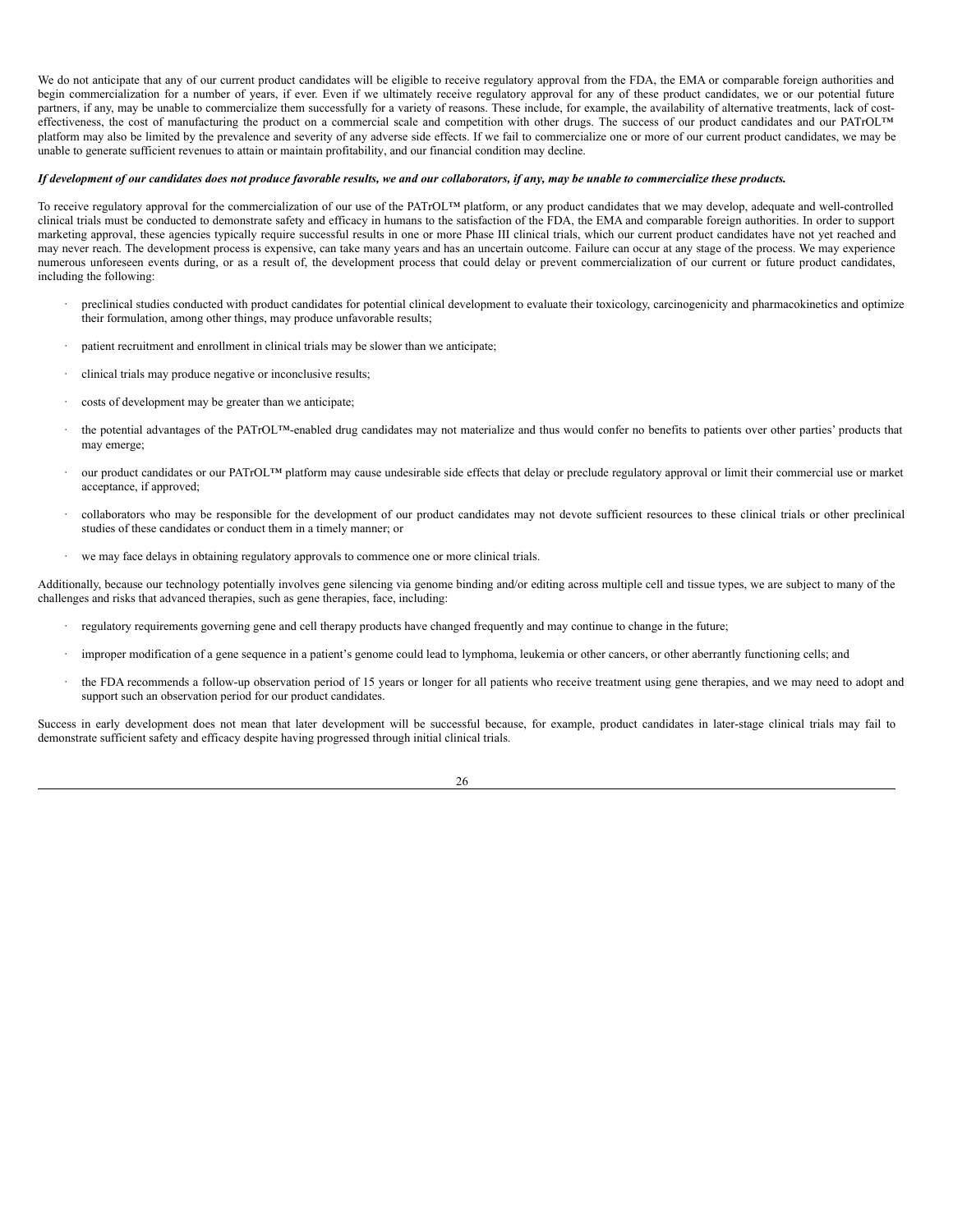We do not anticipate that any of our current product candidates will be eligible to receive regulatory approval from the FDA, the EMA or comparable foreign authorities and begin commercialization for a number of years, if ever. Even if we ultimately receive regulatory approval for any of these product candidates, we or our potential future partners, if any, may be unable to commercialize them successfully for a variety of reasons. These include, for example, the availability of alternative treatments, lack of costeffectiveness, the cost of manufacturing the product on a commercial scale and competition with other drugs. The success of our product candidates and our PATrOL™ platform may also be limited by the prevalence and severity of any adverse side effects. If we fail to commercialize one or more of our current product candidates, we may be unable to generate sufficient revenues to attain or maintain profitability, and our financial condition may decline.

#### If development of our candidates does not produce favorable results, we and our collaborators, if any, may be unable to commercialize these products.

To receive regulatory approval for the commercialization of our use of the PATrOL™ platform, or any product candidates that we may develop, adequate and well-controlled clinical trials must be conducted to demonstrate safety and efficacy in humans to the satisfaction of the FDA, the EMA and comparable foreign authorities. In order to support marketing approval, these agencies typically require successful results in one or more Phase III clinical trials, which our current product candidates have not yet reached and may never reach. The development process is expensive, can take many years and has an uncertain outcome. Failure can occur at any stage of the process. We may experience numerous unforeseen events during, or as a result of, the development process that could delay or prevent commercialization of our current or future product candidates, including the following:

- preclinical studies conducted with product candidates for potential clinical development to evaluate their toxicology, carcinogenicity and pharmacokinetics and optimize their formulation, among other things, may produce unfavorable results;
- natient recruitment and enrollment in clinical trials may be slower than we anticipate:
- · clinical trials may produce negative or inconclusive results;
- costs of development may be greater than we anticipate;
- · the potential advantages of the PATrOL™-enabled drug candidates may not materialize and thus would confer no benefits to patients over other parties' products that may emerge;
- · our product candidates or our PATrOL™ platform may cause undesirable side effects that delay or preclude regulatory approval or limit their commercial use or market acceptance, if approved;
- · collaborators who may be responsible for the development of our product candidates may not devote sufficient resources to these clinical trials or other preclinical studies of these candidates or conduct them in a timely manner; or
- we may face delays in obtaining regulatory approvals to commence one or more clinical trials.

Additionally, because our technology potentially involves gene silencing via genome binding and/or editing across multiple cell and tissue types, we are subject to many of the challenges and risks that advanced therapies, such as gene therapies, face, including:

- · regulatory requirements governing gene and cell therapy products have changed frequently and may continue to change in the future;
- improper modification of a gene sequence in a patient's genome could lead to lymphoma, leukemia or other cancers, or other aberrantly functioning cells; and
- the FDA recommends a follow-up observation period of 15 years or longer for all patients who receive treatment using gene therapies, and we may need to adopt and support such an observation period for our product candidates.

Success in early development does not mean that later development will be successful because, for example, product candidates in later-stage clinical trials may fail to demonstrate sufficient safety and efficacy despite having progressed through initial clinical trials.

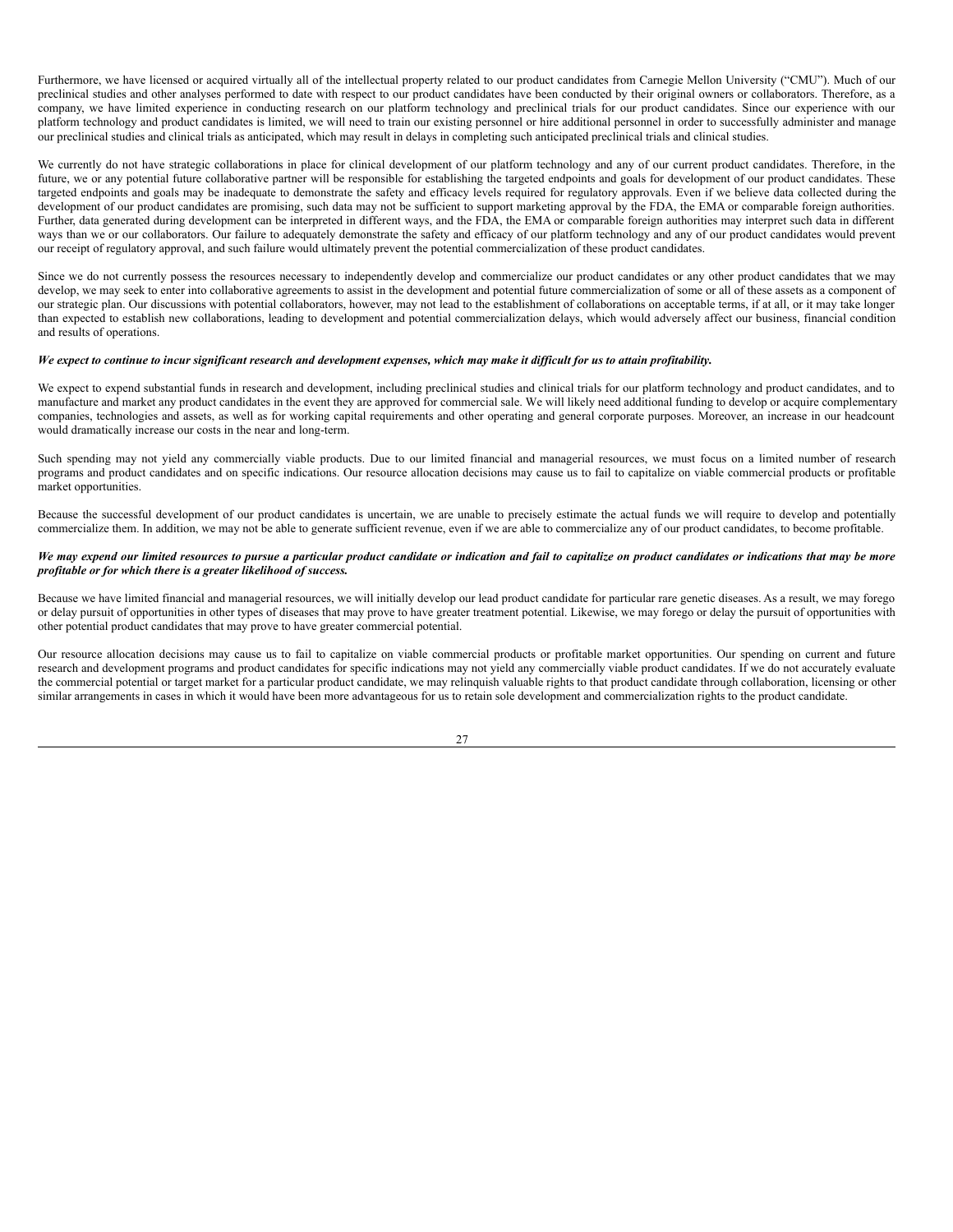Furthermore, we have licensed or acquired virtually all of the intellectual property related to our product candidates from Carnegie Mellon University ("CMU"). Much of our preclinical studies and other analyses performed to date with respect to our product candidates have been conducted by their original owners or collaborators. Therefore, as a company, we have limited experience in conducting research on our platform technology and preclinical trials for our product candidates. Since our experience with our platform technology and product candidates is limited, we will need to train our existing personnel or hire additional personnel in order to successfully administer and manage our preclinical studies and clinical trials as anticipated, which may result in delays in completing such anticipated preclinical trials and clinical studies.

We currently do not have strategic collaborations in place for clinical development of our platform technology and any of our current product candidates. Therefore, in the future, we or any potential future collaborative partner will be responsible for establishing the targeted endpoints and goals for development of our product candidates. These targeted endpoints and goals may be inadequate to demonstrate the safety and efficacy levels required for regulatory approvals. Even if we believe data collected during the development of our product candidates are promising, such data may not be sufficient to support marketing approval by the FDA, the EMA or comparable foreign authorities. Further, data generated during development can be interpreted in different ways, and the FDA, the EMA or comparable foreign authorities may interpret such data in different ways than we or our collaborators. Our failure to adequately demonstrate the safety and efficacy of our platform technology and any of our product candidates would prevent our receipt of regulatory approval, and such failure would ultimately prevent the potential commercialization of these product candidates.

Since we do not currently possess the resources necessary to independently develop and commercialize our product candidates or any other product candidates that we may develop, we may seek to enter into collaborative agreements to assist in the development and potential future commercialization of some or all of these assets as a component of our strategic plan. Our discussions with potential collaborators, however, may not lead to the establishment of collaborations on acceptable terms, if at all, or it may take longer than expected to establish new collaborations, leading to development and potential commercialization delays, which would adversely affect our business, financial condition and results of operations.

#### We expect to continue to incur significant research and development expenses, which may make it difficult for us to attain profitability.

We expect to expend substantial funds in research and development, including preclinical studies and clinical trials for our platform technology and product candidates, and to manufacture and market any product candidates in the event they are approved for commercial sale. We will likely need additional funding to develop or acquire complementary companies, technologies and assets, as well as for working capital requirements and other operating and general corporate purposes. Moreover, an increase in our headcount would dramatically increase our costs in the near and long-term.

Such spending may not yield any commercially viable products. Due to our limited financial and managerial resources, we must focus on a limited number of research programs and product candidates and on specific indications. Our resource allocation decisions may cause us to fail to capitalize on viable commercial products or profitable market opportunities.

Because the successful development of our product candidates is uncertain, we are unable to precisely estimate the actual funds we will require to develop and potentially commercialize them. In addition, we may not be able to generate sufficient revenue, even if we are able to commercialize any of our product candidates, to become profitable.

#### We may expend our limited resources to pursue a particular product candidate or indication and fail to capitalize on product candidates or indications that may be more *profitable or for which there is a greater likelihood of success.*

Because we have limited financial and managerial resources, we will initially develop our lead product candidate for particular rare genetic diseases. As a result, we may forego or delay pursuit of opportunities in other types of diseases that may prove to have greater treatment potential. Likewise, we may forego or delay the pursuit of opportunities with other potential product candidates that may prove to have greater commercial potential.

Our resource allocation decisions may cause us to fail to capitalize on viable commercial products or profitable market opportunities. Our spending on current and future research and development programs and product candidates for specific indications may not yield any commercially viable product candidates. If we do not accurately evaluate the commercial potential or target market for a particular product candidate, we may relinquish valuable rights to that product candidate through collaboration, licensing or other similar arrangements in cases in which it would have been more advantageous for us to retain sole development and commercialization rights to the product candidate.

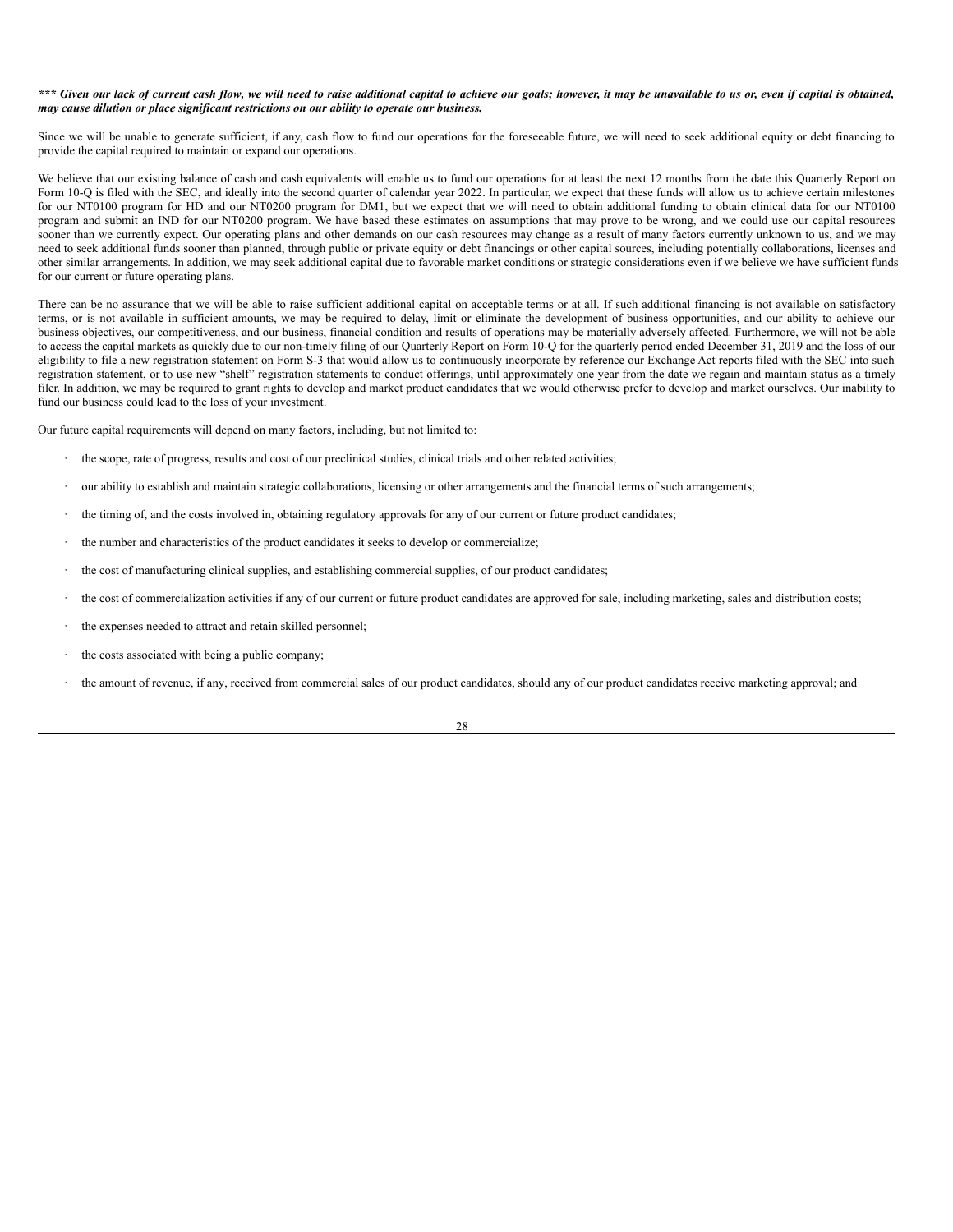### \*\*\* Given our lack of current cash flow, we will need to raise additional capital to achieve our goals; however, it may be unavailable to us or, even if capital is obtained, *may cause dilution or place significant restrictions on our ability to operate our business.*

Since we will be unable to generate sufficient, if any, cash flow to fund our operations for the foreseeable future, we will need to seek additional equity or debt financing to provide the capital required to maintain or expand our operations.

We believe that our existing balance of cash and cash equivalents will enable us to fund our operations for at least the next 12 months from the date this Quarterly Report on Form 10-Q is filed with the SEC, and ideally into the second quarter of calendar year 2022. In particular, we expect that these funds will allow us to achieve certain milestones for our NT0100 program for HD and our NT0200 program for DM1, but we expect that we will need to obtain additional funding to obtain clinical data for our NT0100 program and submit an IND for our NT0200 program. We have based these estimates on assumptions that may prove to be wrong, and we could use our capital resources sooner than we currently expect. Our operating plans and other demands on our cash resources may change as a result of many factors currently unknown to us, and we may need to seek additional funds sooner than planned, through public or private equity or debt financings or other capital sources, including potentially collaborations, licenses and other similar arrangements. In addition, we may seek additional capital due to favorable market conditions or strategic considerations even if we believe we have sufficient funds for our current or future operating plans.

There can be no assurance that we will be able to raise sufficient additional capital on acceptable terms or at all. If such additional financing is not available on satisfactory terms, or is not available in sufficient amounts, we may be required to delay, limit or eliminate the development of business opportunities, and our ability to achieve our business objectives, our competitiveness, and our business, financial condition and results of operations may be materially adversely affected. Furthermore, we will not be able to access the capital markets as quickly due to our non-timely filing of our Quarterly Report on Form 10-Q for the quarterly period ended December 31, 2019 and the loss of our eligibility to file a new registration statement on Form S-3 that would allow us to continuously incorporate by reference our Exchange Act reports filed with the SEC into such registration statement, or to use new "shelf" registration statements to conduct offerings, until approximately one year from the date we regain and maintain status as a timely filer. In addition, we may be required to grant rights to develop and market product candidates that we would otherwise prefer to develop and market ourselves. Our inability to fund our business could lead to the loss of your investment.

Our future capital requirements will depend on many factors, including, but not limited to:

- · the scope, rate of progress, results and cost of our preclinical studies, clinical trials and other related activities;
- · our ability to establish and maintain strategic collaborations, licensing or other arrangements and the financial terms of such arrangements;
- the timing of, and the costs involved in, obtaining regulatory approvals for any of our current or future product candidates;
- · the number and characteristics of the product candidates it seeks to develop or commercialize;
- the cost of manufacturing clinical supplies, and establishing commercial supplies, of our product candidates;
- the cost of commercialization activities if any of our current or future product candidates are approved for sale, including marketing, sales and distribution costs;
- the expenses needed to attract and retain skilled personnel;
- the costs associated with being a public company;
- the amount of revenue, if any, received from commercial sales of our product candidates, should any of our product candidates receive marketing approval; and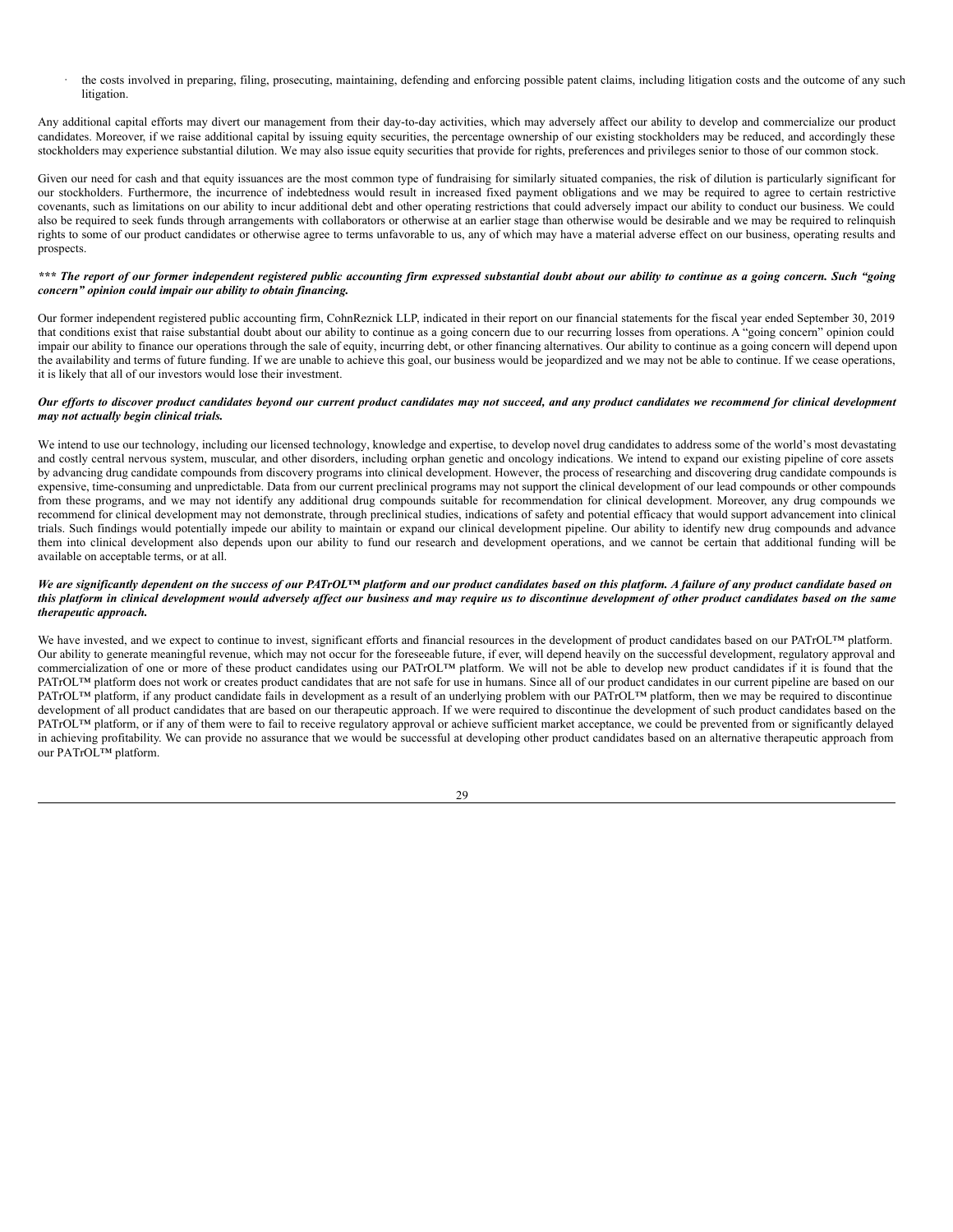· the costs involved in preparing, filing, prosecuting, maintaining, defending and enforcing possible patent claims, including litigation costs and the outcome of any such litigation.

Any additional capital efforts may divert our management from their day-to-day activities, which may adversely affect our ability to develop and commercialize our product candidates. Moreover, if we raise additional capital by issuing equity securities, the percentage ownership of our existing stockholders may be reduced, and accordingly these stockholders may experience substantial dilution. We may also issue equity securities that provide for rights, preferences and privileges senior to those of our common stock.

Given our need for cash and that equity issuances are the most common type of fundraising for similarly situated companies, the risk of dilution is particularly significant for our stockholders. Furthermore, the incurrence of indebtedness would result in increased fixed payment obligations and we may be required to agree to certain restrictive covenants, such as limitations on our ability to incur additional debt and other operating restrictions that could adversely impact our ability to conduct our business. We could also be required to seek funds through arrangements with collaborators or otherwise at an earlier stage than otherwise would be desirable and we may be required to relinquish rights to some of our product candidates or otherwise agree to terms unfavorable to us, any of which may have a material adverse effect on our business, operating results and prospects.

## \*\*\* The report of our former independent registered public accounting firm expressed substantial doubt about our ability to continue as a going concern. Such "going *concern" opinion could impair our ability to obtain financing.*

Our former independent registered public accounting firm, CohnReznick LLP, indicated in their report on our financial statements for the fiscal year ended September 30, 2019 that conditions exist that raise substantial doubt about our ability to continue as a going concern due to our recurring losses from operations. A "going concern" opinion could impair our ability to finance our operations through the sale of equity, incurring debt, or other financing alternatives. Our ability to continue as a going concern will depend upon the availability and terms of future funding. If we are unable to achieve this goal, our business would be jeopardized and we may not be able to continue. If we cease operations, it is likely that all of our investors would lose their investment.

## Our efforts to discover product candidates beyond our current product candidates may not succeed, and any product candidates we recommend for clinical development *may not actually begin clinical trials.*

We intend to use our technology, including our licensed technology, knowledge and expertise, to develop novel drug candidates to address some of the world's most devastating and costly central nervous system, muscular, and other disorders, including orphan genetic and oncology indications. We intend to expand our existing pipeline of core assets by advancing drug candidate compounds from discovery programs into clinical development. However, the process of researching and discovering drug candidate compounds is expensive, time-consuming and unpredictable. Data from our current preclinical programs may not support the clinical development of our lead compounds or other compounds from these programs, and we may not identify any additional drug compounds suitable for recommendation for clinical development. Moreover, any drug compounds we recommend for clinical development may not demonstrate, through preclinical studies, indications of safety and potential efficacy that would support advancement into clinical trials. Such findings would potentially impede our ability to maintain or expand our clinical development pipeline. Our ability to identify new drug compounds and advance them into clinical development also depends upon our ability to fund our research and development operations, and we cannot be certain that additional funding will be available on acceptable terms, or at all.

## We are significantly dependent on the success of our PATrOL<sup>TM</sup> platform and our product candidates based on this platform. A failure of any product candidate based on this platform in clinical development would adversely affect our business and may require us to discontinue development of other product candidates based on the same *therapeutic approach.*

We have invested, and we expect to continue to invest, significant efforts and financial resources in the development of product candidates based on our PATrOL™ platform. Our ability to generate meaningful revenue, which may not occur for the foreseeable future, if ever, will depend heavily on the successful development, regulatory approval and commercialization of one or more of these product candidates using our PATrOL™ platform. We will not be able to develop new product candidates if it is found that the PATrOL<sup>™</sup> platform does not work or creates product candidates that are not safe for use in humans. Since all of our product candidates in our current pipeline are based on our PATrOL™ platform, if any product candidate fails in development as a result of an underlying problem with our PATrOL™ platform, then we may be required to discontinue development of all product candidates that are based on our therapeutic approach. If we were required to discontinue the development of such product candidates based on the PATrOL<sup>™</sup> platform, or if any of them were to fail to receive regulatory approval or achieve sufficient market acceptance, we could be prevented from or significantly delayed in achieving profitability. We can provide no assurance that we would be successful at developing other product candidates based on an alternative therapeutic approach from our PATrOL™ platform.

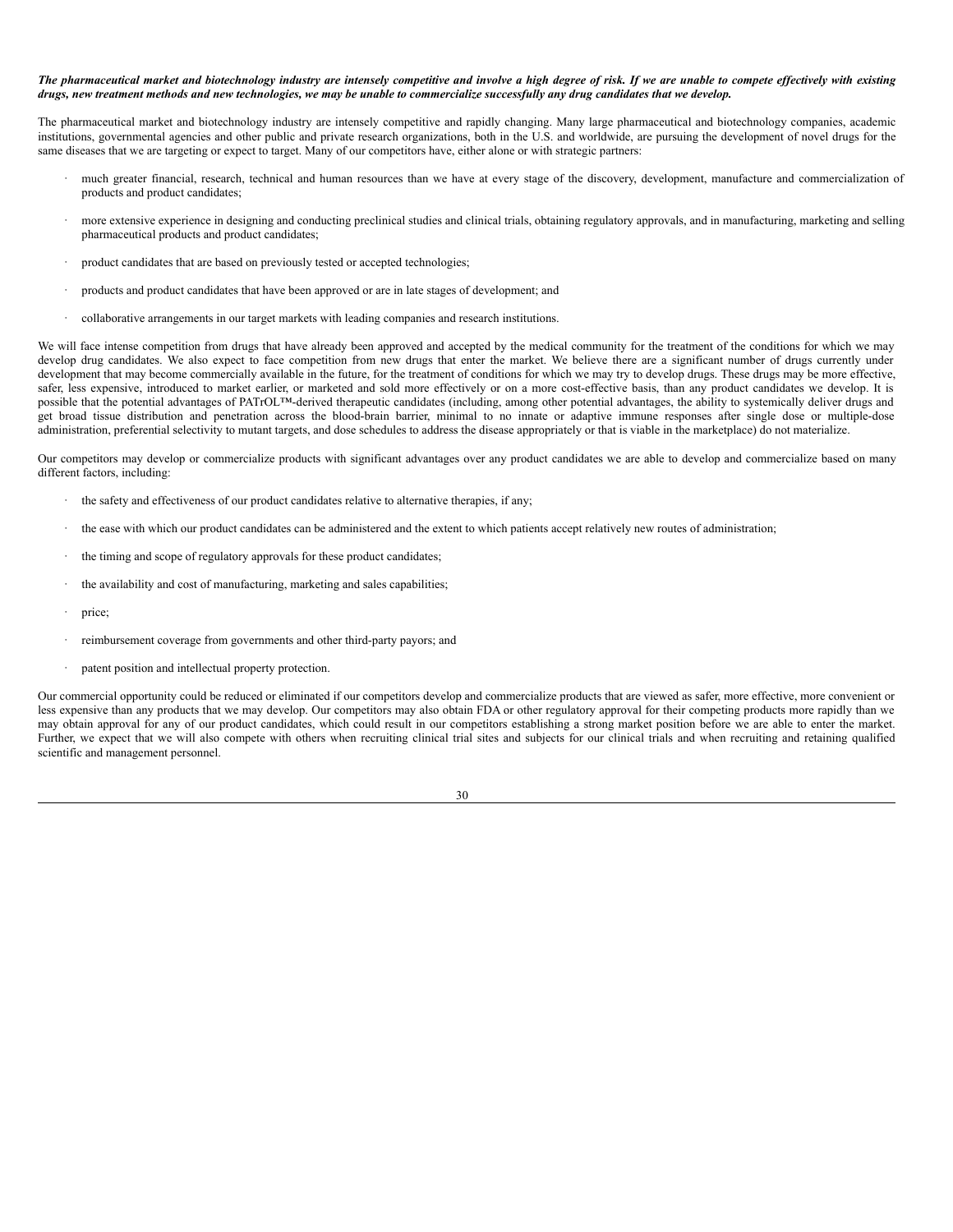#### The pharmaceutical market and biotechnology industry are intensely competitive and involve a high degree of risk. If we are unable to compete effectively with existing drugs, new treatment methods and new technologies, we may be unable to commercialize successfully any drug candidates that we develop.

The pharmaceutical market and biotechnology industry are intensely competitive and rapidly changing. Many large pharmaceutical and biotechnology companies, academic institutions, governmental agencies and other public and private research organizations, both in the U.S. and worldwide, are pursuing the development of novel drugs for the same diseases that we are targeting or expect to target. Many of our competitors have, either alone or with strategic partners:

- much greater financial, research, technical and human resources than we have at every stage of the discovery, development, manufacture and commercialization of products and product candidates;
- more extensive experience in designing and conducting preclinical studies and clinical trials, obtaining regulatory approvals, and in manufacturing, marketing and selling pharmaceutical products and product candidates;
- product candidates that are based on previously tested or accepted technologies;
- products and product candidates that have been approved or are in late stages of development; and
- · collaborative arrangements in our target markets with leading companies and research institutions.

We will face intense competition from drugs that have already been approved and accepted by the medical community for the treatment of the conditions for which we may develop drug candidates. We also expect to face competition from new drugs that enter the market. We believe there are a significant number of drugs currently under development that may become commercially available in the future, for the treatment of conditions for which we may try to develop drugs. These drugs may be more effective, safer, less expensive, introduced to market earlier, or marketed and sold more effectively or on a more cost-effective basis, than any product candidates we develop. It is possible that the potential advantages of PATrOL™-derived therapeutic candidates (including, among other potential advantages, the ability to systemically deliver drugs and get broad tissue distribution and penetration across the blood-brain barrier, minimal to no innate or adaptive immune responses after single dose or multiple-dose administration, preferential selectivity to mutant targets, and dose schedules to address the disease appropriately or that is viable in the marketplace) do not materialize.

Our competitors may develop or commercialize products with significant advantages over any product candidates we are able to develop and commercialize based on many different factors, including:

- · the safety and effectiveness of our product candidates relative to alternative therapies, if any;
- · the ease with which our product candidates can be administered and the extent to which patients accept relatively new routes of administration;
- the timing and scope of regulatory approvals for these product candidates;
- the availability and cost of manufacturing, marketing and sales capabilities;
- · price;
- reimbursement coverage from governments and other third-party payors; and
- patent position and intellectual property protection.

Our commercial opportunity could be reduced or eliminated if our competitors develop and commercialize products that are viewed as safer, more effective, more convenient or less expensive than any products that we may develop. Our competitors may also obtain FDA or other regulatory approval for their competing products more rapidly than we may obtain approval for any of our product candidates, which could result in our competitors establishing a strong market position before we are able to enter the market. Further, we expect that we will also compete with others when recruiting clinical trial sites and subjects for our clinical trials and when recruiting and retaining qualified scientific and management personnel.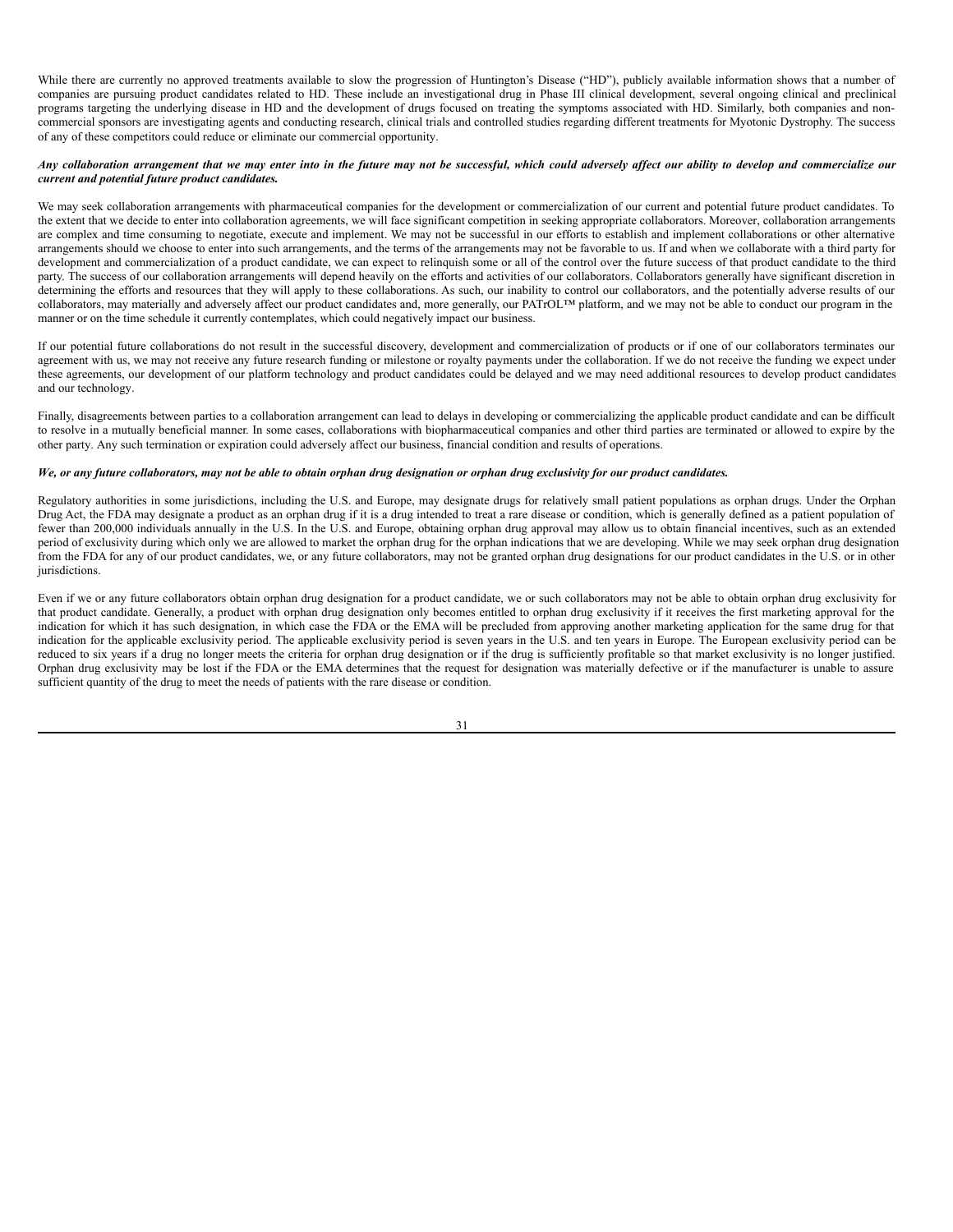While there are currently no approved treatments available to slow the progression of Huntington's Disease ("HD"), publicly available information shows that a number of companies are pursuing product candidates related to HD. These include an investigational drug in Phase III clinical development, several ongoing clinical and preclinical programs targeting the underlying disease in HD and the development of drugs focused on treating the symptoms associated with HD. Similarly, both companies and noncommercial sponsors are investigating agents and conducting research, clinical trials and controlled studies regarding different treatments for Myotonic Dystrophy. The success of any of these competitors could reduce or eliminate our commercial opportunity.

## Any collaboration arrangement that we may enter into in the future may not be successful, which could adversely affect our ability to develop and commercialize our *current and potential future product candidates.*

We may seek collaboration arrangements with pharmaceutical companies for the development or commercialization of our current and potential future product candidates. To the extent that we decide to enter into collaboration agreements, we will face significant competition in seeking appropriate collaborators. Moreover, collaboration arrangements are complex and time consuming to negotiate, execute and implement. We may not be successful in our efforts to establish and implement collaborations or other alternative arrangements should we choose to enter into such arrangements, and the terms of the arrangements may not be favorable to us. If and when we collaborate with a third party for development and commercialization of a product candidate, we can expect to relinquish some or all of the control over the future success of that product candidate to the third party. The success of our collaboration arrangements will depend heavily on the efforts and activities of our collaborators. Collaborators generally have significant discretion in determining the efforts and resources that they will apply to these collaborations. As such, our inability to control our collaborators, and the potentially adverse results of our collaborators, may materially and adversely affect our product candidates and, more generally, our PATrOL™ platform, and we may not be able to conduct our program in the manner or on the time schedule it currently contemplates, which could negatively impact our business.

If our potential future collaborations do not result in the successful discovery, development and commercialization of products or if one of our collaborators terminates our agreement with us, we may not receive any future research funding or milestone or royalty payments under the collaboration. If we do not receive the funding we expect under these agreements, our development of our platform technology and product candidates could be delayed and we may need additional resources to develop product candidates and our technology.

Finally, disagreements between parties to a collaboration arrangement can lead to delays in developing or commercializing the applicable product candidate and can be difficult to resolve in a mutually beneficial manner. In some cases, collaborations with biopharmaceutical companies and other third parties are terminated or allowed to expire by the other party. Any such termination or expiration could adversely affect our business, financial condition and results of operations.

## We, or any future collaborators, may not be able to obtain orphan drug designation or orphan drug exclusivity for our product candidates.

Regulatory authorities in some jurisdictions, including the U.S. and Europe, may designate drugs for relatively small patient populations as orphan drugs. Under the Orphan Drug Act, the FDA may designate a product as an orphan drug if it is a drug intended to treat a rare disease or condition, which is generally defined as a patient population of fewer than 200,000 individuals annually in the U.S. In the U.S. and Europe, obtaining orphan drug approval may allow us to obtain financial incentives, such as an extended period of exclusivity during which only we are allowed to market the orphan drug for the orphan indications that we are developing. While we may seek orphan drug designation from the FDA for any of our product candidates, we, or any future collaborators, may not be granted orphan drug designations for our product candidates in the U.S. or in other jurisdictions.

Even if we or any future collaborators obtain orphan drug designation for a product candidate, we or such collaborators may not be able to obtain orphan drug exclusivity for that product candidate. Generally, a product with orphan drug designation only becomes entitled to orphan drug exclusivity if it receives the first marketing approval for the indication for which it has such designation, in which case the FDA or the EMA will be precluded from approving another marketing application for the same drug for that indication for the applicable exclusivity period. The applicable exclusivity period is seven years in the U.S. and ten years in Europe. The European exclusivity period can be reduced to six years if a drug no longer meets the criteria for orphan drug designation or if the drug is sufficiently profitable so that market exclusivity is no longer justified. Orphan drug exclusivity may be lost if the FDA or the EMA determines that the request for designation was materially defective or if the manufacturer is unable to assure sufficient quantity of the drug to meet the needs of patients with the rare disease or condition.

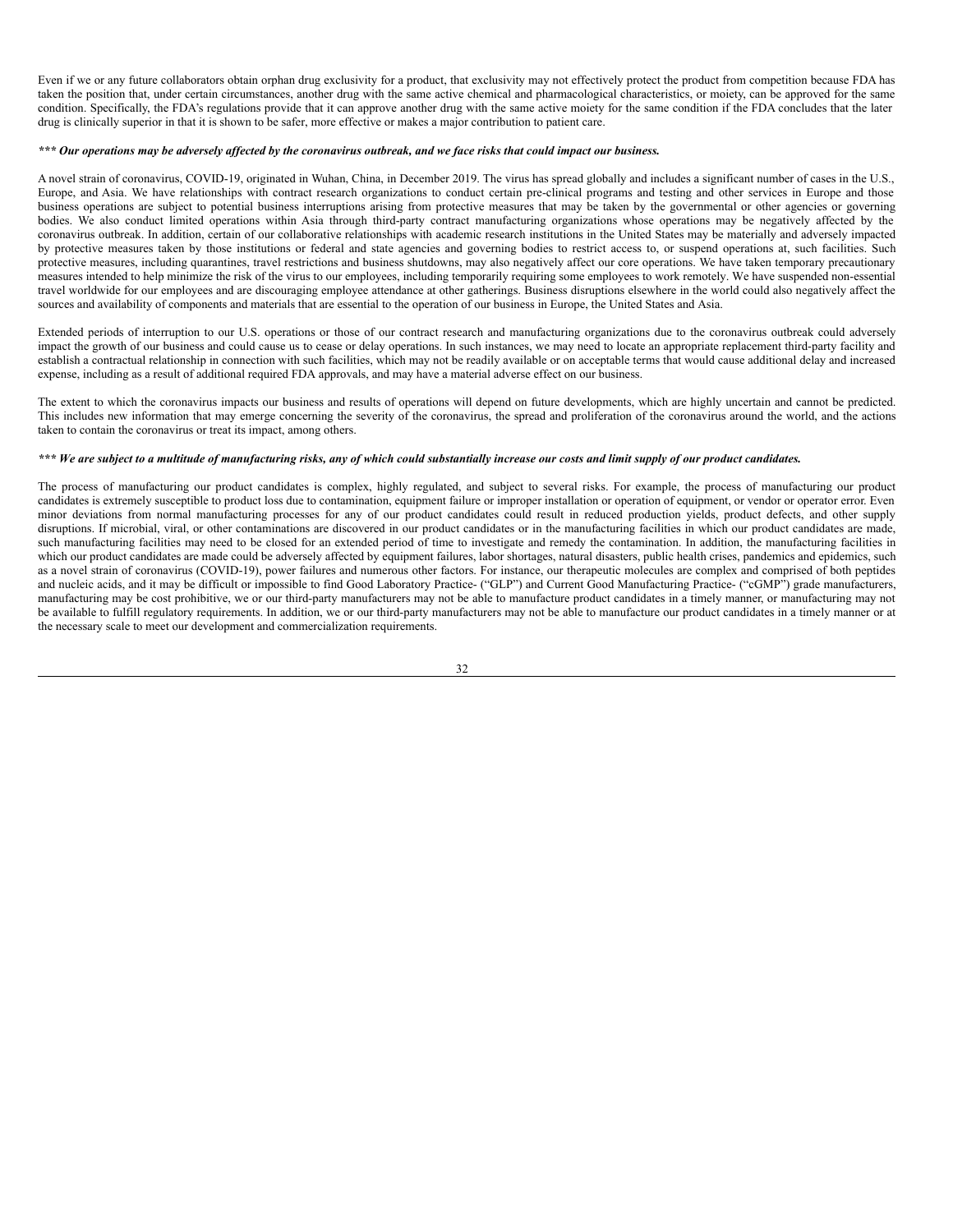Even if we or any future collaborators obtain orphan drug exclusivity for a product, that exclusivity may not effectively protect the product from competition because FDA has taken the position that, under certain circumstances, another drug with the same active chemical and pharmacological characteristics, or moiety, can be approved for the same condition. Specifically, the FDA's regulations provide that it can approve another drug with the same active moiety for the same condition if the FDA concludes that the later drug is clinically superior in that it is shown to be safer, more effective or makes a major contribution to patient care.

## \*\*\* Our operations may be adversely affected by the coronavirus outbreak, and we face risks that could impact our business.

A novel strain of coronavirus, COVID-19, originated in Wuhan, China, in December 2019. The virus has spread globally and includes a significant number of cases in the U.S., Europe, and Asia. We have relationships with contract research organizations to conduct certain pre-clinical programs and testing and other services in Europe and those business operations are subject to potential business interruptions arising from protective measures that may be taken by the governmental or other agencies or governing bodies. We also conduct limited operations within Asia through third-party contract manufacturing organizations whose operations may be negatively affected by the coronavirus outbreak. In addition, certain of our collaborative relationships with academic research institutions in the United States may be materially and adversely impacted by protective measures taken by those institutions or federal and state agencies and governing bodies to restrict access to, or suspend operations at, such facilities. Such protective measures, including quarantines, travel restrictions and business shutdowns, may also negatively affect our core operations. We have taken temporary precautionary measures intended to help minimize the risk of the virus to our employees, including temporarily requiring some employees to work remotely. We have suspended non-essential travel worldwide for our employees and are discouraging employee attendance at other gatherings. Business disruptions elsewhere in the world could also negatively affect the sources and availability of components and materials that are essential to the operation of our business in Europe, the United States and Asia.

Extended periods of interruption to our U.S. operations or those of our contract research and manufacturing organizations due to the coronavirus outbreak could adversely impact the growth of our business and could cause us to cease or delay operations. In such instances, we may need to locate an appropriate replacement third-party facility and establish a contractual relationship in connection with such facilities, which may not be readily available or on acceptable terms that would cause additional delay and increased expense, including as a result of additional required FDA approvals, and may have a material adverse effect on our business.

The extent to which the coronavirus impacts our business and results of operations will depend on future developments, which are highly uncertain and cannot be predicted. This includes new information that may emerge concerning the severity of the coronavirus, the spread and proliferation of the coronavirus around the world, and the actions taken to contain the coronavirus or treat its impact, among others.

## \*\*\* We are subject to a multitude of manufacturing risks, any of which could substantially increase our costs and limit supply of our product candidates.

The process of manufacturing our product candidates is complex, highly regulated, and subject to several risks. For example, the process of manufacturing our product candidates is extremely susceptible to product loss due to contamination, equipment failure or improper installation or operation of equipment, or vendor or operator error. Even minor deviations from normal manufacturing processes for any of our product candidates could result in reduced production yields, product defects, and other supply disruptions. If microbial, viral, or other contaminations are discovered in our product candidates or in the manufacturing facilities in which our product candidates are made, such manufacturing facilities may need to be closed for an extended period of time to investigate and remedy the contamination. In addition, the manufacturing facilities in which our product candidates are made could be adversely affected by equipment failures, labor shortages, natural disasters, public health crises, pandemics and epidemics, such as a novel strain of coronavirus (COVID-19), power failures and numerous other factors. For instance, our therapeutic molecules are complex and comprised of both peptides and nucleic acids, and it may be difficult or impossible to find Good Laboratory Practice- ("GLP") and Current Good Manufacturing Practice- ("GGMP") grade manufacturers, manufacturing may be cost prohibitive, we or our third-party manufacturers may not be able to manufacture product candidates in a timely manner, or manufacturing may not be available to fulfill regulatory requirements. In addition, we or our third-party manufacturers may not be able to manufacture our product candidates in a timely manner or at the necessary scale to meet our development and commercialization requirements.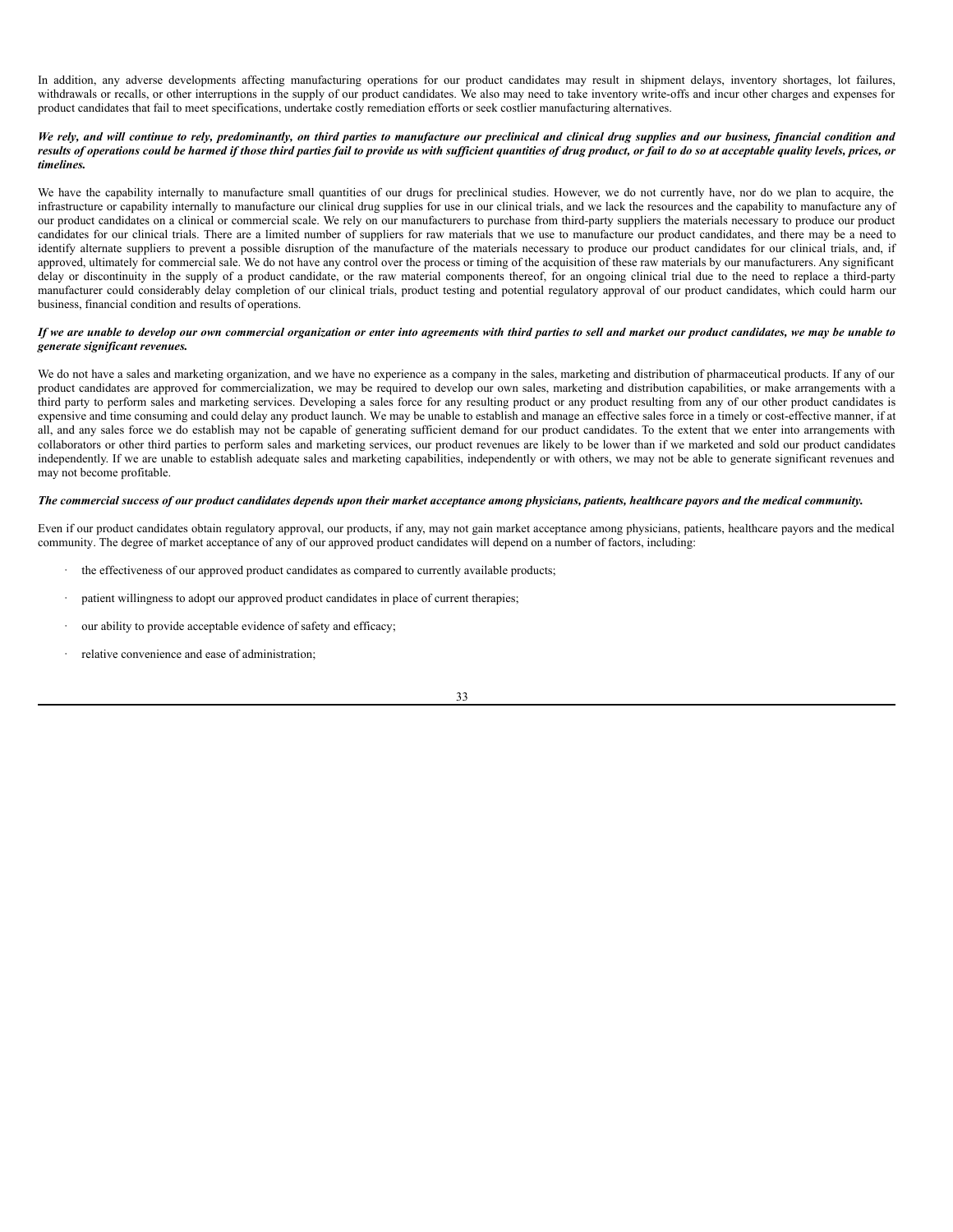In addition, any adverse developments affecting manufacturing operations for our product candidates may result in shipment delays, inventory shortages, lot failures, withdrawals or recalls, or other interruptions in the supply of our product candidates. We also may need to take inventory write-offs and incur other charges and expenses for product candidates that fail to meet specifications, undertake costly remediation efforts or seek costlier manufacturing alternatives.

## We rely, and will continue to rely, predominantly, on third parties to manufacture our preclinical and clinical drug supplies and our business, financial condition and results of operations could be harmed if those third parties fail to provide us with sufficient quantities of drug product, or fail to do so at acceptable quality levels, prices, or *timelines.*

We have the capability internally to manufacture small quantities of our drugs for preclinical studies. However, we do not currently have, nor do we plan to acquire, the infrastructure or capability internally to manufacture our clinical drug supplies for use in our clinical trials, and we lack the resources and the capability to manufacture any of our product candidates on a clinical or commercial scale. We rely on our manufacturers to purchase from third-party suppliers the materials necessary to produce our product candidates for our clinical trials. There are a limited number of suppliers for raw materials that we use to manufacture our product candidates, and there may be a need to identify alternate suppliers to prevent a possible disruption of the manufacture of the materials necessary to produce our product candidates for our clinical trials, and, if approved, ultimately for commercial sale. We do not have any control over the process or timing of the acquisition of these raw materials by our manufacturers. Any significant delay or discontinuity in the supply of a product candidate, or the raw material components thereof, for an ongoing clinical trial due to the need to replace a third-party manufacturer could considerably delay completion of our clinical trials, product testing and potential regulatory approval of our product candidates, which could harm our business, financial condition and results of operations.

## If we are unable to develop our own commercial organization or enter into agreements with third parties to sell and market our product candidates, we may be unable to *generate significant revenues.*

We do not have a sales and marketing organization, and we have no experience as a company in the sales, marketing and distribution of pharmaceutical products. If any of our product candidates are approved for commercialization, we may be required to develop our own sales, marketing and distribution capabilities, or make arrangements with a third party to perform sales and marketing services. Developing a sales force for any resulting product or any product resulting from any of our other product candidates is expensive and time consuming and could delay any product launch. We may be unable to establish and manage an effective sales force in a timely or cost-effective manner, if at all, and any sales force we do establish may not be capable of generating sufficient demand for our product candidates. To the extent that we enter into arrangements with collaborators or other third parties to perform sales and marketing services, our product revenues are likely to be lower than if we marketed and sold our product candidates independently. If we are unable to establish adequate sales and marketing capabilities, independently or with others, we may not be able to generate significant revenues and may not become profitable.

#### The commercial success of our product candidates depends upon their market acceptance among physicians, patients, healthcare payors and the medical community.

Even if our product candidates obtain regulatory approval, our products, if any, may not gain market acceptance among physicians, patients, healthcare payors and the medical community. The degree of market acceptance of any of our approved product candidates will depend on a number of factors, including:

- · the effectiveness of our approved product candidates as compared to currently available products;
- patient willingness to adopt our approved product candidates in place of current therapies;
- our ability to provide acceptable evidence of safety and efficacy;
- relative convenience and ease of administration:

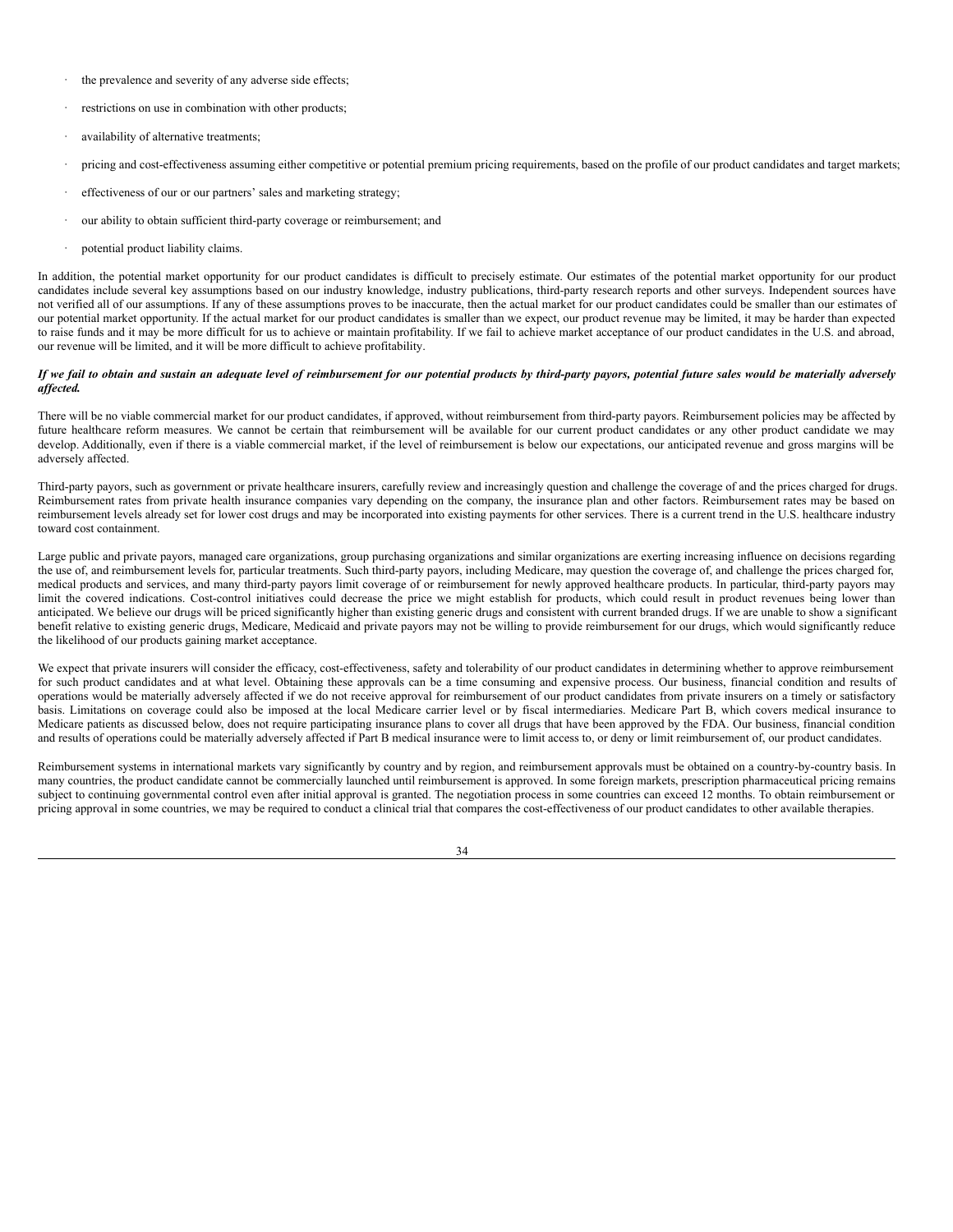- the prevalence and severity of any adverse side effects;
- restrictions on use in combination with other products;
- availability of alternative treatments;
- pricing and cost-effectiveness assuming either competitive or potential premium pricing requirements, based on the profile of our product candidates and target markets;
- effectiveness of our or our partners' sales and marketing strategy;
- our ability to obtain sufficient third-party coverage or reimbursement; and
- potential product liability claims.

In addition, the potential market opportunity for our product candidates is difficult to precisely estimate. Our estimates of the potential market opportunity for our product candidates include several key assumptions based on our industry knowledge, industry publications, third-party research reports and other surveys. Independent sources have not verified all of our assumptions. If any of these assumptions proves to be inaccurate, then the actual market for our product candidates could be smaller than our estimates of our potential market opportunity. If the actual market for our product candidates is smaller than we expect, our product revenue may be limited, it may be harder than expected to raise funds and it may be more difficult for us to achieve or maintain profitability. If we fail to achieve market acceptance of our product candidates in the U.S. and abroad, our revenue will be limited, and it will be more difficult to achieve profitability.

## If we fail to obtain and sustain an adequate level of reimbursement for our potential products by third-party payors, potential future sales would be materially adversely *af ected.*

There will be no viable commercial market for our product candidates, if approved, without reimbursement from third-party payors. Reimbursement policies may be affected by future healthcare reform measures. We cannot be certain that reimbursement will be available for our current product candidates or any other product candidate we may develop. Additionally, even if there is a viable commercial market, if the level of reimbursement is below our expectations, our anticipated revenue and gross margins will be adversely affected.

Third-party payors, such as government or private healthcare insurers, carefully review and increasingly question and challenge the coverage of and the prices charged for drugs. Reimbursement rates from private health insurance companies vary depending on the company, the insurance plan and other factors. Reimbursement rates may be based on reimbursement levels already set for lower cost drugs and may be incorporated into existing payments for other services. There is a current trend in the U.S. healthcare industry toward cost containment.

Large public and private payors, managed care organizations, group purchasing organizations and similar organizations are exerting increasing influence on decisions regarding the use of, and reimbursement levels for, particular treatments. Such third-party payors, including Medicare, may question the coverage of, and challenge the prices charged for, medical products and services, and many third-party payors limit coverage of or reimbursement for newly approved healthcare products. In particular, third-party payors may limit the covered indications. Cost-control initiatives could decrease the price we might establish for products, which could result in product revenues being lower than anticipated. We believe our drugs will be priced significantly higher than existing generic drugs and consistent with current branded drugs. If we are unable to show a significant benefit relative to existing generic drugs, Medicare, Medicaid and private payors may not be willing to provide reimbursement for our drugs, which would significantly reduce the likelihood of our products gaining market acceptance.

We expect that private insurers will consider the efficacy, cost-effectiveness, safety and tolerability of our product candidates in determining whether to approve reimbursement for such product candidates and at what level. Obtaining these approvals can be a time consuming and expensive process. Our business, financial condition and results of operations would be materially adversely affected if we do not receive approval for reimbursement of our product candidates from private insurers on a timely or satisfactory basis. Limitations on coverage could also be imposed at the local Medicare carrier level or by fiscal intermediaries. Medicare Part B, which covers medical insurance to Medicare patients as discussed below, does not require participating insurance plans to cover all drugs that have been approved by the FDA. Our business, financial condition and results of operations could be materially adversely affected if Part B medical insurance were to limit access to, or deny or limit reimbursement of, our product candidates.

Reimbursement systems in international markets vary significantly by country and by region, and reimbursement approvals must be obtained on a country-by-country basis. In many countries, the product candidate cannot be commercially launched until reimbursement is approved. In some foreign markets, prescription pharmaceutical pricing remains subject to continuing governmental control even after initial approval is granted. The negotiation process in some countries can exceed 12 months. To obtain reimbursement or pricing approval in some countries, we may be required to conduct a clinical trial that compares the cost-effectiveness of our product candidates to other available therapies.

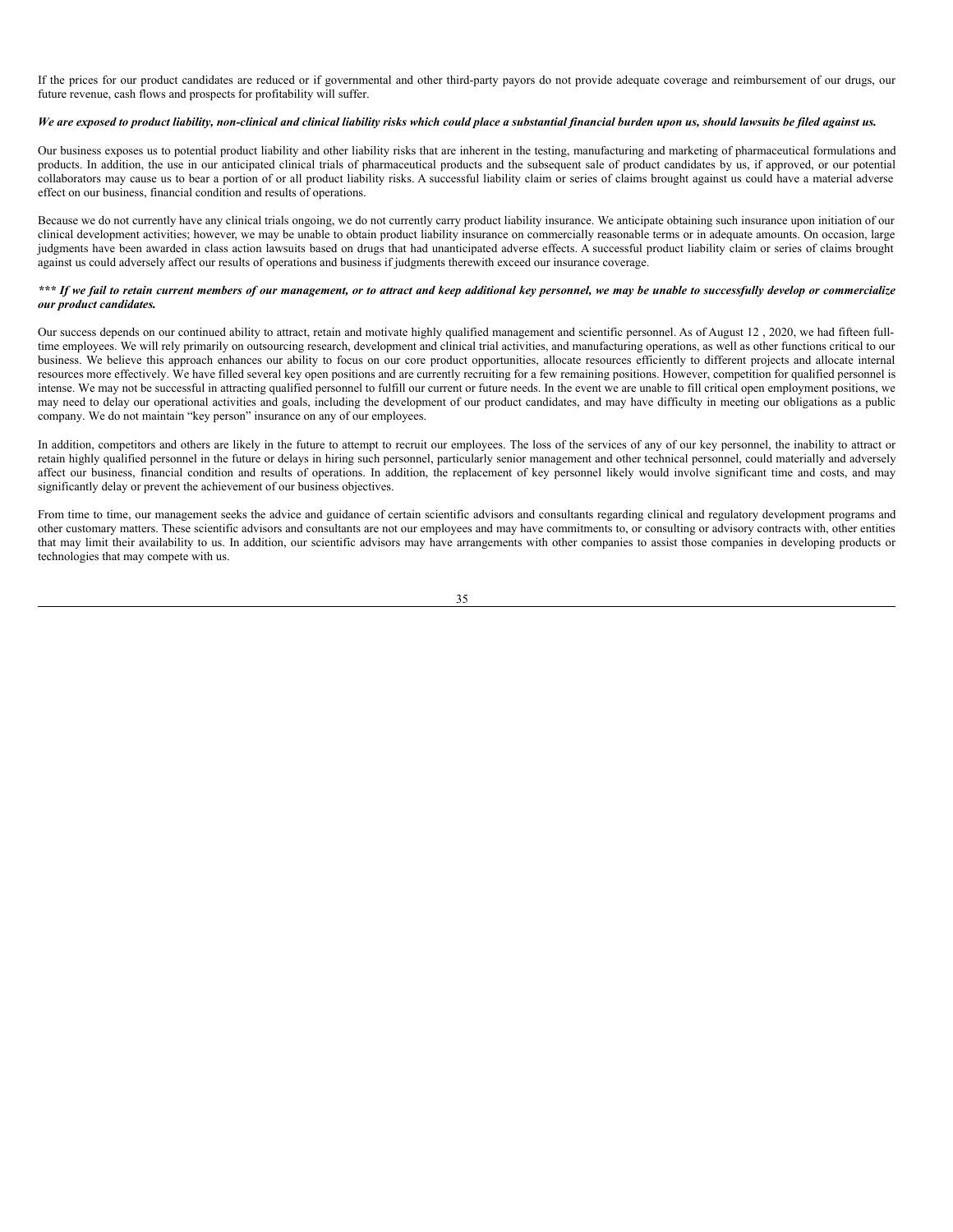If the prices for our product candidates are reduced or if governmental and other third-party payors do not provide adequate coverage and reimbursement of our drugs, our future revenue, cash flows and prospects for profitability will suffer.

## We are exposed to product liability, non-clinical and clinical liability risks which could place a substantial financial burden upon us, should lawsuits be filed against us.

Our business exposes us to potential product liability and other liability risks that are inherent in the testing, manufacturing and marketing of pharmaceutical formulations and products. In addition, the use in our anticipated clinical trials of pharmaceutical products and the subsequent sale of product candidates by us, if approved, or our potential collaborators may cause us to bear a portion of or all product liability risks. A successful liability claim or series of claims brought against us could have a material adverse effect on our business, financial condition and results of operations.

Because we do not currently have any clinical trials ongoing, we do not currently carry product liability insurance. We anticipate obtaining such insurance upon initiation of our clinical development activities; however, we may be unable to obtain product liability insurance on commercially reasonable terms or in adequate amounts. On occasion, large judgments have been awarded in class action lawsuits based on drugs that had unanticipated adverse effects. A successful product liability claim or series of claims brought against us could adversely affect our results of operations and business if judgments therewith exceed our insurance coverage.

## \*\*\* If we fail to retain current members of our management, or to attract and keep additional key personnel, we may be unable to successfully develop or commercialize *our product candidates.*

Our success depends on our continued ability to attract, retain and motivate highly qualified management and scientific personnel. As of August 12 , 2020, we had fifteen fulltime employees. We will rely primarily on outsourcing research, development and clinical trial activities, and manufacturing operations, as well as other functions critical to our business. We believe this approach enhances our ability to focus on our core product opportunities, allocate resources efficiently to different projects and allocate internal resources more effectively. We have filled several key open positions and are currently recruiting for a few remaining positions. However, competition for qualified personnel is intense. We may not be successful in attracting qualified personnel to fulfill our current or future needs. In the event we are unable to fill critical open employment positions, we may need to delay our operational activities and goals, including the development of our product candidates, and may have difficulty in meeting our obligations as a public company. We do not maintain "key person" insurance on any of our employees.

In addition, competitors and others are likely in the future to attempt to recruit our employees. The loss of the services of any of our key personnel, the inability to attract or retain highly qualified personnel in the future or delays in hiring such personnel, particularly senior management and other technical personnel, could materially and adversely affect our business, financial condition and results of operations. In addition, the replacement of key personnel likely would involve significant time and costs, and may significantly delay or prevent the achievement of our business objectives.

From time to time, our management seeks the advice and guidance of certain scientific advisors and consultants regarding clinical and regulatory development programs and other customary matters. These scientific advisors and consultants are not our employees and may have commitments to, or consulting or advisory contracts with, other entities that may limit their availability to us. In addition, our scientific advisors may have arrangements with other companies to assist those companies in developing products or technologies that may compete with us.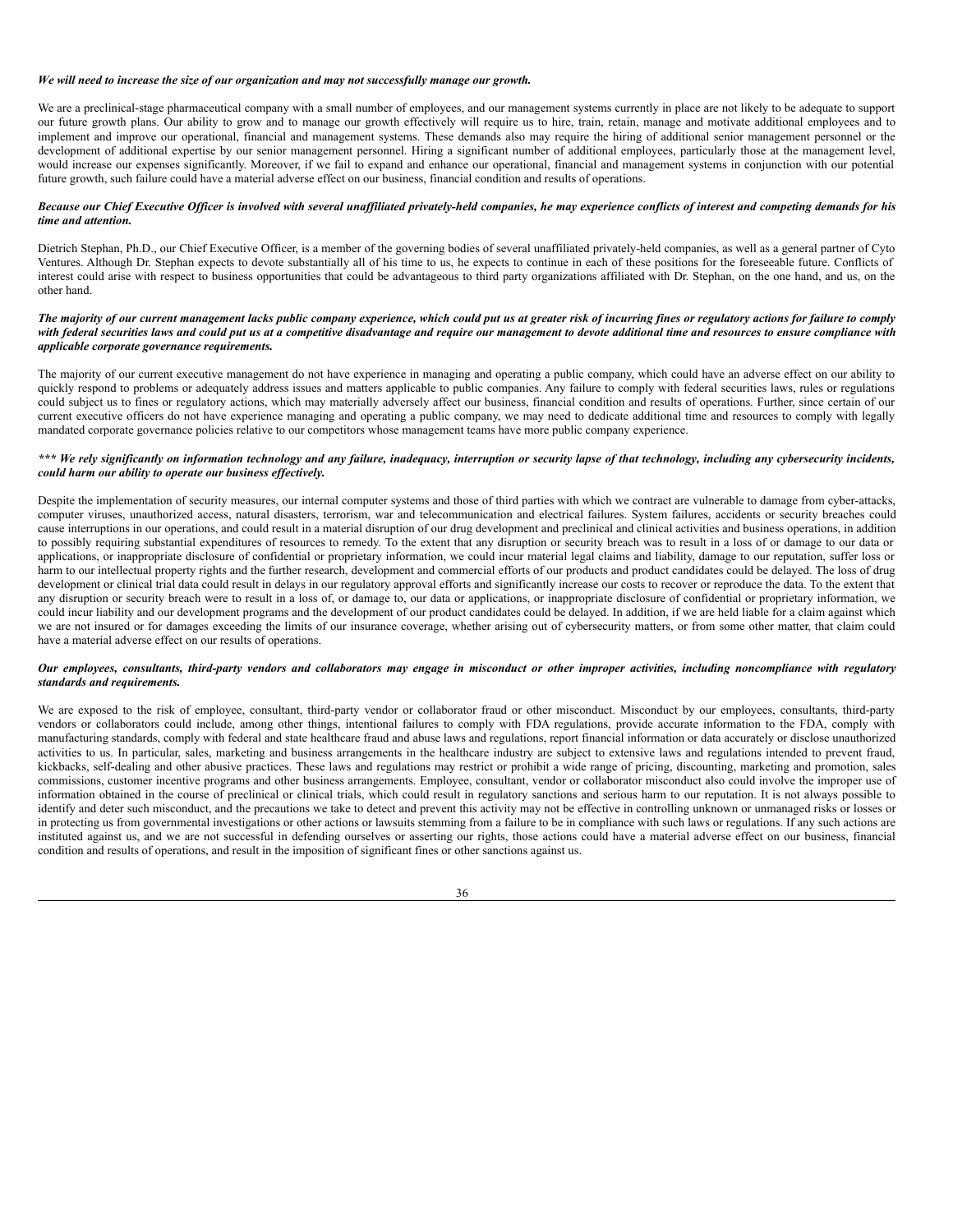#### *We will need to increase the size of our organization and may not successfully manage our growth.*

We are a preclinical-stage pharmaceutical company with a small number of employees, and our management systems currently in place are not likely to be adequate to support our future growth plans. Our ability to grow and to manage our growth effectively will require us to hire, train, retain, manage and motivate additional employees and to implement and improve our operational, financial and management systems. These demands also may require the hiring of additional senior management personnel or the development of additional expertise by our senior management personnel. Hiring a significant number of additional employees, particularly those at the management level, would increase our expenses significantly. Moreover, if we fail to expand and enhance our operational, financial and management systems in conjunction with our potential future growth, such failure could have a material adverse effect on our business, financial condition and results of operations.

#### Because our Chief Executive Officer is involved with several unaffiliated privately-held companies, he may experience conflicts of interest and competing demands for his *time and attention.*

Dietrich Stephan, Ph.D., our Chief Executive Officer, is a member of the governing bodies of several unaffiliated privately-held companies, as well as a general partner of Cyto Ventures. Although Dr. Stephan expects to devote substantially all of his time to us, he expects to continue in each of these positions for the foreseeable future. Conflicts of interest could arise with respect to business opportunities that could be advantageous to third party organizations affiliated with Dr. Stephan, on the one hand, and us, on the other hand.

## The majority of our current management lacks public company experience, which could put us at greater risk of incurring fines or regulatory actions for failure to comply with federal securities laws and could put us at a competitive disadvantage and require our management to devote additional time and resources to ensure compliance with *applicable corporate governance requirements.*

The majority of our current executive management do not have experience in managing and operating a public company, which could have an adverse effect on our ability to quickly respond to problems or adequately address issues and matters applicable to public companies. Any failure to comply with federal securities laws, rules or regulations could subject us to fines or regulatory actions, which may materially adversely affect our business, financial condition and results of operations. Further, since certain of our current executive officers do not have experience managing and operating a public company, we may need to dedicate additional time and resources to comply with legally mandated corporate governance policies relative to our competitors whose management teams have more public company experience.

## \*\*\* We rely significantly on information technology and any failure, inadequacy, interruption or security lapse of that technology, including any cybersecurity incidents, *could harm our ability to operate our business ef ectively.*

Despite the implementation of security measures, our internal computer systems and those of third parties with which we contract are vulnerable to damage from cyber-attacks, computer viruses, unauthorized access, natural disasters, terrorism, war and telecommunication and electrical failures. System failures, accidents or security breaches could cause interruptions in our operations, and could result in a material disruption of our drug development and preclinical and clinical activities and business operations, in addition to possibly requiring substantial expenditures of resources to remedy. To the extent that any disruption or security breach was to result in a loss of or damage to our data or applications, or inappropriate disclosure of confidential or proprietary information, we could incur material legal claims and liability, damage to our reputation, suffer loss or harm to our intellectual property rights and the further research, development and commercial efforts of our products and product candidates could be delayed. The loss of drug development or clinical trial data could result in delays in our regulatory approval efforts and significantly increase our costs to recover or reproduce the data. To the extent that any disruption or security breach were to result in a loss of, or damage to, our data or applications, or inappropriate disclosure of confidential or proprietary information, we could incur liability and our development programs and the development of our product candidates could be delayed. In addition, if we are held liable for a claim against which we are not insured or for damages exceeding the limits of our insurance coverage, whether arising out of cybersecurity matters, or from some other matter, that claim could have a material adverse effect on our results of operations.

#### Our employees, consultants, third-party vendors and collaborators may engage in misconduct or other improper activities, including noncompliance with regulatory *standards and requirements.*

We are exposed to the risk of employee, consultant, third-party vendor or collaborator fraud or other misconduct. Misconduct by our employees, consultants, third-party vendors or collaborators could include, among other things, intentional failures to comply with FDA regulations, provide accurate information to the FDA, comply with manufacturing standards, comply with federal and state healthcare fraud and abuse laws and regulations, report financial information or data accurately or disclose unauthorized activities to us. In particular, sales, marketing and business arrangements in the healthcare industry are subject to extensive laws and regulations intended to prevent fraud, kickbacks, self-dealing and other abusive practices. These laws and regulations may restrict or prohibit a wide range of pricing, discounting, marketing and promotion, sales commissions, customer incentive programs and other business arrangements. Employee, consultant, vendor or collaborator misconduct also could involve the improper use of information obtained in the course of preclinical or clinical trials, which could result in regulatory sanctions and serious harm to our reputation. It is not always possible to identify and deter such misconduct, and the precautions we take to detect and prevent this activity may not be effective in controlling unknown or unmanaged risks or losses or in protecting us from governmental investigations or other actions or lawsuits stemming from a failure to be in compliance with such laws or regulations. If any such actions are instituted against us, and we are not successful in defending ourselves or asserting our rights, those actions could have a material adverse effect on our business, financial condition and results of operations, and result in the imposition of significant fines or other sanctions against us.

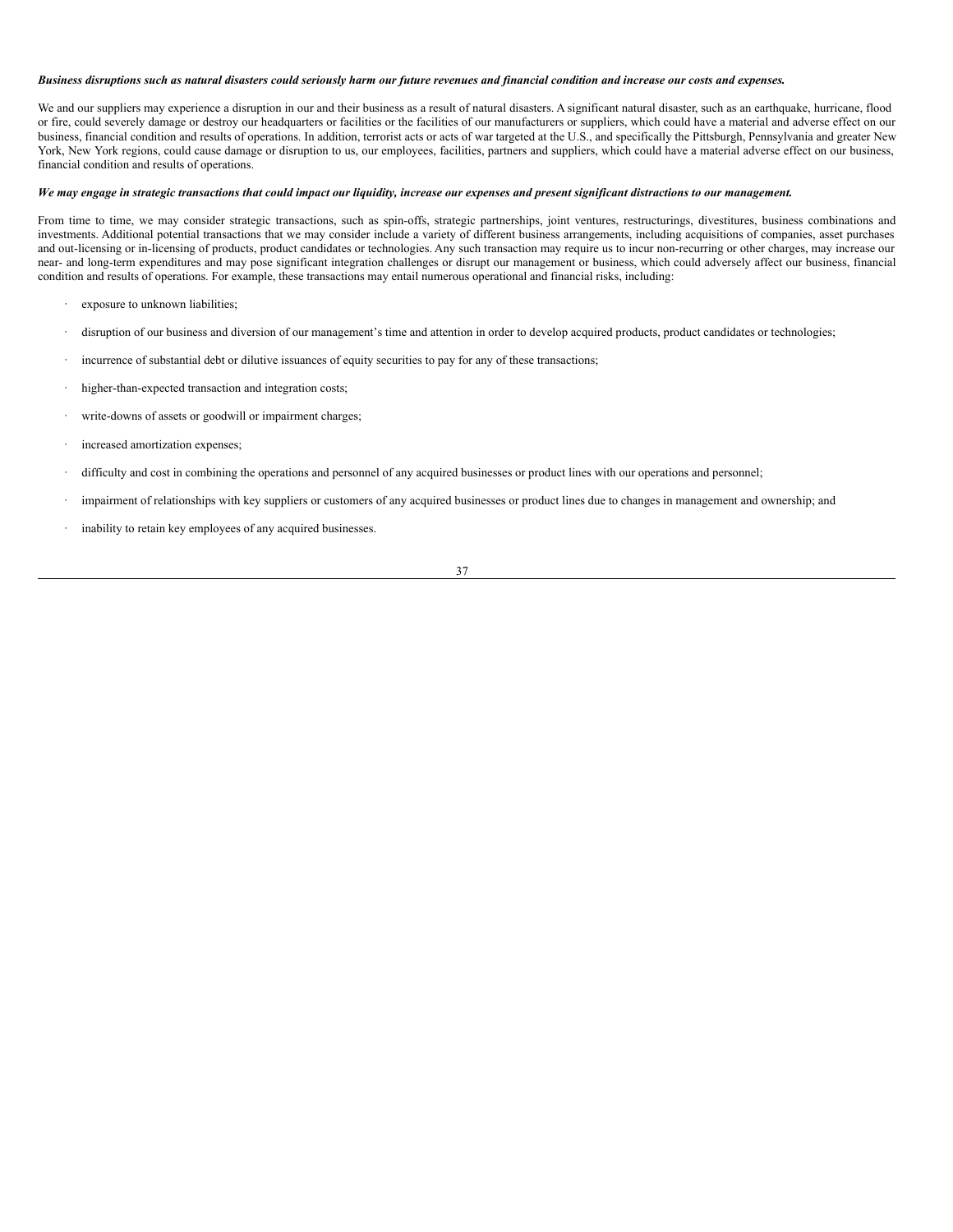#### Business disruptions such as natural disasters could seriously harm our future revenues and financial condition and increase our costs and expenses.

We and our suppliers may experience a disruption in our and their business as a result of natural disasters. A significant natural disaster, such as an earthquake, hurricane, flood or fire, could severely damage or destroy our headquarters or facilities or the facilities of our manufacturers or suppliers, which could have a material and adverse effect on our business, financial condition and results of operations. In addition, terrorist acts or acts of war targeted at the U.S., and specifically the Pittsburgh, Pennsylvania and greater New York, New York regions, could cause damage or disruption to us, our employees, facilities, partners and suppliers, which could have a material adverse effect on our business, financial condition and results of operations.

#### We may engage in strategic transactions that could impact our liquidity, increase our expenses and present significant distractions to our management.

From time to time, we may consider strategic transactions, such as spin-offs, strategic partnerships, joint ventures, restructurings, divestitures, business combinations and investments. Additional potential transactions that we may consider include a variety of different business arrangements, including acquisitions of companies, asset purchases and out-licensing or in-licensing of products, product candidates or technologies. Any such transaction may require us to incur non-recurring or other charges, may increase our near- and long-term expenditures and may pose significant integration challenges or disrupt our management or business, which could adversely affect our business, financial condition and results of operations. For example, these transactions may entail numerous operational and financial risks, including:

- · exposure to unknown liabilities;
- · disruption of our business and diversion of our management's time and attention in order to develop acquired products, product candidates or technologies;
- incurrence of substantial debt or dilutive issuances of equity securities to pay for any of these transactions;
- · higher-than-expected transaction and integration costs;
- write-downs of assets or goodwill or impairment charges;
- increased amortization expenses;
- difficulty and cost in combining the operations and personnel of any acquired businesses or product lines with our operations and personnel;
- impairment of relationships with key suppliers or customers of any acquired businesses or product lines due to changes in management and ownership; and
- inability to retain key employees of any acquired businesses.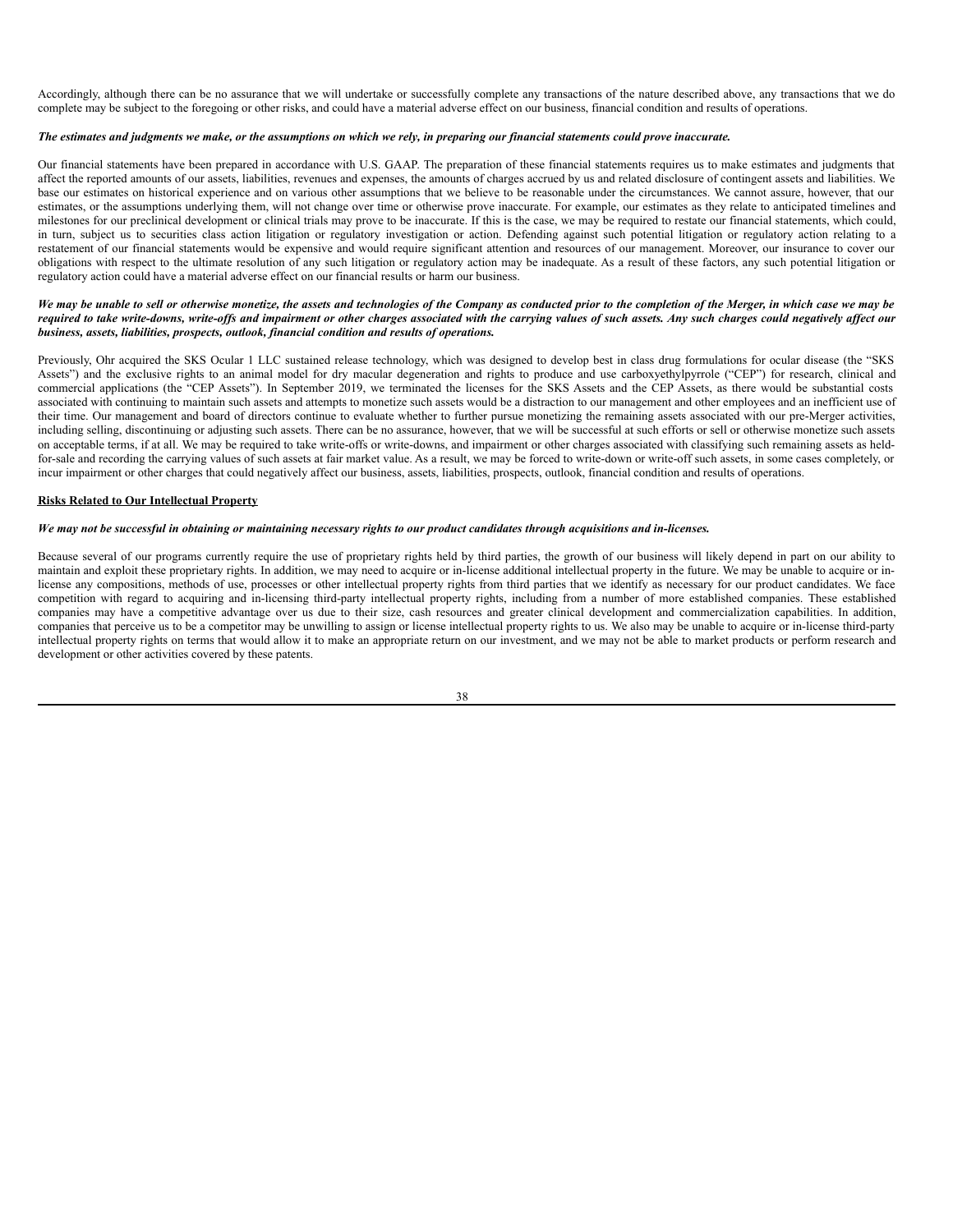Accordingly, although there can be no assurance that we will undertake or successfully complete any transactions of the nature described above, any transactions that we do complete may be subject to the foregoing or other risks, and could have a material adverse effect on our business, financial condition and results of operations.

## The estimates and judgments we make, or the assumptions on which we rely, in preparing our financial statements could prove inaccurate.

Our financial statements have been prepared in accordance with U.S. GAAP. The preparation of these financial statements requires us to make estimates and judgments that affect the reported amounts of our assets, liabilities, revenues and expenses, the amounts of charges accrued by us and related disclosure of contingent assets and liabilities. We base our estimates on historical experience and on various other assumptions that we believe to be reasonable under the circumstances. We cannot assure, however, that our estimates, or the assumptions underlying them, will not change over time or otherwise prove inaccurate. For example, our estimates as they relate to anticipated timelines and milestones for our preclinical development or clinical trials may prove to be inaccurate. If this is the case, we may be required to restate our financial statements, which could, in turn, subject us to securities class action litigation or regulatory investigation or action. Defending against such potential litigation or regulatory action relating to a restatement of our financial statements would be expensive and would require significant attention and resources of our management. Moreover, our insurance to cover our obligations with respect to the ultimate resolution of any such litigation or regulatory action may be inadequate. As a result of these factors, any such potential litigation or regulatory action could have a material adverse effect on our financial results or harm our business.

## We may be unable to sell or otherwise monetize, the assets and technologies of the Company as conducted prior to the completion of the Merger, in which case we may be required to take write-downs, write-offs and impairment or other charges associated with the carrying values of such assets. Any such charges could negatively affect our *business, assets, liabilities, prospects, outlook, financial condition and results of operations.*

Previously, Ohr acquired the SKS Ocular 1 LLC sustained release technology, which was designed to develop best in class drug formulations for ocular disease (the "SKS Assets") and the exclusive rights to an animal model for dry macular degeneration and rights to produce and use carboxyethylpyrrole ("CEP") for research, clinical and commercial applications (the "CEP Assets"). In September 2019, we terminated the licenses for the SKS Assets and the CEP Assets, as there would be substantial costs associated with continuing to maintain such assets and attempts to monetize such assets would be a distraction to our management and other employees and an inefficient use of their time. Our management and board of directors continue to evaluate whether to further pursue monetizing the remaining assets associated with our pre-Merger activities, including selling, discontinuing or adjusting such assets. There can be no assurance, however, that we will be successful at such efforts or sell or otherwise monetize such assets on acceptable terms, if at all. We may be required to take write-offs or write-downs, and impairment or other charges associated with classifying such remaining assets as heldfor-sale and recording the carrying values of such assets at fair market value. As a result, we may be forced to write-down or write-off such assets, in some cases completely, or incur impairment or other charges that could negatively affect our business, assets, liabilities, prospects, outlook, financial condition and results of operations.

#### **Risks Related to Our Intellectual Property**

## We may not be successful in obtaining or maintaining necessary rights to our product candidates through acquisitions and in-licenses.

Because several of our programs currently require the use of proprietary rights held by third parties, the growth of our business will likely depend in part on our ability to maintain and exploit these proprietary rights. In addition, we may need to acquire or in-license additional intellectual property in the future. We may be unable to acquire or inlicense any compositions, methods of use, processes or other intellectual property rights from third parties that we identify as necessary for our product candidates. We face competition with regard to acquiring and in-licensing third-party intellectual property rights, including from a number of more established companies. These established companies may have a competitive advantage over us due to their size, cash resources and greater clinical development and commercialization capabilities. In addition, companies that perceive us to be a competitor may be unwilling to assign or license intellectual property rights to us. We also may be unable to acquire or in-license third-party intellectual property rights on terms that would allow it to make an appropriate return on our investment, and we may not be able to market products or perform research and development or other activities covered by these patents.

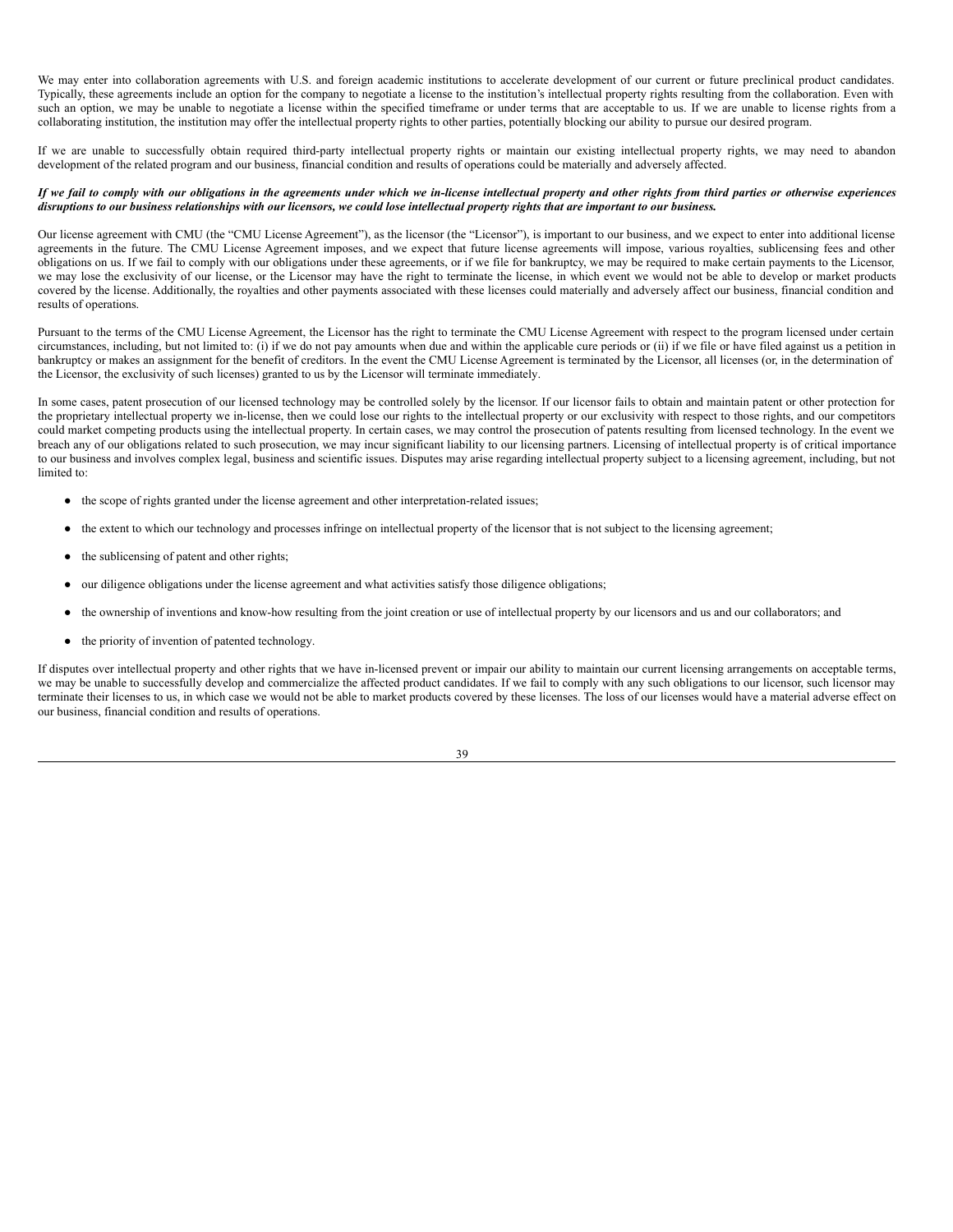We may enter into collaboration agreements with U.S. and foreign academic institutions to accelerate development of our current or future preclinical product candidates. Typically, these agreements include an option for the company to negotiate a license to the institution's intellectual property rights resulting from the collaboration. Even with such an option, we may be unable to negotiate a license within the specified timeframe or under terms that are acceptable to us. If we are unable to license rights from a collaborating institution, the institution may offer the intellectual property rights to other parties, potentially blocking our ability to pursue our desired program.

If we are unable to successfully obtain required third-party intellectual property rights or maintain our existing intellectual property rights, we may need to abandon development of the related program and our business, financial condition and results of operations could be materially and adversely affected.

## If we fail to comply with our obligations in the agreements under which we in-license intellectual property and other rights from third parties or otherwise experiences disruptions to our business relationships with our licensors, we could lose intellectual property rights that are important to our business.

Our license agreement with CMU (the "CMU License Agreement"), as the licensor (the "Licensor"), is important to our business, and we expect to enter into additional license agreements in the future. The CMU License Agreement imposes, and we expect that future license agreements will impose, various royalties, sublicensing fees and other obligations on us. If we fail to comply with our obligations under these agreements, or if we file for bankruptcy, we may be required to make certain payments to the Licensor, we may lose the exclusivity of our license, or the Licensor may have the right to terminate the license, in which event we would not be able to develop or market products covered by the license. Additionally, the royalties and other payments associated with these licenses could materially and adversely affect our business, financial condition and results of operations.

Pursuant to the terms of the CMU License Agreement, the Licensor has the right to terminate the CMU License Agreement with respect to the program licensed under certain circumstances, including, but not limited to: (i) if we do not pay amounts when due and within the applicable cure periods or (ii) if we file or have filed against us a petition in bankruptcy or makes an assignment for the benefit of creditors. In the event the CMU License Agreement is terminated by the Licensor, all licenses (or, in the determination of the Licensor, the exclusivity of such licenses) granted to us by the Licensor will terminate immediately.

In some cases, patent prosecution of our licensed technology may be controlled solely by the licensor. If our licensor fails to obtain and maintain patent or other protection for the proprietary intellectual property we in-license, then we could lose our rights to the intellectual property or our exclusivity with respect to those rights, and our competitors could market competing products using the intellectual property. In certain cases, we may control the prosecution of patents resulting from licensed technology. In the event we breach any of our obligations related to such prosecution, we may incur significant liability to our licensing partners. Licensing of intellectual property is of critical importance to our business and involves complex legal, business and scientific issues. Disputes may arise regarding intellectual property subject to a licensing agreement, including, but not limited to:

- the scope of rights granted under the license agreement and other interpretation-related issues;
- the extent to which our technology and processes infringe on intellectual property of the licensor that is not subject to the licensing agreement;
- the sublicensing of patent and other rights;
- our diligence obligations under the license agreement and what activities satisfy those diligence obligations;
- the ownership of inventions and know-how resulting from the joint creation or use of intellectual property by our licensors and us and our collaborators; and
- the priority of invention of patented technology.

If disputes over intellectual property and other rights that we have in-licensed prevent or impair our ability to maintain our current licensing arrangements on acceptable terms, we may be unable to successfully develop and commercialize the affected product candidates. If we fail to comply with any such obligations to our licensor, such licensor may terminate their licenses to us, in which case we would not be able to market products covered by these licenses. The loss of our licenses would have a material adverse effect on our business, financial condition and results of operations.

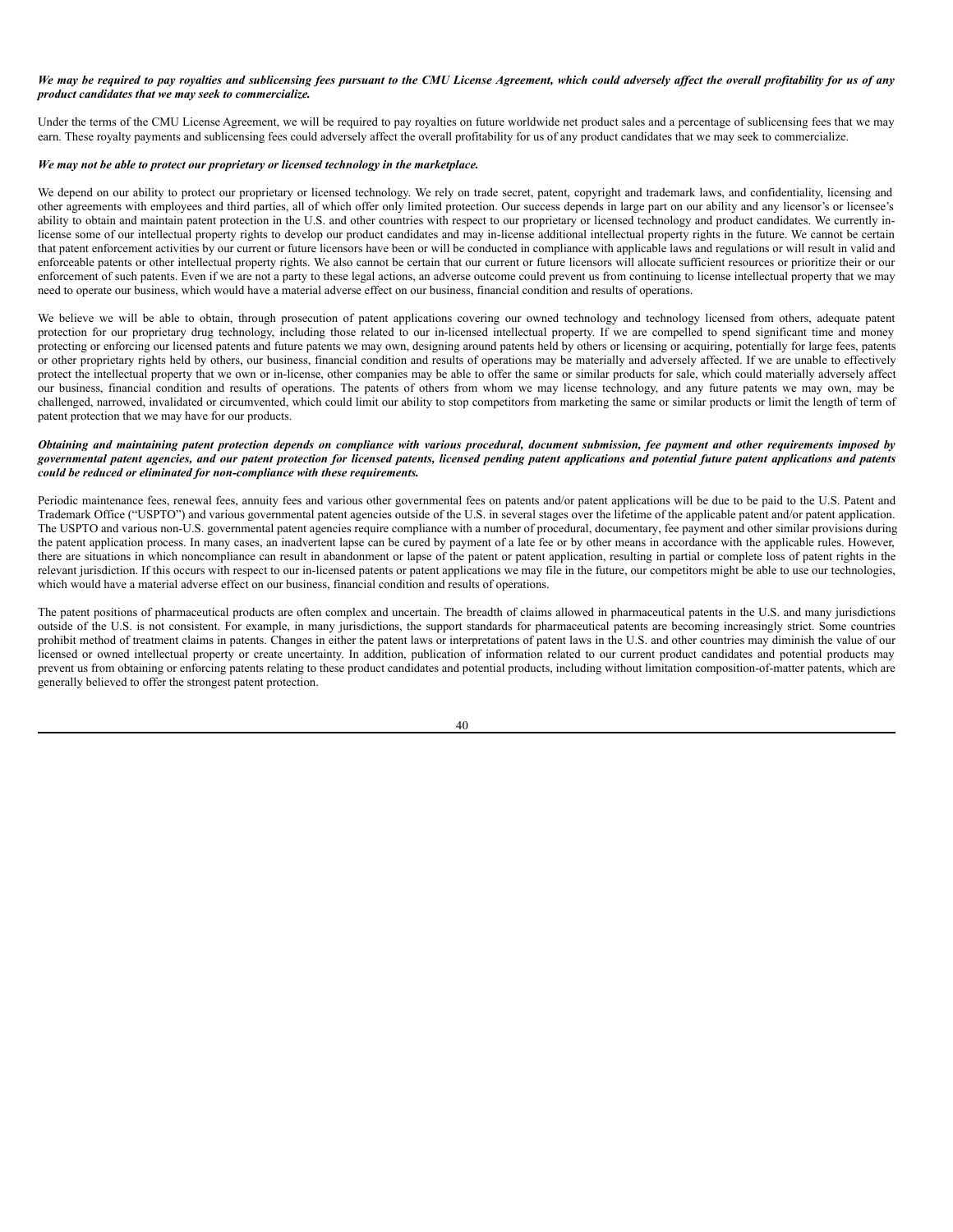## We may be required to pay royalties and sublicensing fees pursuant to the CMU License Agreement, which could adversely affect the overall profitability for us of any *product candidates that we may seek to commercialize.*

Under the terms of the CMU License Agreement, we will be required to pay royalties on future worldwide net product sales and a percentage of sublicensing fees that we may earn. These royalty payments and sublicensing fees could adversely affect the overall profitability for us of any product candidates that we may seek to commercialize.

#### *We may not be able to protect our proprietary or licensed technology in the marketplace.*

We depend on our ability to protect our proprietary or licensed technology. We rely on trade secret, patent, copyright and trademark laws, and confidentiality, licensing and other agreements with employees and third parties, all of which offer only limited protection. Our success depends in large part on our ability and any licensor's or licensee's ability to obtain and maintain patent protection in the U.S. and other countries with respect to our proprietary or licensed technology and product candidates. We currently inlicense some of our intellectual property rights to develop our product candidates and may in-license additional intellectual property rights in the future. We cannot be certain that patent enforcement activities by our current or future licensors have been or will be conducted in compliance with applicable laws and regulations or will result in valid and enforceable patents or other intellectual property rights. We also cannot be certain that our current or future licensors will allocate sufficient resources or prioritize their or our enforcement of such patents. Even if we are not a party to these legal actions, an adverse outcome could prevent us from continuing to license intellectual property that we may need to operate our business, which would have a material adverse effect on our business, financial condition and results of operations.

We believe we will be able to obtain, through prosecution of patent applications covering our owned technology and technology licensed from others, adequate patent protection for our proprietary drug technology, including those related to our in-licensed intellectual property. If we are compelled to spend significant time and money protecting or enforcing our licensed patents and future patents we may own, designing around patents held by others or licensing or acquiring, potentially for large fees, patents or other proprietary rights held by others, our business, financial condition and results of operations may be materially and adversely affected. If we are unable to effectively protect the intellectual property that we own or in-license, other companies may be able to offer the same or similar products for sale, which could materially adversely affect our business, financial condition and results of operations. The patents of others from whom we may license technology, and any future patents we may own, may be challenged, narrowed, invalidated or circumvented, which could limit our ability to stop competitors from marketing the same or similar products or limit the length of term of patent protection that we may have for our products.

#### Obtaining and maintaining patent protection depends on compliance with various procedural, document submission, fee payment and other requirements imposed by governmental patent agencies, and our patent protection for licensed patents, licensed pending patent applications and potential future patent applications and patents *could be reduced or eliminated for non-compliance with these requirements.*

Periodic maintenance fees, renewal fees, annuity fees and various other governmental fees on patents and/or patent applications will be due to be paid to the U.S. Patent and Trademark Office ("USPTO") and various governmental patent agencies outside of the U.S. in several stages over the lifetime of the applicable patent and/or patent application. The USPTO and various non-U.S. governmental patent agencies require compliance with a number of procedural, documentary, fee payment and other similar provisions during the patent application process. In many cases, an inadvertent lapse can be cured by payment of a late fee or by other means in accordance with the applicable rules. However, there are situations in which noncompliance can result in abandonment or lapse of the patent or patent application, resulting in partial or complete loss of patent rights in the relevant jurisdiction. If this occurs with respect to our in-licensed patents or patent applications we may file in the future, our competitors might be able to use our technologies, which would have a material adverse effect on our business, financial condition and results of operations.

The patent positions of pharmaceutical products are often complex and uncertain. The breadth of claims allowed in pharmaceutical patents in the U.S. and many jurisdictions outside of the U.S. is not consistent. For example, in many jurisdictions, the support standards for pharmaceutical patents are becoming increasingly strict. Some countries prohibit method of treatment claims in patents. Changes in either the patent laws or interpretations of patent laws in the U.S. and other countries may diminish the value of our licensed or owned intellectual property or create uncertainty. In addition, publication of information related to our current product candidates and potential products may prevent us from obtaining or enforcing patents relating to these product candidates and potential products, including without limitation composition-of-matter patents, which are generally believed to offer the strongest patent protection.

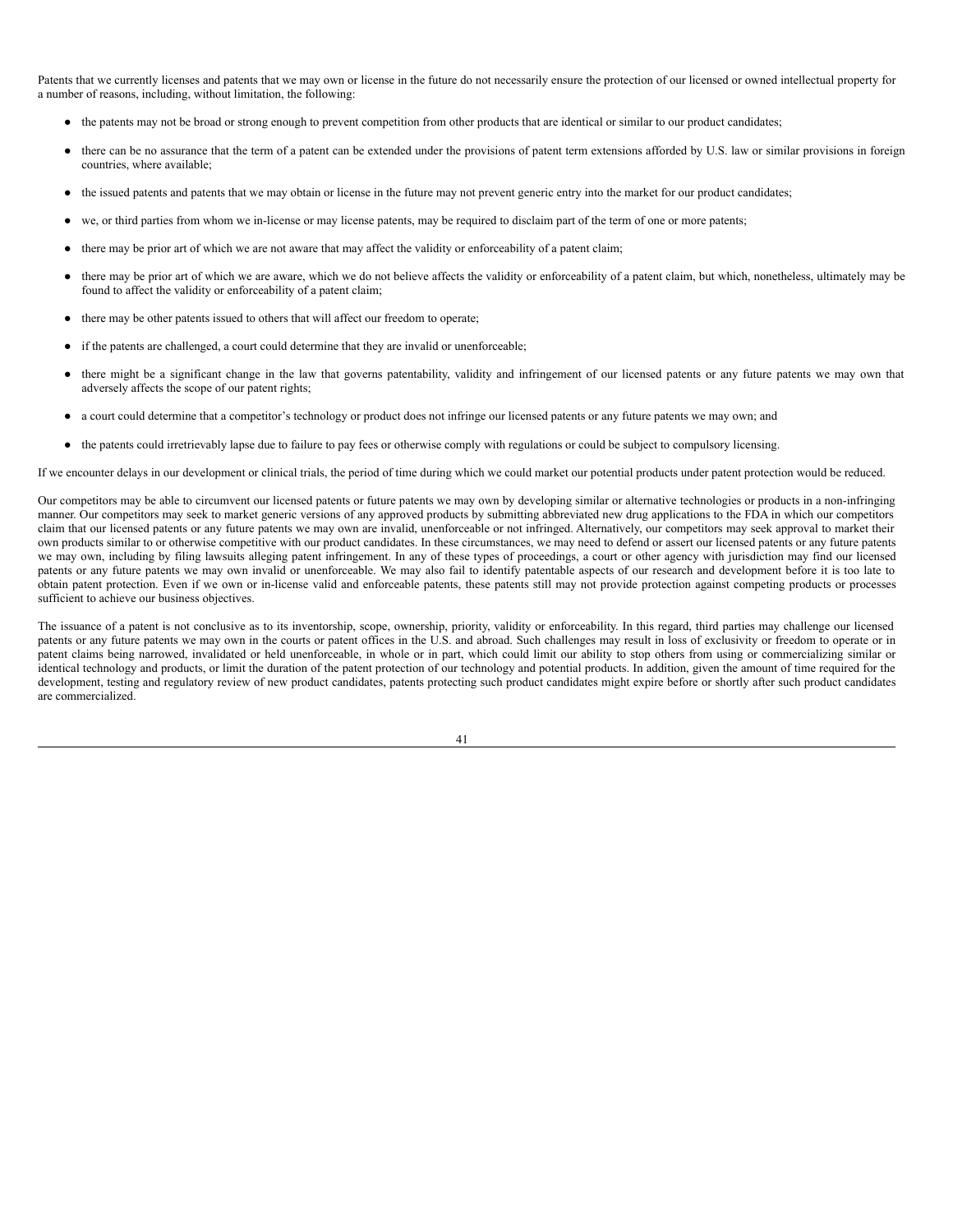Patents that we currently licenses and patents that we may own or license in the future do not necessarily ensure the protection of our licensed or owned intellectual property for a number of reasons, including, without limitation, the following:

- the patents may not be broad or strong enough to prevent competition from other products that are identical or similar to our product candidates;
- there can be no assurance that the term of a patent can be extended under the provisions of patent term extensions afforded by U.S. law or similar provisions in foreign countries, where available;
- the issued patents and patents that we may obtain or license in the future may not prevent generic entry into the market for our product candidates;
- we, or third parties from whom we in-license or may license patents, may be required to disclaim part of the term of one or more patents;
- there may be prior art of which we are not aware that may affect the validity or enforceability of a patent claim;
- there may be prior art of which we are aware, which we do not believe affects the validity or enforceability of a patent claim, but which, nonetheless, ultimately may be found to affect the validity or enforceability of a patent claim;
- there may be other patents issued to others that will affect our freedom to operate;
- if the patents are challenged, a court could determine that they are invalid or unenforceable;
- there might be a significant change in the law that governs patentability, validity and infringement of our licensed patents or any future patents we may own that adversely affects the scope of our patent rights;
- a court could determine that a competitor's technology or product does not infringe our licensed patents or any future patents we may own; and
- the patents could irretrievably lapse due to failure to pay fees or otherwise comply with regulations or could be subject to compulsory licensing.

If we encounter delays in our development or clinical trials, the period of time during which we could market our potential products under patent protection would be reduced.

Our competitors may be able to circumvent our licensed patents or future patents we may own by developing similar or alternative technologies or products in a non-infringing manner. Our competitors may seek to market generic versions of any approved products by submitting abbreviated new drug applications to the FDA in which our competitors claim that our licensed patents or any future patents we may own are invalid, unenforceable or not infringed. Alternatively, our competitors may seek approval to market their own products similar to or otherwise competitive with our product candidates. In these circumstances, we may need to defend or assert our licensed patents or any future patents we may own, including by filing lawsuits alleging patent infringement. In any of these types of proceedings, a court or other agency with jurisdiction may find our licensed patents or any future patents we may own invalid or unenforceable. We may also fail to identify patentable aspects of our research and development before it is too late to obtain patent protection. Even if we own or in-license valid and enforceable patents, these patents still may not provide protection against competing products or processes sufficient to achieve our business objectives.

The issuance of a patent is not conclusive as to its inventorship, scope, ownership, priority, validity or enforceability. In this regard, third parties may challenge our licensed patents or any future patents we may own in the courts or patent offices in the U.S. and abroad. Such challenges may result in loss of exclusivity or freedom to operate or in patent claims being narrowed, invalidated or held unenforceable, in whole or in part, which could limit our ability to stop others from using or commercializing similar or identical technology and products, or limit the duration of the patent protection of our technology and potential products. In addition, given the amount of time required for the development, testing and regulatory review of new product candidates, patents protecting such product candidates might expire before or shortly after such product candidates are commercialized.

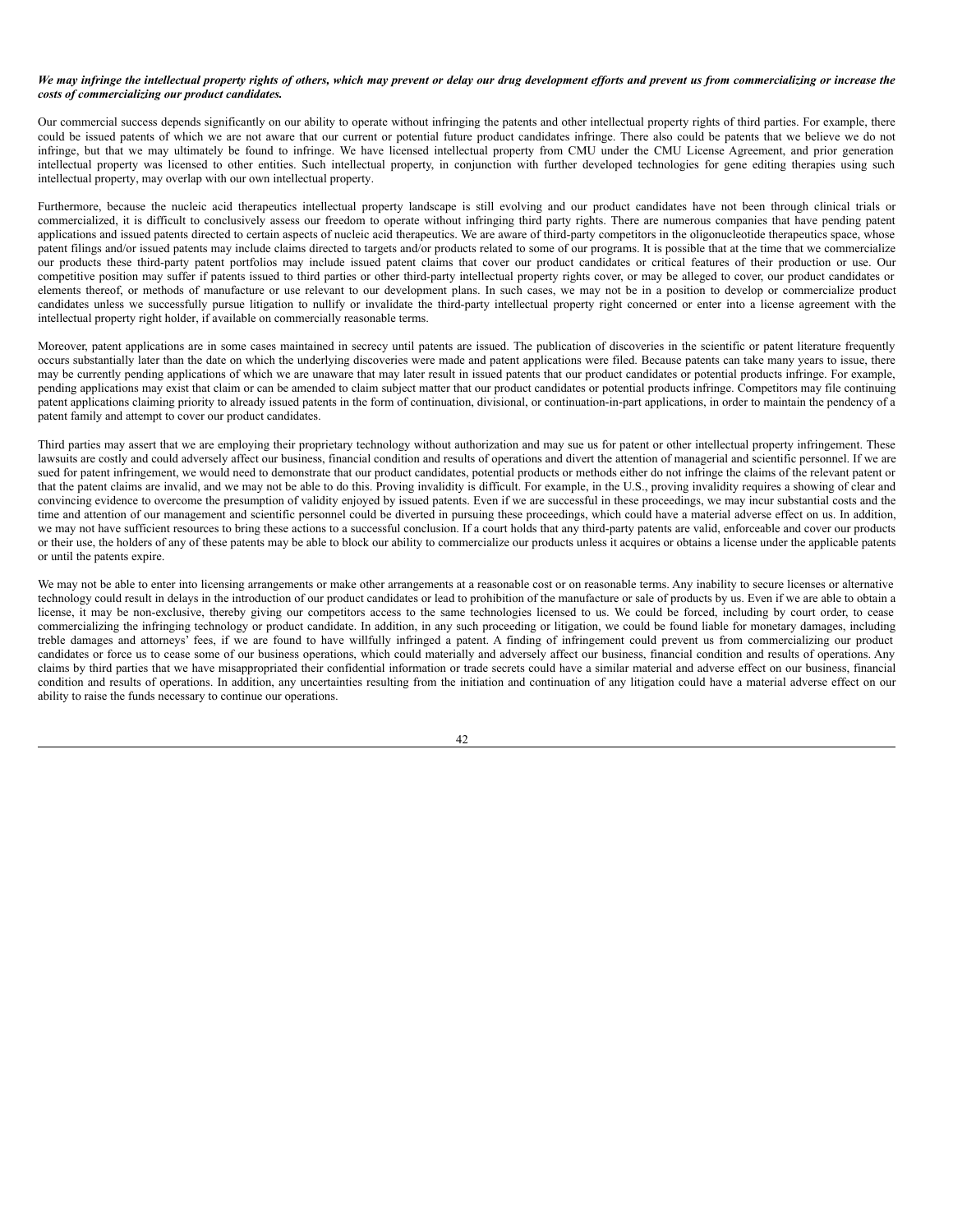#### We may infringe the intellectual property rights of others, which may prevent or delay our drug development efforts and prevent us from commercializing or increase the *costs of commercializing our product candidates.*

Our commercial success depends significantly on our ability to operate without infringing the patents and other intellectual property rights of third parties. For example, there could be issued patents of which we are not aware that our current or potential future product candidates infringe. There also could be patents that we believe we do not infringe, but that we may ultimately be found to infringe. We have licensed intellectual property from CMU under the CMU License Agreement, and prior generation intellectual property was licensed to other entities. Such intellectual property, in conjunction with further developed technologies for gene editing therapies using such intellectual property, may overlap with our own intellectual property.

Furthermore, because the nucleic acid therapeutics intellectual property landscape is still evolving and our product candidates have not been through clinical trials or commercialized, it is difficult to conclusively assess our freedom to operate without infringing third party rights. There are numerous companies that have pending patent applications and issued patents directed to certain aspects of nucleic acid therapeutics. We are aware of third-party competitors in the oligonucleotide therapeutics space, whose patent filings and/or issued patents may include claims directed to targets and/or products related to some of our programs. It is possible that at the time that we commercialize our products these third-party patent portfolios may include issued patent claims that cover our product candidates or critical features of their production or use. Our competitive position may suffer if patents issued to third parties or other third-party intellectual property rights cover, or may be alleged to cover, our product candidates or elements thereof, or methods of manufacture or use relevant to our development plans. In such cases, we may not be in a position to develop or commercialize product candidates unless we successfully pursue litigation to nullify or invalidate the third-party intellectual property right concerned or enter into a license agreement with the intellectual property right holder, if available on commercially reasonable terms.

Moreover, patent applications are in some cases maintained in secrecy until patents are issued. The publication of discoveries in the scientific or patent literature frequently occurs substantially later than the date on which the underlying discoveries were made and patent applications were filed. Because patents can take many years to issue, there may be currently pending applications of which we are unaware that may later result in issued patents that our product candidates or potential products infringe. For example, pending applications may exist that claim or can be amended to claim subject matter that our product candidates or potential products infringe. Competitors may file continuing patent applications claiming priority to already issued patents in the form of continuation, divisional, or continuation-in-part applications, in order to maintain the pendency of a patent family and attempt to cover our product candidates.

Third parties may assert that we are employing their proprietary technology without authorization and may sue us for patent or other intellectual property infringement. These lawsuits are costly and could adversely affect our business, financial condition and results of operations and divert the attention of managerial and scientific personnel. If we are sued for patent infringement, we would need to demonstrate that our product candidates, potential products or methods either do not infringe the claims of the relevant patent or that the patent claims are invalid, and we may not be able to do this. Proving invalidity is difficult. For example, in the U.S., proving invalidity requires a showing of clear and convincing evidence to overcome the presumption of validity enjoyed by issued patents. Even if we are successful in these proceedings, we may incur substantial costs and the time and attention of our management and scientific personnel could be diverted in pursuing these proceedings, which could have a material adverse effect on us. In addition, we may not have sufficient resources to bring these actions to a successful conclusion. If a court holds that any third-party patents are valid, enforceable and cover our products or their use, the holders of any of these patents may be able to block our ability to commercialize our products unless it acquires or obtains a license under the applicable patents or until the patents expire.

We may not be able to enter into licensing arrangements or make other arrangements at a reasonable cost or on reasonable terms. Any inability to secure licenses or alternative technology could result in delays in the introduction of our product candidates or lead to prohibition of the manufacture or sale of products by us. Even if we are able to obtain a license, it may be non-exclusive, thereby giving our competitors access to the same technologies licensed to us. We could be forced, including by court order, to cease commercializing the infringing technology or product candidate. In addition, in any such proceeding or litigation, we could be found liable for monetary damages, including treble damages and attorneys' fees, if we are found to have willfully infringed a patent. A finding of infringement could prevent us from commercializing our product candidates or force us to cease some of our business operations, which could materially and adversely affect our business, financial condition and results of operations. Any claims by third parties that we have misappropriated their confidential information or trade secrets could have a similar material and adverse effect on our business, financial condition and results of operations. In addition, any uncertainties resulting from the initiation and continuation of any litigation could have a material adverse effect on our ability to raise the funds necessary to continue our operations.

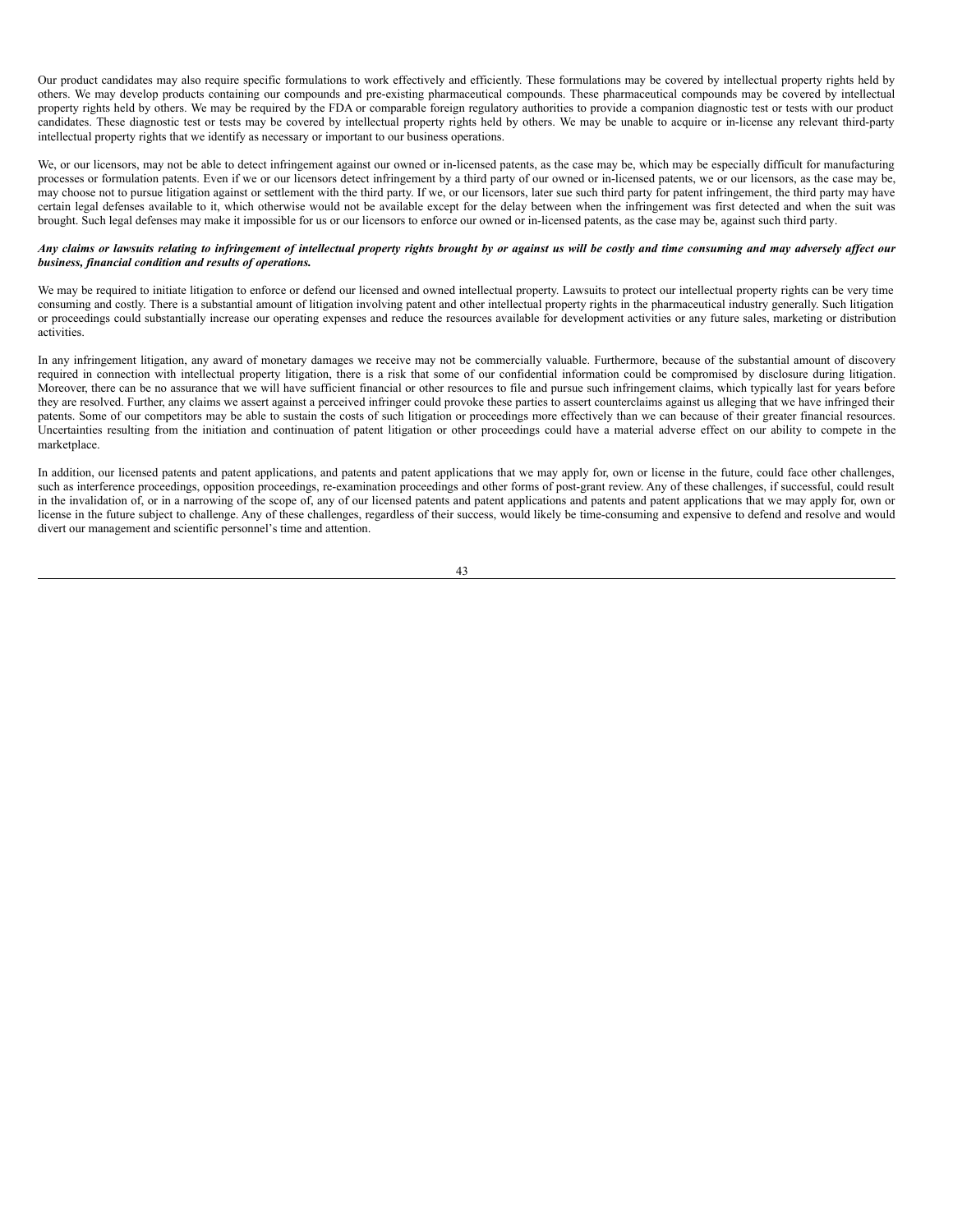Our product candidates may also require specific formulations to work effectively and efficiently. These formulations may be covered by intellectual property rights held by others. We may develop products containing our compounds and pre-existing pharmaceutical compounds. These pharmaceutical compounds may be covered by intellectual property rights held by others. We may be required by the FDA or comparable foreign regulatory authorities to provide a companion diagnostic test or tests with our product candidates. These diagnostic test or tests may be covered by intellectual property rights held by others. We may be unable to acquire or in-license any relevant third-party intellectual property rights that we identify as necessary or important to our business operations.

We, or our licensors, may not be able to detect infringement against our owned or in-licensed patents, as the case may be, which may be especially difficult for manufacturing processes or formulation patents. Even if we or our licensors detect infringement by a third party of our owned or in-licensed patents, we or our licensors, as the case may be, may choose not to pursue litigation against or settlement with the third party. If we, or our licensors, later sue such third party for patent infringement, the third party may have certain legal defenses available to it, which otherwise would not be available except for the delay between when the infringement was first detected and when the suit was brought. Such legal defenses may make it impossible for us or our licensors to enforce our owned or in-licensed patents, as the case may be, against such third party.

#### Any claims or lawsuits relating to infringement of intellectual property rights brought by or against us will be costly and time consuming and may adversely affect our *business, financial condition and results of operations.*

We may be required to initiate litigation to enforce or defend our licensed and owned intellectual property. Lawsuits to protect our intellectual property rights can be very time consuming and costly. There is a substantial amount of litigation involving patent and other intellectual property rights in the pharmaceutical industry generally. Such litigation or proceedings could substantially increase our operating expenses and reduce the resources available for development activities or any future sales, marketing or distribution activities.

In any infringement litigation, any award of monetary damages we receive may not be commercially valuable. Furthermore, because of the substantial amount of discovery required in connection with intellectual property litigation, there is a risk that some of our confidential information could be compromised by disclosure during litigation. Moreover, there can be no assurance that we will have sufficient financial or other resources to file and pursue such infringement claims, which typically last for years before they are resolved. Further, any claims we assert against a perceived infringer could provoke these parties to assert counterclaims against us alleging that we have infringed their patents. Some of our competitors may be able to sustain the costs of such litigation or proceedings more effectively than we can because of their greater financial resources. Uncertainties resulting from the initiation and continuation of patent litigation or other proceedings could have a material adverse effect on our ability to compete in the marketplace.

In addition, our licensed patents and patent applications, and patents and patent applications that we may apply for, own or license in the future, could face other challenges, such as interference proceedings, opposition proceedings, re-examination proceedings and other forms of post-grant review. Any of these challenges, if successful, could result in the invalidation of, or in a narrowing of the scope of, any of our licensed patents and patent applications and patents and patent applications that we may apply for, own or license in the future subject to challenge. Any of these challenges, regardless of their success, would likely be time-consuming and expensive to defend and resolve and would divert our management and scientific personnel's time and attention.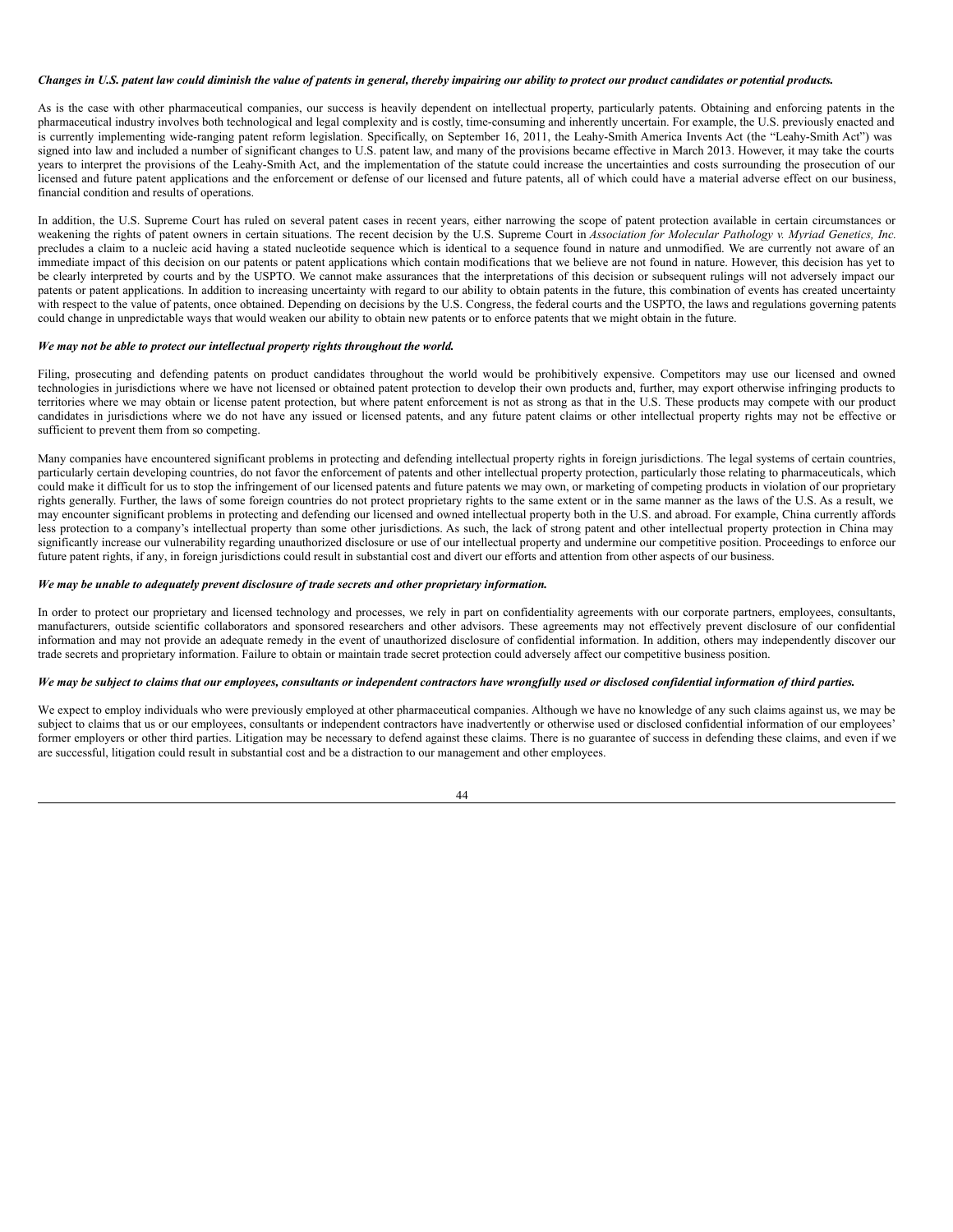#### Changes in U.S. patent law could diminish the value of patents in general, thereby impairing our ability to protect our product candidates or potential products.

As is the case with other pharmaceutical companies, our success is heavily dependent on intellectual property, particularly patents. Obtaining and enforcing patents in the pharmaceutical industry involves both technological and legal complexity and is costly, time-consuming and inherently uncertain. For example, the U.S. previously enacted and is currently implementing wide-ranging patent reform legislation. Specifically, on September 16, 2011, the Leahy-Smith America Invents Act (the "Leahy-Smith Act") was signed into law and included a number of significant changes to U.S. patent law, and many of the provisions became effective in March 2013. However, it may take the courts years to interpret the provisions of the Leahy-Smith Act, and the implementation of the statute could increase the uncertainties and costs surrounding the prosecution of our licensed and future patent applications and the enforcement or defense of our licensed and future patents, all of which could have a material adverse effect on our business, financial condition and results of operations.

In addition, the U.S. Supreme Court has ruled on several patent cases in recent years, either narrowing the scope of patent protection available in certain circumstances or weakening the rights of patent owners in certain situations. The recent decision by the U.S. Supreme Court in Association for Molecular Pathology v. Myriad Genetics, Inc. precludes a claim to a nucleic acid having a stated nucleotide sequence which is identical to a sequence found in nature and unmodified. We are currently not aware of an immediate impact of this decision on our patents or patent applications which contain modifications that we believe are not found in nature. However, this decision has yet to be clearly interpreted by courts and by the USPTO. We cannot make assurances that the interpretations of this decision or subsequent rulings will not adversely impact our patents or patent applications. In addition to increasing uncertainty with regard to our ability to obtain patents in the future, this combination of events has created uncertainty with respect to the value of patents, once obtained. Depending on decisions by the U.S. Congress, the federal courts and the USPTO, the laws and regulations governing patents could change in unpredictable ways that would weaken our ability to obtain new patents or to enforce patents that we might obtain in the future.

#### *We may not be able to protect our intellectual property rights throughout the world.*

Filing, prosecuting and defending patents on product candidates throughout the world would be prohibitively expensive. Competitors may use our licensed and owned technologies in jurisdictions where we have not licensed or obtained patent protection to develop their own products and, further, may export otherwise infringing products to territories where we may obtain or license patent protection, but where patent enforcement is not as strong as that in the U.S. These products may compete with our product candidates in jurisdictions where we do not have any issued or licensed patents, and any future patent claims or other intellectual property rights may not be effective or sufficient to prevent them from so competing.

Many companies have encountered significant problems in protecting and defending intellectual property rights in foreign jurisdictions. The legal systems of certain countries, particularly certain developing countries, do not favor the enforcement of patents and other intellectual property protection, particularly those relating to pharmaceuticals, which could make it difficult for us to stop the infringement of our licensed patents and future patents we may own, or marketing of competing products in violation of our proprietary rights generally. Further, the laws of some foreign countries do not protect proprietary rights to the same extent or in the same manner as the laws of the U.S. As a result, we may encounter significant problems in protecting and defending our licensed and owned intellectual property both in the U.S. and abroad. For example, China currently affords less protection to a company's intellectual property than some other jurisdictions. As such, the lack of strong patent and other intellectual property protection in China may significantly increase our vulnerability regarding unauthorized disclosure or use of our intellectual property and undermine our competitive position. Proceedings to enforce our future patent rights, if any, in foreign jurisdictions could result in substantial cost and divert our efforts and attention from other aspects of our business.

## *We may be unable to adequately prevent disclosure of trade secrets and other proprietary information.*

In order to protect our proprietary and licensed technology and processes, we rely in part on confidentiality agreements with our corporate partners, employees, consultants, manufacturers, outside scientific collaborators and sponsored researchers and other advisors. These agreements may not effectively prevent disclosure of our confidential information and may not provide an adequate remedy in the event of unauthorized disclosure of confidential information. In addition, others may independently discover our trade secrets and proprietary information. Failure to obtain or maintain trade secret protection could adversely affect our competitive business position.

# We may be subject to claims that our employees, consultants or independent contractors have wrongfully used or disclosed confidential information of third parties.

We expect to employ individuals who were previously employed at other pharmaceutical companies. Although we have no knowledge of any such claims against us, we may be subject to claims that us or our employees, consultants or independent contractors have inadvertently or otherwise used or disclosed confidential information of our employees' former employers or other third parties. Litigation may be necessary to defend against these claims. There is no guarantee of success in defending these claims, and even if we are successful, litigation could result in substantial cost and be a distraction to our management and other employees.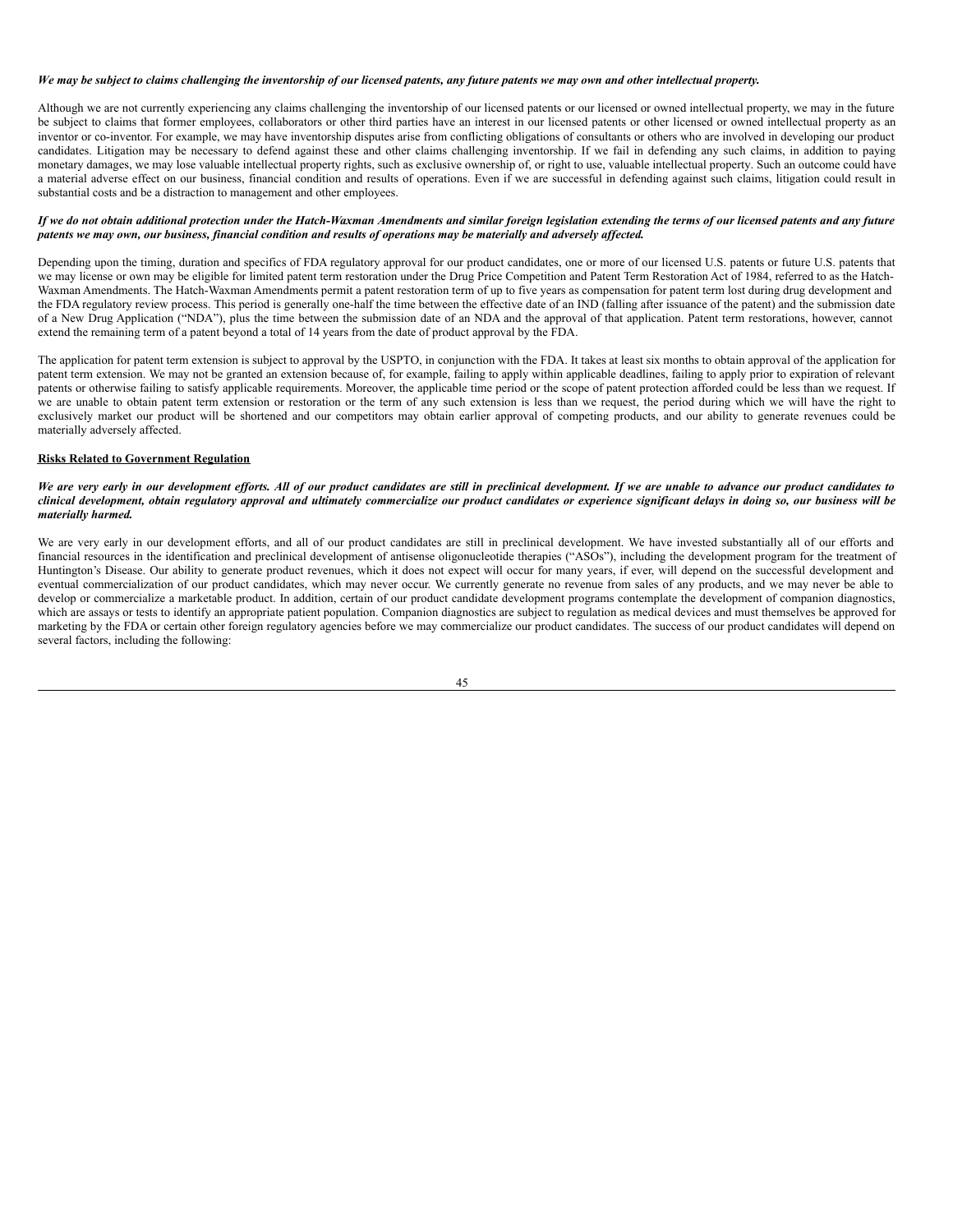#### We may be subject to claims challenging the inventorship of our licensed patents, any future patents we may own and other intellectual property.

Although we are not currently experiencing any claims challenging the inventorship of our licensed patents or our licensed or owned intellectual property, we may in the future be subject to claims that former employees, collaborators or other third parties have an interest in our licensed patents or other licensed or owned intellectual property as an inventor or co-inventor. For example, we may have inventorship disputes arise from conflicting obligations of consultants or others who are involved in developing our product candidates. Litigation may be necessary to defend against these and other claims challenging inventorship. If we fail in defending any such claims, in addition to paying monetary damages, we may lose valuable intellectual property rights, such as exclusive ownership of, or right to use, valuable intellectual property. Such an outcome could have a material adverse effect on our business, financial condition and results of operations. Even if we are successful in defending against such claims, litigation could result in substantial costs and be a distraction to management and other employees.

#### If we do not obtain additional protection under the Hatch-Waxman Amendments and similar foreign legislation extending the terms of our licensed patents and any future patents we may own, our business, financial condition and results of operations may be materially and adversely affected.

Depending upon the timing, duration and specifics of FDA regulatory approval for our product candidates, one or more of our licensed U.S. patents or future U.S. patents that we may license or own may be eligible for limited patent term restoration under the Drug Price Competition and Patent Term Restoration Act of 1984, referred to as the Hatch-Waxman Amendments. The Hatch-Waxman Amendments permit a patent restoration term of up to five years as compensation for patent term lost during drug development and the FDA regulatory review process. This period is generally one-half the time between the effective date of an IND (falling after issuance of the patent) and the submission date of a New Drug Application ("NDA"), plus the time between the submission date of an NDA and the approval of that application. Patent term restorations, however, cannot extend the remaining term of a patent beyond a total of 14 years from the date of product approval by the FDA.

The application for patent term extension is subject to approval by the USPTO, in conjunction with the FDA. It takes at least six months to obtain approval of the application for patent term extension. We may not be granted an extension because of, for example, failing to apply within applicable deadlines, failing to apply prior to expiration of relevant patents or otherwise failing to satisfy applicable requirements. Moreover, the applicable time period or the scope of patent protection afforded could be less than we request. If we are unable to obtain patent term extension or restoration or the term of any such extension is less than we request, the period during which we will have the right to exclusively market our product will be shortened and our competitors may obtain earlier approval of competing products, and our ability to generate revenues could be materially adversely affected.

## **Risks Related to Government Regulation**

We are very early in our development efforts. All of our product candidates are still in preclinical development. If we are unable to advance our product candidates to clinical development, obtain regulatory approval and ultimately commercialize our product candidates or experience significant delays in doing so, our business will be *materially harmed.*

We are very early in our development efforts, and all of our product candidates are still in preclinical development. We have invested substantially all of our efforts and financial resources in the identification and preclinical development of antisense oligonucleotide therapies ("ASOs"), including the development program for the treatment of Huntington's Disease. Our ability to generate product revenues, which it does not expect will occur for many years, if ever, will depend on the successful development and eventual commercialization of our product candidates, which may never occur. We currently generate no revenue from sales of any products, and we may never be able to develop or commercialize a marketable product. In addition, certain of our product candidate development programs contemplate the development of companion diagnostics, which are assays or tests to identify an appropriate patient population. Companion diagnostics are subject to regulation as medical devices and must themselves be approved for marketing by the FDA or certain other foreign regulatory agencies before we may commercialize our product candidates. The success of our product candidates will depend on several factors, including the following:

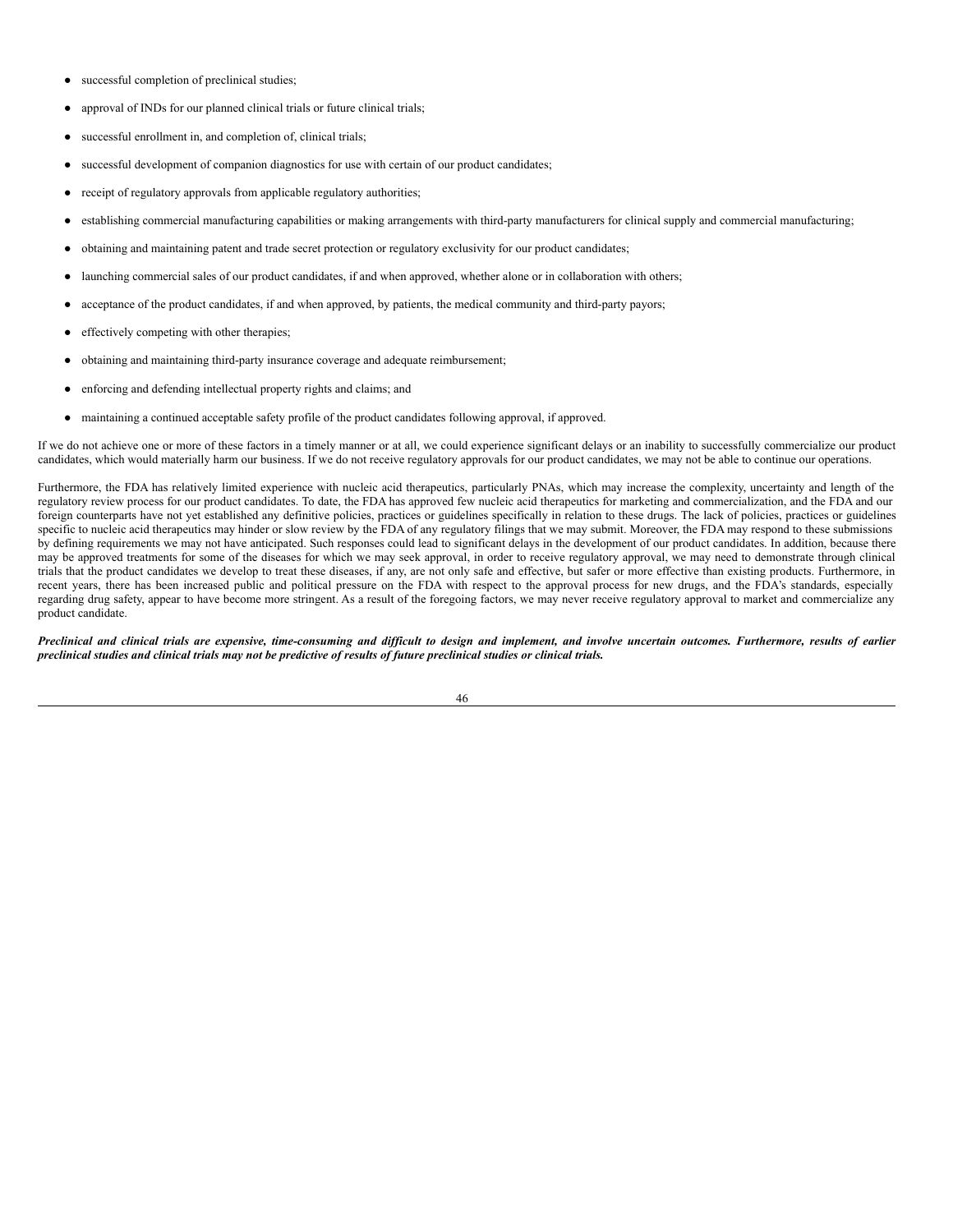- successful completion of preclinical studies;
- approval of INDs for our planned clinical trials or future clinical trials;
- successful enrollment in, and completion of, clinical trials;
- successful development of companion diagnostics for use with certain of our product candidates;
- receipt of regulatory approvals from applicable regulatory authorities;
- establishing commercial manufacturing capabilities or making arrangements with third-party manufacturers for clinical supply and commercial manufacturing;
- obtaining and maintaining patent and trade secret protection or regulatory exclusivity for our product candidates;
- launching commercial sales of our product candidates, if and when approved, whether alone or in collaboration with others;
- acceptance of the product candidates, if and when approved, by patients, the medical community and third-party payors;
- effectively competing with other therapies;
- obtaining and maintaining third-party insurance coverage and adequate reimbursement;
- enforcing and defending intellectual property rights and claims; and
- maintaining a continued acceptable safety profile of the product candidates following approval, if approved.

If we do not achieve one or more of these factors in a timely manner or at all, we could experience significant delays or an inability to successfully commercialize our product candidates, which would materially harm our business. If we do not receive regulatory approvals for our product candidates, we may not be able to continue our operations.

Furthermore, the FDA has relatively limited experience with nucleic acid therapeutics, particularly PNAs, which may increase the complexity, uncertainty and length of the regulatory review process for our product candidates. To date, the FDA has approved few nucleic acid therapeutics for marketing and commercialization, and the FDA and our foreign counterparts have not yet established any definitive policies, practices or guidelines specifically in relation to these drugs. The lack of policies, practices or guidelines specific to nucleic acid therapeutics may hinder or slow review by the FDA of any regulatory filings that we may submit. Moreover, the FDA may respond to these submissions by defining requirements we may not have anticipated. Such responses could lead to significant delays in the development of our product candidates. In addition, because there may be approved treatments for some of the diseases for which we may seek approval, in order to receive regulatory approval, we may need to demonstrate through clinical trials that the product candidates we develop to treat these diseases, if any, are not only safe and effective, but safer or more effective than existing products. Furthermore, in recent years, there has been increased public and political pressure on the FDA with respect to the approval process for new drugs, and the FDA's standards, especially regarding drug safety, appear to have become more stringent. As a result of the foregoing factors, we may never receive regulatory approval to market and commercialize any product candidate.

Preclinical and clinical trials are expensive, time-consuming and difficult to design and implement, and involve uncertain outcomes. Furthermore, results of earlier preclinical studies and clinical trials may not be predictive of results of future preclinical studies or clinical trials.

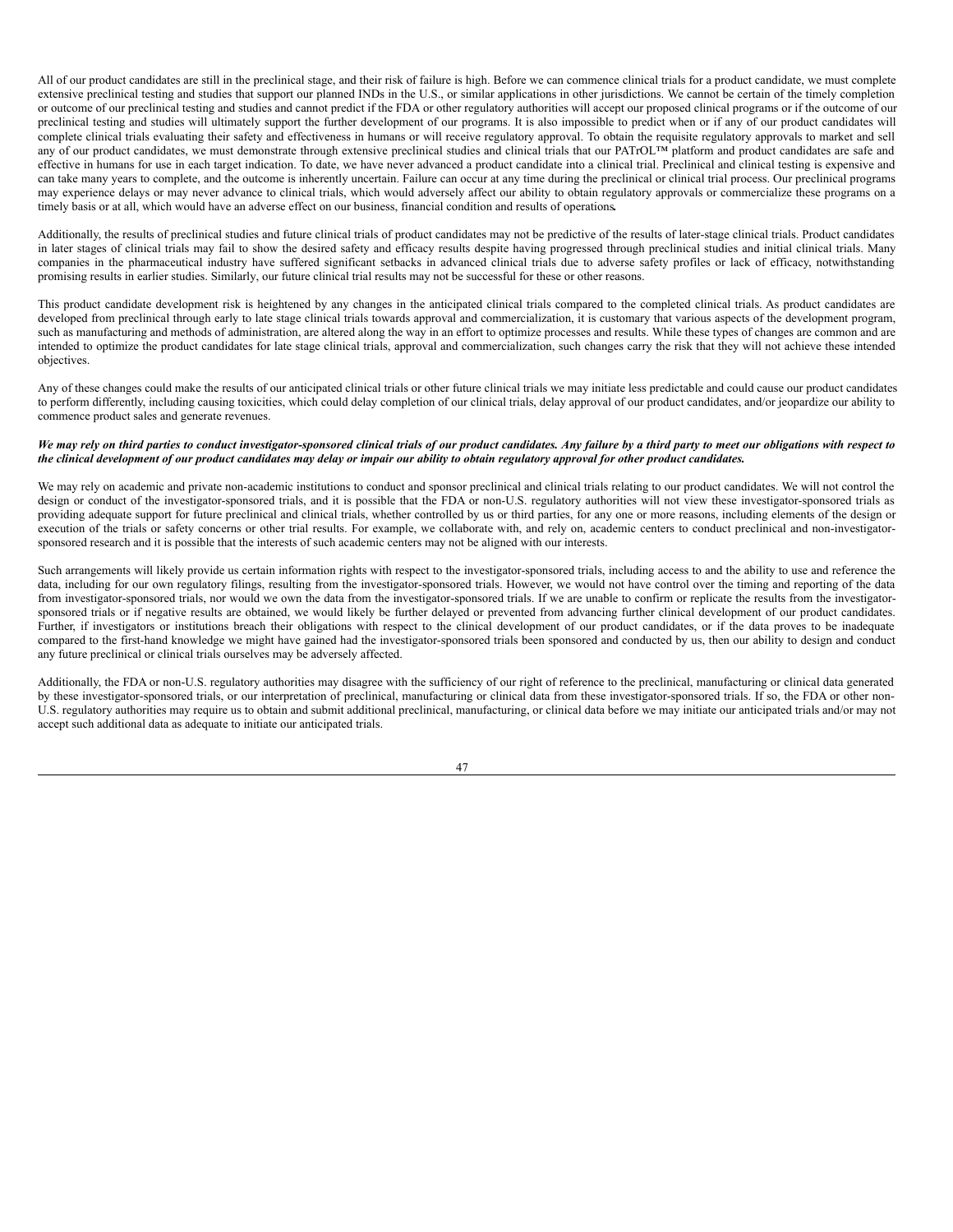All of our product candidates are still in the preclinical stage, and their risk of failure is high. Before we can commence clinical trials for a product candidate, we must complete extensive preclinical testing and studies that support our planned INDs in the U.S., or similar applications in other jurisdictions. We cannot be certain of the timely completion or outcome of our preclinical testing and studies and cannot predict if the FDA or other regulatory authorities will accept our proposed clinical programs or if the outcome of our preclinical testing and studies will ultimately support the further development of our programs. It is also impossible to predict when or if any of our product candidates will complete clinical trials evaluating their safety and effectiveness in humans or will receive regulatory approval. To obtain the requisite regulatory approvals to market and sell any of our product candidates, we must demonstrate through extensive preclinical studies and clinical trials that our PATrOL™ platform and product candidates are safe and effective in humans for use in each target indication. To date, we have never advanced a product candidate into a clinical trial. Preclinical and clinical testing is expensive and can take many years to complete, and the outcome is inherently uncertain. Failure can occur at any time during the preclinical or clinical trial process. Our preclinical programs may experience delays or may never advance to clinical trials, which would adversely affect our ability to obtain regulatory approvals or commercialize these programs on a timely basis or at all, which would have an adverse effect on our business, financial condition and results of operations*.*

Additionally, the results of preclinical studies and future clinical trials of product candidates may not be predictive of the results of later-stage clinical trials. Product candidates in later stages of clinical trials may fail to show the desired safety and efficacy results despite having progressed through preclinical studies and initial clinical trials. Many companies in the pharmaceutical industry have suffered significant setbacks in advanced clinical trials due to adverse safety profiles or lack of efficacy, notwithstanding promising results in earlier studies. Similarly, our future clinical trial results may not be successful for these or other reasons.

This product candidate development risk is heightened by any changes in the anticipated clinical trials compared to the completed clinical trials. As product candidates are developed from preclinical through early to late stage clinical trials towards approval and commercialization, it is customary that various aspects of the development program, such as manufacturing and methods of administration, are altered along the way in an effort to optimize processes and results. While these types of changes are common and are intended to optimize the product candidates for late stage clinical trials, approval and commercialization, such changes carry the risk that they will not achieve these intended objectives.

Any of these changes could make the results of our anticipated clinical trials or other future clinical trials we may initiate less predictable and could cause our product candidates to perform differently, including causing toxicities, which could delay completion of our clinical trials, delay approval of our product candidates, and/or jeopardize our ability to commence product sales and generate revenues.

## We may rely on third parties to conduct investigator-sponsored clinical trials of our product candidates. Any failure by a third party to meet our obligations with respect to the clinical development of our product candidates may delay or impair our ability to obtain regulatory approval for other product candidates.

We may rely on academic and private non-academic institutions to conduct and sponsor preclinical and clinical trials relating to our product candidates. We will not control the design or conduct of the investigator-sponsored trials, and it is possible that the FDA or non-U.S. regulatory authorities will not view these investigator-sponsored trials as providing adequate support for future preclinical and clinical trials, whether controlled by us or third parties, for any one or more reasons, including elements of the design or execution of the trials or safety concerns or other trial results. For example, we collaborate with, and rely on, academic centers to conduct preclinical and non-investigatorsponsored research and it is possible that the interests of such academic centers may not be aligned with our interests.

Such arrangements will likely provide us certain information rights with respect to the investigator-sponsored trials, including access to and the ability to use and reference the data, including for our own regulatory filings, resulting from the investigator-sponsored trials. However, we would not have control over the timing and reporting of the data from investigator-sponsored trials, nor would we own the data from the investigator-sponsored trials. If we are unable to confirm or replicate the results from the investigatorsponsored trials or if negative results are obtained, we would likely be further delayed or prevented from advancing further clinical development of our product candidates. Further, if investigators or institutions breach their obligations with respect to the clinical development of our product candidates, or if the data proves to be inadequate compared to the first-hand knowledge we might have gained had the investigator-sponsored trials been sponsored and conducted by us, then our ability to design and conduct any future preclinical or clinical trials ourselves may be adversely affected.

Additionally, the FDA or non-U.S. regulatory authorities may disagree with the sufficiency of our right of reference to the preclinical, manufacturing or clinical data generated by these investigator-sponsored trials, or our interpretation of preclinical, manufacturing or clinical data from these investigator-sponsored trials. If so, the FDA or other non-U.S. regulatory authorities may require us to obtain and submit additional preclinical, manufacturing, or clinical data before we may initiate our anticipated trials and/or may not accept such additional data as adequate to initiate our anticipated trials.

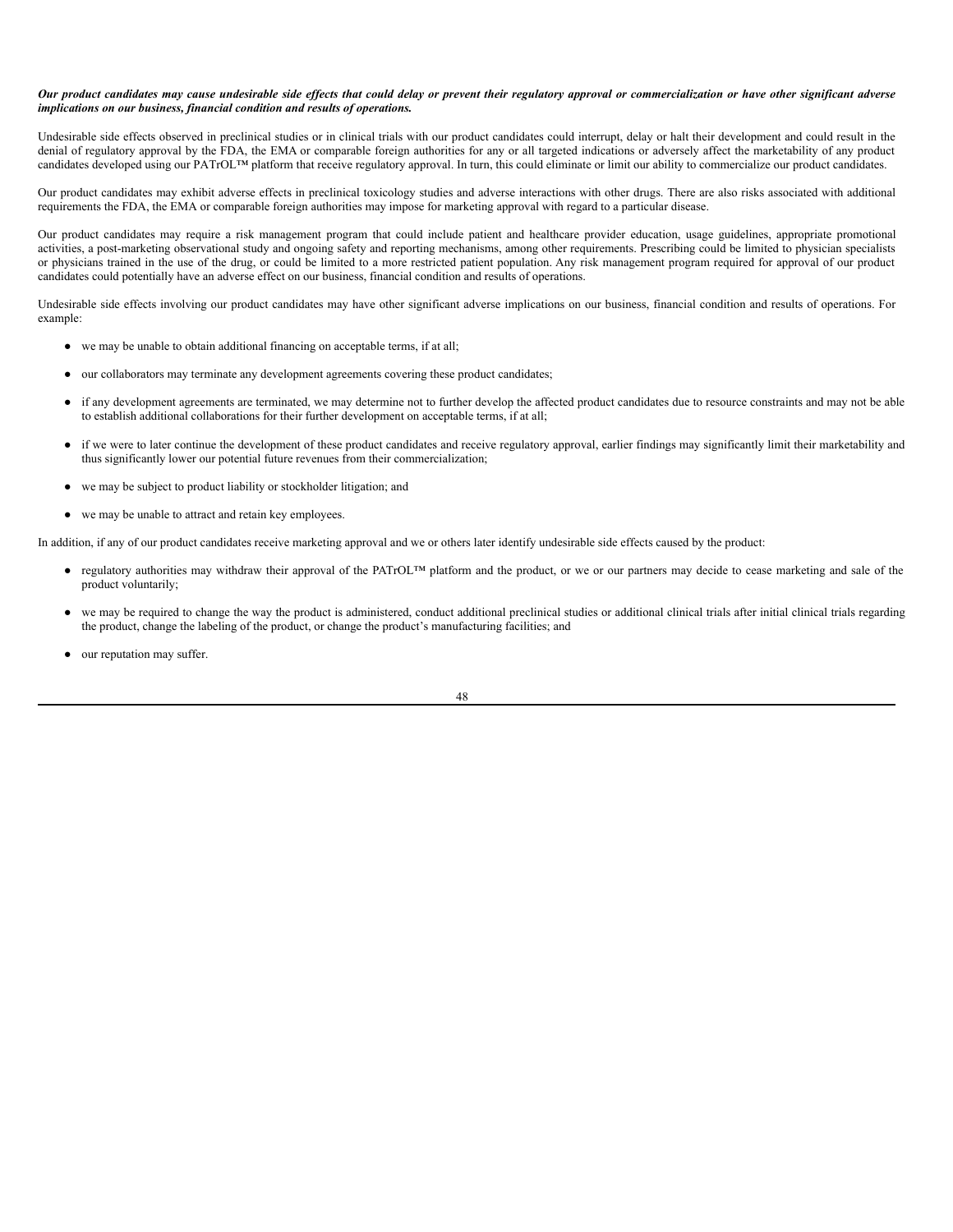#### Our product candidates may cause undesirable side effects that could delay or prevent their regulatory approval or commercialization or have other significant adverse *implications on our business, financial condition and results of operations.*

Undesirable side effects observed in preclinical studies or in clinical trials with our product candidates could interrupt, delay or halt their development and could result in the denial of regulatory approval by the FDA, the EMA or comparable foreign authorities for any or all targeted indications or adversely affect the marketability of any product candidates developed using our PATrOL™ platform that receive regulatory approval. In turn, this could eliminate or limit our ability to commercialize our product candidates.

Our product candidates may exhibit adverse effects in preclinical toxicology studies and adverse interactions with other drugs. There are also risks associated with additional requirements the FDA, the EMA or comparable foreign authorities may impose for marketing approval with regard to a particular disease.

Our product candidates may require a risk management program that could include patient and healthcare provider education, usage guidelines, appropriate promotional activities, a post-marketing observational study and ongoing safety and reporting mechanisms, among other requirements. Prescribing could be limited to physician specialists or physicians trained in the use of the drug, or could be limited to a more restricted patient population. Any risk management program required for approval of our product candidates could potentially have an adverse effect on our business, financial condition and results of operations.

Undesirable side effects involving our product candidates may have other significant adverse implications on our business, financial condition and results of operations. For example:

- we may be unable to obtain additional financing on acceptable terms, if at all;
- our collaborators may terminate any development agreements covering these product candidates;
- if any development agreements are terminated, we may determine not to further develop the affected product candidates due to resource constraints and may not be able to establish additional collaborations for their further development on acceptable terms, if at all;
- if we were to later continue the development of these product candidates and receive regulatory approval, earlier findings may significantly limit their marketability and thus significantly lower our potential future revenues from their commercialization;
- we may be subject to product liability or stockholder litigation; and
- we may be unable to attract and retain key employees.

In addition, if any of our product candidates receive marketing approval and we or others later identify undesirable side effects caused by the product:

- regulatory authorities may withdraw their approval of the PATrOL™ platform and the product, or we or our partners may decide to cease marketing and sale of the product voluntarily;
- we may be required to change the way the product is administered, conduct additional preclinical studies or additional clinical trials after initial clinical trials regarding the product, change the labeling of the product, or change the product's manufacturing facilities; and
- our reputation may suffer.

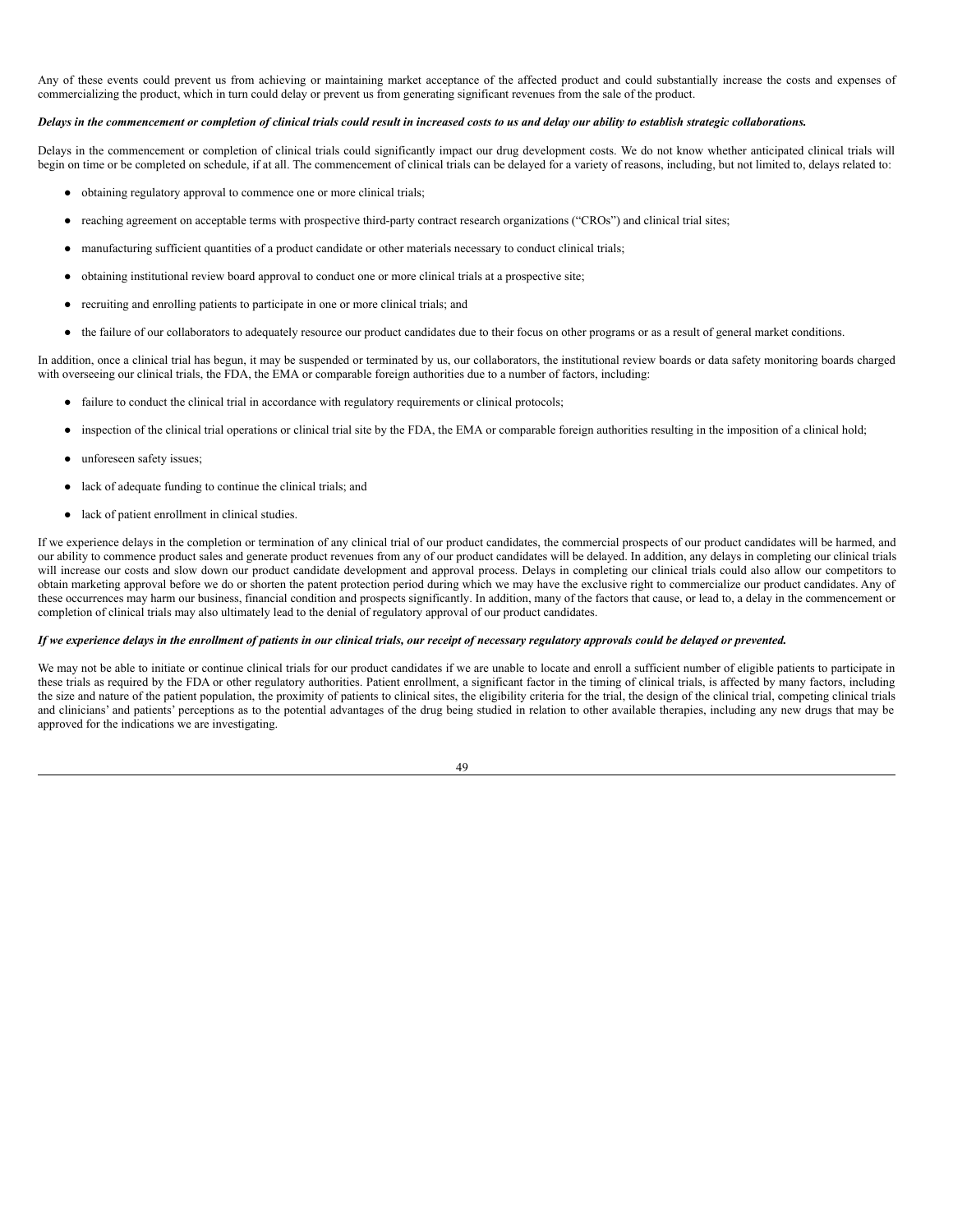Any of these events could prevent us from achieving or maintaining market acceptance of the affected product and could substantially increase the costs and expenses of commercializing the product, which in turn could delay or prevent us from generating significant revenues from the sale of the product.

## Delays in the commencement or completion of clinical trials could result in increased costs to us and delay our ability to establish strategic collaborations.

Delays in the commencement or completion of clinical trials could significantly impact our drug development costs. We do not know whether anticipated clinical trials will begin on time or be completed on schedule, if at all. The commencement of clinical trials can be delayed for a variety of reasons, including, but not limited to, delays related to:

- obtaining regulatory approval to commence one or more clinical trials;
- reaching agreement on acceptable terms with prospective third-party contract research organizations ("CROs") and clinical trial sites;
- manufacturing sufficient quantities of a product candidate or other materials necessary to conduct clinical trials;
- obtaining institutional review board approval to conduct one or more clinical trials at a prospective site;
- recruiting and enrolling patients to participate in one or more clinical trials; and
- the failure of our collaborators to adequately resource our product candidates due to their focus on other programs or as a result of general market conditions.

In addition, once a clinical trial has begun, it may be suspended or terminated by us, our collaborators, the institutional review boards or data safety monitoring boards charged with overseeing our clinical trials, the FDA, the EMA or comparable foreign authorities due to a number of factors, including:

- failure to conduct the clinical trial in accordance with regulatory requirements or clinical protocols;
- inspection of the clinical trial operations or clinical trial site by the FDA, the EMA or comparable foreign authorities resulting in the imposition of a clinical hold;
- unforeseen safety issues:
- lack of adequate funding to continue the clinical trials; and
- lack of patient enrollment in clinical studies.

If we experience delays in the completion or termination of any clinical trial of our product candidates, the commercial prospects of our product candidates will be harmed, and our ability to commence product sales and generate product revenues from any of our product candidates will be delayed. In addition, any delays in completing our clinical trials will increase our costs and slow down our product candidate development and approval process. Delays in completing our clinical trials could also allow our competitors to obtain marketing approval before we do or shorten the patent protection period during which we may have the exclusive right to commercialize our product candidates. Any of these occurrences may harm our business, financial condition and prospects significantly. In addition, many of the factors that cause, or lead to, a delay in the commencement or completion of clinical trials may also ultimately lead to the denial of regulatory approval of our product candidates.

## If we experience delays in the enrollment of patients in our clinical trials, our receipt of necessary regulatory approvals could be delayed or prevented.

We may not be able to initiate or continue clinical trials for our product candidates if we are unable to locate and enroll a sufficient number of eligible patients to participate in these trials as required by the FDA or other regulatory authorities. Patient enrollment, a significant factor in the timing of clinical trials, is affected by many factors, including the size and nature of the patient population, the proximity of patients to clinical sites, the eligibility criteria for the trial, the design of the clinical trial, competing clinical trials and clinicians' and patients' perceptions as to the potential advantages of the drug being studied in relation to other available therapies, including any new drugs that may be approved for the indications we are investigating.

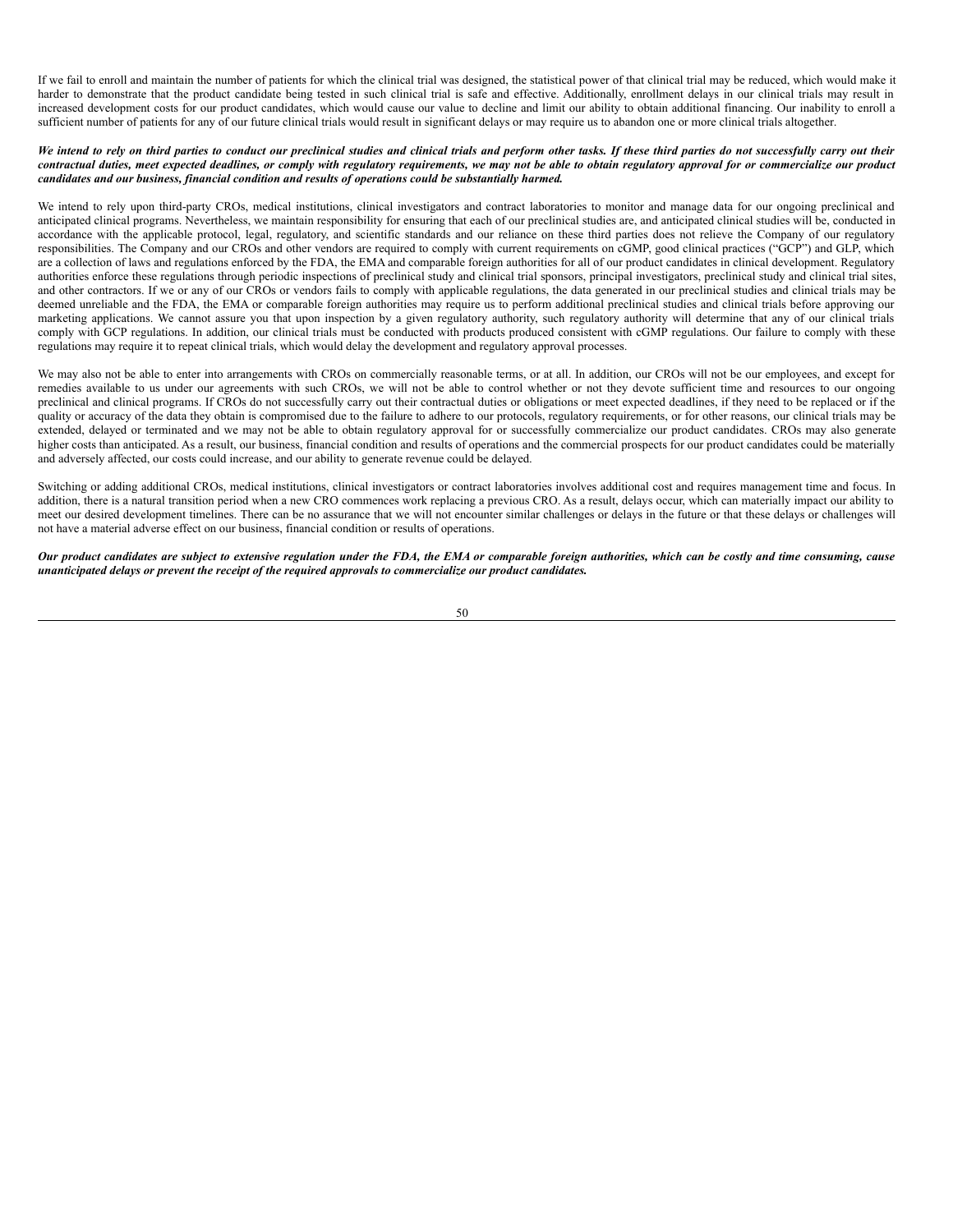If we fail to enroll and maintain the number of patients for which the clinical trial was designed, the statistical power of that clinical trial may be reduced, which would make it harder to demonstrate that the product candidate being tested in such clinical trial is safe and effective. Additionally, enrollment delays in our clinical trials may result in increased development costs for our product candidates, which would cause our value to decline and limit our ability to obtain additional financing. Our inability to enroll a sufficient number of patients for any of our future clinical trials would result in significant delays or may require us to abandon one or more clinical trials altogether.

#### We intend to rely on third parties to conduct our preclinical studies and clinical trials and perform other tasks. If these third parties do not successfully carry out their contractual duties, meet expected deadlines, or comply with regulatory requirements, we may not be able to obtain regulatory approval for or commercialize our product *candidates and our business, financial condition and results of operations could be substantially harmed.*

We intend to rely upon third-party CROs, medical institutions, clinical investigators and contract laboratories to monitor and manage data for our ongoing preclinical and anticipated clinical programs. Nevertheless, we maintain responsibility for ensuring that each of our preclinical studies are, and anticipated clinical studies will be, conducted in accordance with the applicable protocol, legal, regulatory, and scientific standards and our reliance on these third parties does not relieve the Company of our regulatory responsibilities. The Company and our CROs and other vendors are required to comply with current requirements on cGMP, good clinical practices ("GCP") and GLP, which are a collection of laws and regulations enforced by the FDA, the EMA and comparable foreign authorities for all of our product candidates in clinical development. Regulatory authorities enforce these regulations through periodic inspections of preclinical study and clinical trial sponsors, principal investigators, preclinical study and clinical trial sites, and other contractors. If we or any of our CROs or vendors fails to comply with applicable regulations, the data generated in our preclinical studies and clinical trials may be deemed unreliable and the FDA, the EMA or comparable foreign authorities may require us to perform additional preclinical studies and clinical trials before approving our marketing applications. We cannot assure you that upon inspection by a given regulatory authority, such regulatory authority will determine that any of our clinical trials comply with GCP regulations. In addition, our clinical trials must be conducted with products produced consistent with cGMP regulations. Our failure to comply with these regulations may require it to repeat clinical trials, which would delay the development and regulatory approval processes.

We may also not be able to enter into arrangements with CROs on commercially reasonable terms, or at all. In addition, our CROs will not be our employees, and except for remedies available to us under our agreements with such CROs, we will not be able to control whether or not they devote sufficient time and resources to our ongoing preclinical and clinical programs. If CROs do not successfully carry out their contractual duties or obligations or meet expected deadlines, if they need to be replaced or if the quality or accuracy of the data they obtain is compromised due to the failure to adhere to our protocols, regulatory requirements, or for other reasons, our clinical trials may be extended, delayed or terminated and we may not be able to obtain regulatory approval for or successfully commercialize our product candidates. CROs may also generate higher costs than anticipated. As a result, our business, financial condition and results of operations and the commercial prospects for our product candidates could be materially and adversely affected, our costs could increase, and our ability to generate revenue could be delayed.

Switching or adding additional CROs, medical institutions, clinical investigators or contract laboratories involves additional cost and requires management time and focus. In addition, there is a natural transition period when a new CRO commences work replacing a previous CRO. As a result, delays occur, which can materially impact our ability to meet our desired development timelines. There can be no assurance that we will not encounter similar challenges or delays in the future or that these delays or challenges will not have a material adverse effect on our business, financial condition or results of operations.

Our product candidates are subject to extensive regulation under the FDA, the EMA or comparable foreign authorities, which can be costly and time consuming, cause *unanticipated delays or prevent the receipt of the required approvals to commercialize our product candidates.*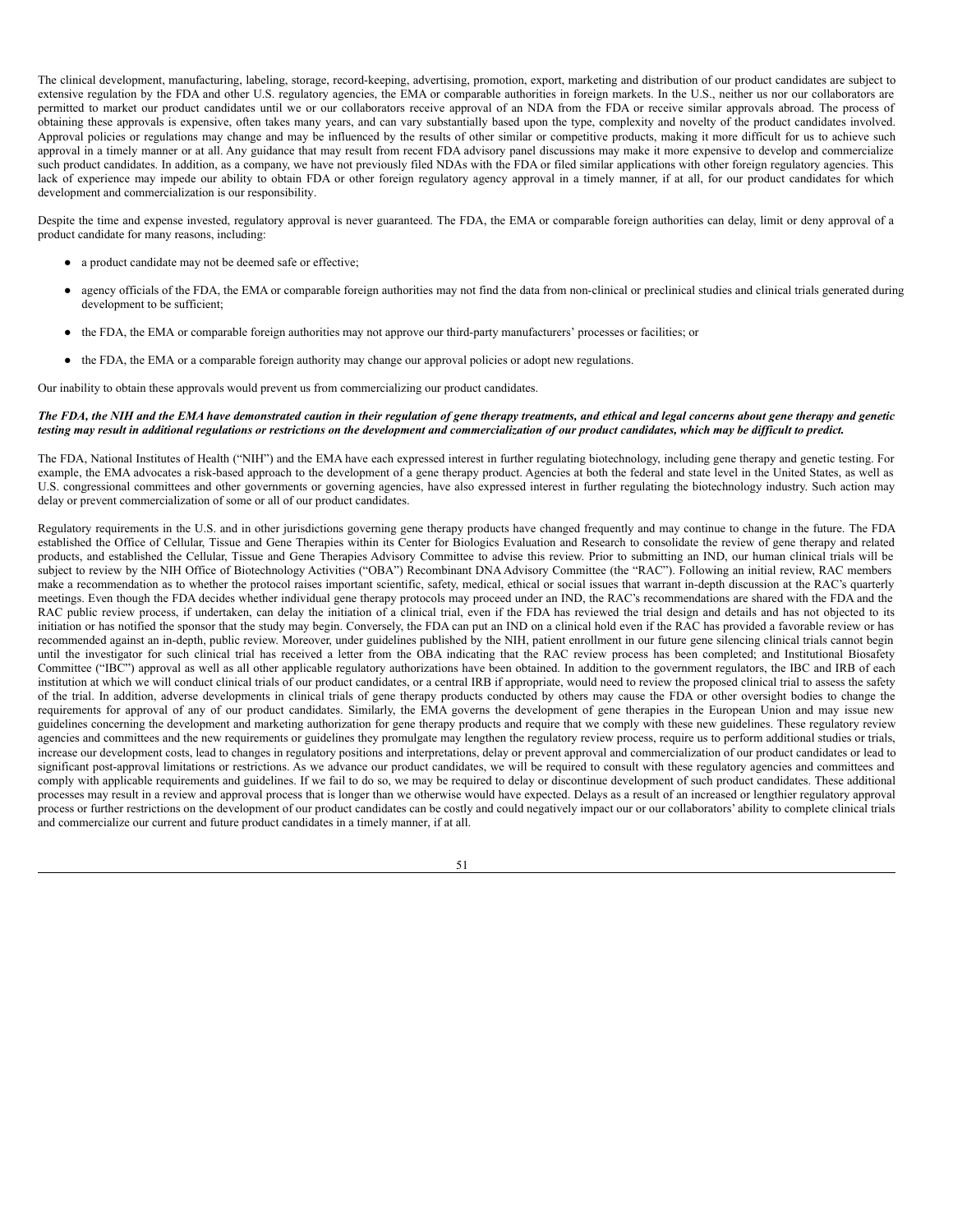The clinical development, manufacturing, labeling, storage, record-keeping, advertising, promotion, export, marketing and distribution of our product candidates are subject to extensive regulation by the FDA and other U.S. regulatory agencies, the EMA or comparable authorities in foreign markets. In the U.S., neither us nor our collaborators are permitted to market our product candidates until we or our collaborators receive approval of an NDA from the FDA or receive similar approvals abroad. The process of obtaining these approvals is expensive, often takes many years, and can vary substantially based upon the type, complexity and novelty of the product candidates involved. Approval policies or regulations may change and may be influenced by the results of other similar or competitive products, making it more difficult for us to achieve such approval in a timely manner or at all. Any guidance that may result from recent FDA advisory panel discussions may make it more expensive to develop and commercialize such product candidates. In addition, as a company, we have not previously filed NDAs with the FDA or filed similar applications with other foreign regulatory agencies. This lack of experience may impede our ability to obtain FDA or other foreign regulatory agency approval in a timely manner, if at all, for our product candidates for which development and commercialization is our responsibility.

Despite the time and expense invested, regulatory approval is never guaranteed. The FDA, the EMA or comparable foreign authorities can delay, limit or deny approval of a product candidate for many reasons, including:

- a product candidate may not be deemed safe or effective;
- agency officials of the FDA, the EMA or comparable foreign authorities may not find the data from non-clinical or preclinical studies and clinical trials generated during development to be sufficient;
- the FDA, the EMA or comparable foreign authorities may not approve our third-party manufacturers' processes or facilities; or
- the FDA, the EMA or a comparable foreign authority may change our approval policies or adopt new regulations.

Our inability to obtain these approvals would prevent us from commercializing our product candidates.

#### The FDA, the NIH and the EMA have demonstrated caution in their regulation of gene therapy treatments, and ethical and legal concerns about gene therapy and genetic testing may result in additional regulations or restrictions on the development and commercialization of our product candidates, which may be difficult to predict.

The FDA, National Institutes of Health ("NIH") and the EMA have each expressed interest in further regulating biotechnology, including gene therapy and genetic testing. For example, the EMA advocates a risk-based approach to the development of a gene therapy product. Agencies at both the federal and state level in the United States, as well as U.S. congressional committees and other governments or governing agencies, have also expressed interest in further regulating the biotechnology industry. Such action may delay or prevent commercialization of some or all of our product candidates.

Regulatory requirements in the U.S. and in other jurisdictions governing gene therapy products have changed frequently and may continue to change in the future. The FDA established the Office of Cellular, Tissue and Gene Therapies within its Center for Biologics Evaluation and Research to consolidate the review of gene therapy and related products, and established the Cellular, Tissue and Gene Therapies Advisory Committee to advise this review. Prior to submitting an IND, our human clinical trials will be subject to review by the NIH Office of Biotechnology Activities ("OBA") Recombinant DNA Advisory Committee (the "RAC"). Following an initial review, RAC members make a recommendation as to whether the protocol raises important scientific, safety, medical, ethical or social issues that warrant in-depth discussion at the RAC's quarterly meetings. Even though the FDA decides whether individual gene therapy protocols may proceed under an IND, the RAC's recommendations are shared with the FDA and the RAC public review process, if undertaken, can delay the initiation of a clinical trial, even if the FDA has reviewed the trial design and details and has not objected to its initiation or has notified the sponsor that the study may begin. Conversely, the FDA can put an IND on a clinical hold even if the RAC has provided a favorable review or has recommended against an in-depth, public review. Moreover, under guidelines published by the NIH, patient enrollment in our future gene silencing clinical trials cannot begin until the investigator for such clinical trial has received a letter from the OBA indicating that the RAC review process has been completed; and Institutional Biosafety Committee ("IBC") approval as well as all other applicable regulatory authorizations have been obtained. In addition to the government regulators, the IBC and IRB of each institution at which we will conduct clinical trials of our product candidates, or a central IRB if appropriate, would need to review the proposed clinical trial to assess the safety of the trial. In addition, adverse developments in clinical trials of gene therapy products conducted by others may cause the FDA or other oversight bodies to change the requirements for approval of any of our product candidates. Similarly, the EMA governs the development of gene therapies in the European Union and may issue new guidelines concerning the development and marketing authorization for gene therapy products and require that we comply with these new guidelines. These regulatory review agencies and committees and the new requirements or guidelines they promulgate may lengthen the regulatory review process, require us to perform additional studies or trials, increase our development costs, lead to changes in regulatory positions and interpretations, delay or prevent approval and commercialization of our product candidates or lead to significant post-approval limitations or restrictions. As we advance our product candidates, we will be required to consult with these regulatory agencies and committees and comply with applicable requirements and guidelines. If we fail to do so, we may be required to delay or discontinue development of such product candidates. These additional processes may result in a review and approval process that is longer than we otherwise would have expected. Delays as a result of an increased or lengthier regulatory approval process or further restrictions on the development of our product candidates can be costly and could negatively impact our or our collaborators' ability to complete clinical trials and commercialize our current and future product candidates in a timely manner, if at all.

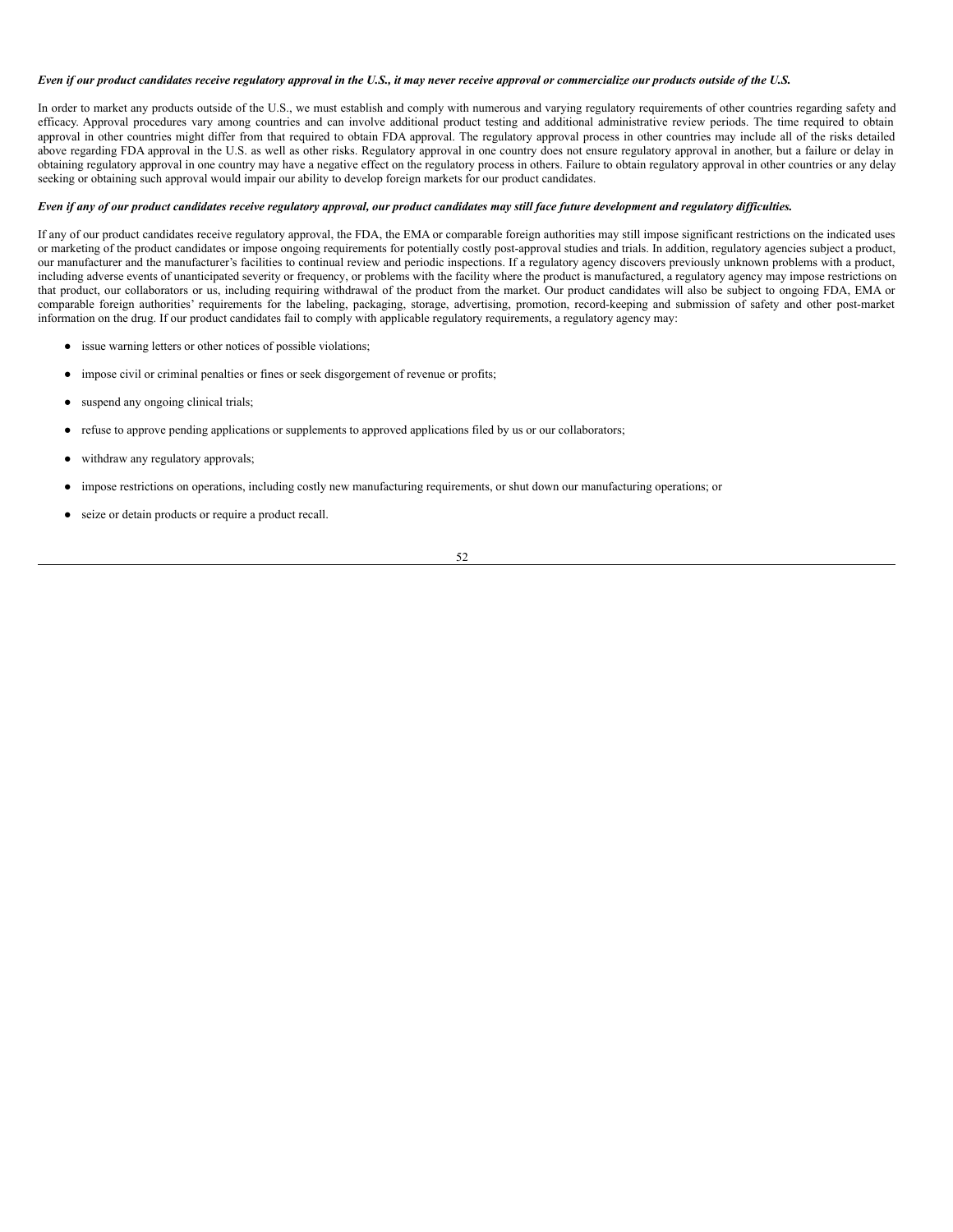#### Even if our product candidates receive regulatory approval in the U.S., it may never receive approval or commercialize our products outside of the U.S.

In order to market any products outside of the U.S., we must establish and comply with numerous and varying regulatory requirements of other countries regarding safety and efficacy. Approval procedures vary among countries and can involve additional product testing and additional administrative review periods. The time required to obtain approval in other countries might differ from that required to obtain FDA approval. The regulatory approval process in other countries may include all of the risks detailed above regarding FDA approval in the U.S. as well as other risks. Regulatory approval in one country does not ensure regulatory approval in another, but a failure or delay in obtaining regulatory approval in one country may have a negative effect on the regulatory process in others. Failure to obtain regulatory approval in other countries or any delay seeking or obtaining such approval would impair our ability to develop foreign markets for our product candidates.

#### Even if any of our product candidates receive regulatory approval, our product candidates may still face future development and regulatory difficulties.

If any of our product candidates receive regulatory approval, the FDA, the EMA or comparable foreign authorities may still impose significant restrictions on the indicated uses or marketing of the product candidates or impose ongoing requirements for potentially costly post-approval studies and trials. In addition, regulatory agencies subject a product, our manufacturer and the manufacturer's facilities to continual review and periodic inspections. If a regulatory agency discovers previously unknown problems with a product, including adverse events of unanticipated severity or frequency, or problems with the facility where the product is manufactured, a regulatory agency may impose restrictions on that product, our collaborators or us, including requiring withdrawal of the product from the market. Our product candidates will also be subject to ongoing FDA, EMA or comparable foreign authorities' requirements for the labeling, packaging, storage, advertising, promotion, record-keeping and submission of safety and other post-market information on the drug. If our product candidates fail to comply with applicable regulatory requirements, a regulatory agency may:

- issue warning letters or other notices of possible violations;
- impose civil or criminal penalties or fines or seek disgorgement of revenue or profits;
- suspend any ongoing clinical trials;
- refuse to approve pending applications or supplements to approved applications filed by us or our collaborators;
- withdraw any regulatory approvals;
- impose restrictions on operations, including costly new manufacturing requirements, or shut down our manufacturing operations; or
- seize or detain products or require a product recall.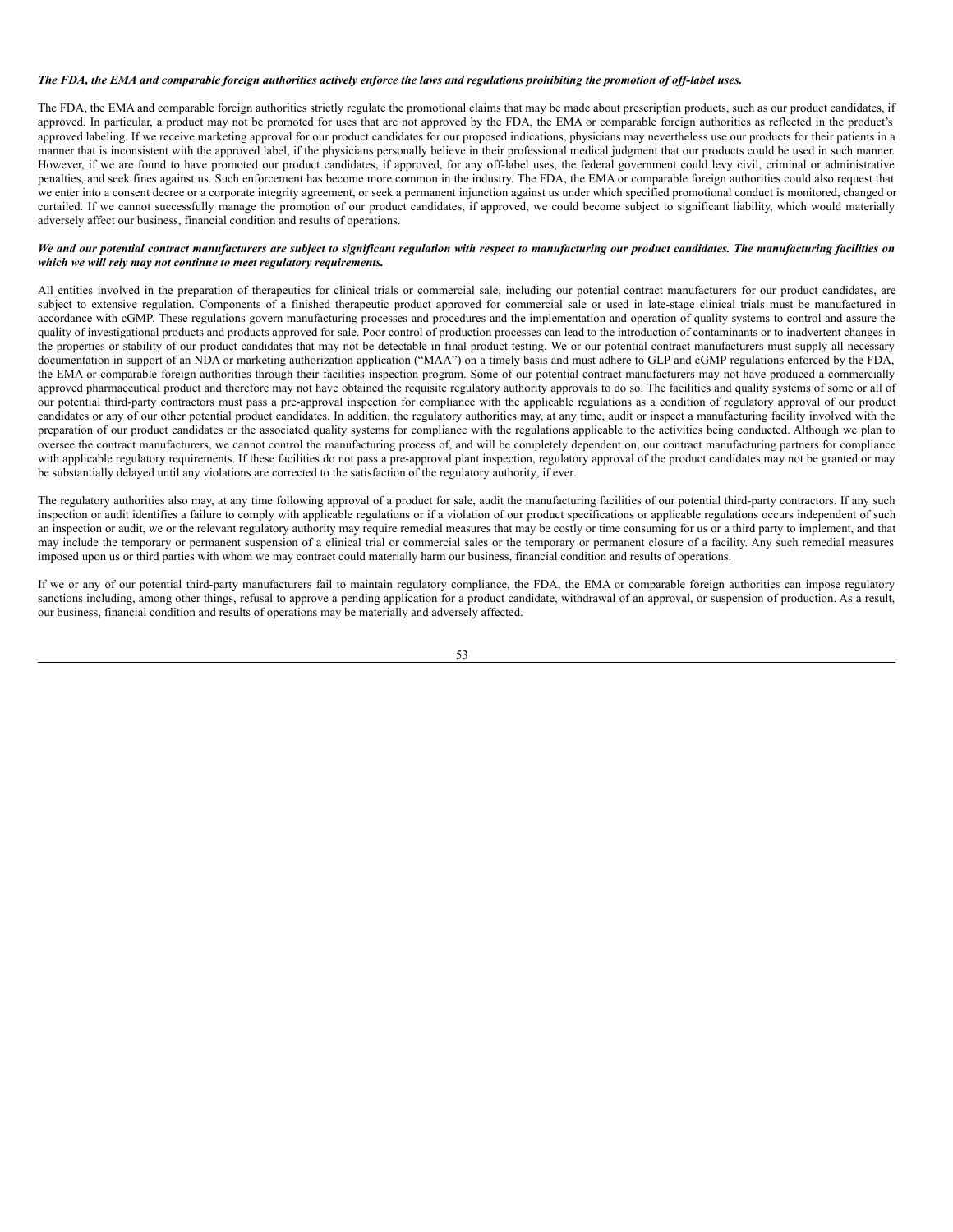#### The FDA, the EMA and comparable foreign authorities actively enforce the laws and regulations prohibiting the promotion of off-label uses.

The FDA, the EMA and comparable foreign authorities strictly regulate the promotional claims that may be made about prescription products, such as our product candidates, if approved. In particular, a product may not be promoted for uses that are not approved by the FDA, the EMA or comparable foreign authorities as reflected in the product's approved labeling. If we receive marketing approval for our product candidates for our proposed indications, physicians may nevertheless use our products for their patients in a manner that is inconsistent with the approved label, if the physicians personally believe in their professional medical judgment that our products could be used in such manner. However, if we are found to have promoted our product candidates, if approved, for any off-label uses, the federal government could levy civil, criminal or administrative penalties, and seek fines against us. Such enforcement has become more common in the industry. The FDA, the EMA or comparable foreign authorities could also request that we enter into a consent decree or a corporate integrity agreement, or seek a permanent injunction against us under which specified promotional conduct is monitored, changed or curtailed. If we cannot successfully manage the promotion of our product candidates, if approved, we could become subject to significant liability, which would materially adversely affect our business, financial condition and results of operations.

#### We and our potential contract manufacturers are subject to significant regulation with respect to manufacturing our product candidates. The manufacturing facilities on *which we will rely may not continue to meet regulatory requirements.*

All entities involved in the preparation of therapeutics for clinical trials or commercial sale, including our potential contract manufacturers for our product candidates, are subject to extensive regulation. Components of a finished therapeutic product approved for commercial sale or used in late-stage clinical trials must be manufactured in accordance with cGMP. These regulations govern manufacturing processes and procedures and the implementation and operation of quality systems to control and assure the quality of investigational products and products approved for sale. Poor control of production processes can lead to the introduction of contaminants or to inadvertent changes in the properties or stability of our product candidates that may not be detectable in final product testing. We or our potential contract manufacturers must supply all necessary documentation in support of an NDA or marketing authorization application ("MAA") on a timely basis and must adhere to GLP and cGMP regulations enforced by the FDA, the EMA or comparable foreign authorities through their facilities inspection program. Some of our potential contract manufacturers may not have produced a commercially approved pharmaceutical product and therefore may not have obtained the requisite regulatory authority approvals to do so. The facilities and quality systems of some or all of our potential third-party contractors must pass a pre-approval inspection for compliance with the applicable regulations as a condition of regulatory approval of our product candidates or any of our other potential product candidates. In addition, the regulatory authorities may, at any time, audit or inspect a manufacturing facility involved with the preparation of our product candidates or the associated quality systems for compliance with the regulations applicable to the activities being conducted. Although we plan to oversee the contract manufacturers, we cannot control the manufacturing process of, and will be completely dependent on, our contract manufacturing partners for compliance with applicable regulatory requirements. If these facilities do not pass a pre-approval plant inspection, regulatory approval of the product candidates may not be granted or may be substantially delayed until any violations are corrected to the satisfaction of the regulatory authority, if ever.

The regulatory authorities also may, at any time following approval of a product for sale, audit the manufacturing facilities of our potential third-party contractors. If any such inspection or audit identifies a failure to comply with applicable regulations or if a violation of our product specifications or applicable regulations occurs independent of such an inspection or audit, we or the relevant regulatory authority may require remedial measures that may be costly or time consuming for us or a third party to implement, and that may include the temporary or permanent suspension of a clinical trial or commercial sales or the temporary or permanent closure of a facility. Any such remedial measures imposed upon us or third parties with whom we may contract could materially harm our business, financial condition and results of operations.

If we or any of our potential third-party manufacturers fail to maintain regulatory compliance, the FDA, the EMA or comparable foreign authorities can impose regulatory sanctions including, among other things, refusal to approve a pending application for a product candidate, withdrawal of an approval, or suspension of production. As a result, our business, financial condition and results of operations may be materially and adversely affected.

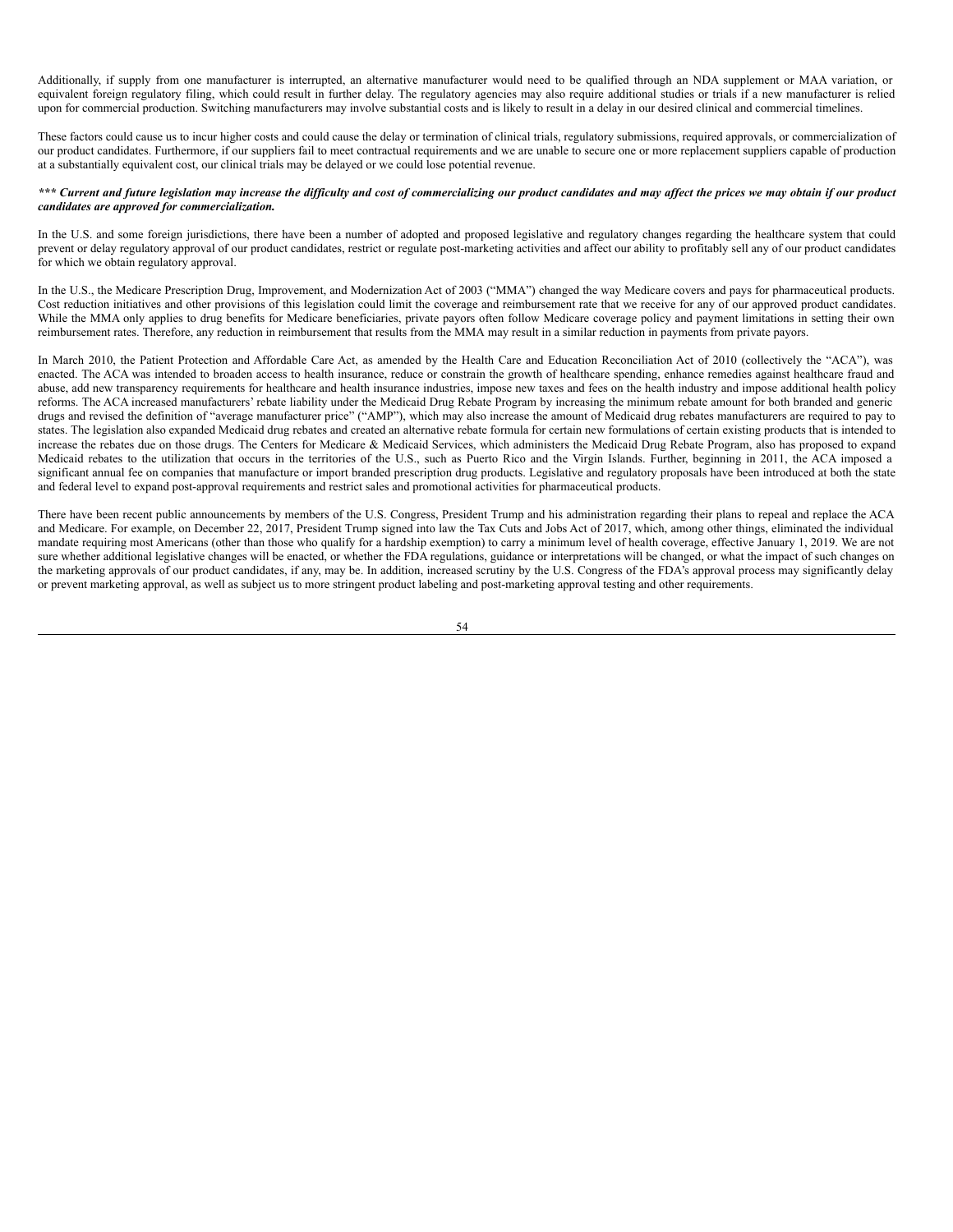Additionally, if supply from one manufacturer is interrupted, an alternative manufacturer would need to be qualified through an NDA supplement or MAA variation, or equivalent foreign regulatory filing, which could result in further delay. The regulatory agencies may also require additional studies or trials if a new manufacturer is relied upon for commercial production. Switching manufacturers may involve substantial costs and is likely to result in a delay in our desired clinical and commercial timelines.

These factors could cause us to incur higher costs and could cause the delay or termination of clinical trials, regulatory submissions, required approvals, or commercialization of our product candidates. Furthermore, if our suppliers fail to meet contractual requirements and we are unable to secure one or more replacement suppliers capable of production at a substantially equivalent cost, our clinical trials may be delayed or we could lose potential revenue.

#### \*\*\* Current and future legislation may increase the difficulty and cost of commercializing our product candidates and may affect the prices we may obtain if our product *candidates are approved for commercialization.*

In the U.S. and some foreign jurisdictions, there have been a number of adopted and proposed legislative and regulatory changes regarding the healthcare system that could prevent or delay regulatory approval of our product candidates, restrict or regulate post-marketing activities and affect our ability to profitably sell any of our product candidates for which we obtain regulatory approval.

In the U.S., the Medicare Prescription Drug, Improvement, and Modernization Act of 2003 ("MMA") changed the way Medicare covers and pays for pharmaceutical products. Cost reduction initiatives and other provisions of this legislation could limit the coverage and reimbursement rate that we receive for any of our approved product candidates. While the MMA only applies to drug benefits for Medicare beneficiaries, private payors often follow Medicare coverage policy and payment limitations in setting their own reimbursement rates. Therefore, any reduction in reimbursement that results from the MMA may result in a similar reduction in payments from private payors.

In March 2010, the Patient Protection and Affordable Care Act, as amended by the Health Care and Education Reconciliation Act of 2010 (collectively the "ACA"), was enacted. The ACA was intended to broaden access to health insurance, reduce or constrain the growth of healthcare spending, enhance remedies against healthcare fraud and abuse, add new transparency requirements for healthcare and health insurance industries, impose new taxes and fees on the health industry and impose additional health policy reforms. The ACA increased manufacturers' rebate liability under the Medicaid Drug Rebate Program by increasing the minimum rebate amount for both branded and generic drugs and revised the definition of "average manufacturer price" ("AMP"), which may also increase the amount of Medicaid drug rebates manufacturers are required to pay to states. The legislation also expanded Medicaid drug rebates and created an alternative rebate formula for certain new formulations of certain existing products that is intended to increase the rebates due on those drugs. The Centers for Medicare & Medicaid Services, which administers the Medicaid Drug Rebate Program, also has proposed to expand Medicaid rebates to the utilization that occurs in the territories of the U.S., such as Puerto Rico and the Virgin Islands. Further, beginning in 2011, the ACA imposed a significant annual fee on companies that manufacture or import branded prescription drug products. Legislative and regulatory proposals have been introduced at both the state and federal level to expand post-approval requirements and restrict sales and promotional activities for pharmaceutical products.

There have been recent public announcements by members of the U.S. Congress, President Trump and his administration regarding their plans to repeal and replace the ACA and Medicare. For example, on December 22, 2017, President Trump signed into law the Tax Cuts and Jobs Act of 2017, which, among other things, eliminated the individual mandate requiring most Americans (other than those who qualify for a hardship exemption) to carry a minimum level of health coverage, effective January 1, 2019. We are not sure whether additional legislative changes will be enacted, or whether the FDA regulations, guidance or interpretations will be changed, or what the impact of such changes on the marketing approvals of our product candidates, if any, may be. In addition, increased scrutiny by the U.S. Congress of the FDA's approval process may significantly delay or prevent marketing approval, as well as subject us to more stringent product labeling and post-marketing approval testing and other requirements.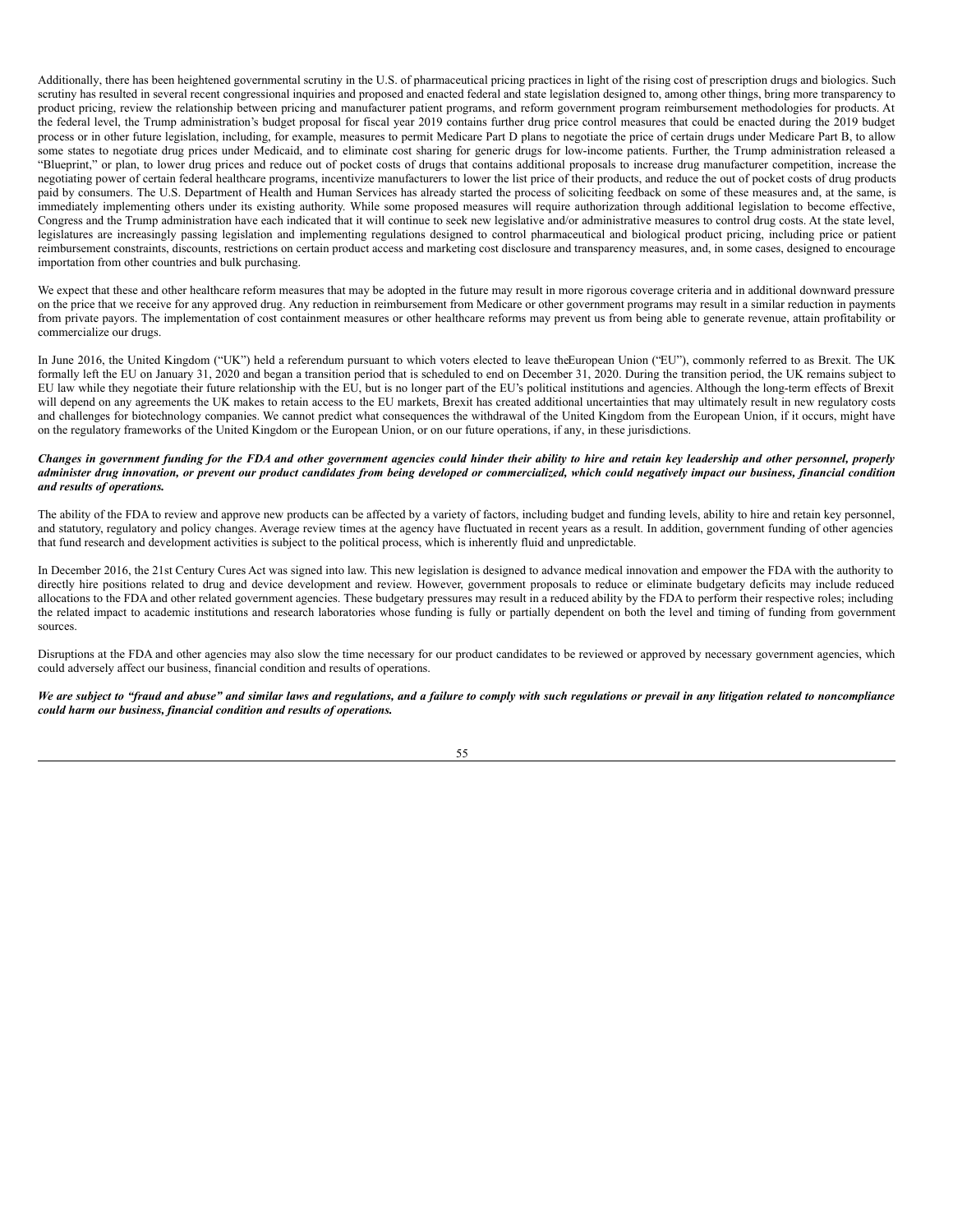Additionally, there has been heightened governmental scrutiny in the U.S. of pharmaceutical pricing practices in light of the rising cost of prescription drugs and biologics. Such scrutiny has resulted in several recent congressional inquiries and proposed and enacted federal and state legislation designed to, among other things, bring more transparency to product pricing, review the relationship between pricing and manufacturer patient programs, and reform government program reimbursement methodologies for products. At the federal level, the Trump administration's budget proposal for fiscal year 2019 contains further drug price control measures that could be enacted during the 2019 budget process or in other future legislation, including, for example, measures to permit Medicare Part D plans to negotiate the price of certain drugs under Medicare Part B, to allow some states to negotiate drug prices under Medicaid, and to eliminate cost sharing for generic drugs for low-income patients. Further, the Trump administration released a "Blueprint," or plan, to lower drug prices and reduce out of pocket costs of drugs that contains additional proposals to increase drug manufacturer competition, increase the negotiating power of certain federal healthcare programs, incentivize manufacturers to lower the list price of their products, and reduce the out of pocket costs of drug products paid by consumers. The U.S. Department of Health and Human Services has already started the process of soliciting feedback on some of these measures and, at the same, is immediately implementing others under its existing authority. While some proposed measures will require authorization through additional legislation to become effective, Congress and the Trump administration have each indicated that it will continue to seek new legislative and/or administrative measures to control drug costs. At the state level, legislatures are increasingly passing legislation and implementing regulations designed to control pharmaceutical and biological product pricing, including price or patient reimbursement constraints, discounts, restrictions on certain product access and marketing cost disclosure and transparency measures, and, in some cases, designed to encourage importation from other countries and bulk purchasing.

We expect that these and other healthcare reform measures that may be adopted in the future may result in more rigorous coverage criteria and in additional downward pressure on the price that we receive for any approved drug. Any reduction in reimbursement from Medicare or other government programs may result in a similar reduction in payments from private payors. The implementation of cost containment measures or other healthcare reforms may prevent us from being able to generate revenue, attain profitability or commercialize our drugs.

In June 2016, the United Kingdom ("UK") held a referendum pursuant to which voters elected to leave theEuropean Union ("EU"), commonly referred to as Brexit. The UK formally left the EU on January 31, 2020 and began a transition period that is scheduled to end on December 31, 2020. During the transition period, the UK remains subject to EU law while they negotiate their future relationship with the EU, but is no longer part of the EU's political institutions and agencies. Although the long-term effects of Brexit will depend on any agreements the UK makes to retain access to the EU markets, Brexit has created additional uncertainties that may ultimately result in new regulatory costs and challenges for biotechnology companies. We cannot predict what consequences the withdrawal of the United Kingdom from the European Union, if it occurs, might have on the regulatory frameworks of the United Kingdom or the European Union, or on our future operations, if any, in these jurisdictions.

#### Changes in government funding for the FDA and other government agencies could hinder their ability to hire and retain key leadership and other personnel, properly administer drug innovation, or prevent our product candidates from being developed or commercialized, which could negatively impact our business, financial condition *and results of operations.*

The ability of the FDA to review and approve new products can be affected by a variety of factors, including budget and funding levels, ability to hire and retain key personnel, and statutory, regulatory and policy changes. Average review times at the agency have fluctuated in recent years as a result. In addition, government funding of other agencies that fund research and development activities is subject to the political process, which is inherently fluid and unpredictable.

In December 2016, the 21st Century Cures Act was signed into law. This new legislation is designed to advance medical innovation and empower the FDA with the authority to directly hire positions related to drug and device development and review. However, government proposals to reduce or eliminate budgetary deficits may include reduced allocations to the FDA and other related government agencies. These budgetary pressures may result in a reduced ability by the FDA to perform their respective roles; including the related impact to academic institutions and research laboratories whose funding is fully or partially dependent on both the level and timing of funding from government sources.

Disruptions at the FDA and other agencies may also slow the time necessary for our product candidates to be reviewed or approved by necessary government agencies, which could adversely affect our business, financial condition and results of operations.

We are subject to "fraud and abuse" and similar laws and regulations, and a failure to comply with such regulations or prevail in any litigation related to noncompliance *could harm our business, financial condition and results of operations.*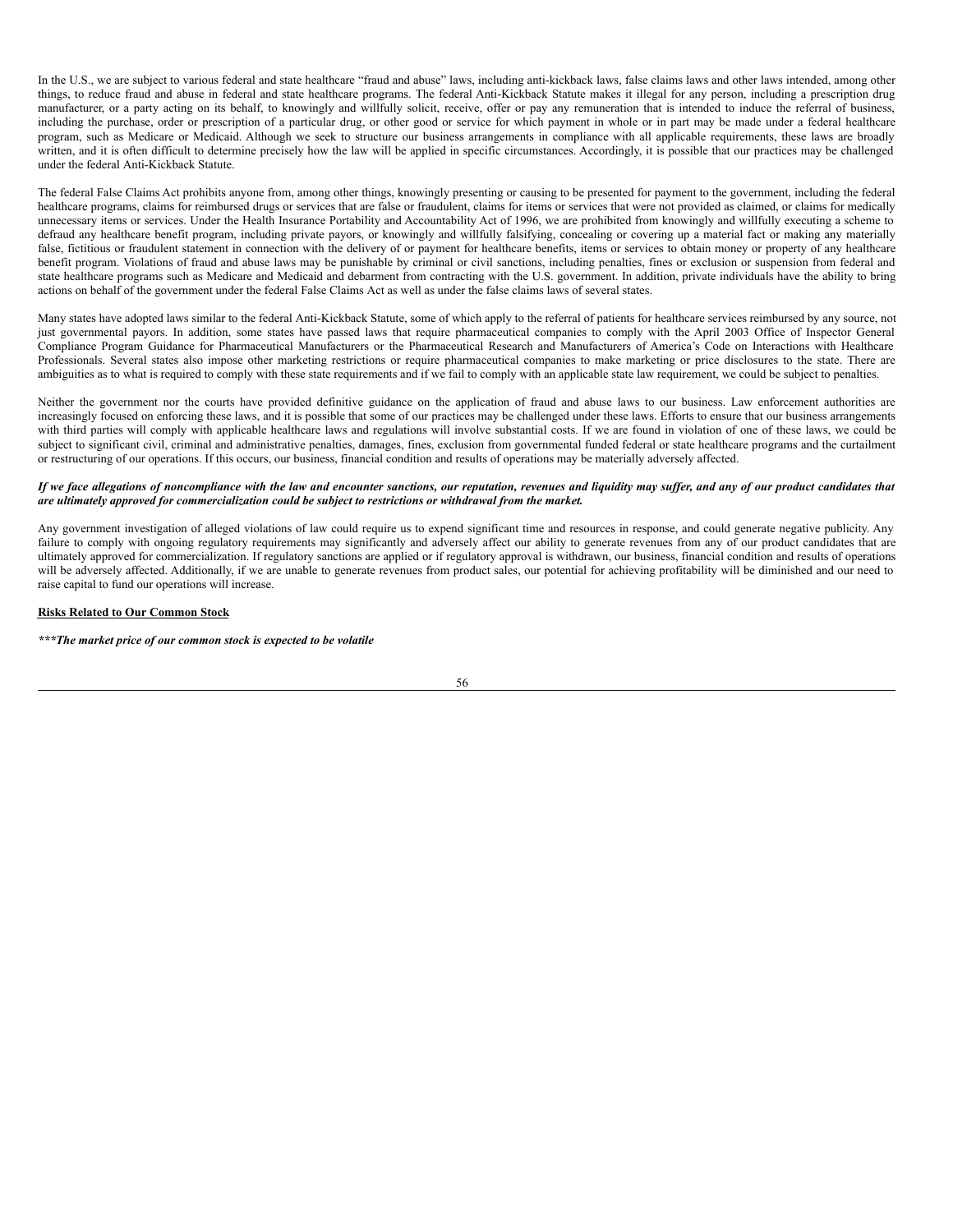In the U.S., we are subject to various federal and state healthcare "fraud and abuse" laws, including anti-kickback laws, false claims laws and other laws intended, among other things, to reduce fraud and abuse in federal and state healthcare programs. The federal Anti-Kickback Statute makes it illegal for any person, including a prescription drug manufacturer, or a party acting on its behalf, to knowingly and willfully solicit, receive, offer or pay any remuneration that is intended to induce the referral of business, including the purchase, order or prescription of a particular drug, or other good or service for which payment in whole or in part may be made under a federal healthcare program, such as Medicare or Medicaid. Although we seek to structure our business arrangements in compliance with all applicable requirements, these laws are broadly written, and it is often difficult to determine precisely how the law will be applied in specific circumstances. Accordingly, it is possible that our practices may be challenged under the federal Anti-Kickback Statute.

The federal False Claims Act prohibits anyone from, among other things, knowingly presenting or causing to be presented for payment to the government, including the federal healthcare programs, claims for reimbursed drugs or services that are false or fraudulent, claims for items or services that were not provided as claimed, or claims for medically unnecessary items or services. Under the Health Insurance Portability and Accountability Act of 1996, we are prohibited from knowingly and willfully executing a scheme to defraud any healthcare benefit program, including private payors, or knowingly and willfully falsifying, concealing or covering up a material fact or making any materially false, fictitious or fraudulent statement in connection with the delivery of or payment for healthcare benefits, items or services to obtain money or property of any healthcare benefit program. Violations of fraud and abuse laws may be punishable by criminal or civil sanctions, including penalties, fines or exclusion or suspension from federal and state healthcare programs such as Medicare and Medicaid and debarment from contracting with the U.S. government. In addition, private individuals have the ability to bring actions on behalf of the government under the federal False Claims Act as well as under the false claims laws of several states.

Many states have adopted laws similar to the federal Anti-Kickback Statute, some of which apply to the referral of patients for healthcare services reimbursed by any source, not just governmental payors. In addition, some states have passed laws that require pharmaceutical companies to comply with the April 2003 Office of Inspector General Compliance Program Guidance for Pharmaceutical Manufacturers or the Pharmaceutical Research and Manufacturers of America's Code on Interactions with Healthcare Professionals. Several states also impose other marketing restrictions or require pharmaceutical companies to make marketing or price disclosures to the state. There are ambiguities as to what is required to comply with these state requirements and if we fail to comply with an applicable state law requirement, we could be subject to penalties.

Neither the government nor the courts have provided definitive guidance on the application of fraud and abuse laws to our business. Law enforcement authorities are increasingly focused on enforcing these laws, and it is possible that some of our practices may be challenged under these laws. Efforts to ensure that our business arrangements with third parties will comply with applicable healthcare laws and regulations will involve substantial costs. If we are found in violation of one of these laws, we could be subject to significant civil, criminal and administrative penalties, damages, fines, exclusion from governmental funded federal or state healthcare programs and the curtailment or restructuring of our operations. If this occurs, our business, financial condition and results of operations may be materially adversely affected.

#### If we face allegations of noncompliance with the law and encounter sanctions, our reputation, revenues and liquidity may suffer, and any of our product candidates that *are ultimately approved for commercialization could be subject to restrictions or withdrawal from the market.*

Any government investigation of alleged violations of law could require us to expend significant time and resources in response, and could generate negative publicity. Any failure to comply with ongoing regulatory requirements may significantly and adversely affect our ability to generate revenues from any of our product candidates that are ultimately approved for commercialization. If regulatory sanctions are applied or if regulatory approval is withdrawn, our business, financial condition and results of operations will be adversely affected. Additionally, if we are unable to generate revenues from product sales, our potential for achieving profitability will be diminished and our need to raise capital to fund our operations will increase.

## **Risks Related to Our Common Stock**

*\*\*\*The market price of our common stock is expected to be volatile*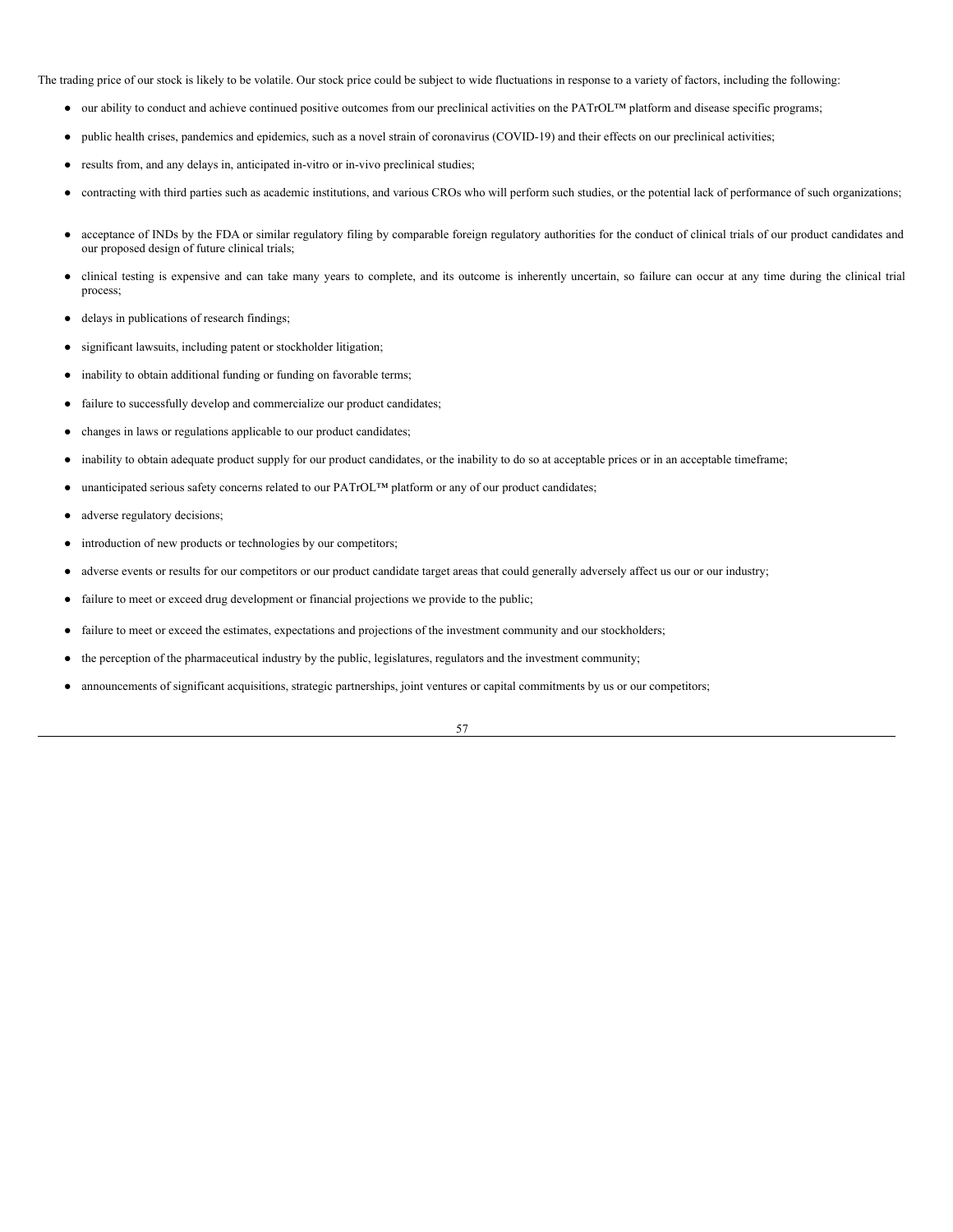The trading price of our stock is likely to be volatile. Our stock price could be subject to wide fluctuations in response to a variety of factors, including the following:

- our ability to conduct and achieve continued positive outcomes from our preclinical activities on the PATrOL™ platform and disease specific programs;
- public health crises, pandemics and epidemics, such as a novel strain of coronavirus (COVID-19) and their effects on our preclinical activities;
- results from, and any delays in, anticipated in-vitro or in-vivo preclinical studies;
- contracting with third parties such as academic institutions, and various CROs who will perform such studies, or the potential lack of performance of such organizations;
- acceptance of INDs by the FDA or similar regulatory filing by comparable foreign regulatory authorities for the conduct of clinical trials of our product candidates and our proposed design of future clinical trials;
- clinical testing is expensive and can take many years to complete, and its outcome is inherently uncertain, so failure can occur at any time during the clinical trial process;
- delays in publications of research findings;
- significant lawsuits, including patent or stockholder litigation;
- inability to obtain additional funding or funding on favorable terms;
- failure to successfully develop and commercialize our product candidates;
- changes in laws or regulations applicable to our product candidates;
- inability to obtain adequate product supply for our product candidates, or the inability to do so at acceptable prices or in an acceptable timeframe;
- unanticipated serious safety concerns related to our PATrOL™ platform or any of our product candidates;
- adverse regulatory decisions;
- introduction of new products or technologies by our competitors;
- adverse events or results for our competitors or our product candidate target areas that could generally adversely affect us our or our industry;
- failure to meet or exceed drug development or financial projections we provide to the public;
- failure to meet or exceed the estimates, expectations and projections of the investment community and our stockholders;
- the perception of the pharmaceutical industry by the public, legislatures, regulators and the investment community;
- announcements of significant acquisitions, strategic partnerships, joint ventures or capital commitments by us or our competitors;

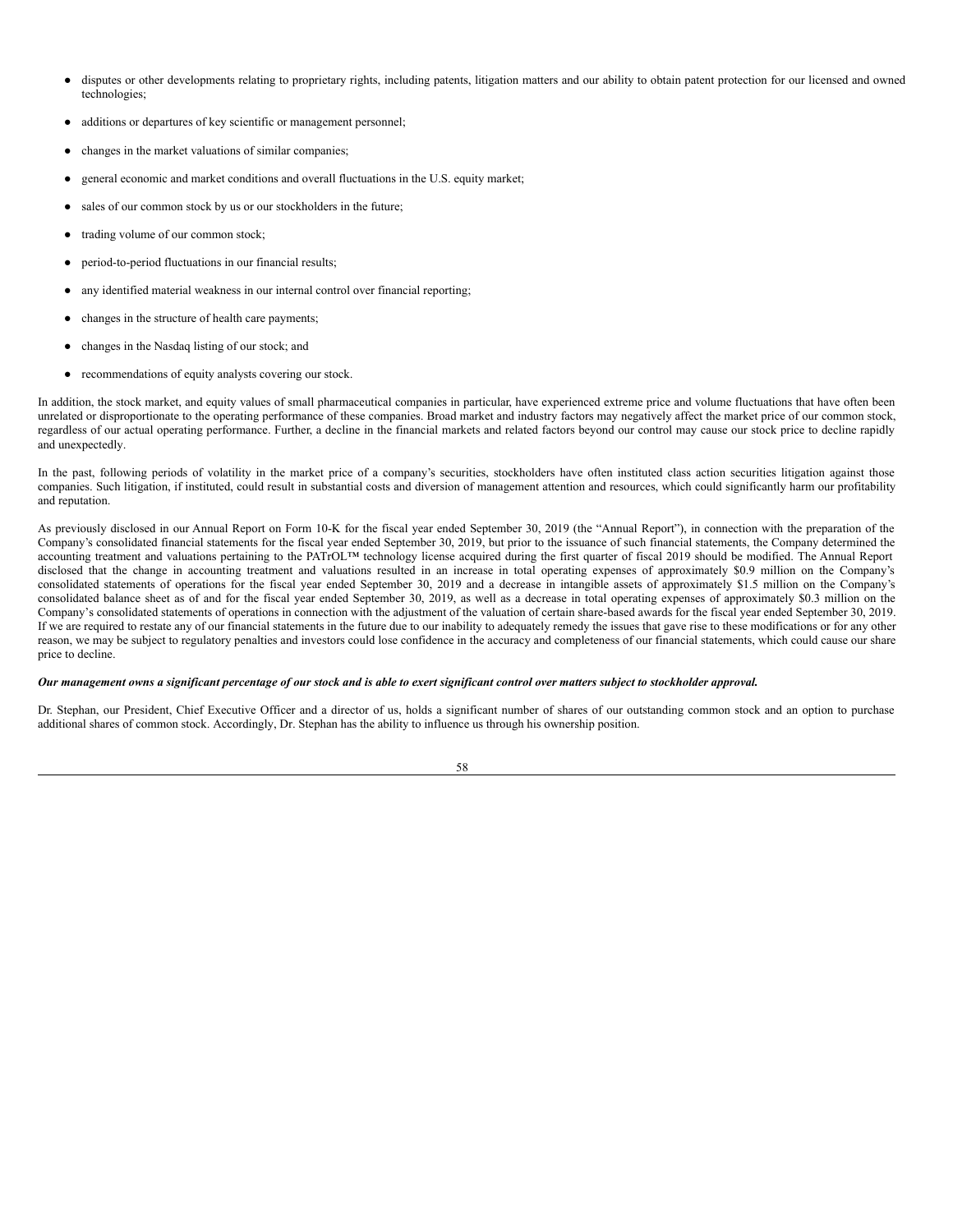- disputes or other developments relating to proprietary rights, including patents, litigation matters and our ability to obtain patent protection for our licensed and owned technologies;
- additions or departures of key scientific or management personnel;
- changes in the market valuations of similar companies;
- general economic and market conditions and overall fluctuations in the U.S. equity market;
- sales of our common stock by us or our stockholders in the future;
- trading volume of our common stock;
- period-to-period fluctuations in our financial results;
- any identified material weakness in our internal control over financial reporting;
- changes in the structure of health care payments;
- changes in the Nasdaq listing of our stock; and
- recommendations of equity analysts covering our stock.

In addition, the stock market, and equity values of small pharmaceutical companies in particular, have experienced extreme price and volume fluctuations that have often been unrelated or disproportionate to the operating performance of these companies. Broad market and industry factors may negatively affect the market price of our common stock, regardless of our actual operating performance. Further, a decline in the financial markets and related factors beyond our control may cause our stock price to decline rapidly and unexpectedly.

In the past, following periods of volatility in the market price of a company's securities, stockholders have often instituted class action securities litigation against those companies. Such litigation, if instituted, could result in substantial costs and diversion of management attention and resources, which could significantly harm our profitability and reputation.

As previously disclosed in our Annual Report on Form 10-K for the fiscal year ended September 30, 2019 (the "Annual Report"), in connection with the preparation of the Company's consolidated financial statements for the fiscal year ended September 30, 2019, but prior to the issuance of such financial statements, the Company determined the accounting treatment and valuations pertaining to the PATrOL™ technology license acquired during the first quarter of fiscal 2019 should be modified. The Annual Report disclosed that the change in accounting treatment and valuations resulted in an increase in total operating expenses of approximately \$0.9 million on the Company's consolidated statements of operations for the fiscal year ended September 30, 2019 and a decrease in intangible assets of approximately \$1.5 million on the Company's consolidated balance sheet as of and for the fiscal year ended September 30, 2019, as well as a decrease in total operating expenses of approximately \$0.3 million on the Company's consolidated statements of operations in connection with the adjustment of the valuation of certain share-based awards for the fiscal year ended September 30, 2019. If we are required to restate any of our financial statements in the future due to our inability to adequately remedy the issues that gave rise to these modifications or for any other reason, we may be subject to regulatory penalties and investors could lose confidence in the accuracy and completeness of our financial statements, which could cause our share price to decline.

## Our management owns a significant percentage of our stock and is able to exert significant control over matters subject to stockholder approval.

Dr. Stephan, our President, Chief Executive Officer and a director of us, holds a significant number of shares of our outstanding common stock and an option to purchase additional shares of common stock. Accordingly, Dr. Stephan has the ability to influence us through his ownership position.

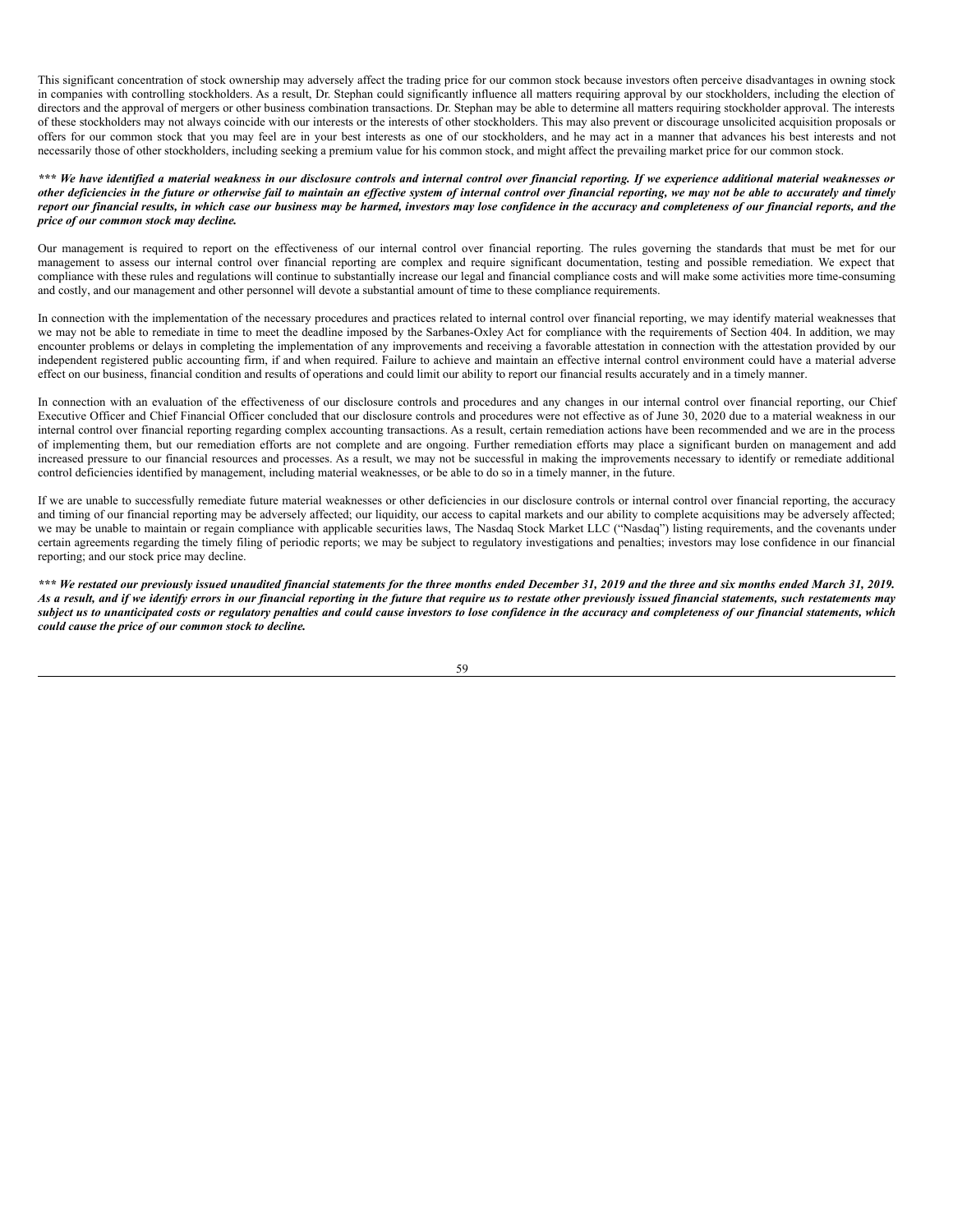This significant concentration of stock ownership may adversely affect the trading price for our common stock because investors often perceive disadvantages in owning stock in companies with controlling stockholders. As a result, Dr. Stephan could significantly influence all matters requiring approval by our stockholders, including the election of directors and the approval of mergers or other business combination transactions. Dr. Stephan may be able to determine all matters requiring stockholder approval. The interests of these stockholders may not always coincide with our interests or the interests of other stockholders. This may also prevent or discourage unsolicited acquisition proposals or offers for our common stock that you may feel are in your best interests as one of our stockholders, and he may act in a manner that advances his best interests and not necessarily those of other stockholders, including seeking a premium value for his common stock, and might affect the prevailing market price for our common stock.

\*\*\* We have identified a material weakness in our disclosure controls and internal control over financial reporting. If we experience additional material weaknesses or other deficiencies in the future or otherwise fail to maintain an effective system of internal control over financial reporting, we may not be able to accurately and timely report our financial results, in which case our business may be harmed, investors may lose confidence in the accuracy and completeness of our financial reports, and the *price of our common stock may decline.*

Our management is required to report on the effectiveness of our internal control over financial reporting. The rules governing the standards that must be met for our management to assess our internal control over financial reporting are complex and require significant documentation, testing and possible remediation. We expect that compliance with these rules and regulations will continue to substantially increase our legal and financial compliance costs and will make some activities more time-consuming and costly, and our management and other personnel will devote a substantial amount of time to these compliance requirements.

In connection with the implementation of the necessary procedures and practices related to internal control over financial reporting, we may identify material weaknesses that we may not be able to remediate in time to meet the deadline imposed by the Sarbanes-Oxley Act for compliance with the requirements of Section 404. In addition, we may encounter problems or delays in completing the implementation of any improvements and receiving a favorable attestation in connection with the attestation provided by our independent registered public accounting firm, if and when required. Failure to achieve and maintain an effective internal control environment could have a material adverse effect on our business, financial condition and results of operations and could limit our ability to report our financial results accurately and in a timely manner.

In connection with an evaluation of the effectiveness of our disclosure controls and procedures and any changes in our internal control over financial reporting, our Chief Executive Officer and Chief Financial Officer concluded that our disclosure controls and procedures were not effective as of June 30, 2020 due to a material weakness in our internal control over financial reporting regarding complex accounting transactions. As a result, certain remediation actions have been recommended and we are in the process of implementing them, but our remediation efforts are not complete and are ongoing. Further remediation efforts may place a significant burden on management and add increased pressure to our financial resources and processes. As a result, we may not be successful in making the improvements necessary to identify or remediate additional control deficiencies identified by management, including material weaknesses, or be able to do so in a timely manner, in the future.

If we are unable to successfully remediate future material weaknesses or other deficiencies in our disclosure controls or internal control over financial reporting, the accuracy and timing of our financial reporting may be adversely affected; our liquidity, our access to capital markets and our ability to complete acquisitions may be adversely affected; we may be unable to maintain or regain compliance with applicable securities laws, The Nasdaq Stock Market LLC ("Nasdaq") listing requirements, and the covenants under certain agreements regarding the timely filing of periodic reports; we may be subject to regulatory investigations and penalties; investors may lose confidence in our financial reporting; and our stock price may decline.

\*\*\* We restated our previously issued unaudited financial statements for the three months ended December 31, 2019 and the three and six months ended March 31, 2019. As a result, and if we identify errors in our financial reporting in the future that require us to restate other previously issued financial statements, such restatements may subject us to unanticipated costs or regulatory penalties and could cause investors to lose confidence in the accuracy and completeness of our financial statements, which *could cause the price of our common stock to decline.*

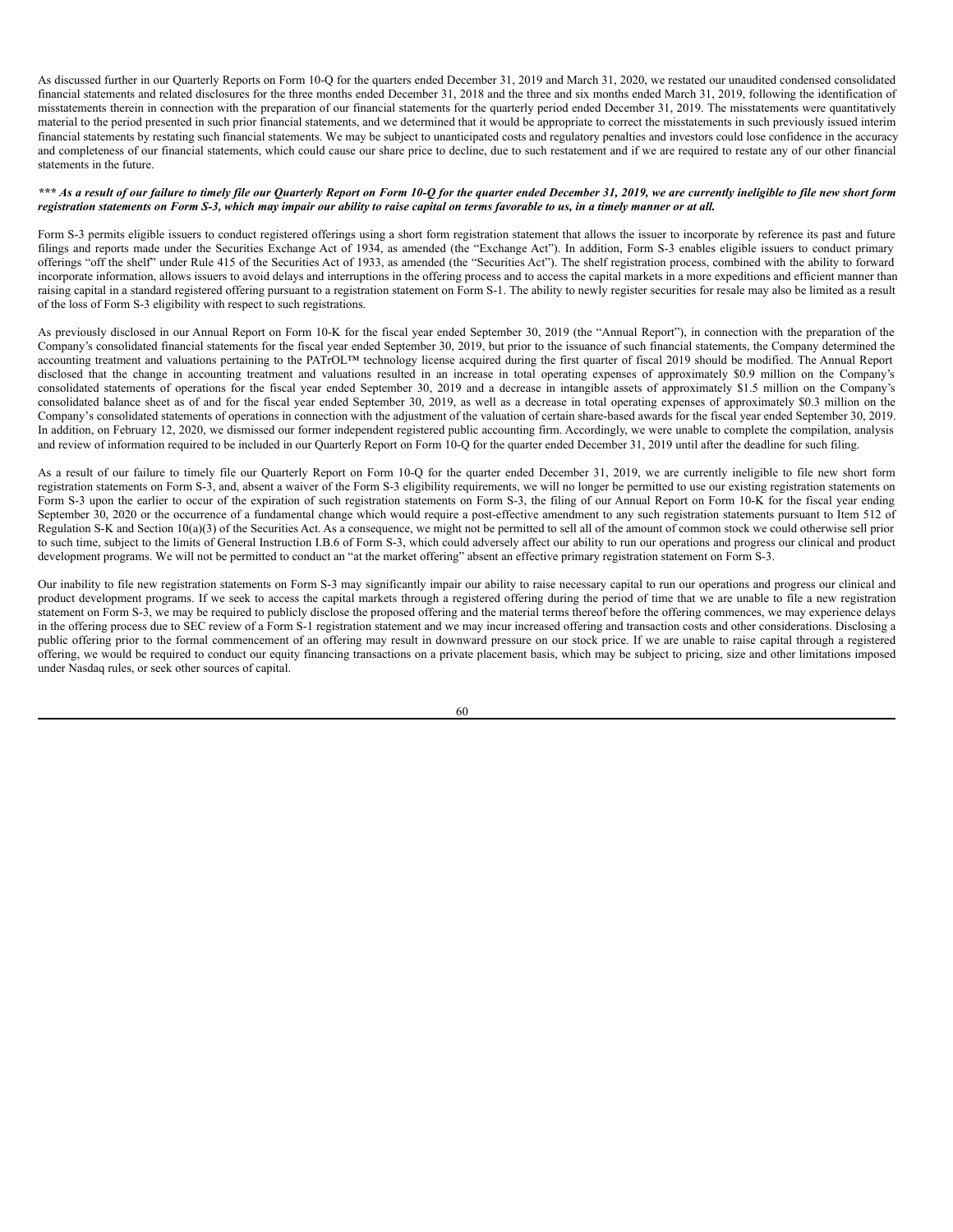As discussed further in our Quarterly Reports on Form 10-Q for the quarters ended December 31, 2019 and March 31, 2020, we restated our unaudited condensed consolidated financial statements and related disclosures for the three months ended December 31, 2018 and the three and six months ended March 31, 2019, following the identification of misstatements therein in connection with the preparation of our financial statements for the quarterly period ended December 31, 2019. The misstatements were quantitatively material to the period presented in such prior financial statements, and we determined that it would be appropriate to correct the misstatements in such previously issued interim financial statements by restating such financial statements. We may be subject to unanticipated costs and regulatory penalties and investors could lose confidence in the accuracy and completeness of our financial statements, which could cause our share price to decline, due to such restatement and if we are required to restate any of our other financial statements in the future.

#### \*\*\* As a result of our failure to timely file our Quarterly Report on Form 10-Q for the quarter ended December 31, 2019, we are currently ineligible to file new short form registration statements on Form S-3, which may impair our ability to raise capital on terms favorable to us, in a timely manner or at all.

Form S-3 permits eligible issuers to conduct registered offerings using a short form registration statement that allows the issuer to incorporate by reference its past and future filings and reports made under the Securities Exchange Act of 1934, as amended (the "Exchange Act"). In addition, Form S-3 enables eligible issuers to conduct primary offerings "off the shelf" under Rule 415 of the Securities Act of 1933, as amended (the "Securities Act"). The shelf registration process, combined with the ability to forward incorporate information, allows issuers to avoid delays and interruptions in the offering process and to access the capital markets in a more expeditions and efficient manner than raising capital in a standard registered offering pursuant to a registration statement on Form S-1. The ability to newly register securities for resale may also be limited as a result of the loss of Form S-3 eligibility with respect to such registrations.

As previously disclosed in our Annual Report on Form 10-K for the fiscal year ended September 30, 2019 (the "Annual Report"), in connection with the preparation of the Company's consolidated financial statements for the fiscal year ended September 30, 2019, but prior to the issuance of such financial statements, the Company determined the accounting treatment and valuations pertaining to the PATrOL™ technology license acquired during the first quarter of fiscal 2019 should be modified. The Annual Report disclosed that the change in accounting treatment and valuations resulted in an increase in total operating expenses of approximately \$0.9 million on the Company's consolidated statements of operations for the fiscal year ended September 30, 2019 and a decrease in intangible assets of approximately \$1.5 million on the Company's consolidated balance sheet as of and for the fiscal year ended September 30, 2019, as well as a decrease in total operating expenses of approximately \$0.3 million on the Company's consolidated statements of operations in connection with the adjustment of the valuation of certain share-based awards for the fiscal year ended September 30, 2019. In addition, on February 12, 2020, we dismissed our former independent registered public accounting firm. Accordingly, we were unable to complete the compilation, analysis and review of information required to be included in our Quarterly Report on Form 10-Q for the quarter ended December 31, 2019 until after the deadline for such filing.

As a result of our failure to timely file our Quarterly Report on Form 10-Q for the quarter ended December 31, 2019, we are currently ineligible to file new short form registration statements on Form S-3, and, absent a waiver of the Form S-3 eligibility requirements, we will no longer be permitted to use our existing registration statements on Form S-3 upon the earlier to occur of the expiration of such registration statements on Form S-3, the filing of our Annual Report on Form 10-K for the fiscal year ending September 30, 2020 or the occurrence of a fundamental change which would require a post-effective amendment to any such registration statements pursuant to Item 512 of Regulation S-K and Section 10(a)(3) of the Securities Act. As a consequence, we might not be permitted to sell all of the amount of common stock we could otherwise sell prior to such time, subject to the limits of General Instruction I.B.6 of Form S-3, which could adversely affect our ability to run our operations and progress our clinical and product development programs. We will not be permitted to conduct an "at the market offering" absent an effective primary registration statement on Form S-3.

Our inability to file new registration statements on Form S-3 may significantly impair our ability to raise necessary capital to run our operations and progress our clinical and product development programs. If we seek to access the capital markets through a registered offering during the period of time that we are unable to file a new registration statement on Form S-3, we may be required to publicly disclose the proposed offering and the material terms thereof before the offering commences, we may experience delays in the offering process due to SEC review of a Form S-1 registration statement and we may incur increased offering and transaction costs and other considerations. Disclosing a public offering prior to the formal commencement of an offering may result in downward pressure on our stock price. If we are unable to raise capital through a registered offering, we would be required to conduct our equity financing transactions on a private placement basis, which may be subject to pricing, size and other limitations imposed under Nasdaq rules, or seek other sources of capital.

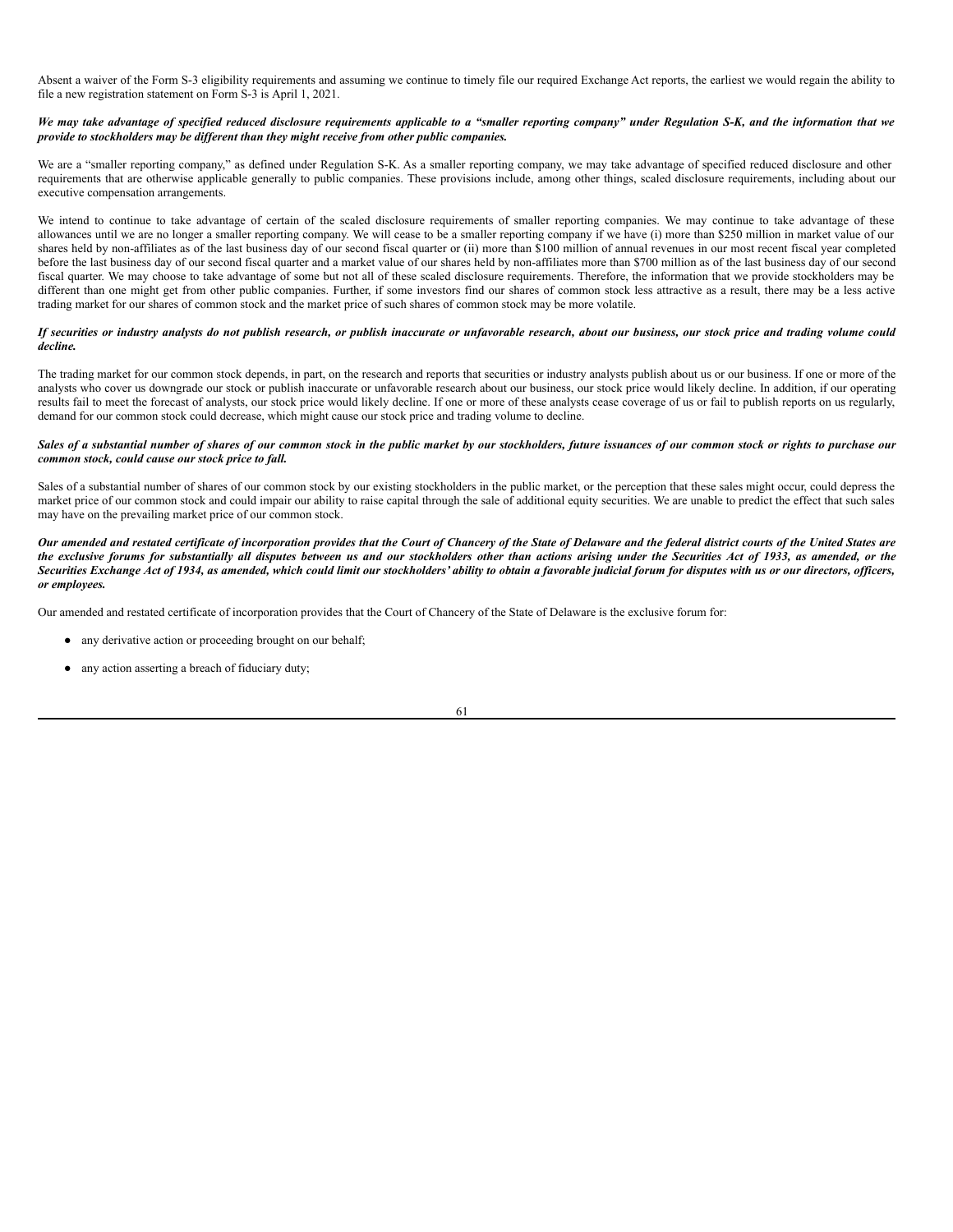Absent a waiver of the Form S-3 eligibility requirements and assuming we continue to timely file our required Exchange Act reports, the earliest we would regain the ability to file a new registration statement on Form S-3 is April 1, 2021.

#### We may take advantage of specified reduced disclosure requirements applicable to a "smaller reporting company" under Regulation S-K, and the information that we *provide to stockholders may be dif erent than they might receive from other public companies.*

We are a "smaller reporting company," as defined under Regulation S-K. As a smaller reporting company, we may take advantage of specified reduced disclosure and other requirements that are otherwise applicable generally to public companies. These provisions include, among other things, scaled disclosure requirements, including about our executive compensation arrangements.

We intend to continue to take advantage of certain of the scaled disclosure requirements of smaller reporting companies. We may continue to take advantage of these allowances until we are no longer a smaller reporting company. We will cease to be a smaller reporting company if we have (i) more than \$250 million in market value of our shares held by non-affiliates as of the last business day of our second fiscal quarter or (ii) more than \$100 million of annual revenues in our most recent fiscal year completed before the last business day of our second fiscal quarter and a market value of our shares held by non-affiliates more than \$700 million as of the last business day of our second fiscal quarter. We may choose to take advantage of some but not all of these scaled disclosure requirements. Therefore, the information that we provide stockholders may be different than one might get from other public companies. Further, if some investors find our shares of common stock less attractive as a result, there may be a less active trading market for our shares of common stock and the market price of such shares of common stock may be more volatile.

## If securities or industry analysts do not publish research, or publish inaccurate or unfavorable research, about our business, our stock price and trading volume could *decline.*

The trading market for our common stock depends, in part, on the research and reports that securities or industry analysts publish about us or our business. If one or more of the analysts who cover us downgrade our stock or publish inaccurate or unfavorable research about our business, our stock price would likely decline. In addition, if our operating results fail to meet the forecast of analysts, our stock price would likely decline. If one or more of these analysts cease coverage of us or fail to publish reports on us regularly, demand for our common stock could decrease, which might cause our stock price and trading volume to decline.

#### Sales of a substantial number of shares of our common stock in the public market by our stockholders, future issuances of our common stock or rights to purchase our *common stock, could cause our stock price to fall.*

Sales of a substantial number of shares of our common stock by our existing stockholders in the public market, or the perception that these sales might occur, could depress the market price of our common stock and could impair our ability to raise capital through the sale of additional equity securities. We are unable to predict the effect that such sales may have on the prevailing market price of our common stock.

## Our amended and restated certificate of incorporation provides that the Court of Chancery of the State of Delaware and the federal district courts of the United States are the exclusive forums for substantially all disputes between us and our stockholders other than actions arising under the Securities Act of 1933, as amended, or the Securities Exchange Act of 1934, as amended, which could limit our stockholders' ability to obtain a favorable judicial forum for disputes with us or our directors, officers, *or employees.*

Our amended and restated certificate of incorporation provides that the Court of Chancery of the State of Delaware is the exclusive forum for:

- any derivative action or proceeding brought on our behalf;
- any action asserting a breach of fiduciary duty;

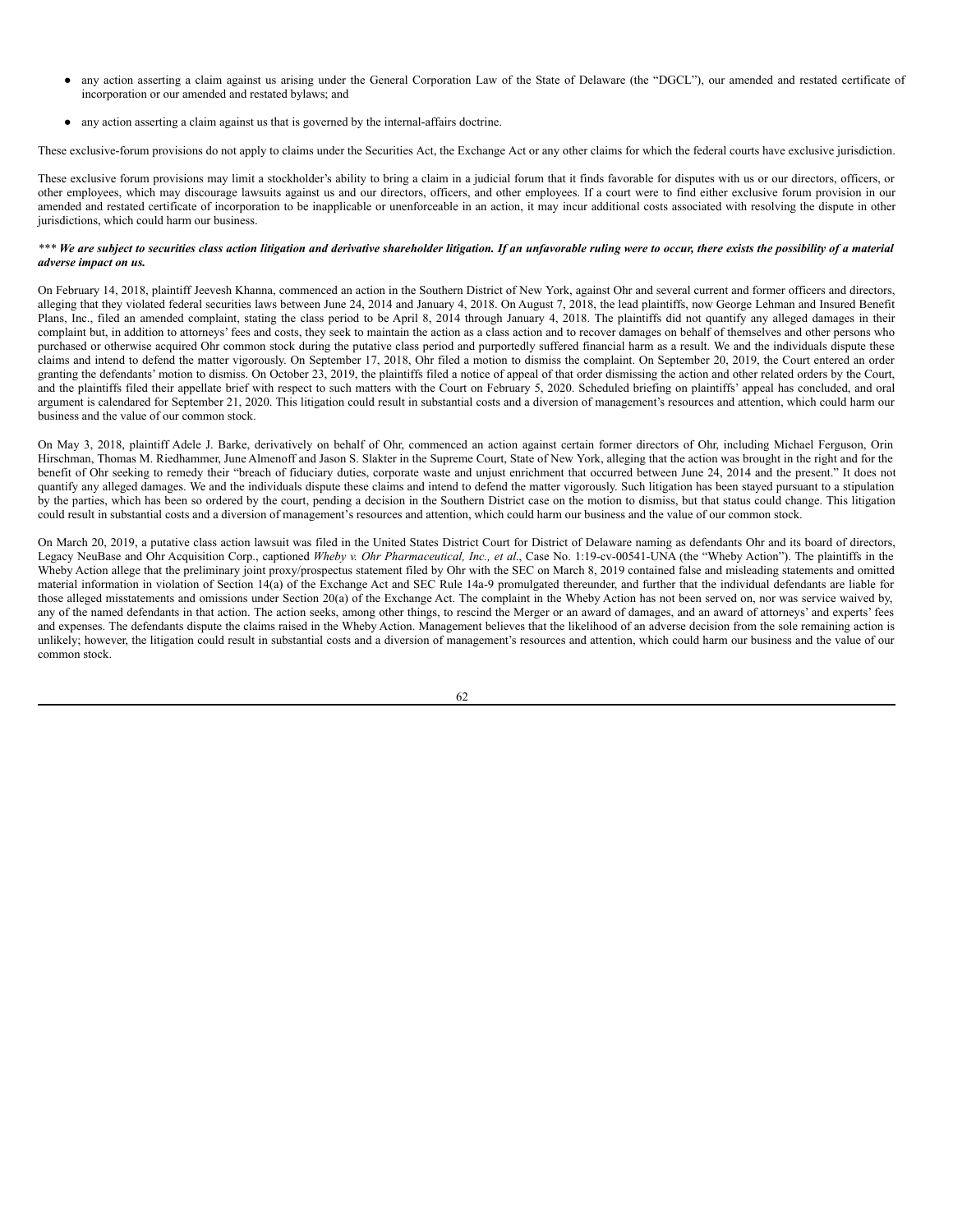- any action asserting a claim against us arising under the General Corporation Law of the State of Delaware (the "DGCL"), our amended and restated certificate of incorporation or our amended and restated bylaws; and
- any action asserting a claim against us that is governed by the internal-affairs doctrine.

These exclusive-forum provisions do not apply to claims under the Securities Act, the Exchange Act or any other claims for which the federal courts have exclusive jurisdiction.

These exclusive forum provisions may limit a stockholder's ability to bring a claim in a judicial forum that it finds favorable for disputes with us or our directors, officers, or other employees, which may discourage lawsuits against us and our directors, officers, and other employees. If a court were to find either exclusive forum provision in our amended and restated certificate of incorporation to be inapplicable or unenforceable in an action, it may incur additional costs associated with resolving the dispute in other jurisdictions, which could harm our business.

#### \*\*\* We are subject to securities class action litigation and derivative shareholder litigation. If an unfavorable ruling were to occur, there exists the possibility of a material *adverse impact on us.*

On February 14, 2018, plaintiff Jeevesh Khanna, commenced an action in the Southern District of New York, against Ohr and several current and former officers and directors, alleging that they violated federal securities laws between June 24, 2014 and January 4, 2018. On August 7, 2018, the lead plaintiffs, now George Lehman and Insured Benefit Plans, Inc., filed an amended complaint, stating the class period to be April 8, 2014 through January 4, 2018. The plaintiffs did not quantify any alleged damages in their complaint but, in addition to attorneys' fees and costs, they seek to maintain the action as a class action and to recover damages on behalf of themselves and other persons who purchased or otherwise acquired Ohr common stock during the putative class period and purportedly suffered financial harm as a result. We and the individuals dispute these claims and intend to defend the matter vigorously. On September 17, 2018, Ohr filed a motion to dismiss the complaint. On September 20, 2019, the Court entered an order granting the defendants' motion to dismiss. On October 23, 2019, the plaintiffs filed a notice of appeal of that order dismissing the action and other related orders by the Court, and the plaintiffs filed their appellate brief with respect to such matters with the Court on February 5, 2020. Scheduled briefing on plaintiffs' appeal has concluded, and oral argument is calendared for September 21, 2020. This litigation could result in substantial costs and a diversion of management's resources and attention, which could harm our business and the value of our common stock.

On May 3, 2018, plaintiff Adele J. Barke, derivatively on behalf of Ohr, commenced an action against certain former directors of Ohr, including Michael Ferguson, Orin Hirschman, Thomas M. Riedhammer, June Almenoff and Jason S. Slakter in the Supreme Court, State of New York, alleging that the action was brought in the right and for the benefit of Ohr seeking to remedy their "breach of fiduciary duties, corporate waste and unjust enrichment that occurred between June 24, 2014 and the present." It does not quantify any alleged damages. We and the individuals dispute these claims and intend to defend the matter vigorously. Such litigation has been stayed pursuant to a stipulation by the parties, which has been so ordered by the court, pending a decision in the Southern District case on the motion to dismiss, but that status could change. This litigation could result in substantial costs and a diversion of management's resources and attention, which could harm our business and the value of our common stock.

On March 20, 2019, a putative class action lawsuit was filed in the United States District Court for District of Delaware naming as defendants Ohr and its board of directors, Legacy NeuBase and Ohr Acquisition Corp., captioned *Wheby v. Ohr Pharmaceutical, Inc., et al*., Case No. 1:19-cv-00541-UNA (the "Wheby Action"). The plaintiffs in the Wheby Action allege that the preliminary joint proxy/prospectus statement filed by Ohr with the SEC on March 8, 2019 contained false and misleading statements and omitted material information in violation of Section 14(a) of the Exchange Act and SEC Rule 14a-9 promulgated thereunder, and further that the individual defendants are liable for those alleged misstatements and omissions under Section 20(a) of the Exchange Act. The complaint in the Wheby Action has not been served on, nor was service waived by, any of the named defendants in that action. The action seeks, among other things, to rescind the Merger or an award of damages, and an award of attorneys' and experts' fees and expenses. The defendants dispute the claims raised in the Wheby Action. Management believes that the likelihood of an adverse decision from the sole remaining action is unlikely; however, the litigation could result in substantial costs and a diversion of management's resources and attention, which could harm our business and the value of our common stock.

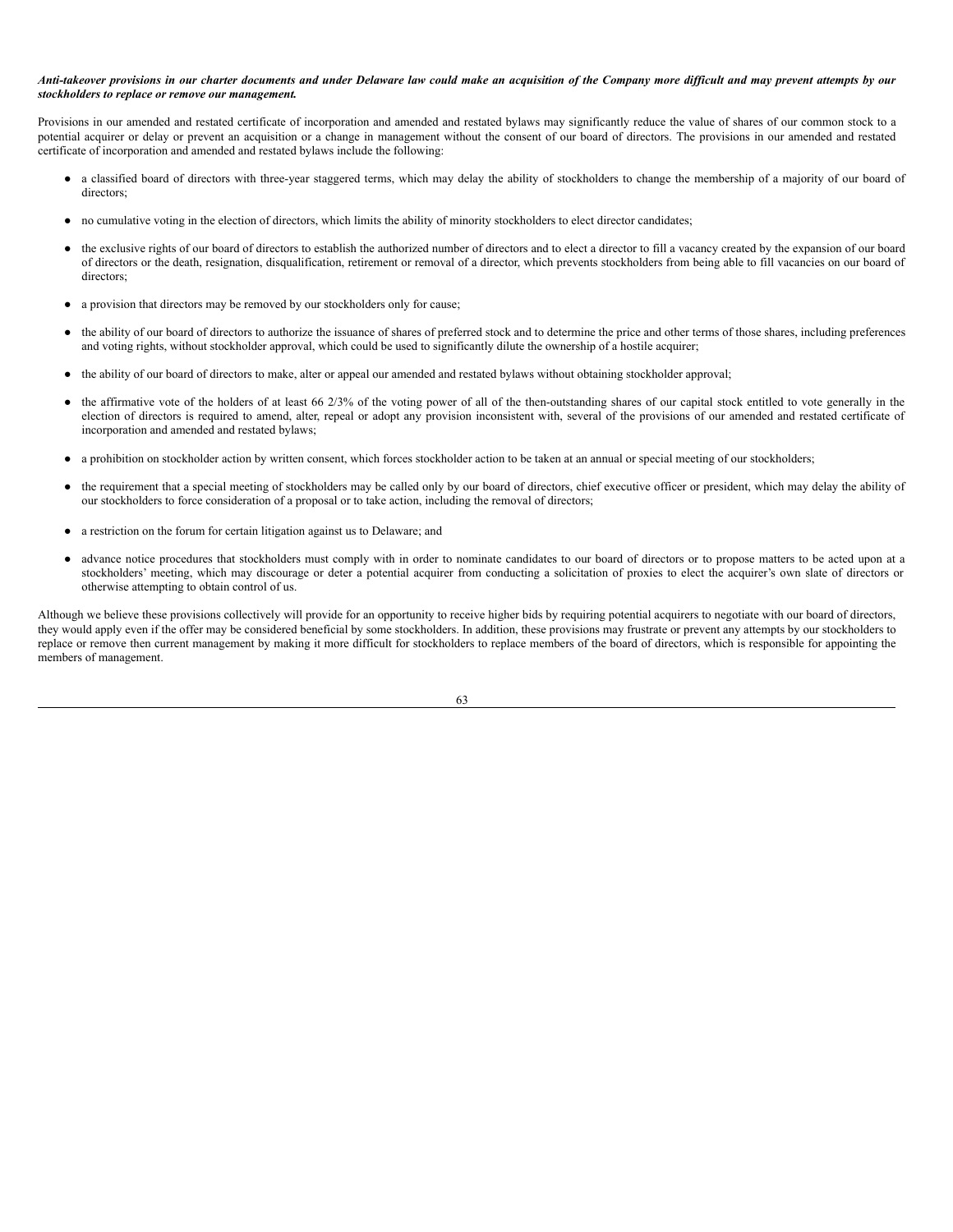## Anti-takeover provisions in our charter documents and under Delaware law could make an acquisition of the Company more difficult and may prevent attempts by our *stockholders to replace or remove our management.*

Provisions in our amended and restated certificate of incorporation and amended and restated bylaws may significantly reduce the value of shares of our common stock to a potential acquirer or delay or prevent an acquisition or a change in management without the consent of our board of directors. The provisions in our amended and restated certificate of incorporation and amended and restated bylaws include the following:

- a classified board of directors with three-year staggered terms, which may delay the ability of stockholders to change the membership of a majority of our board of directors;
- no cumulative voting in the election of directors, which limits the ability of minority stockholders to elect director candidates;
- the exclusive rights of our board of directors to establish the authorized number of directors and to elect a director to fill a vacancy created by the expansion of our board of directors or the death, resignation, disqualification, retirement or removal of a director, which prevents stockholders from being able to fill vacancies on our board of directors;
- a provision that directors may be removed by our stockholders only for cause;
- the ability of our board of directors to authorize the issuance of shares of preferred stock and to determine the price and other terms of those shares, including preferences and voting rights, without stockholder approval, which could be used to significantly dilute the ownership of a hostile acquirer;
- the ability of our board of directors to make, alter or appeal our amended and restated bylaws without obtaining stockholder approval;
- the affirmative vote of the holders of at least 66 2/3% of the voting power of all of the then-outstanding shares of our capital stock entitled to vote generally in the election of directors is required to amend, alter, repeal or adopt any provision inconsistent with, several of the provisions of our amended and restated certificate of incorporation and amended and restated bylaws;
- a prohibition on stockholder action by written consent, which forces stockholder action to be taken at an annual or special meeting of our stockholders;
- the requirement that a special meeting of stockholders may be called only by our board of directors, chief executive officer or president, which may delay the ability of our stockholders to force consideration of a proposal or to take action, including the removal of directors;
- a restriction on the forum for certain litigation against us to Delaware; and
- advance notice procedures that stockholders must comply with in order to nominate candidates to our board of directors or to propose matters to be acted upon at a stockholders' meeting, which may discourage or deter a potential acquirer from conducting a solicitation of proxies to elect the acquirer's own slate of directors or otherwise attempting to obtain control of us.

Although we believe these provisions collectively will provide for an opportunity to receive higher bids by requiring potential acquirers to negotiate with our board of directors, they would apply even if the offer may be considered beneficial by some stockholders. In addition, these provisions may frustrate or prevent any attempts by our stockholders to replace or remove then current management by making it more difficult for stockholders to replace members of the board of directors, which is responsible for appointing the members of management.

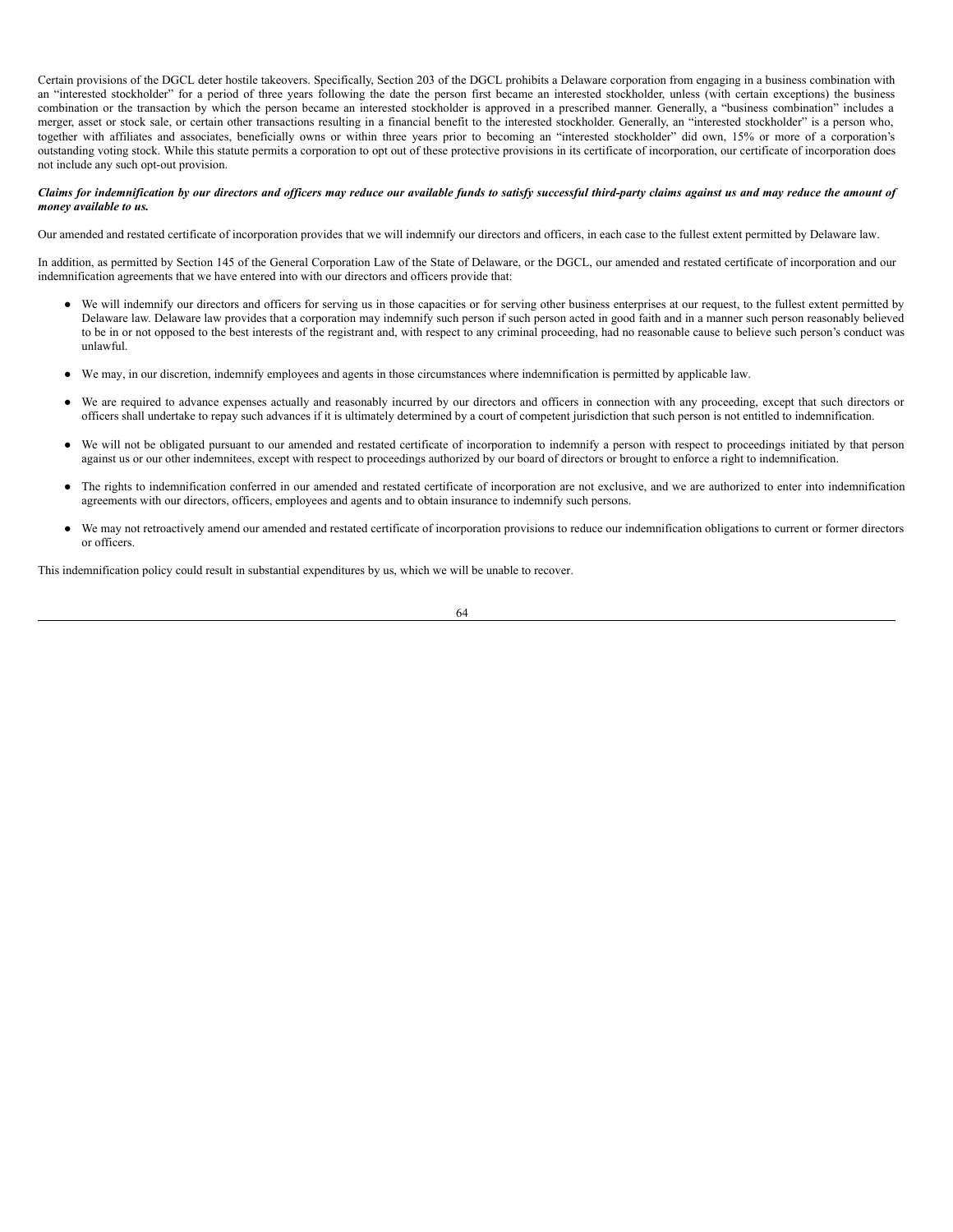Certain provisions of the DGCL deter hostile takeovers. Specifically, Section 203 of the DGCL prohibits a Delaware corporation from engaging in a business combination with an "interested stockholder" for a period of three years following the date the person first became an interested stockholder, unless (with certain exceptions) the business combination or the transaction by which the person became an interested stockholder is approved in a prescribed manner. Generally, a "business combination" includes a merger, asset or stock sale, or certain other transactions resulting in a financial benefit to the interested stockholder. Generally, an "interested stockholder" is a person who, together with affiliates and associates, beneficially owns or within three years prior to becoming an "interested stockholder" did own, 15% or more of a corporation's outstanding voting stock. While this statute permits a corporation to opt out of these protective provisions in its certificate of incorporation, our certificate of incorporation does not include any such opt-out provision.

#### Claims for indemnification by our directors and officers may reduce our available funds to satisfy successful third-party claims against us and may reduce the amount of *money available to us.*

Our amended and restated certificate of incorporation provides that we will indemnify our directors and officers, in each case to the fullest extent permitted by Delaware law.

In addition, as permitted by Section 145 of the General Corporation Law of the State of Delaware, or the DGCL, our amended and restated certificate of incorporation and our indemnification agreements that we have entered into with our directors and officers provide that:

- We will indemnify our directors and officers for serving us in those capacities or for serving other business enterprises at our request, to the fullest extent permitted by Delaware law. Delaware law provides that a corporation may indemnify such person if such person acted in good faith and in a manner such person reasonably believed to be in or not opposed to the best interests of the registrant and, with respect to any criminal proceeding, had no reasonable cause to believe such person's conduct was unlawful.
- We may, in our discretion, indemnify employees and agents in those circumstances where indemnification is permitted by applicable law.
- We are required to advance expenses actually and reasonably incurred by our directors and officers in connection with any proceeding, except that such directors or officers shall undertake to repay such advances if it is ultimately determined by a court of competent jurisdiction that such person is not entitled to indemnification.
- We will not be obligated pursuant to our amended and restated certificate of incorporation to indemnify a person with respect to proceedings initiated by that person against us or our other indemnitees, except with respect to proceedings authorized by our board of directors or brought to enforce a right to indemnification.
- The rights to indemnification conferred in our amended and restated certificate of incorporation are not exclusive, and we are authorized to enter into indemnification agreements with our directors, officers, employees and agents and to obtain insurance to indemnify such persons.
- We may not retroactively amend our amended and restated certificate of incorporation provisions to reduce our indemnification obligations to current or former directors or officers.

This indemnification policy could result in substantial expenditures by us, which we will be unable to recover.

64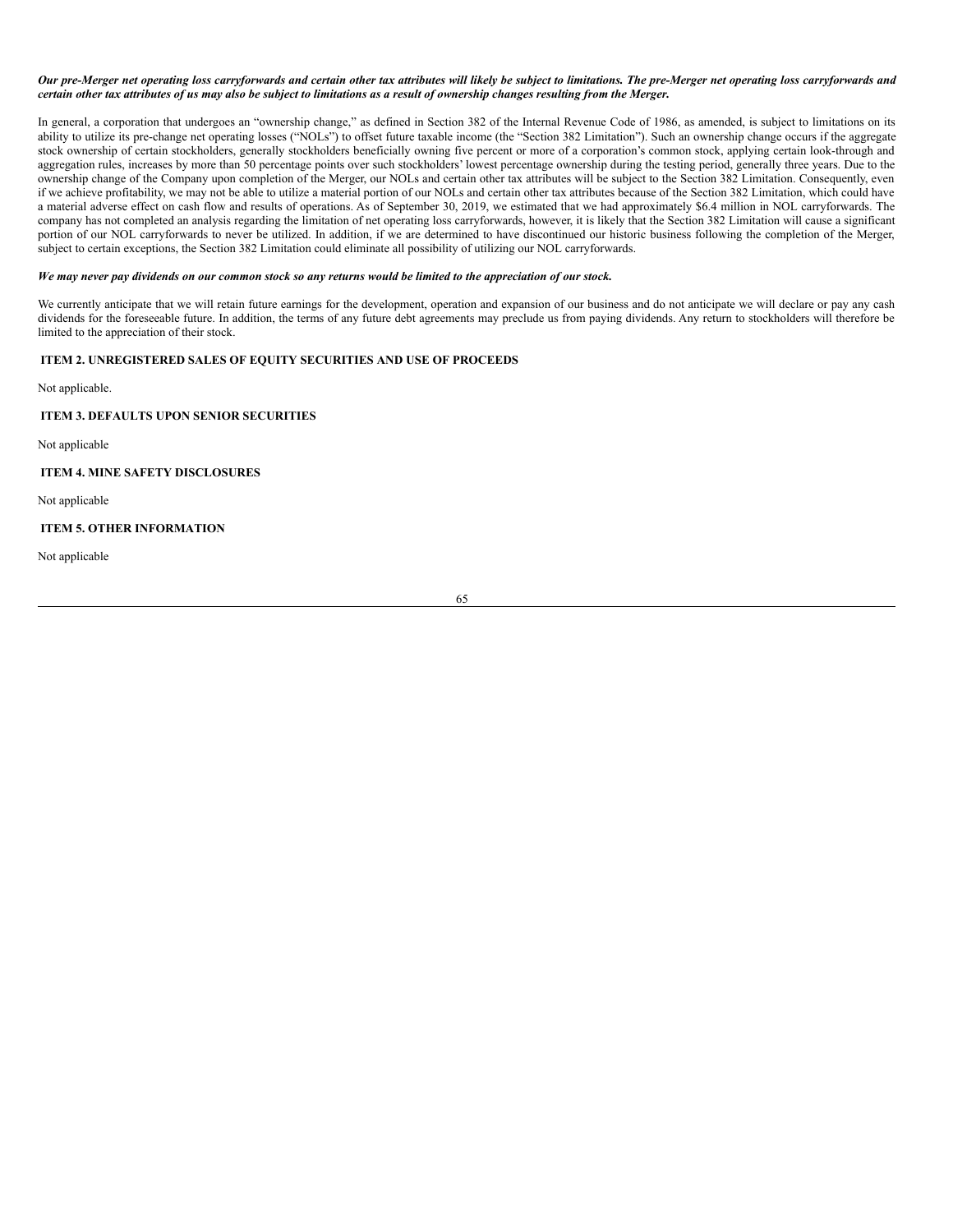#### Our pre-Merger net operating loss carryforwards and certain other tax attributes will likely be subject to limitations. The pre-Merger net operating loss carryforwards and certain other tax attributes of us may also be subject to limitations as a result of ownership changes resulting from the Merger.

In general, a corporation that undergoes an "ownership change," as defined in Section 382 of the Internal Revenue Code of 1986, as amended, is subject to limitations on its ability to utilize its pre-change net operating losses ("NOLs") to offset future taxable income (the "Section 382 Limitation"). Such an ownership change occurs if the aggregate stock ownership of certain stockholders, generally stockholders beneficially owning five percent or more of a corporation's common stock, applying certain look-through and aggregation rules, increases by more than 50 percentage points over such stockholders' lowest percentage ownership during the testing period, generally three years. Due to the ownership change of the Company upon completion of the Merger, our NOLs and certain other tax attributes will be subject to the Section 382 Limitation. Consequently, even if we achieve profitability, we may not be able to utilize a material portion of our NOLs and certain other tax attributes because of the Section 382 Limitation, which could have a material adverse effect on cash flow and results of operations. As of September 30, 2019, we estimated that we had approximately \$6.4 million in NOL carryforwards. The company has not completed an analysis regarding the limitation of net operating loss carryforwards, however, it is likely that the Section 382 Limitation will cause a significant portion of our NOL carryforwards to never be utilized. In addition, if we are determined to have discontinued our historic business following the completion of the Merger, subject to certain exceptions, the Section 382 Limitation could eliminate all possibility of utilizing our NOL carryforwards.

## We may never pay dividends on our common stock so any returns would be limited to the appreciation of our stock.

We currently anticipate that we will retain future earnings for the development, operation and expansion of our business and do not anticipate we will declare or pay any cash dividends for the foreseeable future. In addition, the terms of any future debt agreements may preclude us from paying dividends. Any return to stockholders will therefore be limited to the appreciation of their stock.

## **ITEM 2. UNREGISTERED SALES OF EQUITY SECURITIES AND USE OF PROCEEDS**

Not applicable.

#### **ITEM 3. DEFAULTS UPON SENIOR SECURITIES**

Not applicable

## **ITEM 4. MINE SAFETY DISCLOSURES**

Not applicable

## **ITEM 5. OTHER INFORMATION**

Not applicable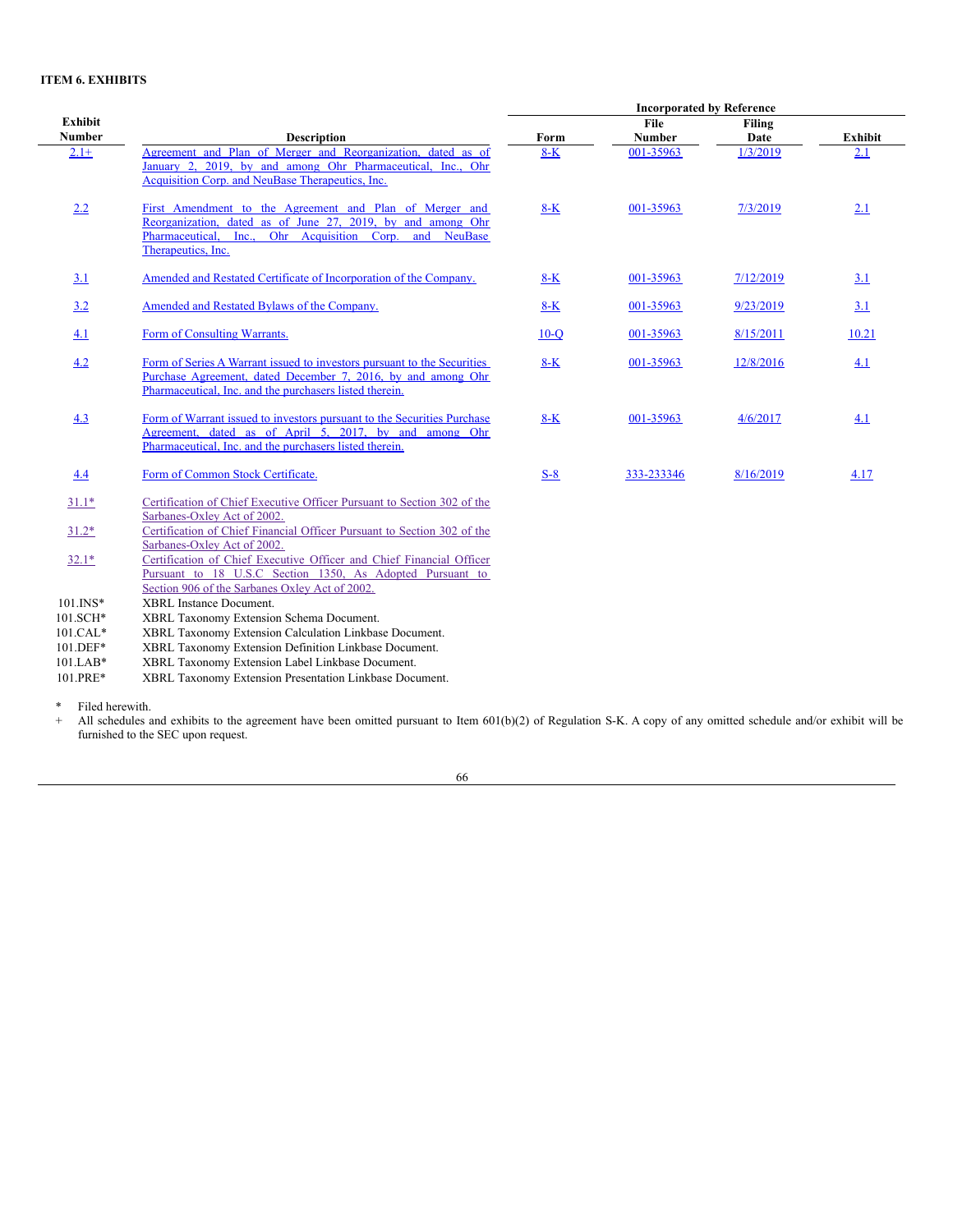# **ITEM 6. EXHIBITS**

|                          | <b>Description</b>                                                                                                                                                                                      | <b>Incorporated by Reference</b> |               |           |                |
|--------------------------|---------------------------------------------------------------------------------------------------------------------------------------------------------------------------------------------------------|----------------------------------|---------------|-----------|----------------|
| <b>Exhibit</b><br>Number |                                                                                                                                                                                                         |                                  | File          | Filing    |                |
|                          |                                                                                                                                                                                                         | Form                             | <b>Number</b> | Date      | <b>Exhibit</b> |
| $2.1 +$                  | Agreement and Plan of Merger and Reorganization, dated as of<br>January 2, 2019, by and among Ohr Pharmaceutical, Inc., Ohr<br>Acquisition Corp. and NeuBase Therapeutics, Inc.                         | $8-K$                            | 001-35963     | 1/3/2019  | 2.1            |
| 2.2                      | First Amendment to the Agreement and Plan of Merger and<br>Reorganization, dated as of June 27, 2019, by and among Ohr<br>Pharmaceutical, Inc., Ohr Acquisition Corp. and NeuBase<br>Therapeutics, Inc. | $8-K$                            | 001-35963     | 7/3/2019  | 2.1            |
| 3.1                      | Amended and Restated Certificate of Incorporation of the Company.                                                                                                                                       | $8-K$                            | 001-35963     | 7/12/2019 | 3.1            |
| 3.2                      | Amended and Restated Bylaws of the Company.                                                                                                                                                             | $8-K$                            | 001-35963     | 9/23/2019 | 3.1            |
| 4.1                      | Form of Consulting Warrants.                                                                                                                                                                            | $10-o$                           | 001-35963     | 8/15/2011 | 10.21          |
| 4.2                      | Form of Series A Warrant issued to investors pursuant to the Securities<br>Purchase Agreement, dated December 7, 2016, by and among Ohr<br>Pharmaceutical, Inc. and the purchasers listed therein.      | $8-K$                            | 001-35963     | 12/8/2016 | 4.1            |
| 4.3                      | Form of Warrant issued to investors pursuant to the Securities Purchase<br>Agreement, dated as of April 5, 2017, by and among Ohr<br>Pharmaceutical, Inc. and the purchasers listed therein.            | $8-K$                            | 001-35963     | 4/6/2017  | 4.1            |
| 4.4                      | Form of Common Stock Certificate.                                                                                                                                                                       | $S-8$                            | 333-233346    | 8/16/2019 | 4.17           |
| $31.1*$                  | Certification of Chief Executive Officer Pursuant to Section 302 of the<br>Sarbanes-Oxley Act of 2002.                                                                                                  |                                  |               |           |                |
| $31.2*$                  | Certification of Chief Financial Officer Pursuant to Section 302 of the<br>Sarbanes-Oxley Act of 2002.                                                                                                  |                                  |               |           |                |
| $32.1*$                  | Certification of Chief Executive Officer and Chief Financial Officer<br>Pursuant to 18 U.S.C Section 1350, As Adopted Pursuant to<br>Section 906 of the Sarbanes Oxley Act of 2002.                     |                                  |               |           |                |
| $101$ . INS*             | <b>XBRL</b> Instance Document.                                                                                                                                                                          |                                  |               |           |                |
| 101.SCH*                 | XBRL Taxonomy Extension Schema Document.                                                                                                                                                                |                                  |               |           |                |
| $101.CAL*$               | XBRL Taxonomy Extension Calculation Linkbase Document.                                                                                                                                                  |                                  |               |           |                |
| 101.DEF*                 | XBRL Taxonomy Extension Definition Linkbase Document.                                                                                                                                                   |                                  |               |           |                |
| $101.LAB*$               | XBRL Taxonomy Extension Label Linkbase Document.                                                                                                                                                        |                                  |               |           |                |
| 101.PRE*                 | XBRL Taxonomy Extension Presentation Linkbase Document.                                                                                                                                                 |                                  |               |           |                |

\* Filed herewith.<br>+ All schedules a + All schedules and exhibits to the agreement have been omitted pursuant to Item 601(b)(2) of Regulation S-K. A copy of any omitted schedule and/or exhibit will be furnished to the SEC upon request.

<u> 1980 - Johann Barbara, martxa amerikan personal (h. 1980).</u>

66

<u> 1980 - Johann Barn, mars ann an t-Amhain Aonaich an t-Aonaich an t-Aonaich ann an t-Aonaich ann an t-Aonaich</u>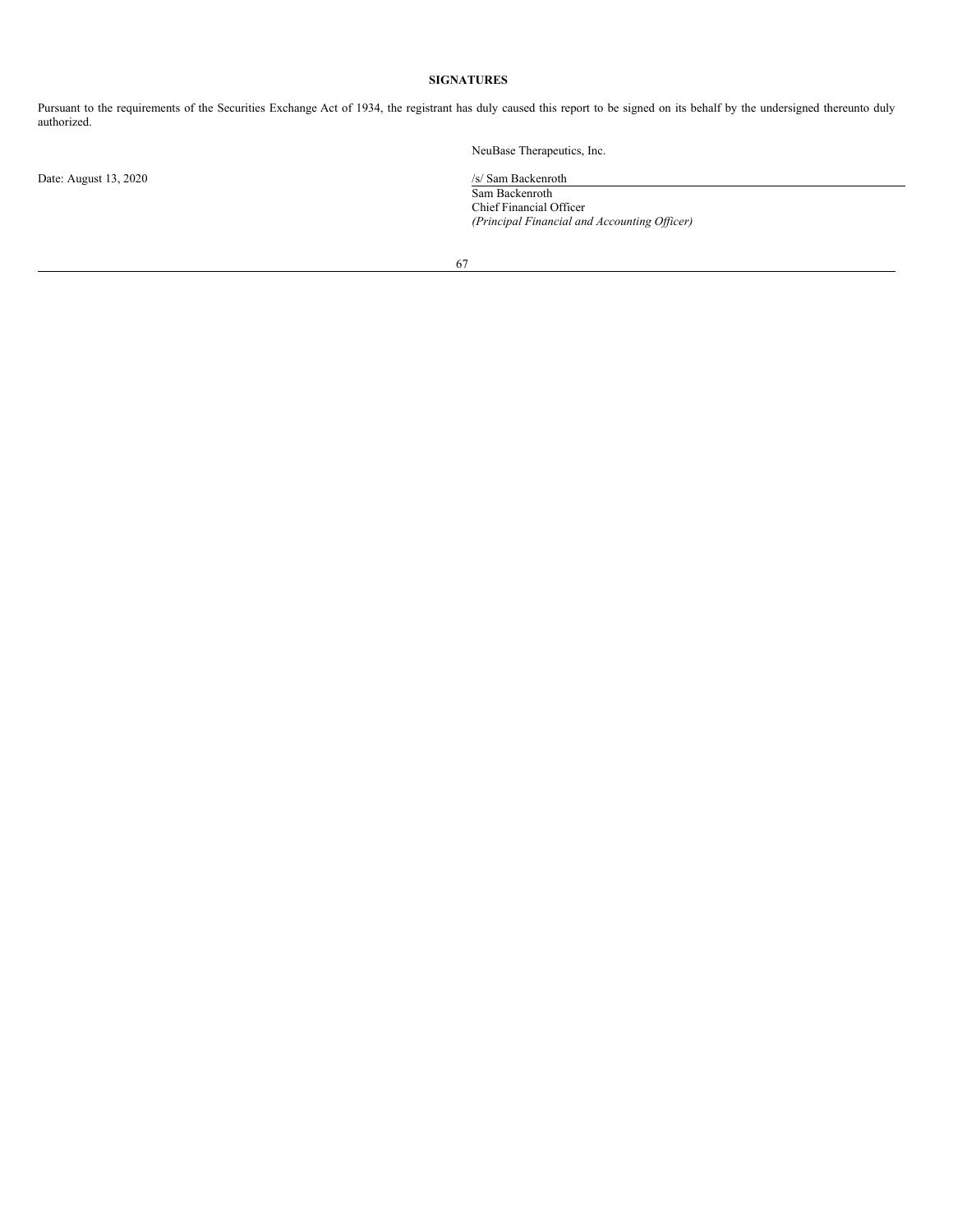# **SIGNATURES**

Pursuant to the requirements of the Securities Exchange Act of 1934, the registrant has duly caused this report to be signed on its behalf by the undersigned thereunto duly authorized.

Date: August 13, 2020 /s/ Sam Backenroth

NeuBase Therapeutics, Inc.

Sam Backenroth Chief Financial Officer *(Principal Financial and Accounting Of icer)*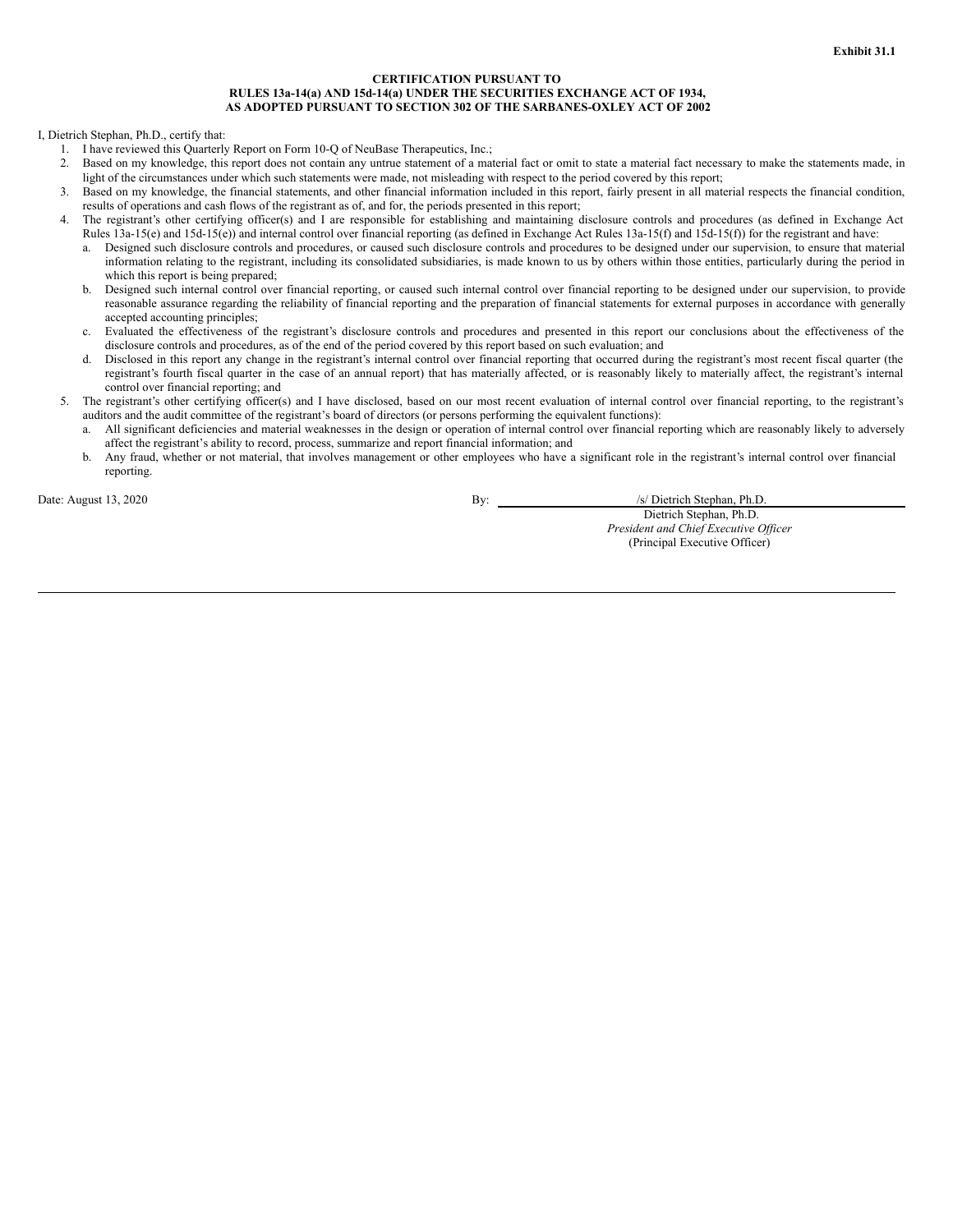#### **CERTIFICATION PURSUANT TO RULES 13a-14(a) AND 15d-14(a) UNDER THE SECURITIES EXCHANGE ACT OF 1934, AS ADOPTED PURSUANT TO SECTION 302 OF THE SARBANES-OXLEY ACT OF 2002**

<span id="page-70-0"></span>I, Dietrich Stephan, Ph.D., certify that:

- 1. I have reviewed this Quarterly Report on Form 10-Q of NeuBase Therapeutics, Inc.;
- 2. Based on my knowledge, this report does not contain any untrue statement of a material fact or omit to state a material fact necessary to make the statements made, in light of the circumstances under which such statements were made, not misleading with respect to the period covered by this report;
- 3. Based on my knowledge, the financial statements, and other financial information included in this report, fairly present in all material respects the financial condition, results of operations and cash flows of the registrant as of, and for, the periods presented in this report;
- 4. The registrant's other certifying officer(s) and I are responsible for establishing and maintaining disclosure controls and procedures (as defined in Exchange Act Rules 13a-15(e) and 15d-15(e)) and internal control over financial reporting (as defined in Exchange Act Rules 13a-15(f) and 15d-15(f)) for the registrant and have:
	- a. Designed such disclosure controls and procedures, or caused such disclosure controls and procedures to be designed under our supervision, to ensure that material information relating to the registrant, including its consolidated subsidiaries, is made known to us by others within those entities, particularly during the period in which this report is being prepared;
	- b. Designed such internal control over financial reporting, or caused such internal control over financial reporting to be designed under our supervision, to provide reasonable assurance regarding the reliability of financial reporting and the preparation of financial statements for external purposes in accordance with generally accepted accounting principles;
	- c. Evaluated the effectiveness of the registrant's disclosure controls and procedures and presented in this report our conclusions about the effectiveness of the disclosure controls and procedures, as of the end of the period covered by this report based on such evaluation; and
	- d. Disclosed in this report any change in the registrant's internal control over financial reporting that occurred during the registrant's most recent fiscal quarter (the registrant's fourth fiscal quarter in the case of an annual report) that has materially affected, or is reasonably likely to materially affect, the registrant's internal control over financial reporting; and
- 5. The registrant's other certifying officer(s) and I have disclosed, based on our most recent evaluation of internal control over financial reporting, to the registrant's auditors and the audit committee of the registrant's board of directors (or persons performing the equivalent functions):
	- a. All significant deficiencies and material weaknesses in the design or operation of internal control over financial reporting which are reasonably likely to adversely affect the registrant's ability to record, process, summarize and report financial information; and
	- b. Any fraud, whether or not material, that involves management or other employees who have a significant role in the registrant's internal control over financial reporting.

Date: August 13, 2020 <br>
By: /s/ Dietrich Stephan, Ph.D.

Dietrich Stephan, Ph.D. *President and Chief Executive Of icer* (Principal Executive Officer)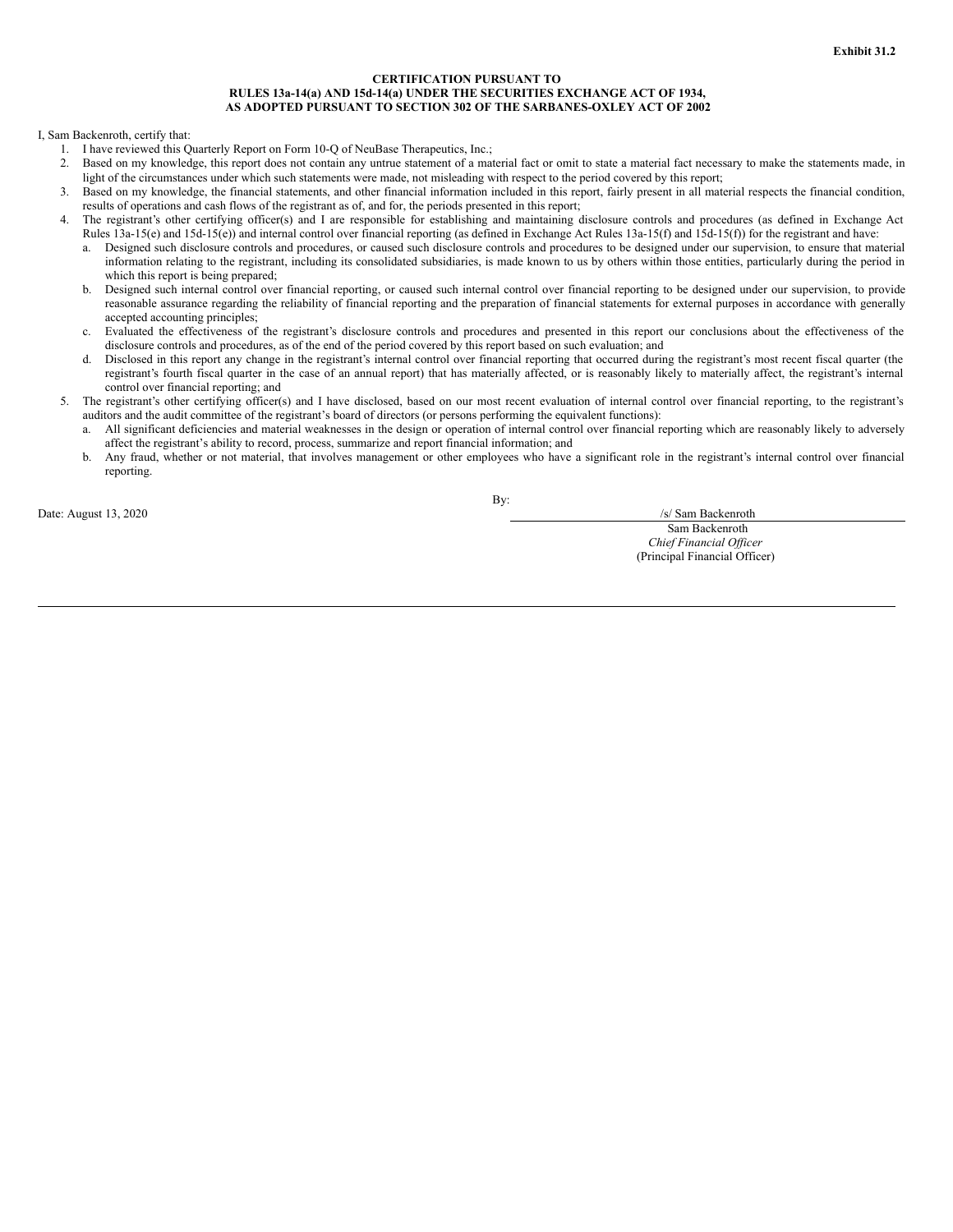#### **CERTIFICATION PURSUANT TO RULES 13a-14(a) AND 15d-14(a) UNDER THE SECURITIES EXCHANGE ACT OF 1934, AS ADOPTED PURSUANT TO SECTION 302 OF THE SARBANES-OXLEY ACT OF 2002**

<span id="page-71-0"></span>I, Sam Backenroth, certify that:

- 1. I have reviewed this Quarterly Report on Form 10-Q of NeuBase Therapeutics, Inc.;
- 2. Based on my knowledge, this report does not contain any untrue statement of a material fact or omit to state a material fact necessary to make the statements made, in light of the circumstances under which such statements were made, not misleading with respect to the period covered by this report;
- 3. Based on my knowledge, the financial statements, and other financial information included in this report, fairly present in all material respects the financial condition, results of operations and cash flows of the registrant as of, and for, the periods presented in this report;
- 4. The registrant's other certifying officer(s) and I are responsible for establishing and maintaining disclosure controls and procedures (as defined in Exchange Act Rules 13a-15(e) and 15d-15(e)) and internal control over financial reporting (as defined in Exchange Act Rules 13a-15(f) and 15d-15(f)) for the registrant and have:
	- a. Designed such disclosure controls and procedures, or caused such disclosure controls and procedures to be designed under our supervision, to ensure that material information relating to the registrant, including its consolidated subsidiaries, is made known to us by others within those entities, particularly during the period in which this report is being prepared;
	- b. Designed such internal control over financial reporting, or caused such internal control over financial reporting to be designed under our supervision, to provide reasonable assurance regarding the reliability of financial reporting and the preparation of financial statements for external purposes in accordance with generally accepted accounting principles;
	- c. Evaluated the effectiveness of the registrant's disclosure controls and procedures and presented in this report our conclusions about the effectiveness of the disclosure controls and procedures, as of the end of the period covered by this report based on such evaluation; and
	- d. Disclosed in this report any change in the registrant's internal control over financial reporting that occurred during the registrant's most recent fiscal quarter (the registrant's fourth fiscal quarter in the case of an annual report) that has materially affected, or is reasonably likely to materially affect, the registrant's internal control over financial reporting; and
- 5. The registrant's other certifying officer(s) and I have disclosed, based on our most recent evaluation of internal control over financial reporting, to the registrant's auditors and the audit committee of the registrant's board of directors (or persons performing the equivalent functions):
	- a. All significant deficiencies and material weaknesses in the design or operation of internal control over financial reporting which are reasonably likely to adversely affect the registrant's ability to record, process, summarize and report financial information; and
	- b. Any fraud, whether or not material, that involves management or other employees who have a significant role in the registrant's internal control over financial reporting.

Date: August 13, 2020

By:

/s/ Sam Backenroth

Sam Backenroth *Chief Financial Of icer* (Principal Financial Officer)